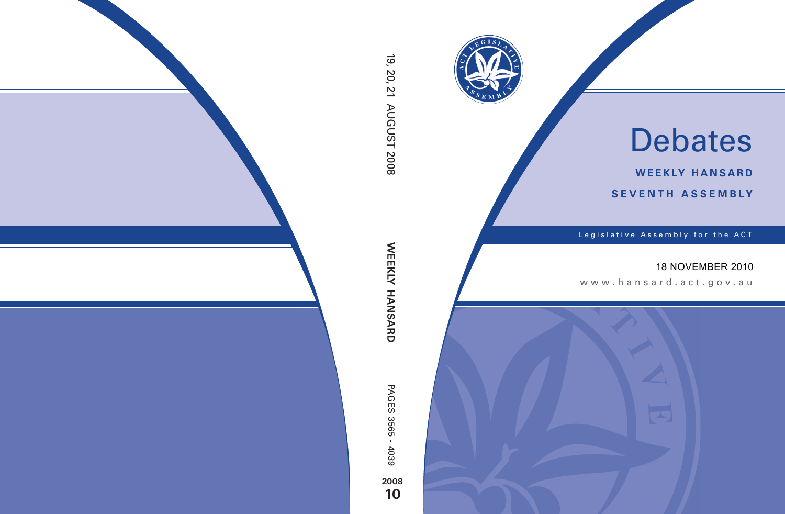

# Debates

**weekly hansard seventh asseMBly**

Legislative Assembly for the ACT

#### 18 NOVEMBER 2010

www.hansard.act.gov.au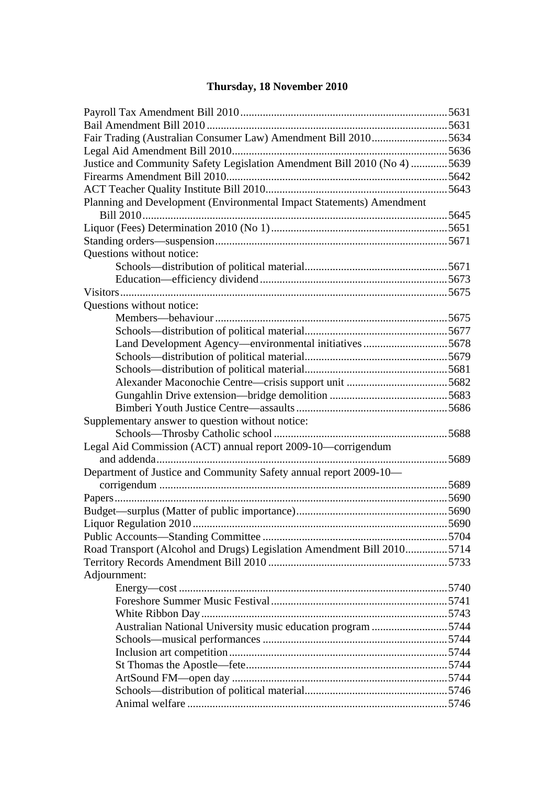#### **Thursday, 18 November 2010**

| Fair Trading (Australian Consumer Law) Amendment Bill 20105634           |       |
|--------------------------------------------------------------------------|-------|
|                                                                          |       |
| Justice and Community Safety Legislation Amendment Bill 2010 (No 4) 5639 |       |
|                                                                          |       |
|                                                                          | .5643 |
| Planning and Development (Environmental Impact Statements) Amendment     |       |
|                                                                          |       |
|                                                                          |       |
|                                                                          |       |
| Questions without notice:                                                |       |
|                                                                          |       |
|                                                                          |       |
|                                                                          |       |
| Questions without notice:                                                |       |
|                                                                          |       |
|                                                                          |       |
| Land Development Agency—environmental initiatives 5678                   |       |
|                                                                          |       |
|                                                                          |       |
|                                                                          |       |
|                                                                          |       |
|                                                                          |       |
| Supplementary answer to question without notice:                         |       |
|                                                                          |       |
| Legal Aid Commission (ACT) annual report 2009-10—corrigendum             |       |
|                                                                          |       |
| Department of Justice and Community Safety annual report 2009-10-        |       |
|                                                                          |       |
|                                                                          |       |
|                                                                          |       |
|                                                                          |       |
|                                                                          |       |
| Road Transport (Alcohol and Drugs) Legislation Amendment Bill 20105714   |       |
|                                                                          |       |
| Adjournment:                                                             |       |
|                                                                          |       |
|                                                                          |       |
|                                                                          |       |
| Australian National University music education program 5744              |       |
|                                                                          |       |
|                                                                          |       |
|                                                                          |       |
|                                                                          |       |
|                                                                          |       |
|                                                                          |       |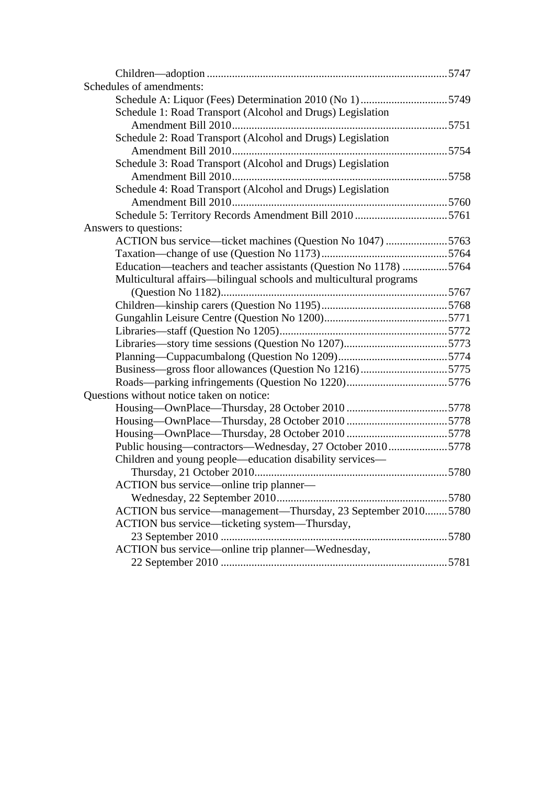| Schedules of amendments:                                           |  |
|--------------------------------------------------------------------|--|
| Schedule A: Liquor (Fees) Determination 2010 (No 1)5749            |  |
| Schedule 1: Road Transport (Alcohol and Drugs) Legislation         |  |
|                                                                    |  |
| Schedule 2: Road Transport (Alcohol and Drugs) Legislation         |  |
|                                                                    |  |
| Schedule 3: Road Transport (Alcohol and Drugs) Legislation         |  |
|                                                                    |  |
| Schedule 4: Road Transport (Alcohol and Drugs) Legislation         |  |
|                                                                    |  |
| Schedule 5: Territory Records Amendment Bill 2010 5761             |  |
| Answers to questions:                                              |  |
| ACTION bus service—ticket machines (Question No 1047) 5763         |  |
|                                                                    |  |
| Education—teachers and teacher assistants (Question No 1178) 5764  |  |
| Multicultural affairs—bilingual schools and multicultural programs |  |
|                                                                    |  |
|                                                                    |  |
|                                                                    |  |
|                                                                    |  |
|                                                                    |  |
|                                                                    |  |
|                                                                    |  |
|                                                                    |  |
| Questions without notice taken on notice:                          |  |
|                                                                    |  |
|                                                                    |  |
|                                                                    |  |
| Public housing—contractors—Wednesday, 27 October 20105778          |  |
| Children and young people—education disability services—           |  |
|                                                                    |  |
| ACTION bus service—online trip planner—                            |  |
|                                                                    |  |
| ACTION bus service—management—Thursday, 23 September 20105780      |  |
| ACTION bus service—ticketing system—Thursday,                      |  |
|                                                                    |  |
| ACTION bus service-online trip planner-Wednesday,                  |  |
|                                                                    |  |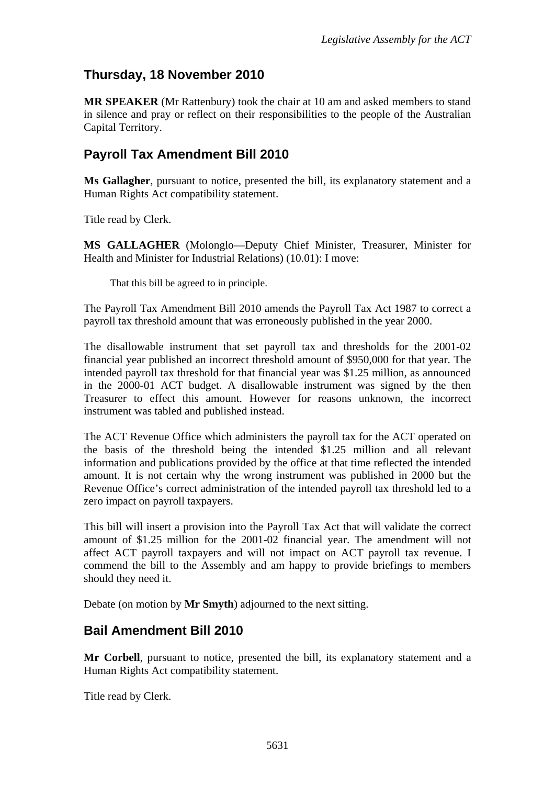## **Thursday, 18 November 2010**

**MR SPEAKER** (Mr Rattenbury) took the chair at 10 am and asked members to stand in silence and pray or reflect on their responsibilities to the people of the Australian Capital Territory.

#### <span id="page-3-0"></span>**Payroll Tax Amendment Bill 2010**

**Ms Gallagher**, pursuant to notice, presented the bill, its explanatory statement and a Human Rights Act compatibility statement.

Title read by Clerk.

**MS GALLAGHER** (Molonglo—Deputy Chief Minister, Treasurer, Minister for Health and Minister for Industrial Relations) (10.01): I move:

That this bill be agreed to in principle.

The Payroll Tax Amendment Bill 2010 amends the Payroll Tax Act 1987 to correct a payroll tax threshold amount that was erroneously published in the year 2000.

The disallowable instrument that set payroll tax and thresholds for the 2001-02 financial year published an incorrect threshold amount of \$950,000 for that year. The intended payroll tax threshold for that financial year was \$1.25 million, as announced in the 2000-01 ACT budget. A disallowable instrument was signed by the then Treasurer to effect this amount. However for reasons unknown, the incorrect instrument was tabled and published instead.

The ACT Revenue Office which administers the payroll tax for the ACT operated on the basis of the threshold being the intended \$1.25 million and all relevant information and publications provided by the office at that time reflected the intended amount. It is not certain why the wrong instrument was published in 2000 but the Revenue Office's correct administration of the intended payroll tax threshold led to a zero impact on payroll taxpayers.

This bill will insert a provision into the Payroll Tax Act that will validate the correct amount of \$1.25 million for the 2001-02 financial year. The amendment will not affect ACT payroll taxpayers and will not impact on ACT payroll tax revenue. I commend the bill to the Assembly and am happy to provide briefings to members should they need it.

Debate (on motion by **Mr Smyth**) adjourned to the next sitting.

#### <span id="page-3-1"></span>**Bail Amendment Bill 2010**

**Mr Corbell**, pursuant to notice, presented the bill, its explanatory statement and a Human Rights Act compatibility statement.

Title read by Clerk.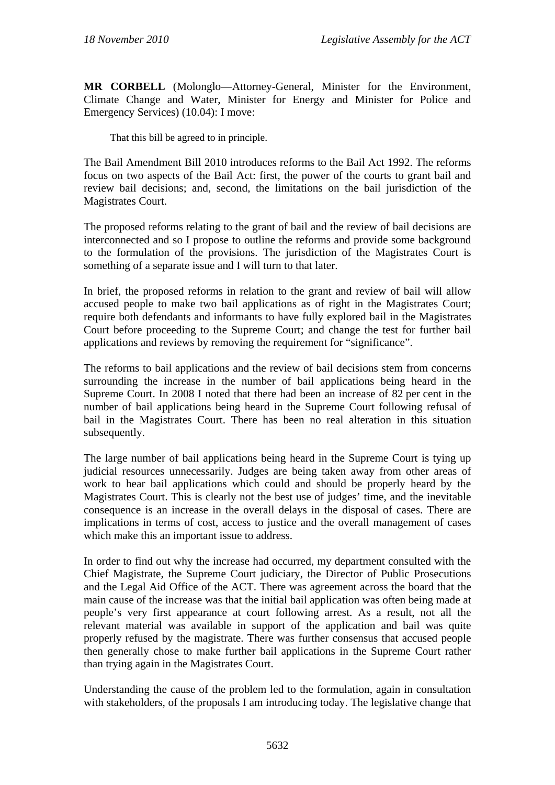**MR CORBELL** (Molonglo—Attorney-General, Minister for the Environment, Climate Change and Water, Minister for Energy and Minister for Police and Emergency Services) (10.04): I move:

That this bill be agreed to in principle.

The Bail Amendment Bill 2010 introduces reforms to the Bail Act 1992. The reforms focus on two aspects of the Bail Act: first, the power of the courts to grant bail and review bail decisions; and, second, the limitations on the bail jurisdiction of the Magistrates Court.

The proposed reforms relating to the grant of bail and the review of bail decisions are interconnected and so I propose to outline the reforms and provide some background to the formulation of the provisions. The jurisdiction of the Magistrates Court is something of a separate issue and I will turn to that later.

In brief, the proposed reforms in relation to the grant and review of bail will allow accused people to make two bail applications as of right in the Magistrates Court; require both defendants and informants to have fully explored bail in the Magistrates Court before proceeding to the Supreme Court; and change the test for further bail applications and reviews by removing the requirement for "significance".

The reforms to bail applications and the review of bail decisions stem from concerns surrounding the increase in the number of bail applications being heard in the Supreme Court. In 2008 I noted that there had been an increase of 82 per cent in the number of bail applications being heard in the Supreme Court following refusal of bail in the Magistrates Court. There has been no real alteration in this situation subsequently.

The large number of bail applications being heard in the Supreme Court is tying up judicial resources unnecessarily. Judges are being taken away from other areas of work to hear bail applications which could and should be properly heard by the Magistrates Court. This is clearly not the best use of judges' time, and the inevitable consequence is an increase in the overall delays in the disposal of cases. There are implications in terms of cost, access to justice and the overall management of cases which make this an important issue to address.

In order to find out why the increase had occurred, my department consulted with the Chief Magistrate, the Supreme Court judiciary, the Director of Public Prosecutions and the Legal Aid Office of the ACT. There was agreement across the board that the main cause of the increase was that the initial bail application was often being made at people's very first appearance at court following arrest. As a result, not all the relevant material was available in support of the application and bail was quite properly refused by the magistrate. There was further consensus that accused people then generally chose to make further bail applications in the Supreme Court rather than trying again in the Magistrates Court.

Understanding the cause of the problem led to the formulation, again in consultation with stakeholders, of the proposals I am introducing today. The legislative change that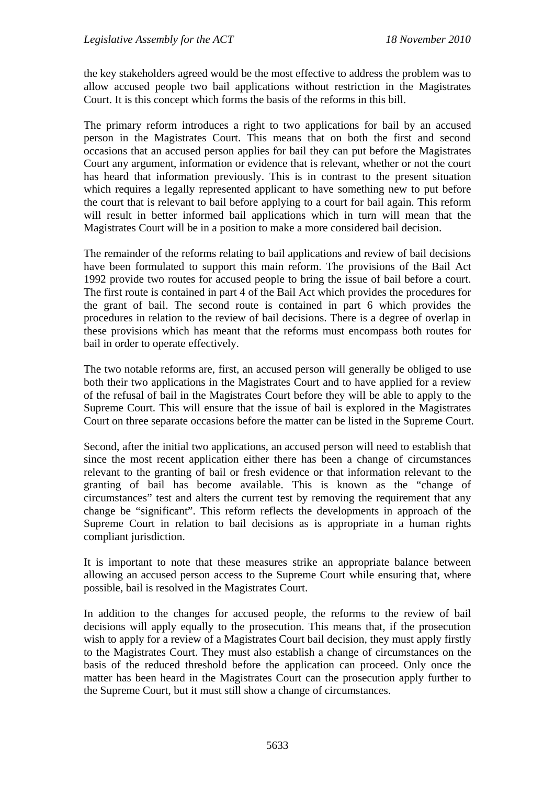the key stakeholders agreed would be the most effective to address the problem was to allow accused people two bail applications without restriction in the Magistrates Court. It is this concept which forms the basis of the reforms in this bill.

The primary reform introduces a right to two applications for bail by an accused person in the Magistrates Court. This means that on both the first and second occasions that an accused person applies for bail they can put before the Magistrates Court any argument, information or evidence that is relevant, whether or not the court has heard that information previously. This is in contrast to the present situation which requires a legally represented applicant to have something new to put before the court that is relevant to bail before applying to a court for bail again. This reform will result in better informed bail applications which in turn will mean that the Magistrates Court will be in a position to make a more considered bail decision.

The remainder of the reforms relating to bail applications and review of bail decisions have been formulated to support this main reform. The provisions of the Bail Act 1992 provide two routes for accused people to bring the issue of bail before a court. The first route is contained in part 4 of the Bail Act which provides the procedures for the grant of bail. The second route is contained in part 6 which provides the procedures in relation to the review of bail decisions. There is a degree of overlap in these provisions which has meant that the reforms must encompass both routes for bail in order to operate effectively.

The two notable reforms are, first, an accused person will generally be obliged to use both their two applications in the Magistrates Court and to have applied for a review of the refusal of bail in the Magistrates Court before they will be able to apply to the Supreme Court. This will ensure that the issue of bail is explored in the Magistrates Court on three separate occasions before the matter can be listed in the Supreme Court.

Second, after the initial two applications, an accused person will need to establish that since the most recent application either there has been a change of circumstances relevant to the granting of bail or fresh evidence or that information relevant to the granting of bail has become available. This is known as the "change of circumstances" test and alters the current test by removing the requirement that any change be "significant". This reform reflects the developments in approach of the Supreme Court in relation to bail decisions as is appropriate in a human rights compliant jurisdiction.

It is important to note that these measures strike an appropriate balance between allowing an accused person access to the Supreme Court while ensuring that, where possible, bail is resolved in the Magistrates Court.

In addition to the changes for accused people, the reforms to the review of bail decisions will apply equally to the prosecution. This means that, if the prosecution wish to apply for a review of a Magistrates Court bail decision, they must apply firstly to the Magistrates Court. They must also establish a change of circumstances on the basis of the reduced threshold before the application can proceed. Only once the matter has been heard in the Magistrates Court can the prosecution apply further to the Supreme Court, but it must still show a change of circumstances.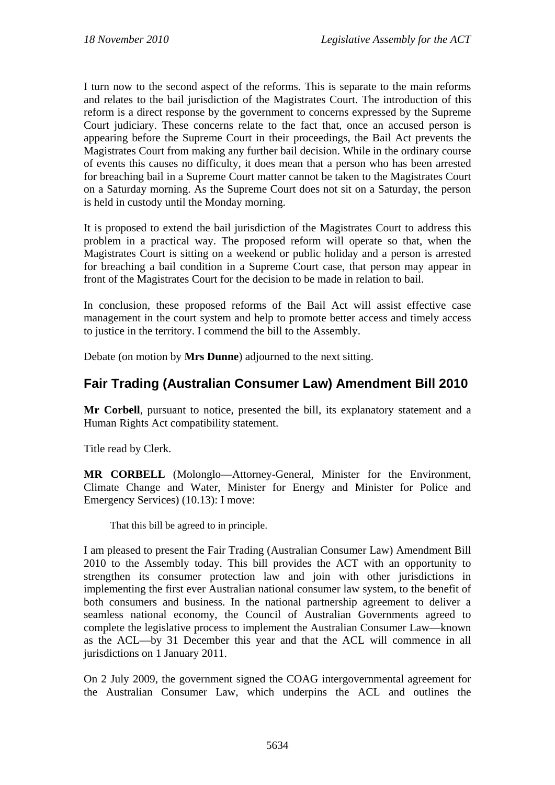I turn now to the second aspect of the reforms. This is separate to the main reforms and relates to the bail jurisdiction of the Magistrates Court. The introduction of this reform is a direct response by the government to concerns expressed by the Supreme Court judiciary. These concerns relate to the fact that, once an accused person is appearing before the Supreme Court in their proceedings, the Bail Act prevents the Magistrates Court from making any further bail decision. While in the ordinary course of events this causes no difficulty, it does mean that a person who has been arrested for breaching bail in a Supreme Court matter cannot be taken to the Magistrates Court on a Saturday morning. As the Supreme Court does not sit on a Saturday, the person is held in custody until the Monday morning.

It is proposed to extend the bail jurisdiction of the Magistrates Court to address this problem in a practical way. The proposed reform will operate so that, when the Magistrates Court is sitting on a weekend or public holiday and a person is arrested for breaching a bail condition in a Supreme Court case, that person may appear in front of the Magistrates Court for the decision to be made in relation to bail.

In conclusion, these proposed reforms of the Bail Act will assist effective case management in the court system and help to promote better access and timely access to justice in the territory. I commend the bill to the Assembly.

Debate (on motion by **Mrs Dunne**) adjourned to the next sitting.

# <span id="page-6-0"></span>**Fair Trading (Australian Consumer Law) Amendment Bill 2010**

**Mr Corbell**, pursuant to notice, presented the bill, its explanatory statement and a Human Rights Act compatibility statement.

Title read by Clerk.

**MR CORBELL** (Molonglo—Attorney-General, Minister for the Environment, Climate Change and Water, Minister for Energy and Minister for Police and Emergency Services) (10.13): I move:

That this bill be agreed to in principle.

I am pleased to present the Fair Trading (Australian Consumer Law) Amendment Bill 2010 to the Assembly today. This bill provides the ACT with an opportunity to strengthen its consumer protection law and join with other jurisdictions in implementing the first ever Australian national consumer law system, to the benefit of both consumers and business. In the national partnership agreement to deliver a seamless national economy, the Council of Australian Governments agreed to complete the legislative process to implement the Australian Consumer Law—known as the ACL—by 31 December this year and that the ACL will commence in all jurisdictions on 1 January 2011.

On 2 July 2009, the government signed the COAG intergovernmental agreement for the Australian Consumer Law, which underpins the ACL and outlines the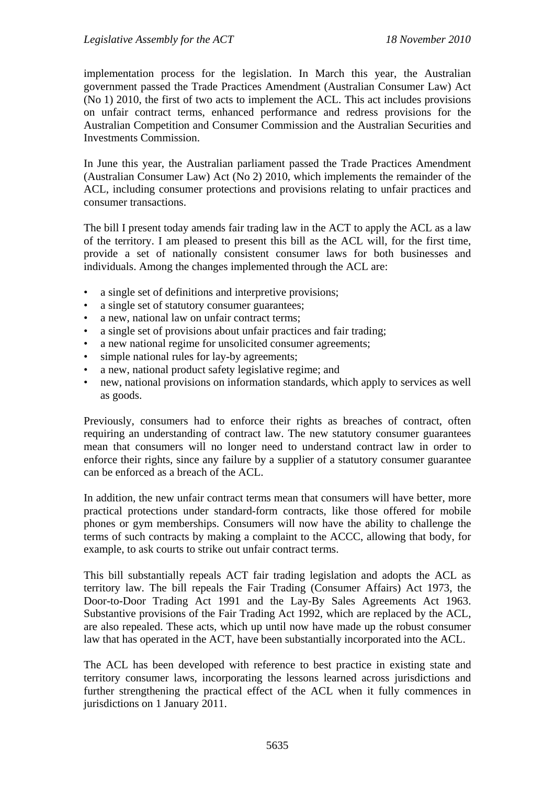implementation process for the legislation. In March this year, the Australian government passed the Trade Practices Amendment (Australian Consumer Law) Act (No 1) 2010, the first of two acts to implement the ACL. This act includes provisions on unfair contract terms, enhanced performance and redress provisions for the Australian Competition and Consumer Commission and the Australian Securities and Investments Commission.

In June this year, the Australian parliament passed the Trade Practices Amendment (Australian Consumer Law) Act (No 2) 2010, which implements the remainder of the ACL, including consumer protections and provisions relating to unfair practices and consumer transactions.

The bill I present today amends fair trading law in the ACT to apply the ACL as a law of the territory. I am pleased to present this bill as the ACL will, for the first time, provide a set of nationally consistent consumer laws for both businesses and individuals. Among the changes implemented through the ACL are:

- a single set of definitions and interpretive provisions:
- a single set of statutory consumer guarantees;
- a new, national law on unfair contract terms:
- a single set of provisions about unfair practices and fair trading;
- a new national regime for unsolicited consumer agreements;
- simple national rules for lay-by agreements;
- a new, national product safety legislative regime; and
- new, national provisions on information standards, which apply to services as well as goods.

Previously, consumers had to enforce their rights as breaches of contract, often requiring an understanding of contract law. The new statutory consumer guarantees mean that consumers will no longer need to understand contract law in order to enforce their rights, since any failure by a supplier of a statutory consumer guarantee can be enforced as a breach of the ACL.

In addition, the new unfair contract terms mean that consumers will have better, more practical protections under standard-form contracts, like those offered for mobile phones or gym memberships. Consumers will now have the ability to challenge the terms of such contracts by making a complaint to the ACCC, allowing that body, for example, to ask courts to strike out unfair contract terms.

This bill substantially repeals ACT fair trading legislation and adopts the ACL as territory law. The bill repeals the Fair Trading (Consumer Affairs) Act 1973, the Door-to-Door Trading Act 1991 and the Lay-By Sales Agreements Act 1963. Substantive provisions of the Fair Trading Act 1992, which are replaced by the ACL, are also repealed. These acts, which up until now have made up the robust consumer law that has operated in the ACT, have been substantially incorporated into the ACL.

The ACL has been developed with reference to best practice in existing state and territory consumer laws, incorporating the lessons learned across jurisdictions and further strengthening the practical effect of the ACL when it fully commences in jurisdictions on 1 January 2011.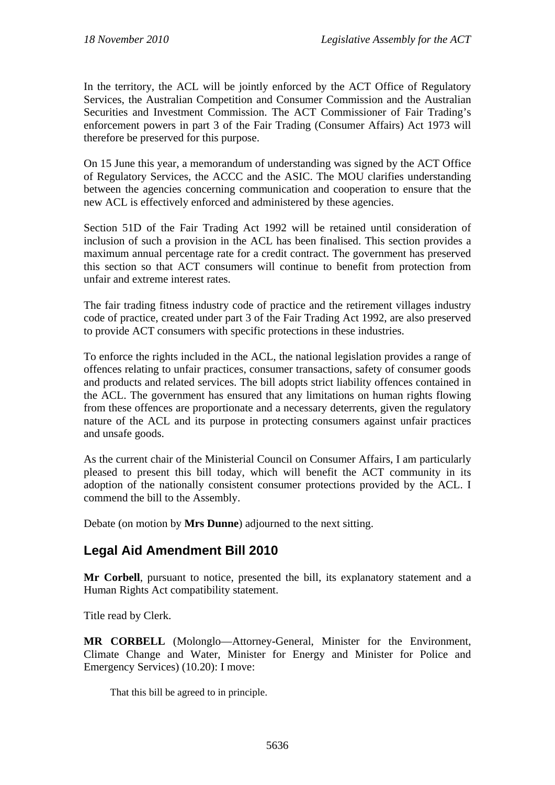In the territory, the ACL will be jointly enforced by the ACT Office of Regulatory Services, the Australian Competition and Consumer Commission and the Australian Securities and Investment Commission. The ACT Commissioner of Fair Trading's enforcement powers in part 3 of the Fair Trading (Consumer Affairs) Act 1973 will therefore be preserved for this purpose.

On 15 June this year, a memorandum of understanding was signed by the ACT Office of Regulatory Services, the ACCC and the ASIC. The MOU clarifies understanding between the agencies concerning communication and cooperation to ensure that the new ACL is effectively enforced and administered by these agencies.

Section 51D of the Fair Trading Act 1992 will be retained until consideration of inclusion of such a provision in the ACL has been finalised. This section provides a maximum annual percentage rate for a credit contract. The government has preserved this section so that ACT consumers will continue to benefit from protection from unfair and extreme interest rates.

The fair trading fitness industry code of practice and the retirement villages industry code of practice, created under part 3 of the Fair Trading Act 1992, are also preserved to provide ACT consumers with specific protections in these industries.

To enforce the rights included in the ACL, the national legislation provides a range of offences relating to unfair practices, consumer transactions, safety of consumer goods and products and related services. The bill adopts strict liability offences contained in the ACL. The government has ensured that any limitations on human rights flowing from these offences are proportionate and a necessary deterrents, given the regulatory nature of the ACL and its purpose in protecting consumers against unfair practices and unsafe goods.

As the current chair of the Ministerial Council on Consumer Affairs, I am particularly pleased to present this bill today, which will benefit the ACT community in its adoption of the nationally consistent consumer protections provided by the ACL. I commend the bill to the Assembly.

Debate (on motion by **Mrs Dunne**) adjourned to the next sitting.

#### <span id="page-8-0"></span>**Legal Aid Amendment Bill 2010**

**Mr Corbell**, pursuant to notice, presented the bill, its explanatory statement and a Human Rights Act compatibility statement.

Title read by Clerk.

**MR CORBELL** (Molonglo—Attorney-General, Minister for the Environment, Climate Change and Water, Minister for Energy and Minister for Police and Emergency Services) (10.20): I move:

That this bill be agreed to in principle.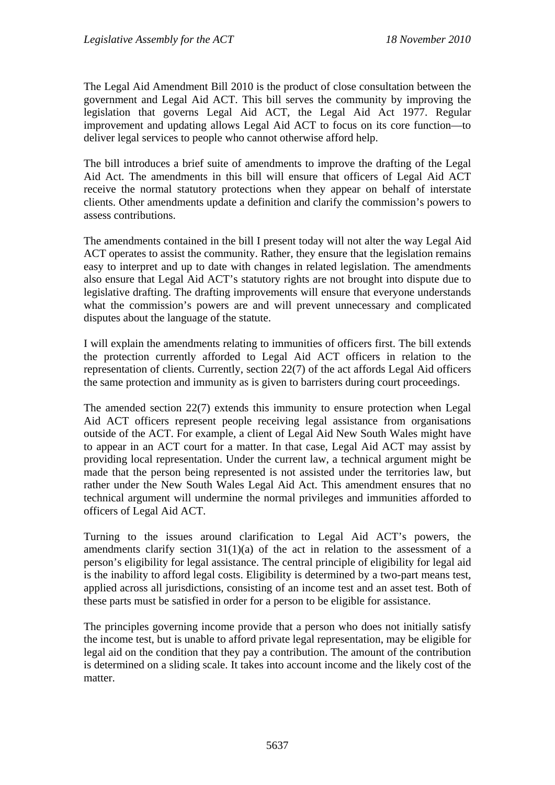The Legal Aid Amendment Bill 2010 is the product of close consultation between the government and Legal Aid ACT. This bill serves the community by improving the legislation that governs Legal Aid ACT, the Legal Aid Act 1977. Regular improvement and updating allows Legal Aid ACT to focus on its core function—to deliver legal services to people who cannot otherwise afford help.

The bill introduces a brief suite of amendments to improve the drafting of the Legal Aid Act. The amendments in this bill will ensure that officers of Legal Aid ACT receive the normal statutory protections when they appear on behalf of interstate clients. Other amendments update a definition and clarify the commission's powers to assess contributions.

The amendments contained in the bill I present today will not alter the way Legal Aid ACT operates to assist the community. Rather, they ensure that the legislation remains easy to interpret and up to date with changes in related legislation. The amendments also ensure that Legal Aid ACT's statutory rights are not brought into dispute due to legislative drafting. The drafting improvements will ensure that everyone understands what the commission's powers are and will prevent unnecessary and complicated disputes about the language of the statute.

I will explain the amendments relating to immunities of officers first. The bill extends the protection currently afforded to Legal Aid ACT officers in relation to the representation of clients. Currently, section 22(7) of the act affords Legal Aid officers the same protection and immunity as is given to barristers during court proceedings.

The amended section 22(7) extends this immunity to ensure protection when Legal Aid ACT officers represent people receiving legal assistance from organisations outside of the ACT. For example, a client of Legal Aid New South Wales might have to appear in an ACT court for a matter. In that case, Legal Aid ACT may assist by providing local representation. Under the current law, a technical argument might be made that the person being represented is not assisted under the territories law, but rather under the New South Wales Legal Aid Act. This amendment ensures that no technical argument will undermine the normal privileges and immunities afforded to officers of Legal Aid ACT.

Turning to the issues around clarification to Legal Aid ACT's powers, the amendments clarify section  $31(1)(a)$  of the act in relation to the assessment of a person's eligibility for legal assistance. The central principle of eligibility for legal aid is the inability to afford legal costs. Eligibility is determined by a two-part means test, applied across all jurisdictions, consisting of an income test and an asset test. Both of these parts must be satisfied in order for a person to be eligible for assistance.

The principles governing income provide that a person who does not initially satisfy the income test, but is unable to afford private legal representation, may be eligible for legal aid on the condition that they pay a contribution. The amount of the contribution is determined on a sliding scale. It takes into account income and the likely cost of the matter.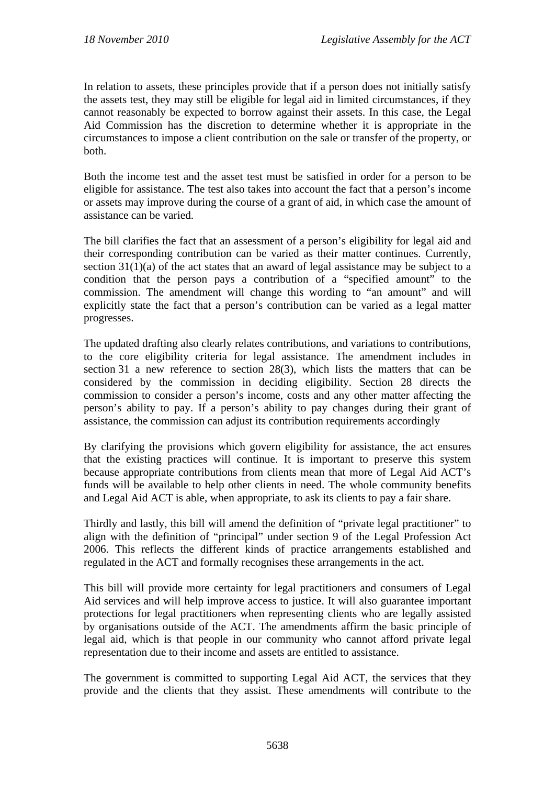In relation to assets, these principles provide that if a person does not initially satisfy the assets test, they may still be eligible for legal aid in limited circumstances, if they cannot reasonably be expected to borrow against their assets. In this case, the Legal Aid Commission has the discretion to determine whether it is appropriate in the circumstances to impose a client contribution on the sale or transfer of the property, or both.

Both the income test and the asset test must be satisfied in order for a person to be eligible for assistance. The test also takes into account the fact that a person's income or assets may improve during the course of a grant of aid, in which case the amount of assistance can be varied.

The bill clarifies the fact that an assessment of a person's eligibility for legal aid and their corresponding contribution can be varied as their matter continues. Currently, section 31(1)(a) of the act states that an award of legal assistance may be subject to a condition that the person pays a contribution of a "specified amount" to the commission. The amendment will change this wording to "an amount" and will explicitly state the fact that a person's contribution can be varied as a legal matter progresses.

The updated drafting also clearly relates contributions, and variations to contributions, to the core eligibility criteria for legal assistance. The amendment includes in section 31 a new reference to section 28(3), which lists the matters that can be considered by the commission in deciding eligibility. Section 28 directs the commission to consider a person's income, costs and any other matter affecting the person's ability to pay. If a person's ability to pay changes during their grant of assistance, the commission can adjust its contribution requirements accordingly

By clarifying the provisions which govern eligibility for assistance, the act ensures that the existing practices will continue. It is important to preserve this system because appropriate contributions from clients mean that more of Legal Aid ACT's funds will be available to help other clients in need. The whole community benefits and Legal Aid ACT is able, when appropriate, to ask its clients to pay a fair share.

Thirdly and lastly, this bill will amend the definition of "private legal practitioner" to align with the definition of "principal" under section 9 of the Legal Profession Act 2006. This reflects the different kinds of practice arrangements established and regulated in the ACT and formally recognises these arrangements in the act.

This bill will provide more certainty for legal practitioners and consumers of Legal Aid services and will help improve access to justice. It will also guarantee important protections for legal practitioners when representing clients who are legally assisted by organisations outside of the ACT. The amendments affirm the basic principle of legal aid, which is that people in our community who cannot afford private legal representation due to their income and assets are entitled to assistance.

The government is committed to supporting Legal Aid ACT, the services that they provide and the clients that they assist. These amendments will contribute to the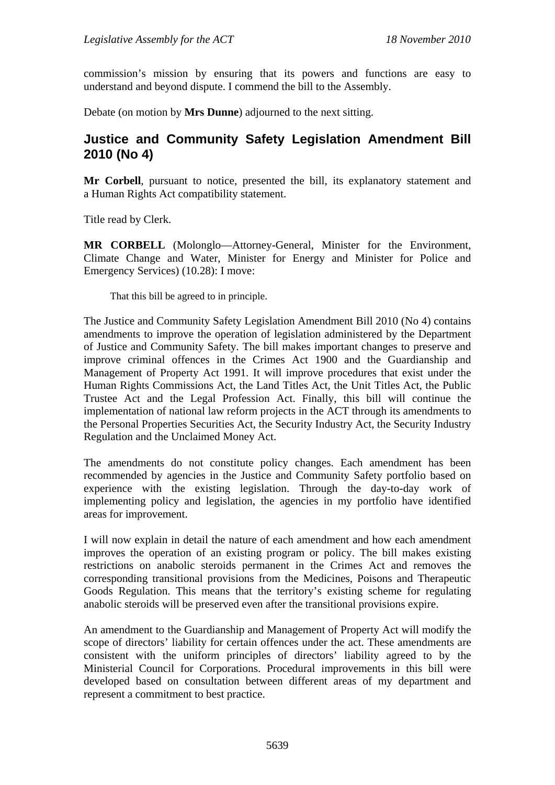commission's mission by ensuring that its powers and functions are easy to understand and beyond dispute. I commend the bill to the Assembly.

Debate (on motion by **Mrs Dunne**) adjourned to the next sitting.

#### <span id="page-11-0"></span>**Justice and Community Safety Legislation Amendment Bill 2010 (No 4)**

**Mr Corbell**, pursuant to notice, presented the bill, its explanatory statement and a Human Rights Act compatibility statement.

Title read by Clerk.

**MR CORBELL** (Molonglo—Attorney-General, Minister for the Environment, Climate Change and Water, Minister for Energy and Minister for Police and Emergency Services) (10.28): I move:

That this bill be agreed to in principle.

The Justice and Community Safety Legislation Amendment Bill 2010 (No 4) contains amendments to improve the operation of legislation administered by the Department of Justice and Community Safety. The bill makes important changes to preserve and improve criminal offences in the Crimes Act 1900 and the Guardianship and Management of Property Act 1991. It will improve procedures that exist under the Human Rights Commissions Act, the Land Titles Act, the Unit Titles Act, the Public Trustee Act and the Legal Profession Act. Finally, this bill will continue the implementation of national law reform projects in the ACT through its amendments to the Personal Properties Securities Act, the Security Industry Act, the Security Industry Regulation and the Unclaimed Money Act.

The amendments do not constitute policy changes. Each amendment has been recommended by agencies in the Justice and Community Safety portfolio based on experience with the existing legislation. Through the day-to-day work of implementing policy and legislation, the agencies in my portfolio have identified areas for improvement.

I will now explain in detail the nature of each amendment and how each amendment improves the operation of an existing program or policy. The bill makes existing restrictions on anabolic steroids permanent in the Crimes Act and removes the corresponding transitional provisions from the Medicines, Poisons and Therapeutic Goods Regulation. This means that the territory's existing scheme for regulating anabolic steroids will be preserved even after the transitional provisions expire.

An amendment to the Guardianship and Management of Property Act will modify the scope of directors' liability for certain offences under the act. These amendments are consistent with the uniform principles of directors' liability agreed to by the Ministerial Council for Corporations. Procedural improvements in this bill were developed based on consultation between different areas of my department and represent a commitment to best practice.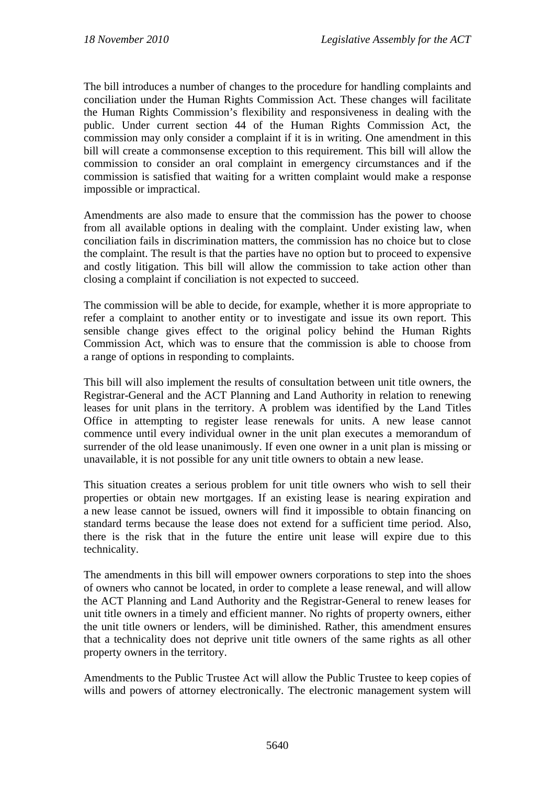The bill introduces a number of changes to the procedure for handling complaints and conciliation under the Human Rights Commission Act. These changes will facilitate the Human Rights Commission's flexibility and responsiveness in dealing with the public. Under current section 44 of the Human Rights Commission Act, the commission may only consider a complaint if it is in writing. One amendment in this bill will create a commonsense exception to this requirement. This bill will allow the commission to consider an oral complaint in emergency circumstances and if the commission is satisfied that waiting for a written complaint would make a response impossible or impractical.

Amendments are also made to ensure that the commission has the power to choose from all available options in dealing with the complaint. Under existing law, when conciliation fails in discrimination matters, the commission has no choice but to close the complaint. The result is that the parties have no option but to proceed to expensive and costly litigation. This bill will allow the commission to take action other than closing a complaint if conciliation is not expected to succeed.

The commission will be able to decide, for example, whether it is more appropriate to refer a complaint to another entity or to investigate and issue its own report. This sensible change gives effect to the original policy behind the Human Rights Commission Act, which was to ensure that the commission is able to choose from a range of options in responding to complaints.

This bill will also implement the results of consultation between unit title owners, the Registrar-General and the ACT Planning and Land Authority in relation to renewing leases for unit plans in the territory. A problem was identified by the Land Titles Office in attempting to register lease renewals for units. A new lease cannot commence until every individual owner in the unit plan executes a memorandum of surrender of the old lease unanimously. If even one owner in a unit plan is missing or unavailable, it is not possible for any unit title owners to obtain a new lease.

This situation creates a serious problem for unit title owners who wish to sell their properties or obtain new mortgages. If an existing lease is nearing expiration and a new lease cannot be issued, owners will find it impossible to obtain financing on standard terms because the lease does not extend for a sufficient time period. Also, there is the risk that in the future the entire unit lease will expire due to this technicality.

The amendments in this bill will empower owners corporations to step into the shoes of owners who cannot be located, in order to complete a lease renewal, and will allow the ACT Planning and Land Authority and the Registrar-General to renew leases for unit title owners in a timely and efficient manner. No rights of property owners, either the unit title owners or lenders, will be diminished. Rather, this amendment ensures that a technicality does not deprive unit title owners of the same rights as all other property owners in the territory.

Amendments to the Public Trustee Act will allow the Public Trustee to keep copies of wills and powers of attorney electronically. The electronic management system will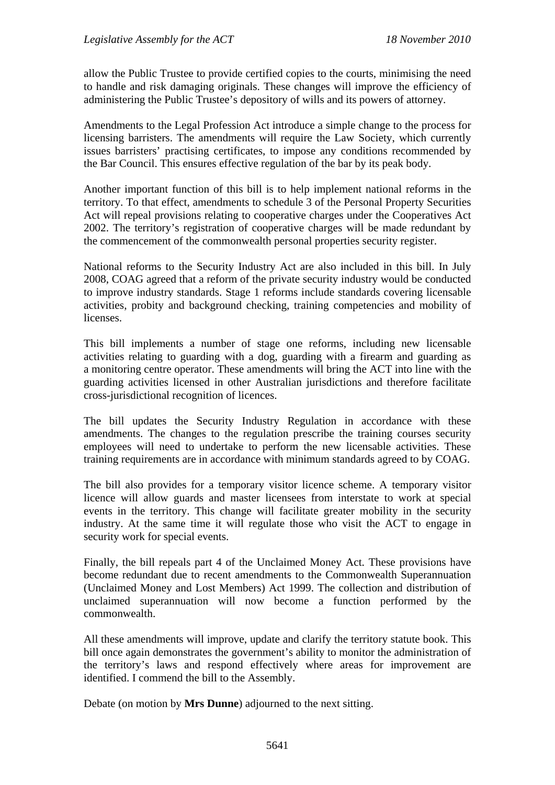allow the Public Trustee to provide certified copies to the courts, minimising the need to handle and risk damaging originals. These changes will improve the efficiency of administering the Public Trustee's depository of wills and its powers of attorney.

Amendments to the Legal Profession Act introduce a simple change to the process for licensing barristers. The amendments will require the Law Society, which currently issues barristers' practising certificates, to impose any conditions recommended by the Bar Council. This ensures effective regulation of the bar by its peak body.

Another important function of this bill is to help implement national reforms in the territory. To that effect, amendments to schedule 3 of the Personal Property Securities Act will repeal provisions relating to cooperative charges under the Cooperatives Act 2002. The territory's registration of cooperative charges will be made redundant by the commencement of the commonwealth personal properties security register.

National reforms to the Security Industry Act are also included in this bill. In July 2008, COAG agreed that a reform of the private security industry would be conducted to improve industry standards. Stage 1 reforms include standards covering licensable activities, probity and background checking, training competencies and mobility of licenses.

This bill implements a number of stage one reforms, including new licensable activities relating to guarding with a dog, guarding with a firearm and guarding as a monitoring centre operator. These amendments will bring the ACT into line with the guarding activities licensed in other Australian jurisdictions and therefore facilitate cross-jurisdictional recognition of licences.

The bill updates the Security Industry Regulation in accordance with these amendments. The changes to the regulation prescribe the training courses security employees will need to undertake to perform the new licensable activities. These training requirements are in accordance with minimum standards agreed to by COAG.

The bill also provides for a temporary visitor licence scheme. A temporary visitor licence will allow guards and master licensees from interstate to work at special events in the territory. This change will facilitate greater mobility in the security industry. At the same time it will regulate those who visit the ACT to engage in security work for special events.

Finally, the bill repeals part 4 of the Unclaimed Money Act. These provisions have become redundant due to recent amendments to the Commonwealth Superannuation (Unclaimed Money and Lost Members) Act 1999. The collection and distribution of unclaimed superannuation will now become a function performed by the commonwealth.

All these amendments will improve, update and clarify the territory statute book. This bill once again demonstrates the government's ability to monitor the administration of the territory's laws and respond effectively where areas for improvement are identified. I commend the bill to the Assembly.

Debate (on motion by **Mrs Dunne**) adjourned to the next sitting.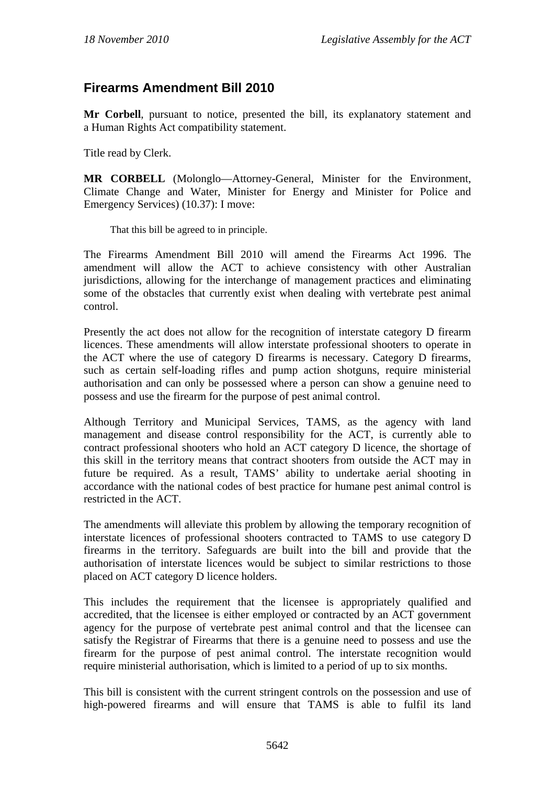#### <span id="page-14-0"></span>**Firearms Amendment Bill 2010**

**Mr Corbell**, pursuant to notice, presented the bill, its explanatory statement and a Human Rights Act compatibility statement.

Title read by Clerk.

**MR CORBELL** (Molonglo—Attorney-General, Minister for the Environment, Climate Change and Water, Minister for Energy and Minister for Police and Emergency Services) (10.37): I move:

That this bill be agreed to in principle.

The Firearms Amendment Bill 2010 will amend the Firearms Act 1996. The amendment will allow the ACT to achieve consistency with other Australian jurisdictions, allowing for the interchange of management practices and eliminating some of the obstacles that currently exist when dealing with vertebrate pest animal control.

Presently the act does not allow for the recognition of interstate category D firearm licences. These amendments will allow interstate professional shooters to operate in the ACT where the use of category D firearms is necessary. Category D firearms, such as certain self-loading rifles and pump action shotguns, require ministerial authorisation and can only be possessed where a person can show a genuine need to possess and use the firearm for the purpose of pest animal control.

Although Territory and Municipal Services, TAMS, as the agency with land management and disease control responsibility for the ACT, is currently able to contract professional shooters who hold an ACT category D licence, the shortage of this skill in the territory means that contract shooters from outside the ACT may in future be required. As a result, TAMS' ability to undertake aerial shooting in accordance with the national codes of best practice for humane pest animal control is restricted in the ACT.

The amendments will alleviate this problem by allowing the temporary recognition of interstate licences of professional shooters contracted to TAMS to use category D firearms in the territory. Safeguards are built into the bill and provide that the authorisation of interstate licences would be subject to similar restrictions to those placed on ACT category D licence holders.

This includes the requirement that the licensee is appropriately qualified and accredited, that the licensee is either employed or contracted by an ACT government agency for the purpose of vertebrate pest animal control and that the licensee can satisfy the Registrar of Firearms that there is a genuine need to possess and use the firearm for the purpose of pest animal control. The interstate recognition would require ministerial authorisation, which is limited to a period of up to six months.

This bill is consistent with the current stringent controls on the possession and use of high-powered firearms and will ensure that TAMS is able to fulfil its land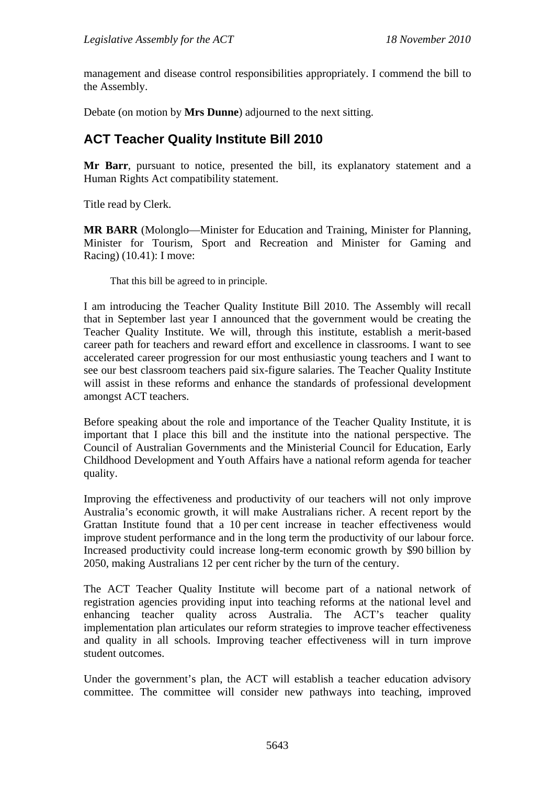management and disease control responsibilities appropriately. I commend the bill to the Assembly.

Debate (on motion by **Mrs Dunne**) adjourned to the next sitting.

## <span id="page-15-0"></span>**ACT Teacher Quality Institute Bill 2010**

**Mr Barr**, pursuant to notice, presented the bill, its explanatory statement and a Human Rights Act compatibility statement.

Title read by Clerk.

**MR BARR** (Molonglo—Minister for Education and Training, Minister for Planning, Minister for Tourism, Sport and Recreation and Minister for Gaming and Racing) (10.41): I move:

That this bill be agreed to in principle.

I am introducing the Teacher Quality Institute Bill 2010. The Assembly will recall that in September last year I announced that the government would be creating the Teacher Quality Institute. We will, through this institute, establish a merit-based career path for teachers and reward effort and excellence in classrooms. I want to see accelerated career progression for our most enthusiastic young teachers and I want to see our best classroom teachers paid six-figure salaries. The Teacher Quality Institute will assist in these reforms and enhance the standards of professional development amongst ACT teachers.

Before speaking about the role and importance of the Teacher Quality Institute, it is important that I place this bill and the institute into the national perspective. The Council of Australian Governments and the Ministerial Council for Education, Early Childhood Development and Youth Affairs have a national reform agenda for teacher quality.

Improving the effectiveness and productivity of our teachers will not only improve Australia's economic growth, it will make Australians richer. A recent report by the Grattan Institute found that a 10 per cent increase in teacher effectiveness would improve student performance and in the long term the productivity of our labour force. Increased productivity could increase long-term economic growth by \$90 billion by 2050, making Australians 12 per cent richer by the turn of the century.

The ACT Teacher Quality Institute will become part of a national network of registration agencies providing input into teaching reforms at the national level and enhancing teacher quality across Australia. The ACT's teacher quality implementation plan articulates our reform strategies to improve teacher effectiveness and quality in all schools. Improving teacher effectiveness will in turn improve student outcomes.

Under the government's plan, the ACT will establish a teacher education advisory committee. The committee will consider new pathways into teaching, improved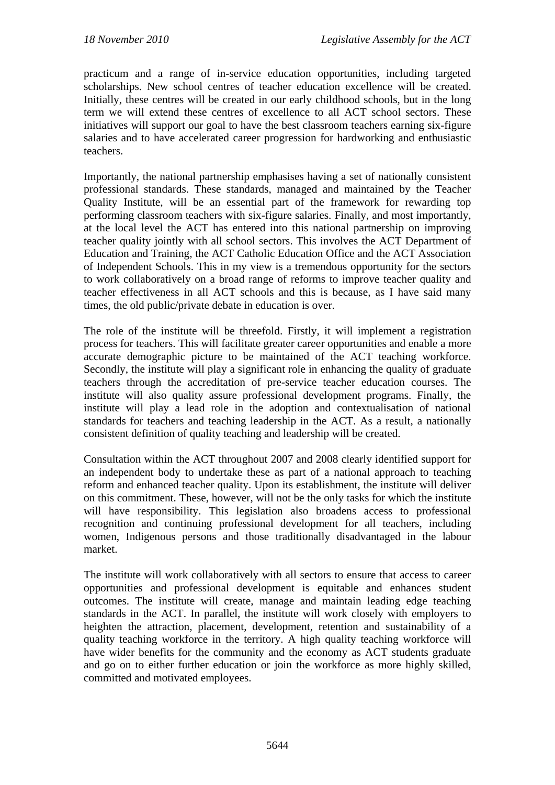practicum and a range of in-service education opportunities, including targeted scholarships. New school centres of teacher education excellence will be created. Initially, these centres will be created in our early childhood schools, but in the long term we will extend these centres of excellence to all ACT school sectors. These initiatives will support our goal to have the best classroom teachers earning six-figure salaries and to have accelerated career progression for hardworking and enthusiastic teachers.

Importantly, the national partnership emphasises having a set of nationally consistent professional standards. These standards, managed and maintained by the Teacher Quality Institute, will be an essential part of the framework for rewarding top performing classroom teachers with six-figure salaries. Finally, and most importantly, at the local level the ACT has entered into this national partnership on improving teacher quality jointly with all school sectors. This involves the ACT Department of Education and Training, the ACT Catholic Education Office and the ACT Association of Independent Schools. This in my view is a tremendous opportunity for the sectors to work collaboratively on a broad range of reforms to improve teacher quality and teacher effectiveness in all ACT schools and this is because, as I have said many times, the old public/private debate in education is over.

The role of the institute will be threefold. Firstly, it will implement a registration process for teachers. This will facilitate greater career opportunities and enable a more accurate demographic picture to be maintained of the ACT teaching workforce. Secondly, the institute will play a significant role in enhancing the quality of graduate teachers through the accreditation of pre-service teacher education courses. The institute will also quality assure professional development programs. Finally, the institute will play a lead role in the adoption and contextualisation of national standards for teachers and teaching leadership in the ACT. As a result, a nationally consistent definition of quality teaching and leadership will be created.

Consultation within the ACT throughout 2007 and 2008 clearly identified support for an independent body to undertake these as part of a national approach to teaching reform and enhanced teacher quality. Upon its establishment, the institute will deliver on this commitment. These, however, will not be the only tasks for which the institute will have responsibility. This legislation also broadens access to professional recognition and continuing professional development for all teachers, including women, Indigenous persons and those traditionally disadvantaged in the labour market.

The institute will work collaboratively with all sectors to ensure that access to career opportunities and professional development is equitable and enhances student outcomes. The institute will create, manage and maintain leading edge teaching standards in the ACT. In parallel, the institute will work closely with employers to heighten the attraction, placement, development, retention and sustainability of a quality teaching workforce in the territory. A high quality teaching workforce will have wider benefits for the community and the economy as ACT students graduate and go on to either further education or join the workforce as more highly skilled, committed and motivated employees.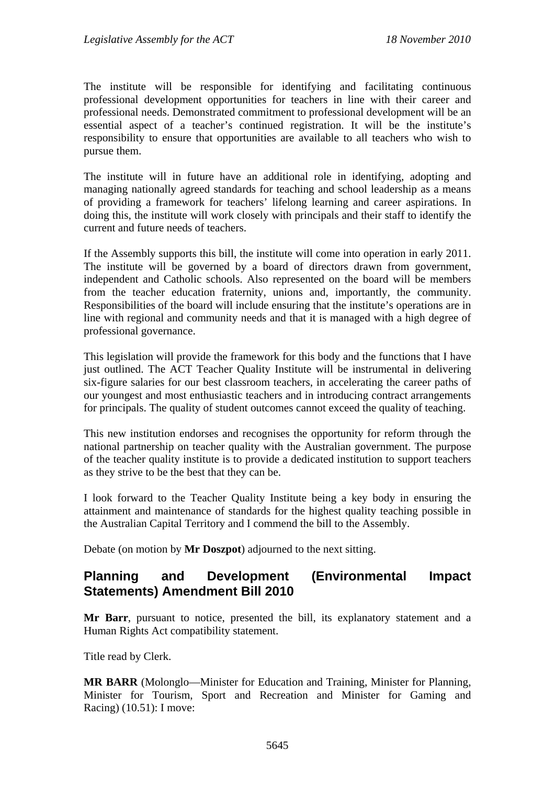The institute will be responsible for identifying and facilitating continuous professional development opportunities for teachers in line with their career and professional needs. Demonstrated commitment to professional development will be an essential aspect of a teacher's continued registration. It will be the institute's responsibility to ensure that opportunities are available to all teachers who wish to pursue them.

The institute will in future have an additional role in identifying, adopting and managing nationally agreed standards for teaching and school leadership as a means of providing a framework for teachers' lifelong learning and career aspirations. In doing this, the institute will work closely with principals and their staff to identify the current and future needs of teachers.

If the Assembly supports this bill, the institute will come into operation in early 2011. The institute will be governed by a board of directors drawn from government, independent and Catholic schools. Also represented on the board will be members from the teacher education fraternity, unions and, importantly, the community. Responsibilities of the board will include ensuring that the institute's operations are in line with regional and community needs and that it is managed with a high degree of professional governance.

This legislation will provide the framework for this body and the functions that I have just outlined. The ACT Teacher Quality Institute will be instrumental in delivering six-figure salaries for our best classroom teachers, in accelerating the career paths of our youngest and most enthusiastic teachers and in introducing contract arrangements for principals. The quality of student outcomes cannot exceed the quality of teaching.

This new institution endorses and recognises the opportunity for reform through the national partnership on teacher quality with the Australian government. The purpose of the teacher quality institute is to provide a dedicated institution to support teachers as they strive to be the best that they can be.

I look forward to the Teacher Quality Institute being a key body in ensuring the attainment and maintenance of standards for the highest quality teaching possible in the Australian Capital Territory and I commend the bill to the Assembly.

Debate (on motion by **Mr Doszpot**) adjourned to the next sitting.

#### <span id="page-17-0"></span>**Planning and Development (Environmental Impact Statements) Amendment Bill 2010**

**Mr Barr**, pursuant to notice, presented the bill, its explanatory statement and a Human Rights Act compatibility statement.

Title read by Clerk.

**MR BARR** (Molonglo—Minister for Education and Training, Minister for Planning, Minister for Tourism, Sport and Recreation and Minister for Gaming and Racing) (10.51): I move: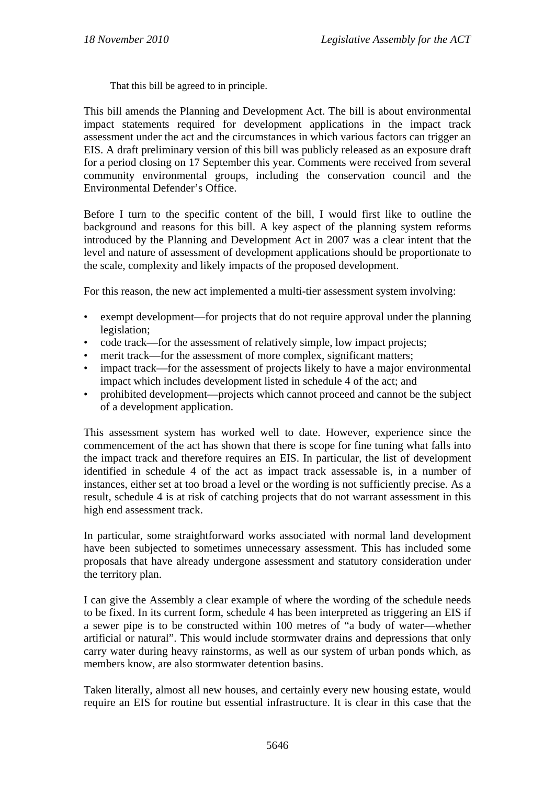That this bill be agreed to in principle.

This bill amends the Planning and Development Act. The bill is about environmental impact statements required for development applications in the impact track assessment under the act and the circumstances in which various factors can trigger an EIS. A draft preliminary version of this bill was publicly released as an exposure draft for a period closing on 17 September this year. Comments were received from several community environmental groups, including the conservation council and the Environmental Defender's Office.

Before I turn to the specific content of the bill, I would first like to outline the background and reasons for this bill. A key aspect of the planning system reforms introduced by the Planning and Development Act in 2007 was a clear intent that the level and nature of assessment of development applications should be proportionate to the scale, complexity and likely impacts of the proposed development.

For this reason, the new act implemented a multi-tier assessment system involving:

- exempt development—for projects that do not require approval under the planning legislation;
- code track—for the assessment of relatively simple, low impact projects;
- merit track—for the assessment of more complex, significant matters;
- impact track—for the assessment of projects likely to have a major environmental impact which includes development listed in schedule 4 of the act; and
- prohibited development—projects which cannot proceed and cannot be the subject of a development application.

This assessment system has worked well to date. However, experience since the commencement of the act has shown that there is scope for fine tuning what falls into the impact track and therefore requires an EIS. In particular, the list of development identified in schedule 4 of the act as impact track assessable is, in a number of instances, either set at too broad a level or the wording is not sufficiently precise. As a result, schedule 4 is at risk of catching projects that do not warrant assessment in this high end assessment track.

In particular, some straightforward works associated with normal land development have been subjected to sometimes unnecessary assessment. This has included some proposals that have already undergone assessment and statutory consideration under the territory plan.

I can give the Assembly a clear example of where the wording of the schedule needs to be fixed. In its current form, schedule 4 has been interpreted as triggering an EIS if a sewer pipe is to be constructed within 100 metres of "a body of water—whether artificial or natural". This would include stormwater drains and depressions that only carry water during heavy rainstorms, as well as our system of urban ponds which, as members know, are also stormwater detention basins.

Taken literally, almost all new houses, and certainly every new housing estate, would require an EIS for routine but essential infrastructure. It is clear in this case that the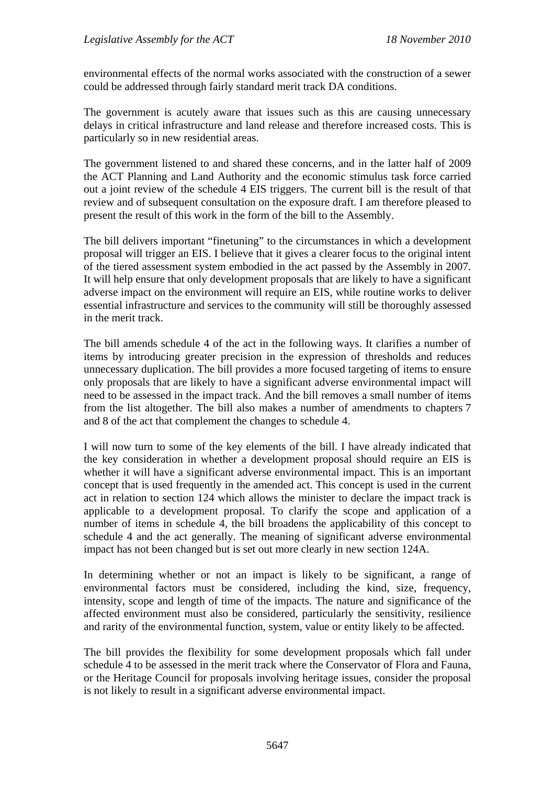environmental effects of the normal works associated with the construction of a sewer could be addressed through fairly standard merit track DA conditions.

The government is acutely aware that issues such as this are causing unnecessary delays in critical infrastructure and land release and therefore increased costs. This is particularly so in new residential areas.

The government listened to and shared these concerns, and in the latter half of 2009 the ACT Planning and Land Authority and the economic stimulus task force carried out a joint review of the schedule 4 EIS triggers. The current bill is the result of that review and of subsequent consultation on the exposure draft. I am therefore pleased to present the result of this work in the form of the bill to the Assembly.

The bill delivers important "finetuning" to the circumstances in which a development proposal will trigger an EIS. I believe that it gives a clearer focus to the original intent of the tiered assessment system embodied in the act passed by the Assembly in 2007. It will help ensure that only development proposals that are likely to have a significant adverse impact on the environment will require an EIS, while routine works to deliver essential infrastructure and services to the community will still be thoroughly assessed in the merit track.

The bill amends schedule 4 of the act in the following ways. It clarifies a number of items by introducing greater precision in the expression of thresholds and reduces unnecessary duplication. The bill provides a more focused targeting of items to ensure only proposals that are likely to have a significant adverse environmental impact will need to be assessed in the impact track. And the bill removes a small number of items from the list altogether. The bill also makes a number of amendments to chapters 7 and 8 of the act that complement the changes to schedule 4.

I will now turn to some of the key elements of the bill. I have already indicated that the key consideration in whether a development proposal should require an EIS is whether it will have a significant adverse environmental impact. This is an important concept that is used frequently in the amended act. This concept is used in the current act in relation to section 124 which allows the minister to declare the impact track is applicable to a development proposal. To clarify the scope and application of a number of items in schedule 4, the bill broadens the applicability of this concept to schedule 4 and the act generally. The meaning of significant adverse environmental impact has not been changed but is set out more clearly in new section 124A.

In determining whether or not an impact is likely to be significant, a range of environmental factors must be considered, including the kind, size, frequency, intensity, scope and length of time of the impacts. The nature and significance of the affected environment must also be considered, particularly the sensitivity, resilience and rarity of the environmental function, system, value or entity likely to be affected.

The bill provides the flexibility for some development proposals which fall under schedule 4 to be assessed in the merit track where the Conservator of Flora and Fauna, or the Heritage Council for proposals involving heritage issues, consider the proposal is not likely to result in a significant adverse environmental impact.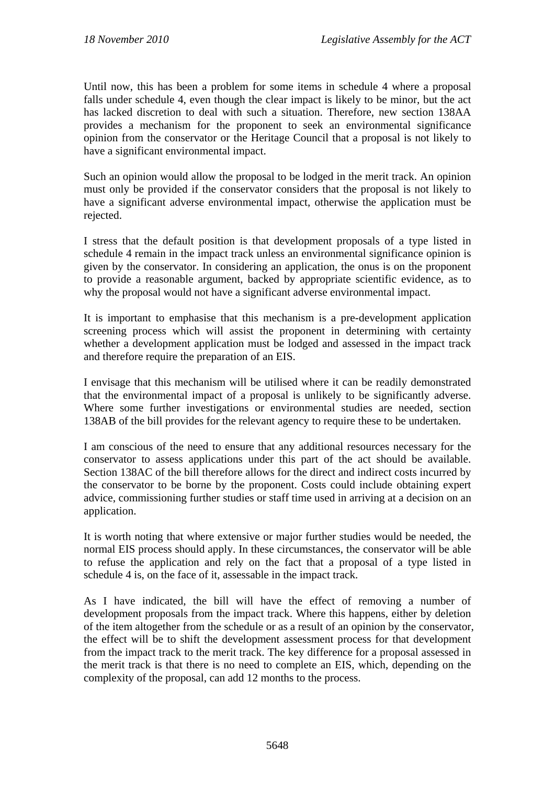Until now, this has been a problem for some items in schedule 4 where a proposal falls under schedule 4, even though the clear impact is likely to be minor, but the act has lacked discretion to deal with such a situation. Therefore, new section 138AA provides a mechanism for the proponent to seek an environmental significance opinion from the conservator or the Heritage Council that a proposal is not likely to have a significant environmental impact.

Such an opinion would allow the proposal to be lodged in the merit track. An opinion must only be provided if the conservator considers that the proposal is not likely to have a significant adverse environmental impact, otherwise the application must be rejected.

I stress that the default position is that development proposals of a type listed in schedule 4 remain in the impact track unless an environmental significance opinion is given by the conservator. In considering an application, the onus is on the proponent to provide a reasonable argument, backed by appropriate scientific evidence, as to why the proposal would not have a significant adverse environmental impact.

It is important to emphasise that this mechanism is a pre-development application screening process which will assist the proponent in determining with certainty whether a development application must be lodged and assessed in the impact track and therefore require the preparation of an EIS.

I envisage that this mechanism will be utilised where it can be readily demonstrated that the environmental impact of a proposal is unlikely to be significantly adverse. Where some further investigations or environmental studies are needed, section 138AB of the bill provides for the relevant agency to require these to be undertaken.

I am conscious of the need to ensure that any additional resources necessary for the conservator to assess applications under this part of the act should be available. Section 138AC of the bill therefore allows for the direct and indirect costs incurred by the conservator to be borne by the proponent. Costs could include obtaining expert advice, commissioning further studies or staff time used in arriving at a decision on an application.

It is worth noting that where extensive or major further studies would be needed, the normal EIS process should apply. In these circumstances, the conservator will be able to refuse the application and rely on the fact that a proposal of a type listed in schedule 4 is, on the face of it, assessable in the impact track.

As I have indicated, the bill will have the effect of removing a number of development proposals from the impact track. Where this happens, either by deletion of the item altogether from the schedule or as a result of an opinion by the conservator, the effect will be to shift the development assessment process for that development from the impact track to the merit track. The key difference for a proposal assessed in the merit track is that there is no need to complete an EIS, which, depending on the complexity of the proposal, can add 12 months to the process.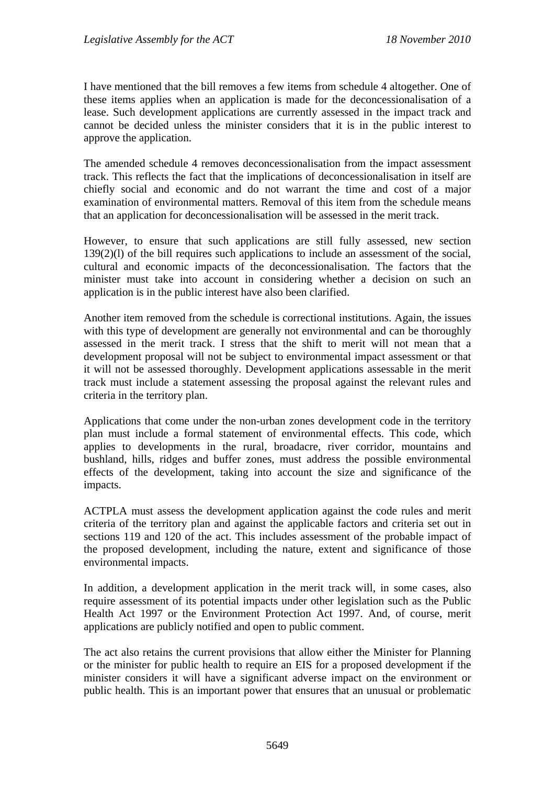I have mentioned that the bill removes a few items from schedule 4 altogether. One of these items applies when an application is made for the deconcessionalisation of a lease. Such development applications are currently assessed in the impact track and cannot be decided unless the minister considers that it is in the public interest to approve the application.

The amended schedule 4 removes deconcessionalisation from the impact assessment track. This reflects the fact that the implications of deconcessionalisation in itself are chiefly social and economic and do not warrant the time and cost of a major examination of environmental matters. Removal of this item from the schedule means that an application for deconcessionalisation will be assessed in the merit track.

However, to ensure that such applications are still fully assessed, new section 139(2)(l) of the bill requires such applications to include an assessment of the social, cultural and economic impacts of the deconcessionalisation. The factors that the minister must take into account in considering whether a decision on such an application is in the public interest have also been clarified.

Another item removed from the schedule is correctional institutions. Again, the issues with this type of development are generally not environmental and can be thoroughly assessed in the merit track. I stress that the shift to merit will not mean that a development proposal will not be subject to environmental impact assessment or that it will not be assessed thoroughly. Development applications assessable in the merit track must include a statement assessing the proposal against the relevant rules and criteria in the territory plan.

Applications that come under the non-urban zones development code in the territory plan must include a formal statement of environmental effects. This code, which applies to developments in the rural, broadacre, river corridor, mountains and bushland, hills, ridges and buffer zones, must address the possible environmental effects of the development, taking into account the size and significance of the impacts.

ACTPLA must assess the development application against the code rules and merit criteria of the territory plan and against the applicable factors and criteria set out in sections 119 and 120 of the act. This includes assessment of the probable impact of the proposed development, including the nature, extent and significance of those environmental impacts.

In addition, a development application in the merit track will, in some cases, also require assessment of its potential impacts under other legislation such as the Public Health Act 1997 or the Environment Protection Act 1997. And, of course, merit applications are publicly notified and open to public comment.

The act also retains the current provisions that allow either the Minister for Planning or the minister for public health to require an EIS for a proposed development if the minister considers it will have a significant adverse impact on the environment or public health. This is an important power that ensures that an unusual or problematic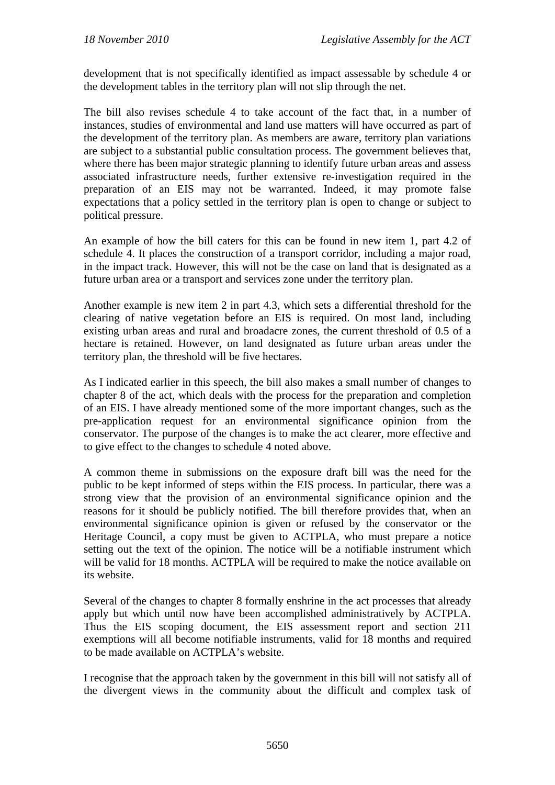development that is not specifically identified as impact assessable by schedule 4 or the development tables in the territory plan will not slip through the net.

The bill also revises schedule 4 to take account of the fact that, in a number of instances, studies of environmental and land use matters will have occurred as part of the development of the territory plan. As members are aware, territory plan variations are subject to a substantial public consultation process. The government believes that, where there has been major strategic planning to identify future urban areas and assess associated infrastructure needs, further extensive re-investigation required in the preparation of an EIS may not be warranted. Indeed, it may promote false expectations that a policy settled in the territory plan is open to change or subject to political pressure.

An example of how the bill caters for this can be found in new item 1, part 4.2 of schedule 4. It places the construction of a transport corridor, including a major road, in the impact track. However, this will not be the case on land that is designated as a future urban area or a transport and services zone under the territory plan.

Another example is new item 2 in part 4.3, which sets a differential threshold for the clearing of native vegetation before an EIS is required. On most land, including existing urban areas and rural and broadacre zones, the current threshold of 0.5 of a hectare is retained. However, on land designated as future urban areas under the territory plan, the threshold will be five hectares.

As I indicated earlier in this speech, the bill also makes a small number of changes to chapter 8 of the act, which deals with the process for the preparation and completion of an EIS. I have already mentioned some of the more important changes, such as the pre-application request for an environmental significance opinion from the conservator. The purpose of the changes is to make the act clearer, more effective and to give effect to the changes to schedule 4 noted above.

A common theme in submissions on the exposure draft bill was the need for the public to be kept informed of steps within the EIS process. In particular, there was a strong view that the provision of an environmental significance opinion and the reasons for it should be publicly notified. The bill therefore provides that, when an environmental significance opinion is given or refused by the conservator or the Heritage Council, a copy must be given to ACTPLA, who must prepare a notice setting out the text of the opinion. The notice will be a notifiable instrument which will be valid for 18 months. ACTPLA will be required to make the notice available on its website.

Several of the changes to chapter 8 formally enshrine in the act processes that already apply but which until now have been accomplished administratively by ACTPLA. Thus the EIS scoping document, the EIS assessment report and section 211 exemptions will all become notifiable instruments, valid for 18 months and required to be made available on ACTPLA's website.

I recognise that the approach taken by the government in this bill will not satisfy all of the divergent views in the community about the difficult and complex task of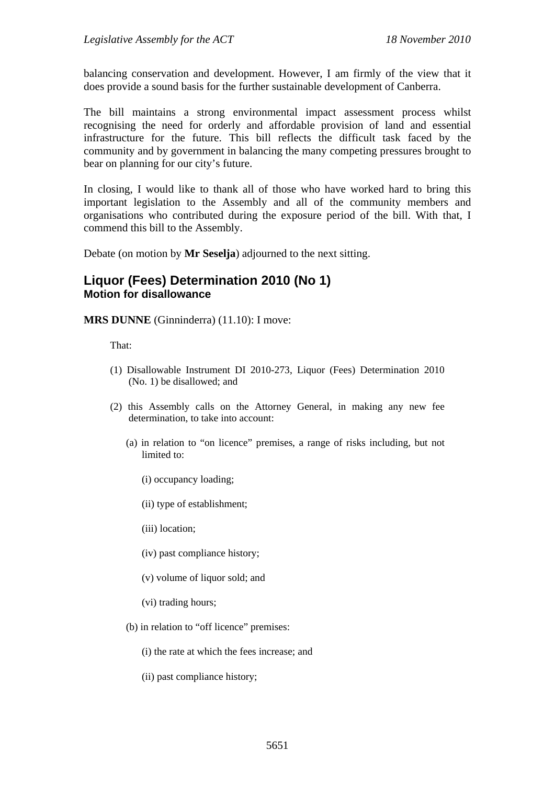balancing conservation and development. However, I am firmly of the view that it does provide a sound basis for the further sustainable development of Canberra.

The bill maintains a strong environmental impact assessment process whilst recognising the need for orderly and affordable provision of land and essential infrastructure for the future. This bill reflects the difficult task faced by the community and by government in balancing the many competing pressures brought to bear on planning for our city's future.

In closing, I would like to thank all of those who have worked hard to bring this important legislation to the Assembly and all of the community members and organisations who contributed during the exposure period of the bill. With that, I commend this bill to the Assembly.

Debate (on motion by **Mr Seselja**) adjourned to the next sitting.

#### <span id="page-23-0"></span>**Liquor (Fees) Determination 2010 (No 1) Motion for disallowance**

**MRS DUNNE** (Ginninderra) (11.10): I move:

That:

- (1) Disallowable Instrument DI 2010-273, Liquor (Fees) Determination 2010 (No. 1) be disallowed; and
- (2) this Assembly calls on the Attorney General, in making any new fee determination, to take into account:
	- (a) in relation to "on licence" premises, a range of risks including, but not limited to:
		- (i) occupancy loading;
		- (ii) type of establishment;
		- (iii) location;
		- (iv) past compliance history;
		- (v) volume of liquor sold; and
		- (vi) trading hours;
	- (b) in relation to "off licence" premises:
		- (i) the rate at which the fees increase; and
		- (ii) past compliance history;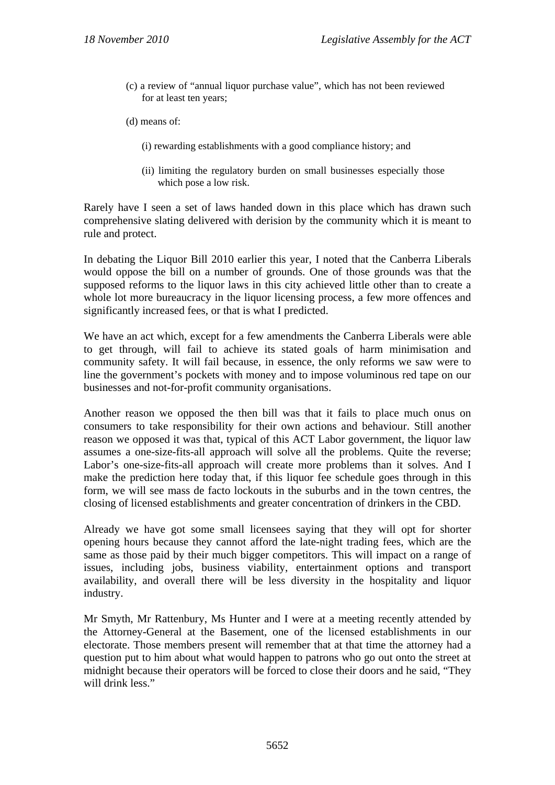- (c) a review of "annual liquor purchase value", which has not been reviewed for at least ten years;
- (d) means of:
	- (i) rewarding establishments with a good compliance history; and
	- (ii) limiting the regulatory burden on small businesses especially those which pose a low risk.

Rarely have I seen a set of laws handed down in this place which has drawn such comprehensive slating delivered with derision by the community which it is meant to rule and protect.

In debating the Liquor Bill 2010 earlier this year, I noted that the Canberra Liberals would oppose the bill on a number of grounds. One of those grounds was that the supposed reforms to the liquor laws in this city achieved little other than to create a whole lot more bureaucracy in the liquor licensing process, a few more offences and significantly increased fees, or that is what I predicted.

We have an act which, except for a few amendments the Canberra Liberals were able to get through, will fail to achieve its stated goals of harm minimisation and community safety. It will fail because, in essence, the only reforms we saw were to line the government's pockets with money and to impose voluminous red tape on our businesses and not-for-profit community organisations.

Another reason we opposed the then bill was that it fails to place much onus on consumers to take responsibility for their own actions and behaviour. Still another reason we opposed it was that, typical of this ACT Labor government, the liquor law assumes a one-size-fits-all approach will solve all the problems. Quite the reverse; Labor's one-size-fits-all approach will create more problems than it solves. And I make the prediction here today that, if this liquor fee schedule goes through in this form, we will see mass de facto lockouts in the suburbs and in the town centres, the closing of licensed establishments and greater concentration of drinkers in the CBD.

Already we have got some small licensees saying that they will opt for shorter opening hours because they cannot afford the late-night trading fees, which are the same as those paid by their much bigger competitors. This will impact on a range of issues, including jobs, business viability, entertainment options and transport availability, and overall there will be less diversity in the hospitality and liquor industry.

Mr Smyth, Mr Rattenbury, Ms Hunter and I were at a meeting recently attended by the Attorney-General at the Basement, one of the licensed establishments in our electorate. Those members present will remember that at that time the attorney had a question put to him about what would happen to patrons who go out onto the street at midnight because their operators will be forced to close their doors and he said, "They will drink less."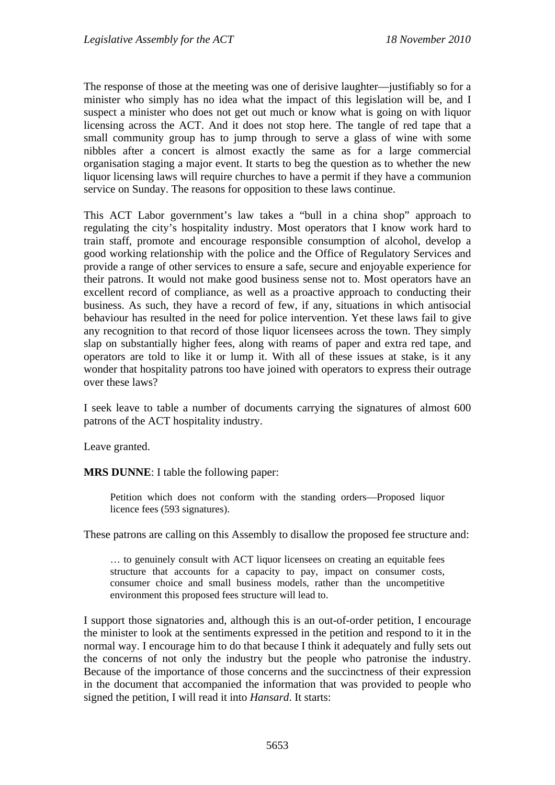The response of those at the meeting was one of derisive laughter—justifiably so for a minister who simply has no idea what the impact of this legislation will be, and I suspect a minister who does not get out much or know what is going on with liquor licensing across the ACT. And it does not stop here. The tangle of red tape that a small community group has to jump through to serve a glass of wine with some nibbles after a concert is almost exactly the same as for a large commercial organisation staging a major event. It starts to beg the question as to whether the new liquor licensing laws will require churches to have a permit if they have a communion service on Sunday. The reasons for opposition to these laws continue.

This ACT Labor government's law takes a "bull in a china shop" approach to regulating the city's hospitality industry. Most operators that I know work hard to train staff, promote and encourage responsible consumption of alcohol, develop a good working relationship with the police and the Office of Regulatory Services and provide a range of other services to ensure a safe, secure and enjoyable experience for their patrons. It would not make good business sense not to. Most operators have an excellent record of compliance, as well as a proactive approach to conducting their business. As such, they have a record of few, if any, situations in which antisocial behaviour has resulted in the need for police intervention. Yet these laws fail to give any recognition to that record of those liquor licensees across the town. They simply slap on substantially higher fees, along with reams of paper and extra red tape, and operators are told to like it or lump it. With all of these issues at stake, is it any wonder that hospitality patrons too have joined with operators to express their outrage over these laws?

I seek leave to table a number of documents carrying the signatures of almost 600 patrons of the ACT hospitality industry.

Leave granted.

**MRS DUNNE**: I table the following paper:

Petition which does not conform with the standing orders—Proposed liquor licence fees (593 signatures).

These patrons are calling on this Assembly to disallow the proposed fee structure and:

... to genuinely consult with ACT liquor licensees on creating an equitable fees structure that accounts for a capacity to pay, impact on consumer costs, consumer choice and small business models, rather than the uncompetitive environment this proposed fees structure will lead to.

I support those signatories and, although this is an out-of-order petition, I encourage the minister to look at the sentiments expressed in the petition and respond to it in the normal way. I encourage him to do that because I think it adequately and fully sets out the concerns of not only the industry but the people who patronise the industry. Because of the importance of those concerns and the succinctness of their expression in the document that accompanied the information that was provided to people who signed the petition, I will read it into *Hansard*. It starts: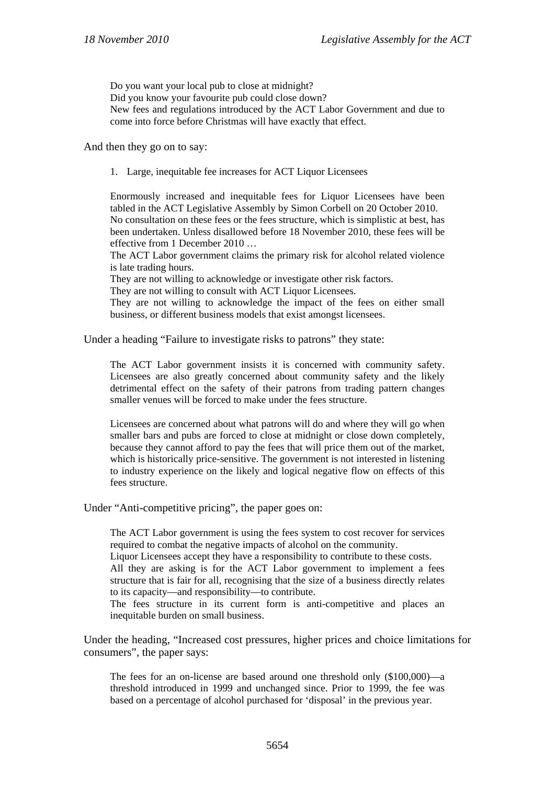Do you want your local pub to close at midnight? Did you know your favourite pub could close down? New fees and regulations introduced by the ACT Labor Government and due to come into force before Christmas will have exactly that effect.

And then they go on to say:

1. Large, inequitable fee increases for ACT Liquor Licensees

Enormously increased and inequitable fees for Liquor Licensees have been tabled in the ACT Legislative Assembly by Simon Corbell on 20 October 2010. No consultation on these fees or the fees structure, which is simplistic at best, has been undertaken. Unless disallowed before 18 November 2010, these fees will be effective from 1 December 2010 …

The ACT Labor government claims the primary risk for alcohol related violence is late trading hours.

They are not willing to acknowledge or investigate other risk factors.

They are not willing to consult with ACT Liquor Licensees.

They are not willing to acknowledge the impact of the fees on either small business, or different business models that exist amongst licensees.

Under a heading "Failure to investigate risks to patrons" they state:

The ACT Labor government insists it is concerned with community safety. Licensees are also greatly concerned about community safety and the likely detrimental effect on the safety of their patrons from trading pattern changes smaller venues will be forced to make under the fees structure.

Licensees are concerned about what patrons will do and where they will go when smaller bars and pubs are forced to close at midnight or close down completely, because they cannot afford to pay the fees that will price them out of the market, which is historically price-sensitive. The government is not interested in listening to industry experience on the likely and logical negative flow on effects of this fees structure.

Under "Anti-competitive pricing", the paper goes on:

The ACT Labor government is using the fees system to cost recover for services required to combat the negative impacts of alcohol on the community.

Liquor Licensees accept they have a responsibility to contribute to these costs. All they are asking is for the ACT Labor government to implement a fees structure that is fair for all, recognising that the size of a business directly relates to its capacity—and responsibility—to contribute.

The fees structure in its current form is anti-competitive and places an inequitable burden on small business.

Under the heading, "Increased cost pressures, higher prices and choice limitations for consumers", the paper says:

The fees for an on-license are based around one threshold only (\$100,000)—a threshold introduced in 1999 and unchanged since. Prior to 1999, the fee was based on a percentage of alcohol purchased for 'disposal' in the previous year.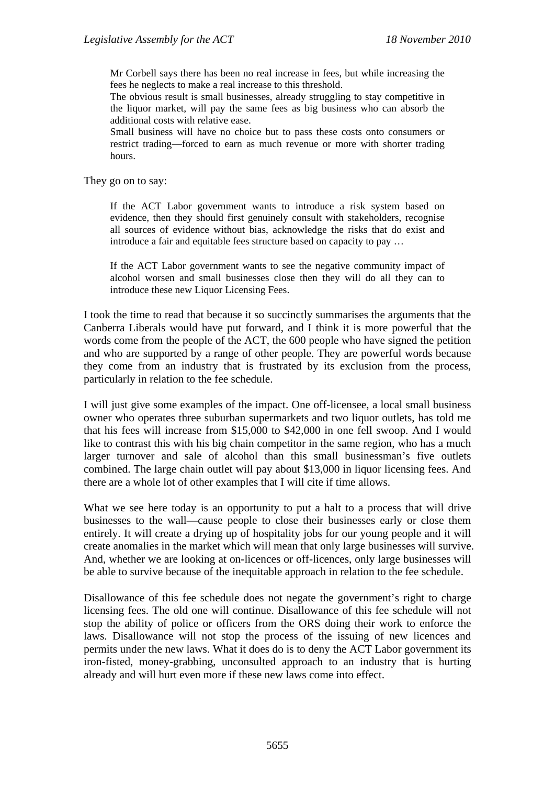Mr Corbell says there has been no real increase in fees, but while increasing the fees he neglects to make a real increase to this threshold.

The obvious result is small businesses, already struggling to stay competitive in the liquor market, will pay the same fees as big business who can absorb the additional costs with relative ease.

Small business will have no choice but to pass these costs onto consumers or restrict trading—forced to earn as much revenue or more with shorter trading hours.

They go on to say:

If the ACT Labor government wants to introduce a risk system based on evidence, then they should first genuinely consult with stakeholders, recognise all sources of evidence without bias, acknowledge the risks that do exist and introduce a fair and equitable fees structure based on capacity to pay …

If the ACT Labor government wants to see the negative community impact of alcohol worsen and small businesses close then they will do all they can to introduce these new Liquor Licensing Fees.

I took the time to read that because it so succinctly summarises the arguments that the Canberra Liberals would have put forward, and I think it is more powerful that the words come from the people of the ACT, the 600 people who have signed the petition and who are supported by a range of other people. They are powerful words because they come from an industry that is frustrated by its exclusion from the process, particularly in relation to the fee schedule.

I will just give some examples of the impact. One off-licensee, a local small business owner who operates three suburban supermarkets and two liquor outlets, has told me that his fees will increase from \$15,000 to \$42,000 in one fell swoop. And I would like to contrast this with his big chain competitor in the same region, who has a much larger turnover and sale of alcohol than this small businessman's five outlets combined. The large chain outlet will pay about \$13,000 in liquor licensing fees. And there are a whole lot of other examples that I will cite if time allows.

What we see here today is an opportunity to put a halt to a process that will drive businesses to the wall—cause people to close their businesses early or close them entirely. It will create a drying up of hospitality jobs for our young people and it will create anomalies in the market which will mean that only large businesses will survive. And, whether we are looking at on-licences or off-licences, only large businesses will be able to survive because of the inequitable approach in relation to the fee schedule.

Disallowance of this fee schedule does not negate the government's right to charge licensing fees. The old one will continue. Disallowance of this fee schedule will not stop the ability of police or officers from the ORS doing their work to enforce the laws. Disallowance will not stop the process of the issuing of new licences and permits under the new laws. What it does do is to deny the ACT Labor government its iron-fisted, money-grabbing, unconsulted approach to an industry that is hurting already and will hurt even more if these new laws come into effect.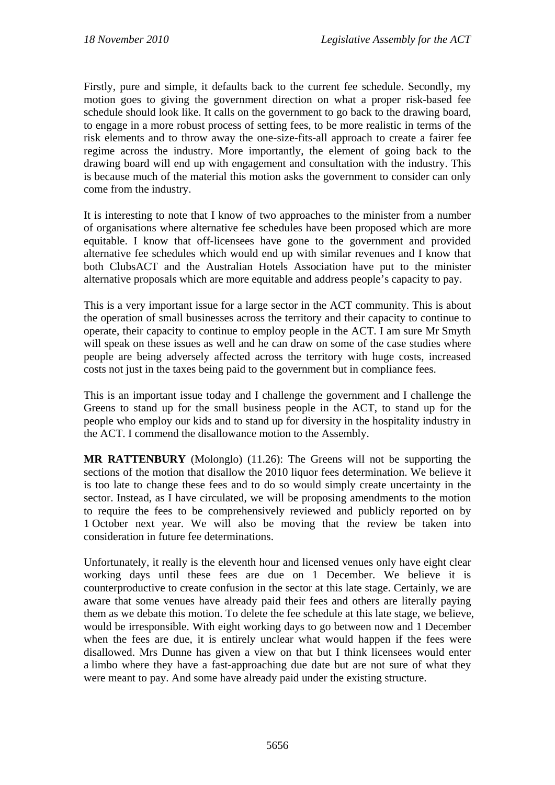Firstly, pure and simple, it defaults back to the current fee schedule. Secondly, my motion goes to giving the government direction on what a proper risk-based fee schedule should look like. It calls on the government to go back to the drawing board, to engage in a more robust process of setting fees, to be more realistic in terms of the risk elements and to throw away the one-size-fits-all approach to create a fairer fee regime across the industry. More importantly, the element of going back to the drawing board will end up with engagement and consultation with the industry. This is because much of the material this motion asks the government to consider can only come from the industry.

It is interesting to note that I know of two approaches to the minister from a number of organisations where alternative fee schedules have been proposed which are more equitable. I know that off-licensees have gone to the government and provided alternative fee schedules which would end up with similar revenues and I know that both ClubsACT and the Australian Hotels Association have put to the minister alternative proposals which are more equitable and address people's capacity to pay.

This is a very important issue for a large sector in the ACT community. This is about the operation of small businesses across the territory and their capacity to continue to operate, their capacity to continue to employ people in the ACT. I am sure Mr Smyth will speak on these issues as well and he can draw on some of the case studies where people are being adversely affected across the territory with huge costs, increased costs not just in the taxes being paid to the government but in compliance fees.

This is an important issue today and I challenge the government and I challenge the Greens to stand up for the small business people in the ACT, to stand up for the people who employ our kids and to stand up for diversity in the hospitality industry in the ACT. I commend the disallowance motion to the Assembly.

**MR RATTENBURY** (Molonglo) (11.26): The Greens will not be supporting the sections of the motion that disallow the 2010 liquor fees determination. We believe it is too late to change these fees and to do so would simply create uncertainty in the sector. Instead, as I have circulated, we will be proposing amendments to the motion to require the fees to be comprehensively reviewed and publicly reported on by 1 October next year. We will also be moving that the review be taken into consideration in future fee determinations.

Unfortunately, it really is the eleventh hour and licensed venues only have eight clear working days until these fees are due on 1 December. We believe it is counterproductive to create confusion in the sector at this late stage. Certainly, we are aware that some venues have already paid their fees and others are literally paying them as we debate this motion. To delete the fee schedule at this late stage, we believe, would be irresponsible. With eight working days to go between now and 1 December when the fees are due, it is entirely unclear what would happen if the fees were disallowed. Mrs Dunne has given a view on that but I think licensees would enter a limbo where they have a fast-approaching due date but are not sure of what they were meant to pay. And some have already paid under the existing structure.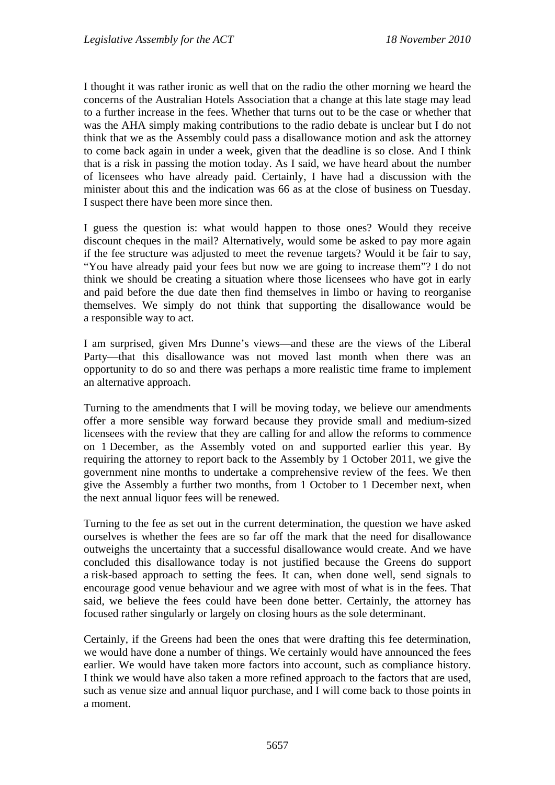I thought it was rather ironic as well that on the radio the other morning we heard the concerns of the Australian Hotels Association that a change at this late stage may lead to a further increase in the fees. Whether that turns out to be the case or whether that was the AHA simply making contributions to the radio debate is unclear but I do not think that we as the Assembly could pass a disallowance motion and ask the attorney to come back again in under a week, given that the deadline is so close. And I think that is a risk in passing the motion today. As I said, we have heard about the number of licensees who have already paid. Certainly, I have had a discussion with the minister about this and the indication was 66 as at the close of business on Tuesday. I suspect there have been more since then.

I guess the question is: what would happen to those ones? Would they receive discount cheques in the mail? Alternatively, would some be asked to pay more again if the fee structure was adjusted to meet the revenue targets? Would it be fair to say, "You have already paid your fees but now we are going to increase them"? I do not think we should be creating a situation where those licensees who have got in early and paid before the due date then find themselves in limbo or having to reorganise themselves. We simply do not think that supporting the disallowance would be a responsible way to act.

I am surprised, given Mrs Dunne's views—and these are the views of the Liberal Party—that this disallowance was not moved last month when there was an opportunity to do so and there was perhaps a more realistic time frame to implement an alternative approach.

Turning to the amendments that I will be moving today, we believe our amendments offer a more sensible way forward because they provide small and medium-sized licensees with the review that they are calling for and allow the reforms to commence on 1 December, as the Assembly voted on and supported earlier this year. By requiring the attorney to report back to the Assembly by 1 October 2011, we give the government nine months to undertake a comprehensive review of the fees. We then give the Assembly a further two months, from 1 October to 1 December next, when the next annual liquor fees will be renewed.

Turning to the fee as set out in the current determination, the question we have asked ourselves is whether the fees are so far off the mark that the need for disallowance outweighs the uncertainty that a successful disallowance would create. And we have concluded this disallowance today is not justified because the Greens do support a risk-based approach to setting the fees. It can, when done well, send signals to encourage good venue behaviour and we agree with most of what is in the fees. That said, we believe the fees could have been done better. Certainly, the attorney has focused rather singularly or largely on closing hours as the sole determinant.

Certainly, if the Greens had been the ones that were drafting this fee determination, we would have done a number of things. We certainly would have announced the fees earlier. We would have taken more factors into account, such as compliance history. I think we would have also taken a more refined approach to the factors that are used, such as venue size and annual liquor purchase, and I will come back to those points in a moment.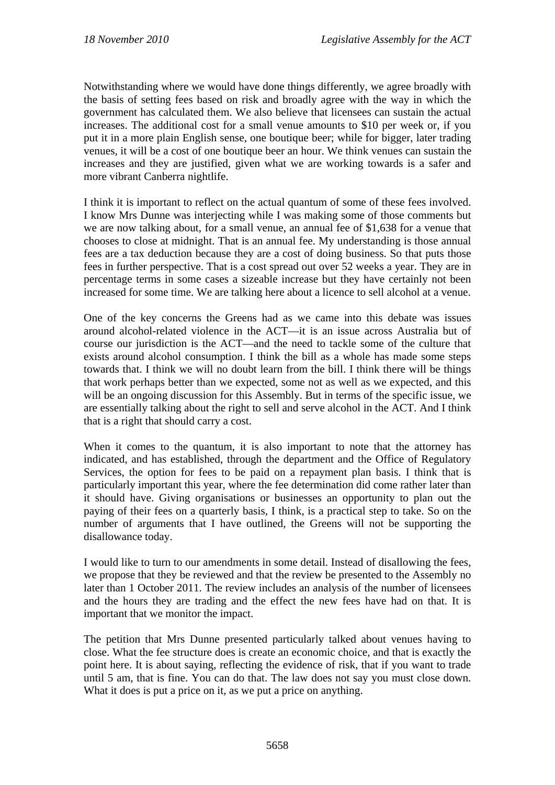Notwithstanding where we would have done things differently, we agree broadly with the basis of setting fees based on risk and broadly agree with the way in which the government has calculated them. We also believe that licensees can sustain the actual increases. The additional cost for a small venue amounts to \$10 per week or, if you put it in a more plain English sense, one boutique beer; while for bigger, later trading venues, it will be a cost of one boutique beer an hour. We think venues can sustain the increases and they are justified, given what we are working towards is a safer and more vibrant Canberra nightlife.

I think it is important to reflect on the actual quantum of some of these fees involved. I know Mrs Dunne was interjecting while I was making some of those comments but we are now talking about, for a small venue, an annual fee of \$1,638 for a venue that chooses to close at midnight. That is an annual fee. My understanding is those annual fees are a tax deduction because they are a cost of doing business. So that puts those fees in further perspective. That is a cost spread out over 52 weeks a year. They are in percentage terms in some cases a sizeable increase but they have certainly not been increased for some time. We are talking here about a licence to sell alcohol at a venue.

One of the key concerns the Greens had as we came into this debate was issues around alcohol-related violence in the ACT—it is an issue across Australia but of course our jurisdiction is the ACT—and the need to tackle some of the culture that exists around alcohol consumption. I think the bill as a whole has made some steps towards that. I think we will no doubt learn from the bill. I think there will be things that work perhaps better than we expected, some not as well as we expected, and this will be an ongoing discussion for this Assembly. But in terms of the specific issue, we are essentially talking about the right to sell and serve alcohol in the ACT. And I think that is a right that should carry a cost.

When it comes to the quantum, it is also important to note that the attorney has indicated, and has established, through the department and the Office of Regulatory Services, the option for fees to be paid on a repayment plan basis. I think that is particularly important this year, where the fee determination did come rather later than it should have. Giving organisations or businesses an opportunity to plan out the paying of their fees on a quarterly basis, I think, is a practical step to take. So on the number of arguments that I have outlined, the Greens will not be supporting the disallowance today.

I would like to turn to our amendments in some detail. Instead of disallowing the fees, we propose that they be reviewed and that the review be presented to the Assembly no later than 1 October 2011. The review includes an analysis of the number of licensees and the hours they are trading and the effect the new fees have had on that. It is important that we monitor the impact.

The petition that Mrs Dunne presented particularly talked about venues having to close. What the fee structure does is create an economic choice, and that is exactly the point here. It is about saying, reflecting the evidence of risk, that if you want to trade until 5 am, that is fine. You can do that. The law does not say you must close down. What it does is put a price on it, as we put a price on anything.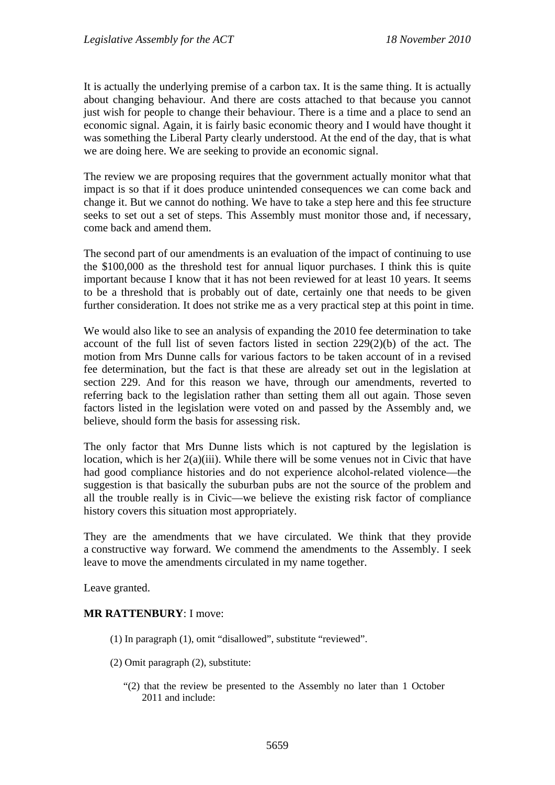It is actually the underlying premise of a carbon tax. It is the same thing. It is actually about changing behaviour. And there are costs attached to that because you cannot just wish for people to change their behaviour. There is a time and a place to send an economic signal. Again, it is fairly basic economic theory and I would have thought it was something the Liberal Party clearly understood. At the end of the day, that is what we are doing here. We are seeking to provide an economic signal.

The review we are proposing requires that the government actually monitor what that impact is so that if it does produce unintended consequences we can come back and change it. But we cannot do nothing. We have to take a step here and this fee structure seeks to set out a set of steps. This Assembly must monitor those and, if necessary, come back and amend them.

The second part of our amendments is an evaluation of the impact of continuing to use the \$100,000 as the threshold test for annual liquor purchases. I think this is quite important because I know that it has not been reviewed for at least 10 years. It seems to be a threshold that is probably out of date, certainly one that needs to be given further consideration. It does not strike me as a very practical step at this point in time.

We would also like to see an analysis of expanding the 2010 fee determination to take account of the full list of seven factors listed in section 229(2)(b) of the act. The motion from Mrs Dunne calls for various factors to be taken account of in a revised fee determination, but the fact is that these are already set out in the legislation at section 229. And for this reason we have, through our amendments, reverted to referring back to the legislation rather than setting them all out again. Those seven factors listed in the legislation were voted on and passed by the Assembly and, we believe, should form the basis for assessing risk.

The only factor that Mrs Dunne lists which is not captured by the legislation is location, which is her 2(a)(iii). While there will be some venues not in Civic that have had good compliance histories and do not experience alcohol-related violence—the suggestion is that basically the suburban pubs are not the source of the problem and all the trouble really is in Civic—we believe the existing risk factor of compliance history covers this situation most appropriately.

They are the amendments that we have circulated. We think that they provide a constructive way forward. We commend the amendments to the Assembly. I seek leave to move the amendments circulated in my name together.

Leave granted.

#### **MR RATTENBURY**: I move:

- (1) In paragraph (1), omit "disallowed", substitute "reviewed".
- (2) Omit paragraph (2), substitute:
	- "(2) that the review be presented to the Assembly no later than 1 October 2011 and include: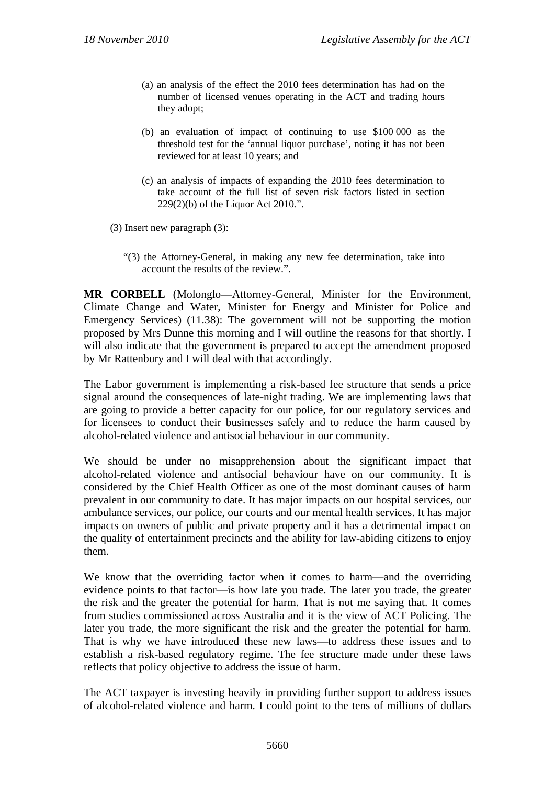- (a) an analysis of the effect the 2010 fees determination has had on the number of licensed venues operating in the ACT and trading hours they adopt;
- (b) an evaluation of impact of continuing to use \$100 000 as the threshold test for the 'annual liquor purchase', noting it has not been reviewed for at least 10 years; and
- (c) an analysis of impacts of expanding the 2010 fees determination to take account of the full list of seven risk factors listed in section 229(2)(b) of the Liquor Act 2010*.*".
- (3) Insert new paragraph (3):
	- "(3) the Attorney-General, in making any new fee determination, take into account the results of the review.".

**MR CORBELL** (Molonglo—Attorney-General, Minister for the Environment, Climate Change and Water, Minister for Energy and Minister for Police and Emergency Services) (11.38): The government will not be supporting the motion proposed by Mrs Dunne this morning and I will outline the reasons for that shortly. I will also indicate that the government is prepared to accept the amendment proposed by Mr Rattenbury and I will deal with that accordingly.

The Labor government is implementing a risk-based fee structure that sends a price signal around the consequences of late-night trading. We are implementing laws that are going to provide a better capacity for our police, for our regulatory services and for licensees to conduct their businesses safely and to reduce the harm caused by alcohol-related violence and antisocial behaviour in our community.

We should be under no misapprehension about the significant impact that alcohol-related violence and antisocial behaviour have on our community. It is considered by the Chief Health Officer as one of the most dominant causes of harm prevalent in our community to date. It has major impacts on our hospital services, our ambulance services, our police, our courts and our mental health services. It has major impacts on owners of public and private property and it has a detrimental impact on the quality of entertainment precincts and the ability for law-abiding citizens to enjoy them.

We know that the overriding factor when it comes to harm—and the overriding evidence points to that factor—is how late you trade. The later you trade, the greater the risk and the greater the potential for harm. That is not me saying that. It comes from studies commissioned across Australia and it is the view of ACT Policing. The later you trade, the more significant the risk and the greater the potential for harm. That is why we have introduced these new laws—to address these issues and to establish a risk-based regulatory regime. The fee structure made under these laws reflects that policy objective to address the issue of harm.

The ACT taxpayer is investing heavily in providing further support to address issues of alcohol-related violence and harm. I could point to the tens of millions of dollars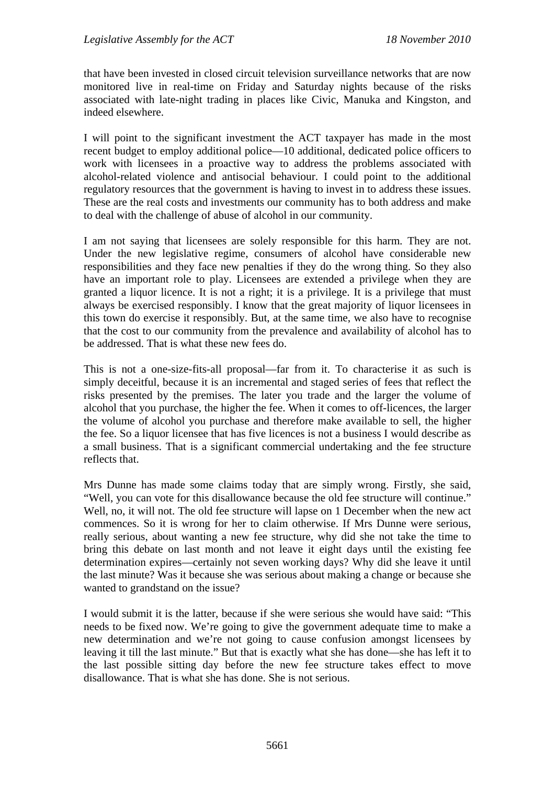that have been invested in closed circuit television surveillance networks that are now monitored live in real-time on Friday and Saturday nights because of the risks associated with late-night trading in places like Civic, Manuka and Kingston, and indeed elsewhere.

I will point to the significant investment the ACT taxpayer has made in the most recent budget to employ additional police—10 additional, dedicated police officers to work with licensees in a proactive way to address the problems associated with alcohol-related violence and antisocial behaviour. I could point to the additional regulatory resources that the government is having to invest in to address these issues. These are the real costs and investments our community has to both address and make to deal with the challenge of abuse of alcohol in our community.

I am not saying that licensees are solely responsible for this harm. They are not. Under the new legislative regime, consumers of alcohol have considerable new responsibilities and they face new penalties if they do the wrong thing. So they also have an important role to play. Licensees are extended a privilege when they are granted a liquor licence. It is not a right; it is a privilege. It is a privilege that must always be exercised responsibly. I know that the great majority of liquor licensees in this town do exercise it responsibly. But, at the same time, we also have to recognise that the cost to our community from the prevalence and availability of alcohol has to be addressed. That is what these new fees do.

This is not a one-size-fits-all proposal—far from it. To characterise it as such is simply deceitful, because it is an incremental and staged series of fees that reflect the risks presented by the premises. The later you trade and the larger the volume of alcohol that you purchase, the higher the fee. When it comes to off-licences, the larger the volume of alcohol you purchase and therefore make available to sell, the higher the fee. So a liquor licensee that has five licences is not a business I would describe as a small business. That is a significant commercial undertaking and the fee structure reflects that.

Mrs Dunne has made some claims today that are simply wrong. Firstly, she said, "Well, you can vote for this disallowance because the old fee structure will continue." Well, no, it will not. The old fee structure will lapse on 1 December when the new act commences. So it is wrong for her to claim otherwise. If Mrs Dunne were serious, really serious, about wanting a new fee structure, why did she not take the time to bring this debate on last month and not leave it eight days until the existing fee determination expires—certainly not seven working days? Why did she leave it until the last minute? Was it because she was serious about making a change or because she wanted to grandstand on the issue?

I would submit it is the latter, because if she were serious she would have said: "This needs to be fixed now. We're going to give the government adequate time to make a new determination and we're not going to cause confusion amongst licensees by leaving it till the last minute." But that is exactly what she has done—she has left it to the last possible sitting day before the new fee structure takes effect to move disallowance. That is what she has done. She is not serious.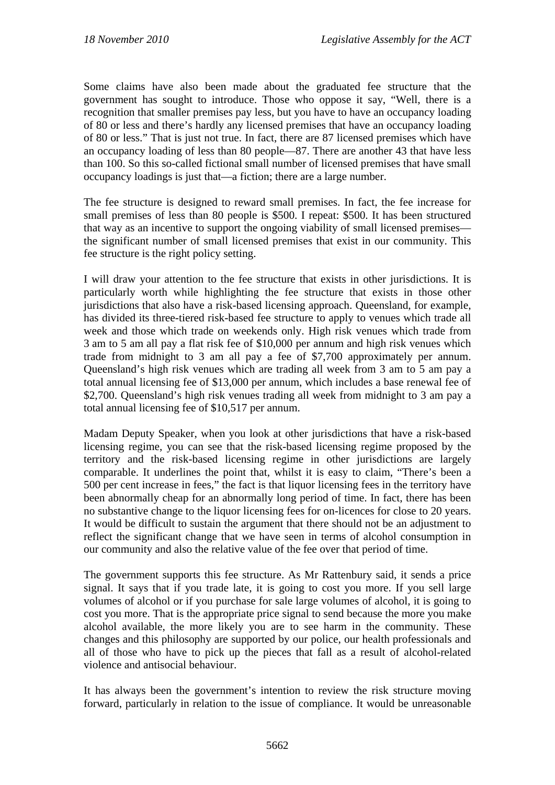Some claims have also been made about the graduated fee structure that the government has sought to introduce. Those who oppose it say, "Well, there is a recognition that smaller premises pay less, but you have to have an occupancy loading of 80 or less and there's hardly any licensed premises that have an occupancy loading of 80 or less." That is just not true. In fact, there are 87 licensed premises which have an occupancy loading of less than 80 people—87. There are another 43 that have less than 100. So this so-called fictional small number of licensed premises that have small occupancy loadings is just that—a fiction; there are a large number.

The fee structure is designed to reward small premises. In fact, the fee increase for small premises of less than 80 people is \$500. I repeat: \$500. It has been structured that way as an incentive to support the ongoing viability of small licensed premises the significant number of small licensed premises that exist in our community. This fee structure is the right policy setting.

I will draw your attention to the fee structure that exists in other jurisdictions. It is particularly worth while highlighting the fee structure that exists in those other jurisdictions that also have a risk-based licensing approach. Queensland, for example, has divided its three-tiered risk-based fee structure to apply to venues which trade all week and those which trade on weekends only. High risk venues which trade from 3 am to 5 am all pay a flat risk fee of \$10,000 per annum and high risk venues which trade from midnight to 3 am all pay a fee of \$7,700 approximately per annum. Queensland's high risk venues which are trading all week from 3 am to 5 am pay a total annual licensing fee of \$13,000 per annum, which includes a base renewal fee of \$2,700. Queensland's high risk venues trading all week from midnight to 3 am pay a total annual licensing fee of \$10,517 per annum.

Madam Deputy Speaker, when you look at other jurisdictions that have a risk-based licensing regime, you can see that the risk-based licensing regime proposed by the territory and the risk-based licensing regime in other jurisdictions are largely comparable. It underlines the point that, whilst it is easy to claim, "There's been a 500 per cent increase in fees," the fact is that liquor licensing fees in the territory have been abnormally cheap for an abnormally long period of time. In fact, there has been no substantive change to the liquor licensing fees for on-licences for close to 20 years. It would be difficult to sustain the argument that there should not be an adjustment to reflect the significant change that we have seen in terms of alcohol consumption in our community and also the relative value of the fee over that period of time.

The government supports this fee structure. As Mr Rattenbury said, it sends a price signal. It says that if you trade late, it is going to cost you more. If you sell large volumes of alcohol or if you purchase for sale large volumes of alcohol, it is going to cost you more. That is the appropriate price signal to send because the more you make alcohol available, the more likely you are to see harm in the community. These changes and this philosophy are supported by our police, our health professionals and all of those who have to pick up the pieces that fall as a result of alcohol-related violence and antisocial behaviour.

It has always been the government's intention to review the risk structure moving forward, particularly in relation to the issue of compliance. It would be unreasonable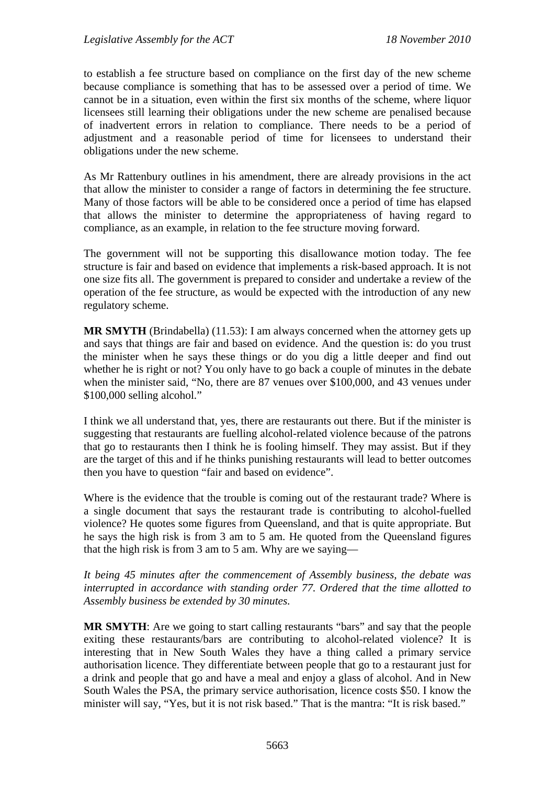to establish a fee structure based on compliance on the first day of the new scheme because compliance is something that has to be assessed over a period of time. We cannot be in a situation, even within the first six months of the scheme, where liquor licensees still learning their obligations under the new scheme are penalised because of inadvertent errors in relation to compliance. There needs to be a period of adjustment and a reasonable period of time for licensees to understand their obligations under the new scheme.

As Mr Rattenbury outlines in his amendment, there are already provisions in the act that allow the minister to consider a range of factors in determining the fee structure. Many of those factors will be able to be considered once a period of time has elapsed that allows the minister to determine the appropriateness of having regard to compliance, as an example, in relation to the fee structure moving forward.

The government will not be supporting this disallowance motion today. The fee structure is fair and based on evidence that implements a risk-based approach. It is not one size fits all. The government is prepared to consider and undertake a review of the operation of the fee structure, as would be expected with the introduction of any new regulatory scheme.

**MR SMYTH** (Brindabella) (11.53): I am always concerned when the attorney gets up and says that things are fair and based on evidence. And the question is: do you trust the minister when he says these things or do you dig a little deeper and find out whether he is right or not? You only have to go back a couple of minutes in the debate when the minister said, "No, there are 87 venues over \$100,000, and 43 venues under \$100,000 selling alcohol."

I think we all understand that, yes, there are restaurants out there. But if the minister is suggesting that restaurants are fuelling alcohol-related violence because of the patrons that go to restaurants then I think he is fooling himself. They may assist. But if they are the target of this and if he thinks punishing restaurants will lead to better outcomes then you have to question "fair and based on evidence".

Where is the evidence that the trouble is coming out of the restaurant trade? Where is a single document that says the restaurant trade is contributing to alcohol-fuelled violence? He quotes some figures from Queensland, and that is quite appropriate. But he says the high risk is from 3 am to 5 am. He quoted from the Queensland figures that the high risk is from 3 am to 5 am. Why are we saying—

*It being 45 minutes after the commencement of Assembly business, the debate was interrupted in accordance with standing order 77. Ordered that the time allotted to Assembly business be extended by 30 minutes.*

**MR SMYTH**: Are we going to start calling restaurants "bars" and say that the people exiting these restaurants/bars are contributing to alcohol-related violence? It is interesting that in New South Wales they have a thing called a primary service authorisation licence. They differentiate between people that go to a restaurant just for a drink and people that go and have a meal and enjoy a glass of alcohol. And in New South Wales the PSA, the primary service authorisation, licence costs \$50. I know the minister will say, "Yes, but it is not risk based." That is the mantra: "It is risk based."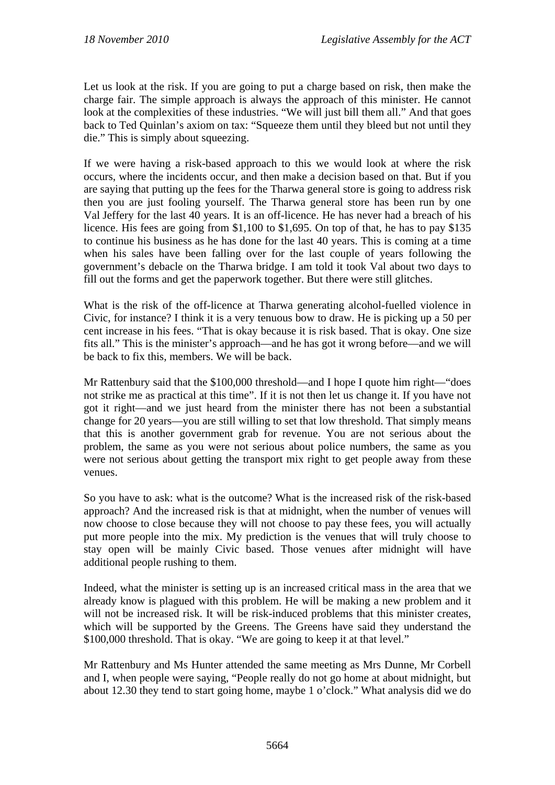Let us look at the risk. If you are going to put a charge based on risk, then make the charge fair. The simple approach is always the approach of this minister. He cannot look at the complexities of these industries. "We will just bill them all." And that goes back to Ted Quinlan's axiom on tax: "Squeeze them until they bleed but not until they die." This is simply about squeezing.

If we were having a risk-based approach to this we would look at where the risk occurs, where the incidents occur, and then make a decision based on that. But if you are saying that putting up the fees for the Tharwa general store is going to address risk then you are just fooling yourself. The Tharwa general store has been run by one Val Jeffery for the last 40 years. It is an off-licence. He has never had a breach of his licence. His fees are going from \$1,100 to \$1,695. On top of that, he has to pay \$135 to continue his business as he has done for the last 40 years. This is coming at a time when his sales have been falling over for the last couple of years following the government's debacle on the Tharwa bridge. I am told it took Val about two days to fill out the forms and get the paperwork together. But there were still glitches.

What is the risk of the off-licence at Tharwa generating alcohol-fuelled violence in Civic, for instance? I think it is a very tenuous bow to draw. He is picking up a 50 per cent increase in his fees. "That is okay because it is risk based. That is okay. One size fits all." This is the minister's approach—and he has got it wrong before—and we will be back to fix this, members. We will be back.

Mr Rattenbury said that the \$100,000 threshold—and I hope I quote him right—"does not strike me as practical at this time". If it is not then let us change it. If you have not got it right—and we just heard from the minister there has not been a substantial change for 20 years—you are still willing to set that low threshold. That simply means that this is another government grab for revenue. You are not serious about the problem, the same as you were not serious about police numbers, the same as you were not serious about getting the transport mix right to get people away from these venues.

So you have to ask: what is the outcome? What is the increased risk of the risk-based approach? And the increased risk is that at midnight, when the number of venues will now choose to close because they will not choose to pay these fees, you will actually put more people into the mix. My prediction is the venues that will truly choose to stay open will be mainly Civic based. Those venues after midnight will have additional people rushing to them.

Indeed, what the minister is setting up is an increased critical mass in the area that we already know is plagued with this problem. He will be making a new problem and it will not be increased risk. It will be risk-induced problems that this minister creates, which will be supported by the Greens. The Greens have said they understand the \$100,000 threshold. That is okay. "We are going to keep it at that level."

Mr Rattenbury and Ms Hunter attended the same meeting as Mrs Dunne, Mr Corbell and I, when people were saying, "People really do not go home at about midnight, but about 12.30 they tend to start going home, maybe 1 o'clock." What analysis did we do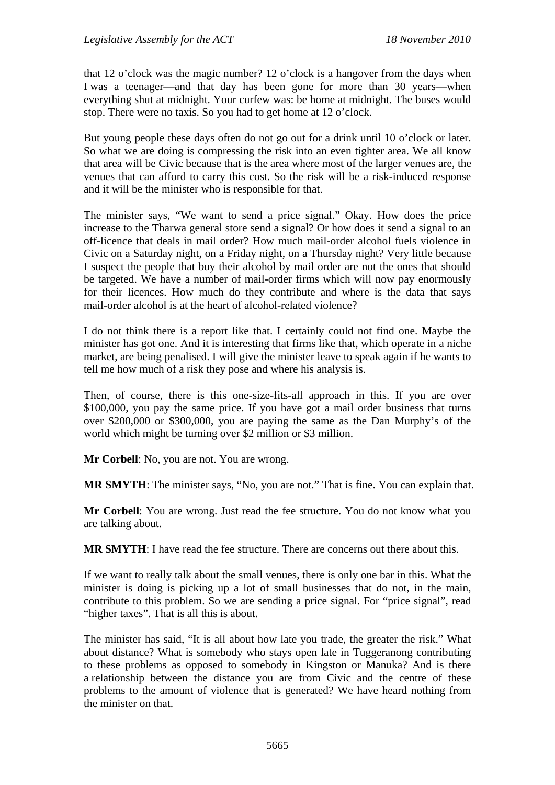that 12 o'clock was the magic number? 12 o'clock is a hangover from the days when I was a teenager—and that day has been gone for more than 30 years—when everything shut at midnight. Your curfew was: be home at midnight. The buses would stop. There were no taxis. So you had to get home at 12 o'clock.

But young people these days often do not go out for a drink until 10 o'clock or later. So what we are doing is compressing the risk into an even tighter area. We all know that area will be Civic because that is the area where most of the larger venues are, the venues that can afford to carry this cost. So the risk will be a risk-induced response and it will be the minister who is responsible for that.

The minister says, "We want to send a price signal." Okay. How does the price increase to the Tharwa general store send a signal? Or how does it send a signal to an off-licence that deals in mail order? How much mail-order alcohol fuels violence in Civic on a Saturday night, on a Friday night, on a Thursday night? Very little because I suspect the people that buy their alcohol by mail order are not the ones that should be targeted. We have a number of mail-order firms which will now pay enormously for their licences. How much do they contribute and where is the data that says mail-order alcohol is at the heart of alcohol-related violence?

I do not think there is a report like that. I certainly could not find one. Maybe the minister has got one. And it is interesting that firms like that, which operate in a niche market, are being penalised. I will give the minister leave to speak again if he wants to tell me how much of a risk they pose and where his analysis is.

Then, of course, there is this one-size-fits-all approach in this. If you are over \$100,000, you pay the same price. If you have got a mail order business that turns over \$200,000 or \$300,000, you are paying the same as the Dan Murphy's of the world which might be turning over \$2 million or \$3 million.

**Mr Corbell**: No, you are not. You are wrong.

**MR SMYTH**: The minister says, "No, you are not." That is fine. You can explain that.

**Mr Corbell**: You are wrong. Just read the fee structure. You do not know what you are talking about.

**MR SMYTH**: I have read the fee structure. There are concerns out there about this.

If we want to really talk about the small venues, there is only one bar in this. What the minister is doing is picking up a lot of small businesses that do not, in the main, contribute to this problem. So we are sending a price signal. For "price signal", read "higher taxes". That is all this is about.

The minister has said, "It is all about how late you trade, the greater the risk." What about distance? What is somebody who stays open late in Tuggeranong contributing to these problems as opposed to somebody in Kingston or Manuka? And is there a relationship between the distance you are from Civic and the centre of these problems to the amount of violence that is generated? We have heard nothing from the minister on that.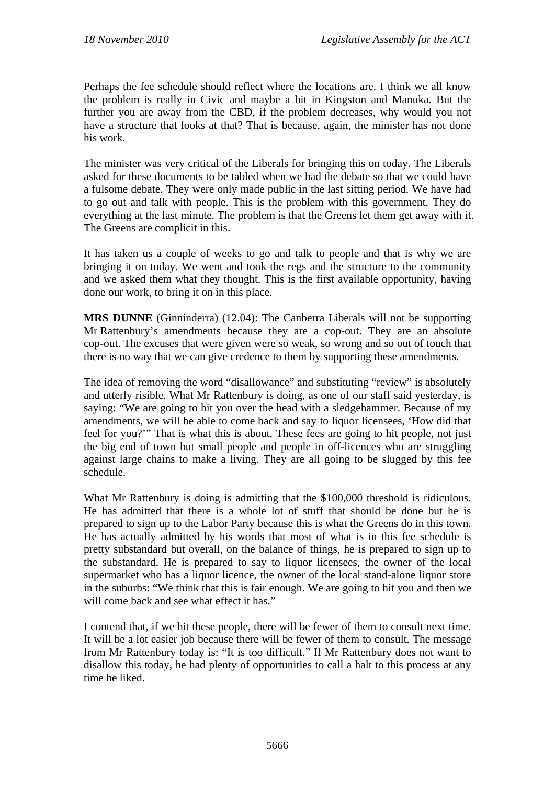Perhaps the fee schedule should reflect where the locations are. I think we all know the problem is really in Civic and maybe a bit in Kingston and Manuka. But the further you are away from the CBD, if the problem decreases, why would you not have a structure that looks at that? That is because, again, the minister has not done his work.

The minister was very critical of the Liberals for bringing this on today. The Liberals asked for these documents to be tabled when we had the debate so that we could have a fulsome debate. They were only made public in the last sitting period. We have had to go out and talk with people. This is the problem with this government. They do everything at the last minute. The problem is that the Greens let them get away with it. The Greens are complicit in this.

It has taken us a couple of weeks to go and talk to people and that is why we are bringing it on today. We went and took the regs and the structure to the community and we asked them what they thought. This is the first available opportunity, having done our work, to bring it on in this place.

**MRS DUNNE** (Ginninderra) (12.04): The Canberra Liberals will not be supporting Mr Rattenbury's amendments because they are a cop-out. They are an absolute cop-out. The excuses that were given were so weak, so wrong and so out of touch that there is no way that we can give credence to them by supporting these amendments.

The idea of removing the word "disallowance" and substituting "review" is absolutely and utterly risible. What Mr Rattenbury is doing, as one of our staff said yesterday, is saying: "We are going to hit you over the head with a sledgehammer. Because of my amendments, we will be able to come back and say to liquor licensees, 'How did that feel for you?'" That is what this is about. These fees are going to hit people, not just the big end of town but small people and people in off-licences who are struggling against large chains to make a living. They are all going to be slugged by this fee schedule.

What Mr Rattenbury is doing is admitting that the \$100,000 threshold is ridiculous. He has admitted that there is a whole lot of stuff that should be done but he is prepared to sign up to the Labor Party because this is what the Greens do in this town. He has actually admitted by his words that most of what is in this fee schedule is pretty substandard but overall, on the balance of things, he is prepared to sign up to the substandard. He is prepared to say to liquor licensees, the owner of the local supermarket who has a liquor licence, the owner of the local stand-alone liquor store in the suburbs: "We think that this is fair enough. We are going to hit you and then we will come back and see what effect it has."

I contend that, if we hit these people, there will be fewer of them to consult next time. It will be a lot easier job because there will be fewer of them to consult. The message from Mr Rattenbury today is: "It is too difficult." If Mr Rattenbury does not want to disallow this today, he had plenty of opportunities to call a halt to this process at any time he liked.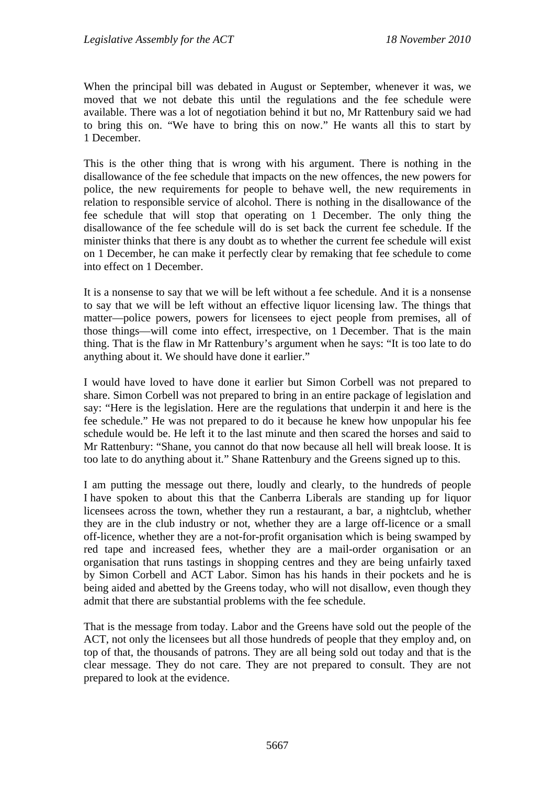When the principal bill was debated in August or September, whenever it was, we moved that we not debate this until the regulations and the fee schedule were available. There was a lot of negotiation behind it but no, Mr Rattenbury said we had to bring this on. "We have to bring this on now." He wants all this to start by 1 December.

This is the other thing that is wrong with his argument. There is nothing in the disallowance of the fee schedule that impacts on the new offences, the new powers for police, the new requirements for people to behave well, the new requirements in relation to responsible service of alcohol. There is nothing in the disallowance of the fee schedule that will stop that operating on 1 December. The only thing the disallowance of the fee schedule will do is set back the current fee schedule. If the minister thinks that there is any doubt as to whether the current fee schedule will exist on 1 December, he can make it perfectly clear by remaking that fee schedule to come into effect on 1 December.

It is a nonsense to say that we will be left without a fee schedule. And it is a nonsense to say that we will be left without an effective liquor licensing law. The things that matter—police powers, powers for licensees to eject people from premises, all of those things—will come into effect, irrespective, on 1 December. That is the main thing. That is the flaw in Mr Rattenbury's argument when he says: "It is too late to do anything about it. We should have done it earlier."

I would have loved to have done it earlier but Simon Corbell was not prepared to share. Simon Corbell was not prepared to bring in an entire package of legislation and say: "Here is the legislation. Here are the regulations that underpin it and here is the fee schedule." He was not prepared to do it because he knew how unpopular his fee schedule would be. He left it to the last minute and then scared the horses and said to Mr Rattenbury: "Shane, you cannot do that now because all hell will break loose. It is too late to do anything about it." Shane Rattenbury and the Greens signed up to this.

I am putting the message out there, loudly and clearly, to the hundreds of people I have spoken to about this that the Canberra Liberals are standing up for liquor licensees across the town, whether they run a restaurant, a bar, a nightclub, whether they are in the club industry or not, whether they are a large off-licence or a small off-licence, whether they are a not-for-profit organisation which is being swamped by red tape and increased fees, whether they are a mail-order organisation or an organisation that runs tastings in shopping centres and they are being unfairly taxed by Simon Corbell and ACT Labor. Simon has his hands in their pockets and he is being aided and abetted by the Greens today, who will not disallow, even though they admit that there are substantial problems with the fee schedule.

That is the message from today. Labor and the Greens have sold out the people of the ACT, not only the licensees but all those hundreds of people that they employ and, on top of that, the thousands of patrons. They are all being sold out today and that is the clear message. They do not care. They are not prepared to consult. They are not prepared to look at the evidence.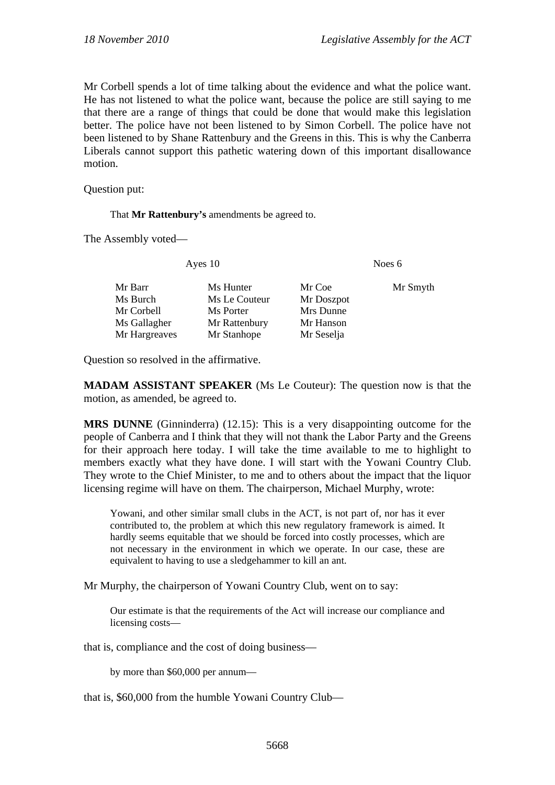Mr Corbell spends a lot of time talking about the evidence and what the police want. He has not listened to what the police want, because the police are still saying to me that there are a range of things that could be done that would make this legislation better. The police have not been listened to by Simon Corbell. The police have not been listened to by Shane Rattenbury and the Greens in this. This is why the Canberra Liberals cannot support this pathetic watering down of this important disallowance motion.

Question put:

That **Mr Rattenbury's** amendments be agreed to.

The Assembly voted—

Ayes 10 Noes 6

| Mr Barr       | Ms Hunter     | Mr Coe     | Mr Smyth |
|---------------|---------------|------------|----------|
| Ms Burch      | Ms Le Couteur | Mr Doszpot |          |
| Mr Corbell    | Ms Porter     | Mrs Dunne  |          |
| Ms Gallagher  | Mr Rattenbury | Mr Hanson  |          |
| Mr Hargreaves | Mr Stanhope   | Mr Seselja |          |

Question so resolved in the affirmative.

**MADAM ASSISTANT SPEAKER** (Ms Le Couteur): The question now is that the motion, as amended, be agreed to.

**MRS DUNNE** (Ginninderra) (12.15): This is a very disappointing outcome for the people of Canberra and I think that they will not thank the Labor Party and the Greens for their approach here today. I will take the time available to me to highlight to members exactly what they have done. I will start with the Yowani Country Club. They wrote to the Chief Minister, to me and to others about the impact that the liquor licensing regime will have on them. The chairperson, Michael Murphy, wrote:

Yowani, and other similar small clubs in the ACT, is not part of, nor has it ever contributed to, the problem at which this new regulatory framework is aimed. It hardly seems equitable that we should be forced into costly processes, which are not necessary in the environment in which we operate. In our case, these are equivalent to having to use a sledgehammer to kill an ant.

Mr Murphy, the chairperson of Yowani Country Club, went on to say:

Our estimate is that the requirements of the Act will increase our compliance and licensing costs—

that is, compliance and the cost of doing business—

by more than \$60,000 per annum—

that is, \$60,000 from the humble Yowani Country Club—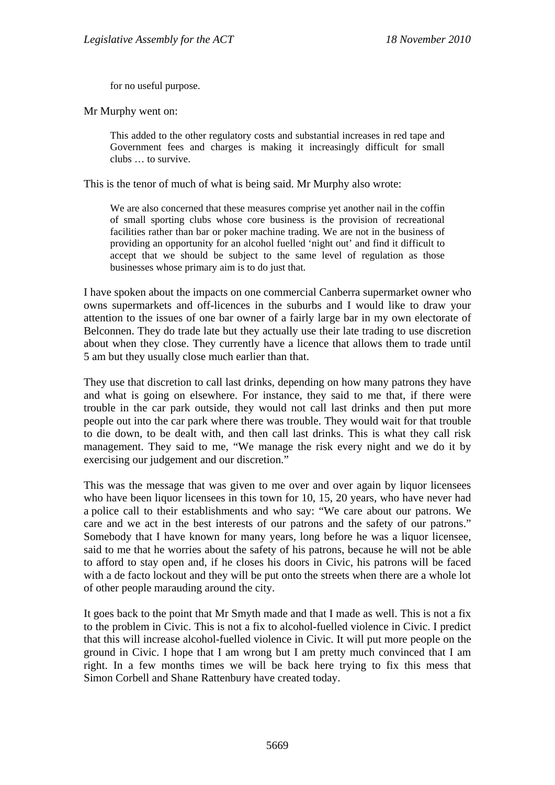for no useful purpose.

Mr Murphy went on:

This added to the other regulatory costs and substantial increases in red tape and Government fees and charges is making it increasingly difficult for small clubs … to survive.

This is the tenor of much of what is being said. Mr Murphy also wrote:

We are also concerned that these measures comprise yet another nail in the coffin of small sporting clubs whose core business is the provision of recreational facilities rather than bar or poker machine trading. We are not in the business of providing an opportunity for an alcohol fuelled 'night out' and find it difficult to accept that we should be subject to the same level of regulation as those businesses whose primary aim is to do just that.

I have spoken about the impacts on one commercial Canberra supermarket owner who owns supermarkets and off-licences in the suburbs and I would like to draw your attention to the issues of one bar owner of a fairly large bar in my own electorate of Belconnen. They do trade late but they actually use their late trading to use discretion about when they close. They currently have a licence that allows them to trade until 5 am but they usually close much earlier than that.

They use that discretion to call last drinks, depending on how many patrons they have and what is going on elsewhere. For instance, they said to me that, if there were trouble in the car park outside, they would not call last drinks and then put more people out into the car park where there was trouble. They would wait for that trouble to die down, to be dealt with, and then call last drinks. This is what they call risk management. They said to me, "We manage the risk every night and we do it by exercising our judgement and our discretion."

This was the message that was given to me over and over again by liquor licensees who have been liquor licensees in this town for 10, 15, 20 years, who have never had a police call to their establishments and who say: "We care about our patrons. We care and we act in the best interests of our patrons and the safety of our patrons." Somebody that I have known for many years, long before he was a liquor licensee, said to me that he worries about the safety of his patrons, because he will not be able to afford to stay open and, if he closes his doors in Civic, his patrons will be faced with a de facto lockout and they will be put onto the streets when there are a whole lot of other people marauding around the city.

It goes back to the point that Mr Smyth made and that I made as well. This is not a fix to the problem in Civic. This is not a fix to alcohol-fuelled violence in Civic. I predict that this will increase alcohol-fuelled violence in Civic. It will put more people on the ground in Civic. I hope that I am wrong but I am pretty much convinced that I am right. In a few months times we will be back here trying to fix this mess that Simon Corbell and Shane Rattenbury have created today.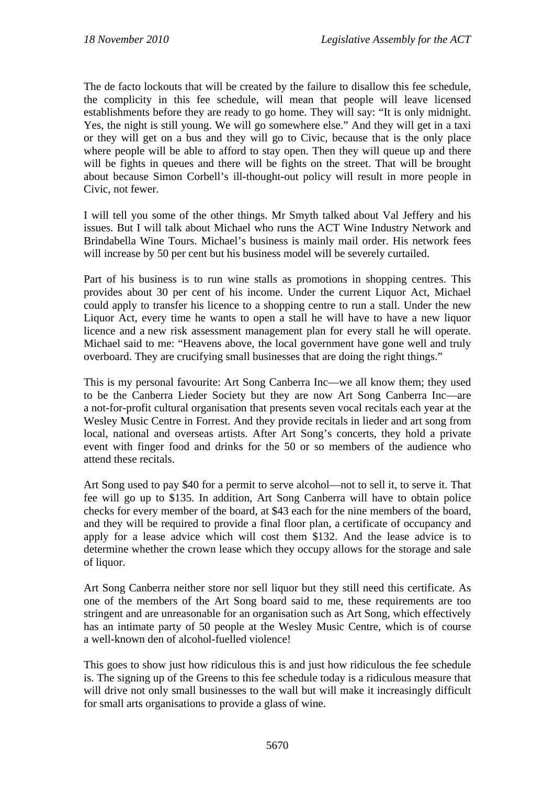The de facto lockouts that will be created by the failure to disallow this fee schedule, the complicity in this fee schedule, will mean that people will leave licensed establishments before they are ready to go home. They will say: "It is only midnight. Yes, the night is still young. We will go somewhere else." And they will get in a taxi or they will get on a bus and they will go to Civic, because that is the only place where people will be able to afford to stay open. Then they will queue up and there will be fights in queues and there will be fights on the street. That will be brought about because Simon Corbell's ill-thought-out policy will result in more people in Civic, not fewer.

I will tell you some of the other things. Mr Smyth talked about Val Jeffery and his issues. But I will talk about Michael who runs the ACT Wine Industry Network and Brindabella Wine Tours. Michael's business is mainly mail order. His network fees will increase by 50 per cent but his business model will be severely curtailed.

Part of his business is to run wine stalls as promotions in shopping centres. This provides about 30 per cent of his income. Under the current Liquor Act, Michael could apply to transfer his licence to a shopping centre to run a stall. Under the new Liquor Act, every time he wants to open a stall he will have to have a new liquor licence and a new risk assessment management plan for every stall he will operate. Michael said to me: "Heavens above, the local government have gone well and truly overboard. They are crucifying small businesses that are doing the right things."

This is my personal favourite: Art Song Canberra Inc—we all know them; they used to be the Canberra Lieder Society but they are now Art Song Canberra Inc—are a not-for-profit cultural organisation that presents seven vocal recitals each year at the Wesley Music Centre in Forrest. And they provide recitals in lieder and art song from local, national and overseas artists. After Art Song's concerts, they hold a private event with finger food and drinks for the 50 or so members of the audience who attend these recitals.

Art Song used to pay \$40 for a permit to serve alcohol—not to sell it, to serve it. That fee will go up to \$135. In addition, Art Song Canberra will have to obtain police checks for every member of the board, at \$43 each for the nine members of the board, and they will be required to provide a final floor plan, a certificate of occupancy and apply for a lease advice which will cost them \$132. And the lease advice is to determine whether the crown lease which they occupy allows for the storage and sale of liquor.

Art Song Canberra neither store nor sell liquor but they still need this certificate. As one of the members of the Art Song board said to me, these requirements are too stringent and are unreasonable for an organisation such as Art Song, which effectively has an intimate party of 50 people at the Wesley Music Centre, which is of course a well-known den of alcohol-fuelled violence!

This goes to show just how ridiculous this is and just how ridiculous the fee schedule is. The signing up of the Greens to this fee schedule today is a ridiculous measure that will drive not only small businesses to the wall but will make it increasingly difficult for small arts organisations to provide a glass of wine.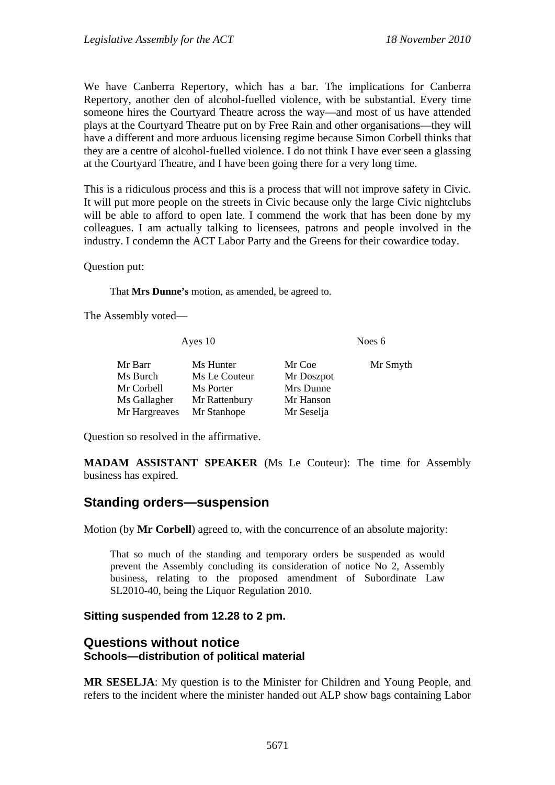We have Canberra Repertory, which has a bar. The implications for Canberra Repertory, another den of alcohol-fuelled violence, with be substantial. Every time someone hires the Courtyard Theatre across the way—and most of us have attended plays at the Courtyard Theatre put on by Free Rain and other organisations—they will have a different and more arduous licensing regime because Simon Corbell thinks that they are a centre of alcohol-fuelled violence. I do not think I have ever seen a glassing at the Courtyard Theatre, and I have been going there for a very long time.

This is a ridiculous process and this is a process that will not improve safety in Civic. It will put more people on the streets in Civic because only the large Civic nightclubs will be able to afford to open late. I commend the work that has been done by my colleagues. I am actually talking to licensees, patrons and people involved in the industry. I condemn the ACT Labor Party and the Greens for their cowardice today.

Question put:

That **Mrs Dunne's** motion, as amended, be agreed to.

The Assembly voted—

| Ayes $10$     |               |            | Noes 6   |  |
|---------------|---------------|------------|----------|--|
| Mr Barr       | Ms Hunter     | Mr Coe     | Mr Smyth |  |
| Ms Burch      | Ms Le Couteur | Mr Doszpot |          |  |
| Mr Corbell    | Ms Porter     | Mrs Dunne  |          |  |
| Ms Gallagher  | Mr Rattenbury | Mr Hanson  |          |  |
| Mr Hargreaves | Mr Stanhope   | Mr Seselja |          |  |

Question so resolved in the affirmative.

**MADAM ASSISTANT SPEAKER** (Ms Le Couteur): The time for Assembly business has expired.

# **Standing orders—suspension**

Motion (by **Mr Corbell**) agreed to, with the concurrence of an absolute majority:

That so much of the standing and temporary orders be suspended as would prevent the Assembly concluding its consideration of notice No 2, Assembly business, relating to the proposed amendment of Subordinate Law SL2010-40, being the Liquor Regulation 2010.

### **Sitting suspended from 12.28 to 2 pm.**

## **Questions without notice Schools—distribution of political material**

**MR SESELJA**: My question is to the Minister for Children and Young People, and refers to the incident where the minister handed out ALP show bags containing Labor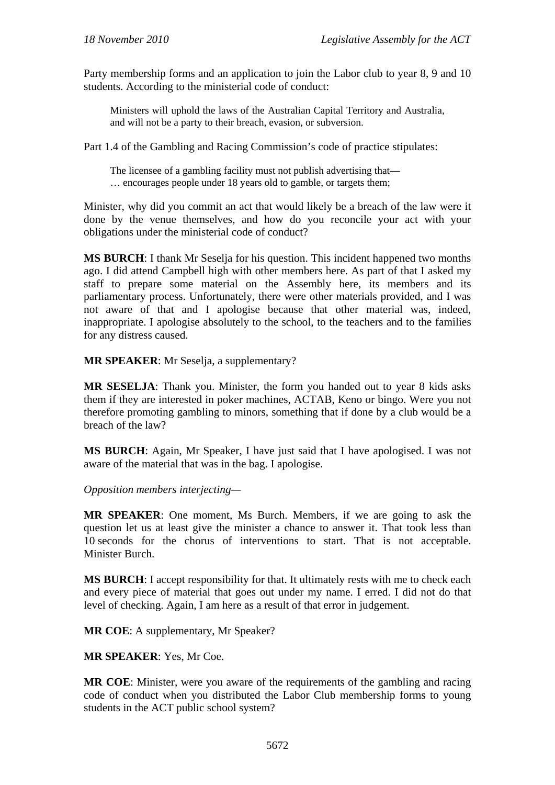Party membership forms and an application to join the Labor club to year 8, 9 and 10 students. According to the ministerial code of conduct:

Ministers will uphold the laws of the Australian Capital Territory and Australia, and will not be a party to their breach, evasion, or subversion.

Part 1.4 of the Gambling and Racing Commission's code of practice stipulates:

The licensee of a gambling facility must not publish advertising that— … encourages people under 18 years old to gamble, or targets them;

Minister, why did you commit an act that would likely be a breach of the law were it done by the venue themselves, and how do you reconcile your act with your obligations under the ministerial code of conduct?

**MS BURCH**: I thank Mr Seselja for his question. This incident happened two months ago. I did attend Campbell high with other members here. As part of that I asked my staff to prepare some material on the Assembly here, its members and its parliamentary process. Unfortunately, there were other materials provided, and I was not aware of that and I apologise because that other material was, indeed, inappropriate. I apologise absolutely to the school, to the teachers and to the families for any distress caused.

**MR SPEAKER**: Mr Seselja, a supplementary?

**MR SESELJA**: Thank you. Minister, the form you handed out to year 8 kids asks them if they are interested in poker machines, ACTAB, Keno or bingo. Were you not therefore promoting gambling to minors, something that if done by a club would be a breach of the law?

**MS BURCH**: Again, Mr Speaker, I have just said that I have apologised. I was not aware of the material that was in the bag. I apologise.

*Opposition members interjecting—* 

**MR SPEAKER**: One moment, Ms Burch. Members, if we are going to ask the question let us at least give the minister a chance to answer it. That took less than 10 seconds for the chorus of interventions to start. That is not acceptable. Minister Burch.

**MS BURCH**: I accept responsibility for that. It ultimately rests with me to check each and every piece of material that goes out under my name. I erred. I did not do that level of checking. Again, I am here as a result of that error in judgement.

**MR COE**: A supplementary, Mr Speaker?

**MR SPEAKER**: Yes, Mr Coe.

**MR COE**: Minister, were you aware of the requirements of the gambling and racing code of conduct when you distributed the Labor Club membership forms to young students in the ACT public school system?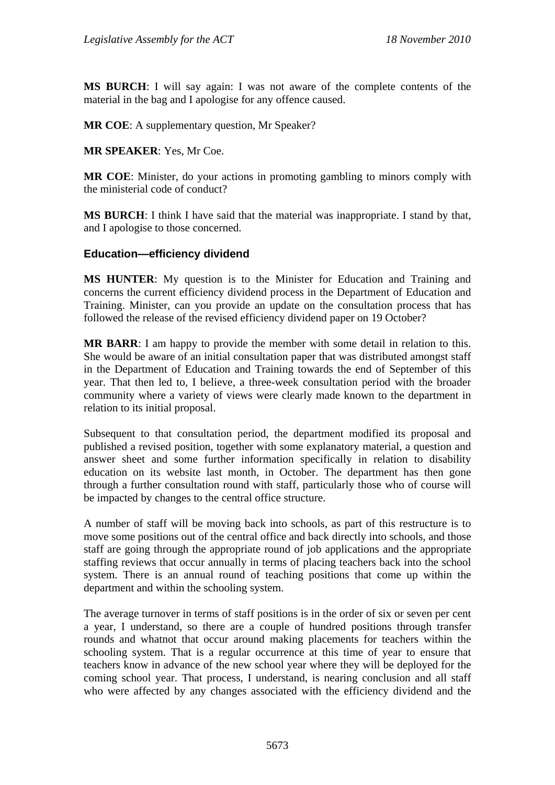**MS BURCH**: I will say again: I was not aware of the complete contents of the material in the bag and I apologise for any offence caused.

**MR COE**: A supplementary question, Mr Speaker?

**MR SPEAKER**: Yes, Mr Coe.

**MR COE**: Minister, do your actions in promoting gambling to minors comply with the ministerial code of conduct?

**MS BURCH**: I think I have said that the material was inappropriate. I stand by that, and I apologise to those concerned.

### **Education—efficiency dividend**

**MS HUNTER**: My question is to the Minister for Education and Training and concerns the current efficiency dividend process in the Department of Education and Training. Minister, can you provide an update on the consultation process that has followed the release of the revised efficiency dividend paper on 19 October?

**MR BARR**: I am happy to provide the member with some detail in relation to this. She would be aware of an initial consultation paper that was distributed amongst staff in the Department of Education and Training towards the end of September of this year. That then led to, I believe, a three-week consultation period with the broader community where a variety of views were clearly made known to the department in relation to its initial proposal.

Subsequent to that consultation period, the department modified its proposal and published a revised position, together with some explanatory material, a question and answer sheet and some further information specifically in relation to disability education on its website last month, in October. The department has then gone through a further consultation round with staff, particularly those who of course will be impacted by changes to the central office structure.

A number of staff will be moving back into schools, as part of this restructure is to move some positions out of the central office and back directly into schools, and those staff are going through the appropriate round of job applications and the appropriate staffing reviews that occur annually in terms of placing teachers back into the school system. There is an annual round of teaching positions that come up within the department and within the schooling system.

The average turnover in terms of staff positions is in the order of six or seven per cent a year, I understand, so there are a couple of hundred positions through transfer rounds and whatnot that occur around making placements for teachers within the schooling system. That is a regular occurrence at this time of year to ensure that teachers know in advance of the new school year where they will be deployed for the coming school year. That process, I understand, is nearing conclusion and all staff who were affected by any changes associated with the efficiency dividend and the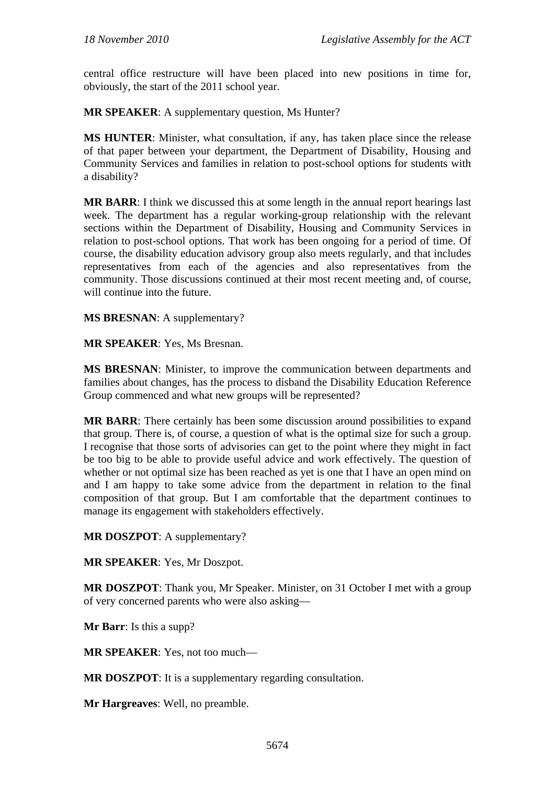central office restructure will have been placed into new positions in time for, obviously, the start of the 2011 school year.

**MR SPEAKER**: A supplementary question, Ms Hunter?

**MS HUNTER**: Minister, what consultation, if any, has taken place since the release of that paper between your department, the Department of Disability, Housing and Community Services and families in relation to post-school options for students with a disability?

**MR BARR**: I think we discussed this at some length in the annual report hearings last week. The department has a regular working-group relationship with the relevant sections within the Department of Disability, Housing and Community Services in relation to post-school options. That work has been ongoing for a period of time. Of course, the disability education advisory group also meets regularly, and that includes representatives from each of the agencies and also representatives from the community. Those discussions continued at their most recent meeting and, of course, will continue into the future.

**MS BRESNAN**: A supplementary?

**MR SPEAKER**: Yes, Ms Bresnan.

**MS BRESNAN**: Minister, to improve the communication between departments and families about changes, has the process to disband the Disability Education Reference Group commenced and what new groups will be represented?

**MR BARR**: There certainly has been some discussion around possibilities to expand that group. There is, of course, a question of what is the optimal size for such a group. I recognise that those sorts of advisories can get to the point where they might in fact be too big to be able to provide useful advice and work effectively. The question of whether or not optimal size has been reached as yet is one that I have an open mind on and I am happy to take some advice from the department in relation to the final composition of that group. But I am comfortable that the department continues to manage its engagement with stakeholders effectively.

**MR DOSZPOT**: A supplementary?

**MR SPEAKER**: Yes, Mr Doszpot.

**MR DOSZPOT**: Thank you, Mr Speaker. Minister, on 31 October I met with a group of very concerned parents who were also asking—

**Mr Barr**: Is this a supp?

**MR SPEAKER**: Yes, not too much—

**MR DOSZPOT**: It is a supplementary regarding consultation.

**Mr Hargreaves**: Well, no preamble.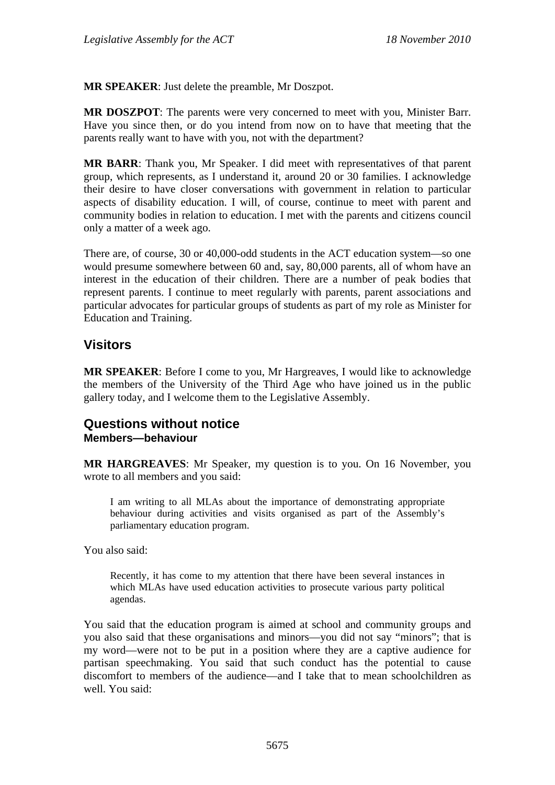**MR SPEAKER**: Just delete the preamble, Mr Doszpot.

**MR DOSZPOT**: The parents were very concerned to meet with you, Minister Barr. Have you since then, or do you intend from now on to have that meeting that the parents really want to have with you, not with the department?

**MR BARR**: Thank you, Mr Speaker. I did meet with representatives of that parent group, which represents, as I understand it, around 20 or 30 families. I acknowledge their desire to have closer conversations with government in relation to particular aspects of disability education. I will, of course, continue to meet with parent and community bodies in relation to education. I met with the parents and citizens council only a matter of a week ago.

There are, of course, 30 or 40,000-odd students in the ACT education system—so one would presume somewhere between 60 and, say, 80,000 parents, all of whom have an interest in the education of their children. There are a number of peak bodies that represent parents. I continue to meet regularly with parents, parent associations and particular advocates for particular groups of students as part of my role as Minister for Education and Training.

## **Visitors**

**MR SPEAKER**: Before I come to you, Mr Hargreaves, I would like to acknowledge the members of the University of the Third Age who have joined us in the public gallery today, and I welcome them to the Legislative Assembly.

### **Questions without notice Members—behaviour**

**MR HARGREAVES**: Mr Speaker, my question is to you. On 16 November, you wrote to all members and you said:

I am writing to all MLAs about the importance of demonstrating appropriate behaviour during activities and visits organised as part of the Assembly's parliamentary education program.

You also said:

Recently, it has come to my attention that there have been several instances in which MLAs have used education activities to prosecute various party political agendas.

You said that the education program is aimed at school and community groups and you also said that these organisations and minors—you did not say "minors"; that is my word—were not to be put in a position where they are a captive audience for partisan speechmaking. You said that such conduct has the potential to cause discomfort to members of the audience—and I take that to mean schoolchildren as well. You said: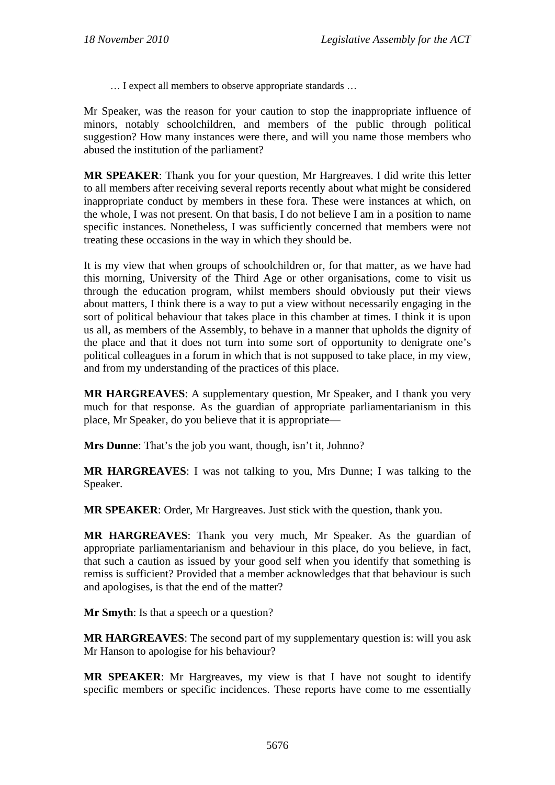… I expect all members to observe appropriate standards …

Mr Speaker, was the reason for your caution to stop the inappropriate influence of minors, notably schoolchildren, and members of the public through political suggestion? How many instances were there, and will you name those members who abused the institution of the parliament?

**MR SPEAKER**: Thank you for your question, Mr Hargreaves. I did write this letter to all members after receiving several reports recently about what might be considered inappropriate conduct by members in these fora. These were instances at which, on the whole, I was not present. On that basis, I do not believe I am in a position to name specific instances. Nonetheless, I was sufficiently concerned that members were not treating these occasions in the way in which they should be.

It is my view that when groups of schoolchildren or, for that matter, as we have had this morning, University of the Third Age or other organisations, come to visit us through the education program, whilst members should obviously put their views about matters, I think there is a way to put a view without necessarily engaging in the sort of political behaviour that takes place in this chamber at times. I think it is upon us all, as members of the Assembly, to behave in a manner that upholds the dignity of the place and that it does not turn into some sort of opportunity to denigrate one's political colleagues in a forum in which that is not supposed to take place, in my view, and from my understanding of the practices of this place.

**MR HARGREAVES**: A supplementary question, Mr Speaker, and I thank you very much for that response. As the guardian of appropriate parliamentarianism in this place, Mr Speaker, do you believe that it is appropriate—

**Mrs Dunne**: That's the job you want, though, isn't it, Johnno?

**MR HARGREAVES**: I was not talking to you, Mrs Dunne; I was talking to the Speaker.

**MR SPEAKER**: Order, Mr Hargreaves. Just stick with the question, thank you.

**MR HARGREAVES**: Thank you very much, Mr Speaker. As the guardian of appropriate parliamentarianism and behaviour in this place, do you believe, in fact, that such a caution as issued by your good self when you identify that something is remiss is sufficient? Provided that a member acknowledges that that behaviour is such and apologises, is that the end of the matter?

**Mr Smyth**: Is that a speech or a question?

**MR HARGREAVES**: The second part of my supplementary question is: will you ask Mr Hanson to apologise for his behaviour?

**MR SPEAKER**: Mr Hargreaves, my view is that I have not sought to identify specific members or specific incidences. These reports have come to me essentially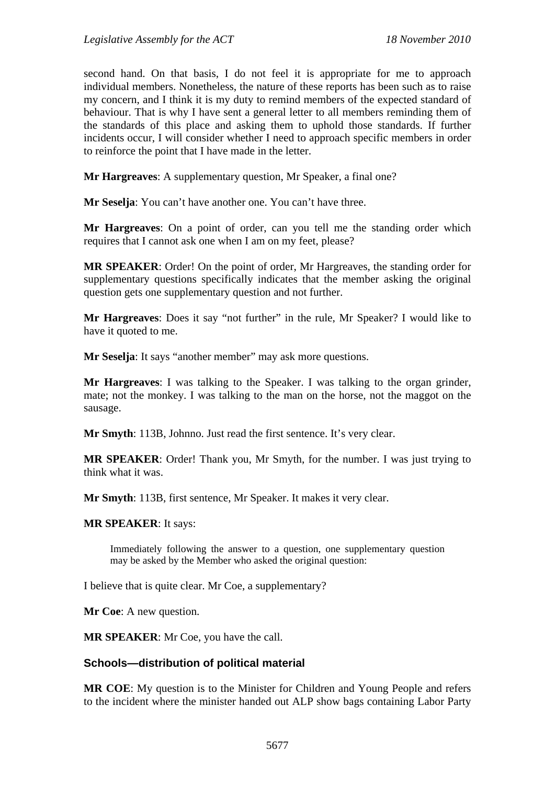second hand. On that basis, I do not feel it is appropriate for me to approach individual members. Nonetheless, the nature of these reports has been such as to raise my concern, and I think it is my duty to remind members of the expected standard of behaviour. That is why I have sent a general letter to all members reminding them of the standards of this place and asking them to uphold those standards. If further incidents occur, I will consider whether I need to approach specific members in order to reinforce the point that I have made in the letter.

**Mr Hargreaves**: A supplementary question, Mr Speaker, a final one?

**Mr Seselja**: You can't have another one. You can't have three.

**Mr Hargreaves**: On a point of order, can you tell me the standing order which requires that I cannot ask one when I am on my feet, please?

**MR SPEAKER**: Order! On the point of order, Mr Hargreaves, the standing order for supplementary questions specifically indicates that the member asking the original question gets one supplementary question and not further.

**Mr Hargreaves**: Does it say "not further" in the rule, Mr Speaker? I would like to have it quoted to me.

**Mr Seselja**: It says "another member" may ask more questions.

**Mr Hargreaves**: I was talking to the Speaker. I was talking to the organ grinder, mate; not the monkey. I was talking to the man on the horse, not the maggot on the sausage.

**Mr Smyth**: 113B, Johnno. Just read the first sentence. It's very clear.

**MR SPEAKER**: Order! Thank you, Mr Smyth, for the number. I was just trying to think what it was.

**Mr Smyth**: 113B, first sentence, Mr Speaker. It makes it very clear.

#### **MR SPEAKER**: It says:

Immediately following the answer to a question, one supplementary question may be asked by the Member who asked the original question:

I believe that is quite clear. Mr Coe, a supplementary?

**Mr Coe**: A new question.

**MR SPEAKER**: Mr Coe, you have the call.

#### **Schools—distribution of political material**

**MR COE**: My question is to the Minister for Children and Young People and refers to the incident where the minister handed out ALP show bags containing Labor Party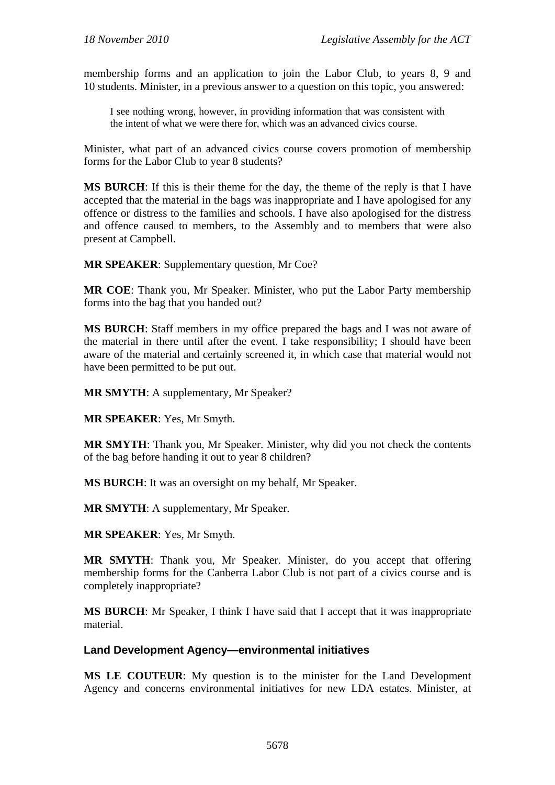membership forms and an application to join the Labor Club, to years 8, 9 and 10 students. Minister, in a previous answer to a question on this topic, you answered:

I see nothing wrong, however, in providing information that was consistent with the intent of what we were there for, which was an advanced civics course.

Minister, what part of an advanced civics course covers promotion of membership forms for the Labor Club to year 8 students?

**MS BURCH**: If this is their theme for the day, the theme of the reply is that I have accepted that the material in the bags was inappropriate and I have apologised for any offence or distress to the families and schools. I have also apologised for the distress and offence caused to members, to the Assembly and to members that were also present at Campbell.

**MR SPEAKER**: Supplementary question, Mr Coe?

**MR COE**: Thank you, Mr Speaker. Minister, who put the Labor Party membership forms into the bag that you handed out?

**MS BURCH**: Staff members in my office prepared the bags and I was not aware of the material in there until after the event. I take responsibility; I should have been aware of the material and certainly screened it, in which case that material would not have been permitted to be put out.

**MR SMYTH**: A supplementary, Mr Speaker?

**MR SPEAKER**: Yes, Mr Smyth.

**MR SMYTH**: Thank you, Mr Speaker. Minister, why did you not check the contents of the bag before handing it out to year 8 children?

**MS BURCH**: It was an oversight on my behalf, Mr Speaker.

**MR SMYTH**: A supplementary, Mr Speaker.

**MR SPEAKER**: Yes, Mr Smyth.

**MR SMYTH**: Thank you, Mr Speaker. Minister, do you accept that offering membership forms for the Canberra Labor Club is not part of a civics course and is completely inappropriate?

**MS BURCH**: Mr Speaker, I think I have said that I accept that it was inappropriate material.

**Land Development Agency—environmental initiatives** 

**MS LE COUTEUR**: My question is to the minister for the Land Development Agency and concerns environmental initiatives for new LDA estates. Minister, at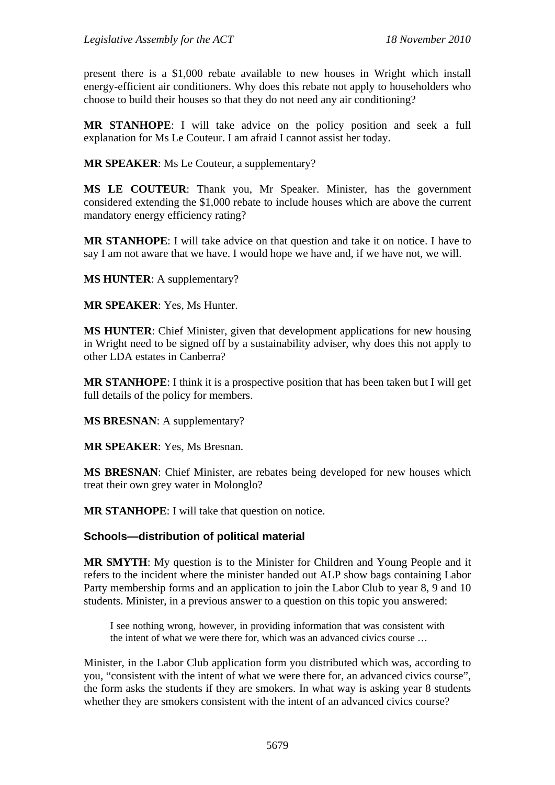present there is a \$1,000 rebate available to new houses in Wright which install energy-efficient air conditioners. Why does this rebate not apply to householders who choose to build their houses so that they do not need any air conditioning?

**MR STANHOPE**: I will take advice on the policy position and seek a full explanation for Ms Le Couteur. I am afraid I cannot assist her today.

**MR SPEAKER**: Ms Le Couteur, a supplementary?

**MS LE COUTEUR**: Thank you, Mr Speaker. Minister, has the government considered extending the \$1,000 rebate to include houses which are above the current mandatory energy efficiency rating?

**MR STANHOPE**: I will take advice on that question and take it on notice. I have to say I am not aware that we have. I would hope we have and, if we have not, we will.

**MS HUNTER**: A supplementary?

**MR SPEAKER**: Yes, Ms Hunter.

**MS HUNTER**: Chief Minister, given that development applications for new housing in Wright need to be signed off by a sustainability adviser, why does this not apply to other LDA estates in Canberra?

**MR STANHOPE**: I think it is a prospective position that has been taken but I will get full details of the policy for members.

**MS BRESNAN**: A supplementary?

**MR SPEAKER**: Yes, Ms Bresnan.

**MS BRESNAN**: Chief Minister, are rebates being developed for new houses which treat their own grey water in Molonglo?

**MR STANHOPE**: I will take that question on notice.

### **Schools—distribution of political material**

**MR SMYTH**: My question is to the Minister for Children and Young People and it refers to the incident where the minister handed out ALP show bags containing Labor Party membership forms and an application to join the Labor Club to year 8, 9 and 10 students. Minister, in a previous answer to a question on this topic you answered:

I see nothing wrong, however, in providing information that was consistent with the intent of what we were there for, which was an advanced civics course …

Minister, in the Labor Club application form you distributed which was, according to you, "consistent with the intent of what we were there for, an advanced civics course", the form asks the students if they are smokers. In what way is asking year 8 students whether they are smokers consistent with the intent of an advanced civics course?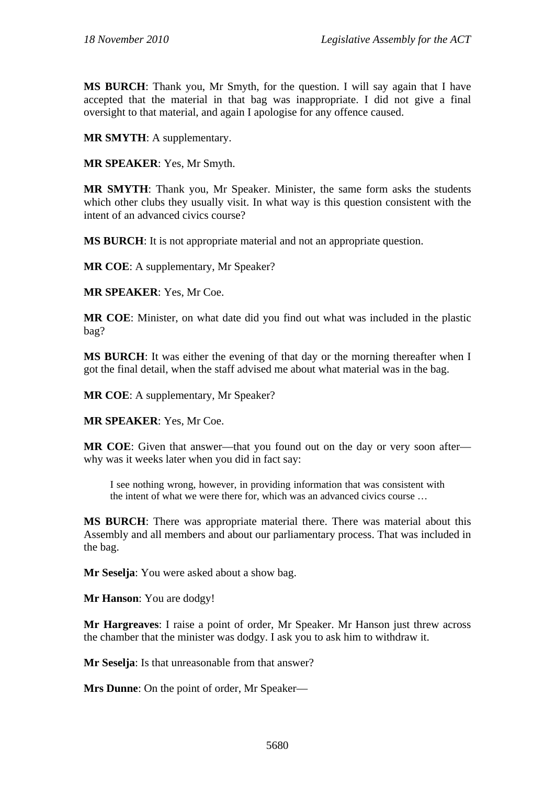**MS BURCH**: Thank you, Mr Smyth, for the question. I will say again that I have accepted that the material in that bag was inappropriate. I did not give a final oversight to that material, and again I apologise for any offence caused.

**MR SMYTH**: A supplementary.

**MR SPEAKER**: Yes, Mr Smyth.

**MR SMYTH**: Thank you, Mr Speaker. Minister, the same form asks the students which other clubs they usually visit. In what way is this question consistent with the intent of an advanced civics course?

**MS BURCH**: It is not appropriate material and not an appropriate question.

**MR COE**: A supplementary, Mr Speaker?

**MR SPEAKER**: Yes, Mr Coe.

**MR COE**: Minister, on what date did you find out what was included in the plastic bag?

**MS BURCH**: It was either the evening of that day or the morning thereafter when I got the final detail, when the staff advised me about what material was in the bag.

**MR COE:** A supplementary, Mr Speaker?

**MR SPEAKER**: Yes, Mr Coe.

**MR COE**: Given that answer—that you found out on the day or very soon after why was it weeks later when you did in fact say:

I see nothing wrong, however, in providing information that was consistent with the intent of what we were there for, which was an advanced civics course …

**MS BURCH**: There was appropriate material there. There was material about this Assembly and all members and about our parliamentary process. That was included in the bag.

**Mr Seselja**: You were asked about a show bag.

**Mr Hanson**: You are dodgy!

**Mr Hargreaves**: I raise a point of order, Mr Speaker. Mr Hanson just threw across the chamber that the minister was dodgy. I ask you to ask him to withdraw it.

**Mr Seselja**: Is that unreasonable from that answer?

**Mrs Dunne**: On the point of order, Mr Speaker—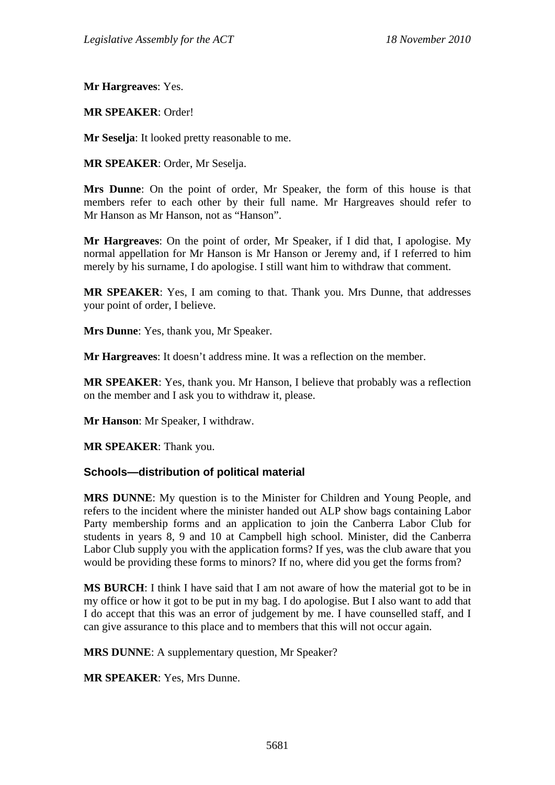**Mr Hargreaves**: Yes.

**MR SPEAKER**: Order!

**Mr Seselja**: It looked pretty reasonable to me.

**MR SPEAKER**: Order, Mr Seselja.

**Mrs Dunne**: On the point of order, Mr Speaker, the form of this house is that members refer to each other by their full name. Mr Hargreaves should refer to Mr Hanson as Mr Hanson, not as "Hanson".

**Mr Hargreaves**: On the point of order, Mr Speaker, if I did that, I apologise. My normal appellation for Mr Hanson is Mr Hanson or Jeremy and, if I referred to him merely by his surname, I do apologise. I still want him to withdraw that comment.

**MR SPEAKER**: Yes, I am coming to that. Thank you. Mrs Dunne, that addresses your point of order, I believe.

**Mrs Dunne**: Yes, thank you, Mr Speaker.

**Mr Hargreaves**: It doesn't address mine. It was a reflection on the member.

**MR SPEAKER**: Yes, thank you. Mr Hanson, I believe that probably was a reflection on the member and I ask you to withdraw it, please.

**Mr Hanson**: Mr Speaker, I withdraw.

**MR SPEAKER**: Thank you.

### **Schools—distribution of political material**

**MRS DUNNE**: My question is to the Minister for Children and Young People, and refers to the incident where the minister handed out ALP show bags containing Labor Party membership forms and an application to join the Canberra Labor Club for students in years 8, 9 and 10 at Campbell high school. Minister, did the Canberra Labor Club supply you with the application forms? If yes, was the club aware that you would be providing these forms to minors? If no, where did you get the forms from?

**MS BURCH**: I think I have said that I am not aware of how the material got to be in my office or how it got to be put in my bag. I do apologise. But I also want to add that I do accept that this was an error of judgement by me. I have counselled staff, and I can give assurance to this place and to members that this will not occur again.

**MRS DUNNE**: A supplementary question, Mr Speaker?

**MR SPEAKER**: Yes, Mrs Dunne.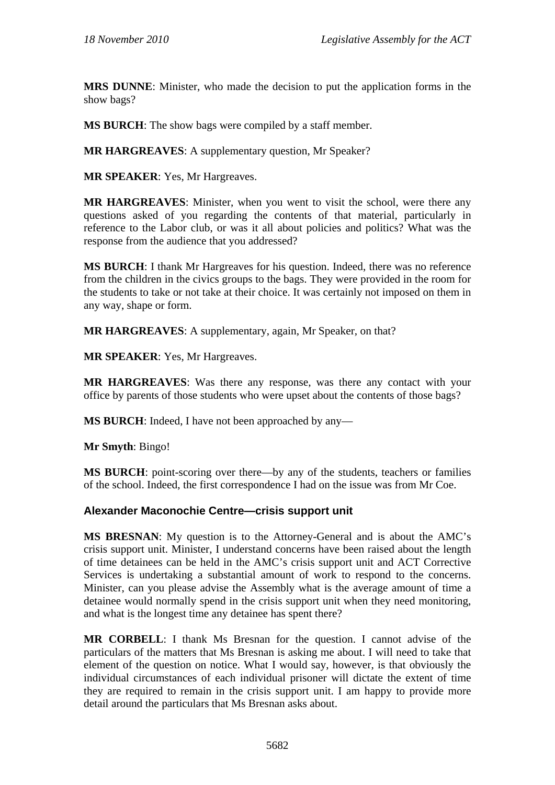**MRS DUNNE**: Minister, who made the decision to put the application forms in the show bags?

**MS BURCH**: The show bags were compiled by a staff member.

**MR HARGREAVES**: A supplementary question, Mr Speaker?

**MR SPEAKER**: Yes, Mr Hargreaves.

**MR HARGREAVES**: Minister, when you went to visit the school, were there any questions asked of you regarding the contents of that material, particularly in reference to the Labor club, or was it all about policies and politics? What was the response from the audience that you addressed?

**MS BURCH**: I thank Mr Hargreaves for his question. Indeed, there was no reference from the children in the civics groups to the bags. They were provided in the room for the students to take or not take at their choice. It was certainly not imposed on them in any way, shape or form.

**MR HARGREAVES**: A supplementary, again, Mr Speaker, on that?

**MR SPEAKER**: Yes, Mr Hargreaves.

**MR HARGREAVES**: Was there any response, was there any contact with your office by parents of those students who were upset about the contents of those bags?

**MS BURCH**: Indeed, I have not been approached by any—

**Mr Smyth**: Bingo!

**MS BURCH**: point-scoring over there—by any of the students, teachers or families of the school. Indeed, the first correspondence I had on the issue was from Mr Coe.

### **Alexander Maconochie Centre—crisis support unit**

**MS BRESNAN**: My question is to the Attorney-General and is about the AMC's crisis support unit. Minister, I understand concerns have been raised about the length of time detainees can be held in the AMC's crisis support unit and ACT Corrective Services is undertaking a substantial amount of work to respond to the concerns. Minister, can you please advise the Assembly what is the average amount of time a detainee would normally spend in the crisis support unit when they need monitoring, and what is the longest time any detainee has spent there?

**MR CORBELL**: I thank Ms Bresnan for the question. I cannot advise of the particulars of the matters that Ms Bresnan is asking me about. I will need to take that element of the question on notice. What I would say, however, is that obviously the individual circumstances of each individual prisoner will dictate the extent of time they are required to remain in the crisis support unit. I am happy to provide more detail around the particulars that Ms Bresnan asks about.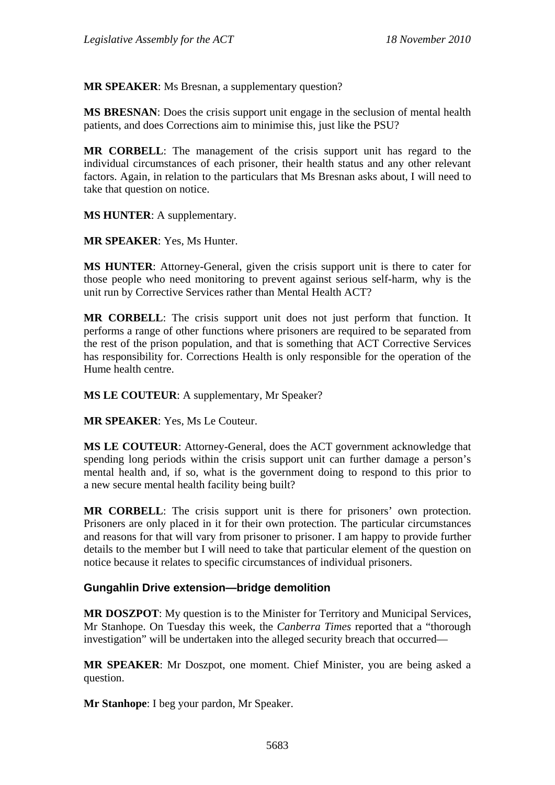**MR SPEAKER**: Ms Bresnan, a supplementary question?

**MS BRESNAN**: Does the crisis support unit engage in the seclusion of mental health patients, and does Corrections aim to minimise this, just like the PSU?

**MR CORBELL**: The management of the crisis support unit has regard to the individual circumstances of each prisoner, their health status and any other relevant factors. Again, in relation to the particulars that Ms Bresnan asks about, I will need to take that question on notice.

**MS HUNTER**: A supplementary.

**MR SPEAKER**: Yes, Ms Hunter.

**MS HUNTER**: Attorney-General, given the crisis support unit is there to cater for those people who need monitoring to prevent against serious self-harm, why is the unit run by Corrective Services rather than Mental Health ACT?

**MR CORBELL**: The crisis support unit does not just perform that function. It performs a range of other functions where prisoners are required to be separated from the rest of the prison population, and that is something that ACT Corrective Services has responsibility for. Corrections Health is only responsible for the operation of the Hume health centre.

**MS LE COUTEUR**: A supplementary, Mr Speaker?

**MR SPEAKER**: Yes, Ms Le Couteur.

**MS LE COUTEUR**: Attorney-General, does the ACT government acknowledge that spending long periods within the crisis support unit can further damage a person's mental health and, if so, what is the government doing to respond to this prior to a new secure mental health facility being built?

**MR CORBELL**: The crisis support unit is there for prisoners' own protection. Prisoners are only placed in it for their own protection. The particular circumstances and reasons for that will vary from prisoner to prisoner. I am happy to provide further details to the member but I will need to take that particular element of the question on notice because it relates to specific circumstances of individual prisoners.

### **Gungahlin Drive extension—bridge demolition**

**MR DOSZPOT**: My question is to the Minister for Territory and Municipal Services, Mr Stanhope. On Tuesday this week, the *Canberra Times* reported that a "thorough investigation" will be undertaken into the alleged security breach that occurred—

**MR SPEAKER**: Mr Doszpot, one moment. Chief Minister, you are being asked a question.

**Mr Stanhope**: I beg your pardon, Mr Speaker.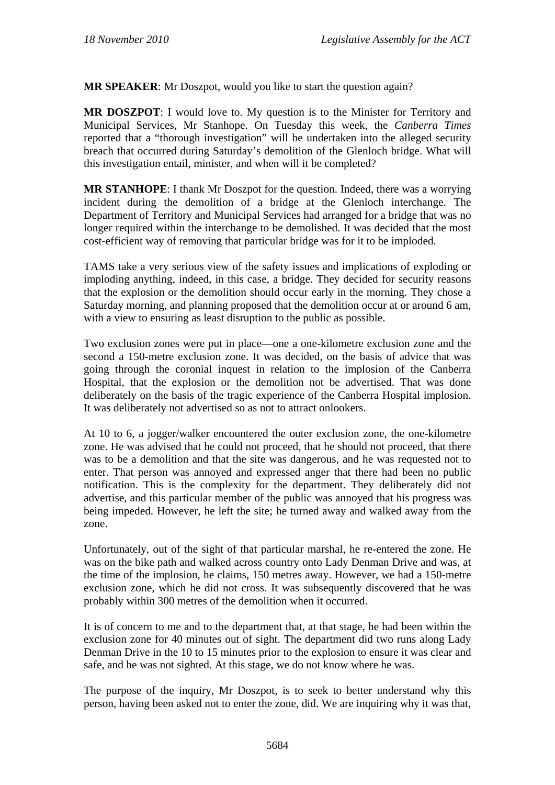**MR SPEAKER**: Mr Doszpot, would you like to start the question again?

**MR DOSZPOT**: I would love to. My question is to the Minister for Territory and Municipal Services, Mr Stanhope. On Tuesday this week, the *Canberra Times* reported that a "thorough investigation" will be undertaken into the alleged security breach that occurred during Saturday's demolition of the Glenloch bridge. What will this investigation entail, minister, and when will it be completed?

**MR STANHOPE**: I thank Mr Doszpot for the question. Indeed, there was a worrying incident during the demolition of a bridge at the Glenloch interchange. The Department of Territory and Municipal Services had arranged for a bridge that was no longer required within the interchange to be demolished. It was decided that the most cost-efficient way of removing that particular bridge was for it to be imploded.

TAMS take a very serious view of the safety issues and implications of exploding or imploding anything, indeed, in this case, a bridge. They decided for security reasons that the explosion or the demolition should occur early in the morning. They chose a Saturday morning, and planning proposed that the demolition occur at or around 6 am, with a view to ensuring as least disruption to the public as possible.

Two exclusion zones were put in place—one a one-kilometre exclusion zone and the second a 150-metre exclusion zone. It was decided, on the basis of advice that was going through the coronial inquest in relation to the implosion of the Canberra Hospital, that the explosion or the demolition not be advertised. That was done deliberately on the basis of the tragic experience of the Canberra Hospital implosion. It was deliberately not advertised so as not to attract onlookers.

At 10 to 6, a jogger/walker encountered the outer exclusion zone, the one-kilometre zone. He was advised that he could not proceed, that he should not proceed, that there was to be a demolition and that the site was dangerous, and he was requested not to enter. That person was annoyed and expressed anger that there had been no public notification. This is the complexity for the department. They deliberately did not advertise, and this particular member of the public was annoyed that his progress was being impeded. However, he left the site; he turned away and walked away from the zone.

Unfortunately, out of the sight of that particular marshal, he re-entered the zone. He was on the bike path and walked across country onto Lady Denman Drive and was, at the time of the implosion, he claims, 150 metres away. However, we had a 150-metre exclusion zone, which he did not cross. It was subsequently discovered that he was probably within 300 metres of the demolition when it occurred.

It is of concern to me and to the department that, at that stage, he had been within the exclusion zone for 40 minutes out of sight. The department did two runs along Lady Denman Drive in the 10 to 15 minutes prior to the explosion to ensure it was clear and safe, and he was not sighted. At this stage, we do not know where he was.

The purpose of the inquiry, Mr Doszpot, is to seek to better understand why this person, having been asked not to enter the zone, did. We are inquiring why it was that,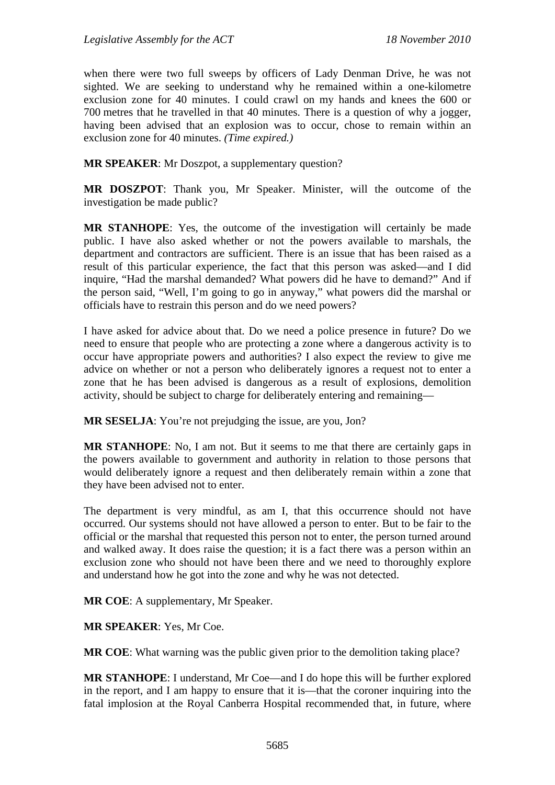when there were two full sweeps by officers of Lady Denman Drive, he was not sighted. We are seeking to understand why he remained within a one-kilometre exclusion zone for 40 minutes. I could crawl on my hands and knees the 600 or 700 metres that he travelled in that 40 minutes. There is a question of why a jogger, having been advised that an explosion was to occur, chose to remain within an exclusion zone for 40 minutes. *(Time expired.)*

**MR SPEAKER**: Mr Doszpot, a supplementary question?

**MR DOSZPOT**: Thank you, Mr Speaker. Minister, will the outcome of the investigation be made public?

**MR STANHOPE**: Yes, the outcome of the investigation will certainly be made public. I have also asked whether or not the powers available to marshals, the department and contractors are sufficient. There is an issue that has been raised as a result of this particular experience, the fact that this person was asked—and I did inquire, "Had the marshal demanded? What powers did he have to demand?" And if the person said, "Well, I'm going to go in anyway," what powers did the marshal or officials have to restrain this person and do we need powers?

I have asked for advice about that. Do we need a police presence in future? Do we need to ensure that people who are protecting a zone where a dangerous activity is to occur have appropriate powers and authorities? I also expect the review to give me advice on whether or not a person who deliberately ignores a request not to enter a zone that he has been advised is dangerous as a result of explosions, demolition activity, should be subject to charge for deliberately entering and remaining—

**MR SESELJA:** You're not prejudging the issue, are you, Jon?

**MR STANHOPE**: No, I am not. But it seems to me that there are certainly gaps in the powers available to government and authority in relation to those persons that would deliberately ignore a request and then deliberately remain within a zone that they have been advised not to enter.

The department is very mindful, as am I, that this occurrence should not have occurred. Our systems should not have allowed a person to enter. But to be fair to the official or the marshal that requested this person not to enter, the person turned around and walked away. It does raise the question; it is a fact there was a person within an exclusion zone who should not have been there and we need to thoroughly explore and understand how he got into the zone and why he was not detected.

**MR COE**: A supplementary, Mr Speaker.

**MR SPEAKER**: Yes, Mr Coe.

**MR COE**: What warning was the public given prior to the demolition taking place?

**MR STANHOPE**: I understand, Mr Coe—and I do hope this will be further explored in the report, and I am happy to ensure that it is—that the coroner inquiring into the fatal implosion at the Royal Canberra Hospital recommended that, in future, where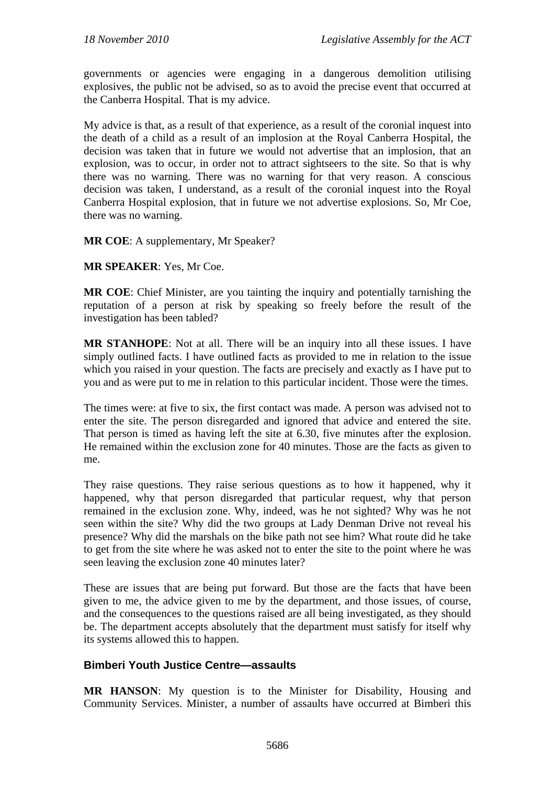governments or agencies were engaging in a dangerous demolition utilising explosives, the public not be advised, so as to avoid the precise event that occurred at the Canberra Hospital. That is my advice.

My advice is that, as a result of that experience, as a result of the coronial inquest into the death of a child as a result of an implosion at the Royal Canberra Hospital, the decision was taken that in future we would not advertise that an implosion, that an explosion, was to occur, in order not to attract sightseers to the site. So that is why there was no warning. There was no warning for that very reason. A conscious decision was taken, I understand, as a result of the coronial inquest into the Royal Canberra Hospital explosion, that in future we not advertise explosions. So, Mr Coe, there was no warning.

### **MR COE**: A supplementary, Mr Speaker?

**MR SPEAKER**: Yes, Mr Coe.

**MR COE**: Chief Minister, are you tainting the inquiry and potentially tarnishing the reputation of a person at risk by speaking so freely before the result of the investigation has been tabled?

**MR STANHOPE**: Not at all. There will be an inquiry into all these issues. I have simply outlined facts. I have outlined facts as provided to me in relation to the issue which you raised in your question. The facts are precisely and exactly as I have put to you and as were put to me in relation to this particular incident. Those were the times.

The times were: at five to six, the first contact was made. A person was advised not to enter the site. The person disregarded and ignored that advice and entered the site. That person is timed as having left the site at 6.30, five minutes after the explosion. He remained within the exclusion zone for 40 minutes. Those are the facts as given to me.

They raise questions. They raise serious questions as to how it happened, why it happened, why that person disregarded that particular request, why that person remained in the exclusion zone. Why, indeed, was he not sighted? Why was he not seen within the site? Why did the two groups at Lady Denman Drive not reveal his presence? Why did the marshals on the bike path not see him? What route did he take to get from the site where he was asked not to enter the site to the point where he was seen leaving the exclusion zone 40 minutes later?

These are issues that are being put forward. But those are the facts that have been given to me, the advice given to me by the department, and those issues, of course, and the consequences to the questions raised are all being investigated, as they should be. The department accepts absolutely that the department must satisfy for itself why its systems allowed this to happen.

### **Bimberi Youth Justice Centre—assaults**

**MR HANSON**: My question is to the Minister for Disability, Housing and Community Services. Minister, a number of assaults have occurred at Bimberi this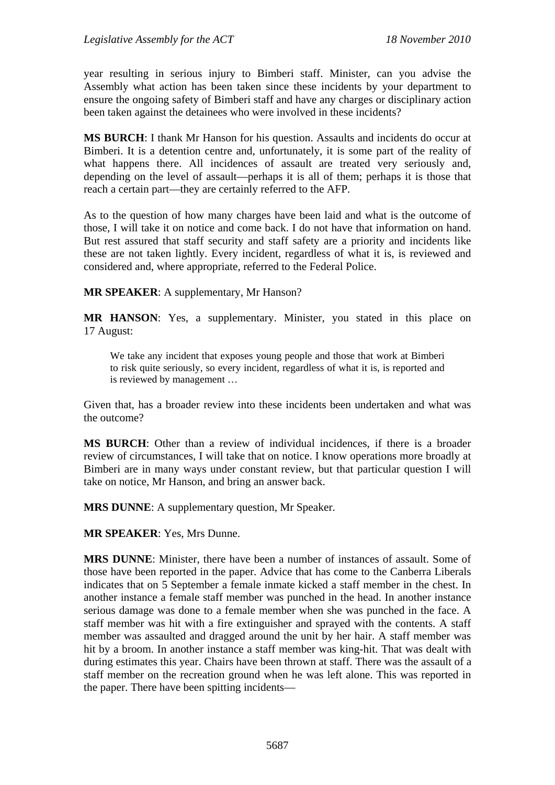year resulting in serious injury to Bimberi staff. Minister, can you advise the Assembly what action has been taken since these incidents by your department to ensure the ongoing safety of Bimberi staff and have any charges or disciplinary action been taken against the detainees who were involved in these incidents?

**MS BURCH**: I thank Mr Hanson for his question. Assaults and incidents do occur at Bimberi. It is a detention centre and, unfortunately, it is some part of the reality of what happens there. All incidences of assault are treated very seriously and, depending on the level of assault—perhaps it is all of them; perhaps it is those that reach a certain part—they are certainly referred to the AFP.

As to the question of how many charges have been laid and what is the outcome of those, I will take it on notice and come back. I do not have that information on hand. But rest assured that staff security and staff safety are a priority and incidents like these are not taken lightly. Every incident, regardless of what it is, is reviewed and considered and, where appropriate, referred to the Federal Police.

**MR SPEAKER**: A supplementary, Mr Hanson?

**MR HANSON**: Yes, a supplementary. Minister, you stated in this place on 17 August:

We take any incident that exposes young people and those that work at Bimberi to risk quite seriously, so every incident, regardless of what it is, is reported and is reviewed by management …

Given that, has a broader review into these incidents been undertaken and what was the outcome?

**MS BURCH**: Other than a review of individual incidences, if there is a broader review of circumstances, I will take that on notice. I know operations more broadly at Bimberi are in many ways under constant review, but that particular question I will take on notice, Mr Hanson, and bring an answer back.

**MRS DUNNE:** A supplementary question, Mr Speaker.

**MR SPEAKER**: Yes, Mrs Dunne.

**MRS DUNNE**: Minister, there have been a number of instances of assault. Some of those have been reported in the paper. Advice that has come to the Canberra Liberals indicates that on 5 September a female inmate kicked a staff member in the chest. In another instance a female staff member was punched in the head. In another instance serious damage was done to a female member when she was punched in the face. A staff member was hit with a fire extinguisher and sprayed with the contents. A staff member was assaulted and dragged around the unit by her hair. A staff member was hit by a broom. In another instance a staff member was king-hit. That was dealt with during estimates this year. Chairs have been thrown at staff. There was the assault of a staff member on the recreation ground when he was left alone. This was reported in the paper. There have been spitting incidents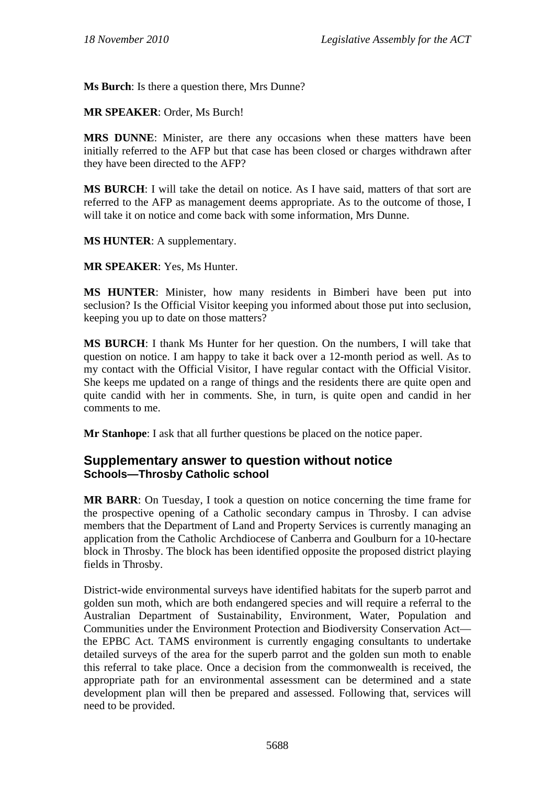**Ms Burch**: Is there a question there, Mrs Dunne?

**MR SPEAKER**: Order, Ms Burch!

**MRS DUNNE**: Minister, are there any occasions when these matters have been initially referred to the AFP but that case has been closed or charges withdrawn after they have been directed to the AFP?

**MS BURCH**: I will take the detail on notice. As I have said, matters of that sort are referred to the AFP as management deems appropriate. As to the outcome of those, I will take it on notice and come back with some information, Mrs Dunne.

**MS HUNTER**: A supplementary.

**MR SPEAKER**: Yes, Ms Hunter.

**MS HUNTER**: Minister, how many residents in Bimberi have been put into seclusion? Is the Official Visitor keeping you informed about those put into seclusion, keeping you up to date on those matters?

**MS BURCH**: I thank Ms Hunter for her question. On the numbers, I will take that question on notice. I am happy to take it back over a 12-month period as well. As to my contact with the Official Visitor, I have regular contact with the Official Visitor. She keeps me updated on a range of things and the residents there are quite open and quite candid with her in comments. She, in turn, is quite open and candid in her comments to me.

**Mr Stanhope**: I ask that all further questions be placed on the notice paper.

## **Supplementary answer to question without notice Schools—Throsby Catholic school**

**MR BARR**: On Tuesday, I took a question on notice concerning the time frame for the prospective opening of a Catholic secondary campus in Throsby. I can advise members that the Department of Land and Property Services is currently managing an application from the Catholic Archdiocese of Canberra and Goulburn for a 10-hectare block in Throsby. The block has been identified opposite the proposed district playing fields in Throsby.

District-wide environmental surveys have identified habitats for the superb parrot and golden sun moth, which are both endangered species and will require a referral to the Australian Department of Sustainability, Environment, Water, Population and Communities under the Environment Protection and Biodiversity Conservation Act the EPBC Act. TAMS environment is currently engaging consultants to undertake detailed surveys of the area for the superb parrot and the golden sun moth to enable this referral to take place. Once a decision from the commonwealth is received, the appropriate path for an environmental assessment can be determined and a state development plan will then be prepared and assessed. Following that, services will need to be provided.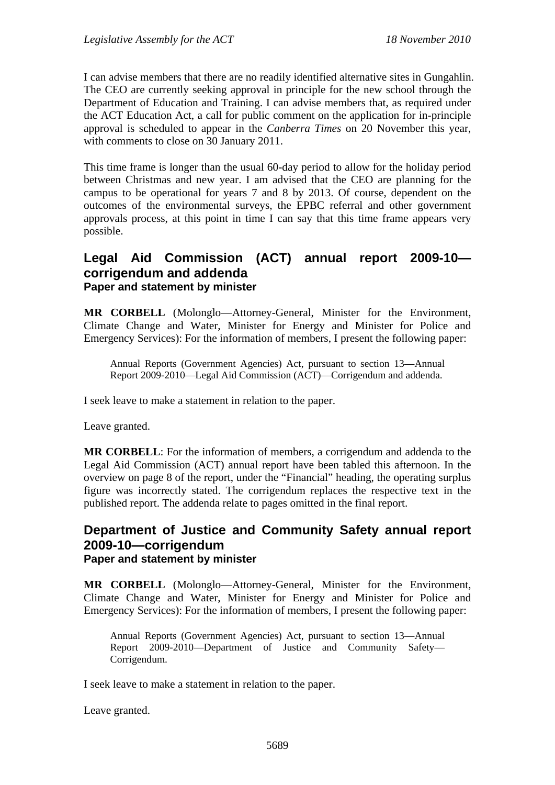I can advise members that there are no readily identified alternative sites in Gungahlin. The CEO are currently seeking approval in principle for the new school through the Department of Education and Training. I can advise members that, as required under the ACT Education Act, a call for public comment on the application for in-principle approval is scheduled to appear in the *Canberra Times* on 20 November this year, with comments to close on 30 January 2011.

This time frame is longer than the usual 60-day period to allow for the holiday period between Christmas and new year. I am advised that the CEO are planning for the campus to be operational for years 7 and 8 by 2013. Of course, dependent on the outcomes of the environmental surveys, the EPBC referral and other government approvals process, at this point in time I can say that this time frame appears very possible.

### **Legal Aid Commission (ACT) annual report 2009-10 corrigendum and addenda Paper and statement by minister**

**MR CORBELL** (Molonglo—Attorney-General, Minister for the Environment, Climate Change and Water, Minister for Energy and Minister for Police and Emergency Services): For the information of members, I present the following paper:

Annual Reports (Government Agencies) Act, pursuant to section 13—Annual Report 2009-2010—Legal Aid Commission (ACT)—Corrigendum and addenda.

I seek leave to make a statement in relation to the paper.

Leave granted.

**MR CORBELL**: For the information of members, a corrigendum and addenda to the Legal Aid Commission (ACT) annual report have been tabled this afternoon. In the overview on page 8 of the report, under the "Financial" heading, the operating surplus figure was incorrectly stated. The corrigendum replaces the respective text in the published report. The addenda relate to pages omitted in the final report.

### **Department of Justice and Community Safety annual report 2009-10—corrigendum Paper and statement by minister**

**MR CORBELL** (Molonglo—Attorney-General, Minister for the Environment, Climate Change and Water, Minister for Energy and Minister for Police and Emergency Services): For the information of members, I present the following paper:

Annual Reports (Government Agencies) Act, pursuant to section 13—Annual Report 2009-2010—Department of Justice and Community Safety— Corrigendum.

I seek leave to make a statement in relation to the paper.

Leave granted.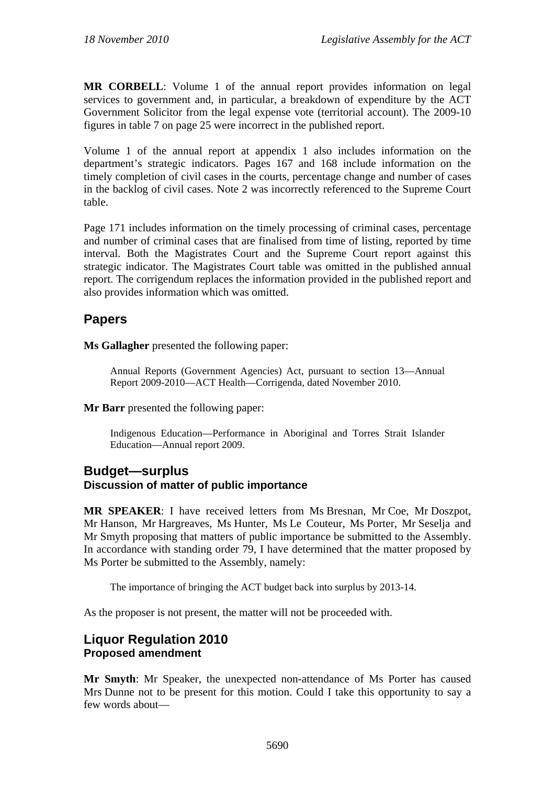**MR CORBELL**: Volume 1 of the annual report provides information on legal services to government and, in particular, a breakdown of expenditure by the ACT Government Solicitor from the legal expense vote (territorial account). The 2009-10 figures in table 7 on page 25 were incorrect in the published report.

Volume 1 of the annual report at appendix 1 also includes information on the department's strategic indicators. Pages 167 and 168 include information on the timely completion of civil cases in the courts, percentage change and number of cases in the backlog of civil cases. Note 2 was incorrectly referenced to the Supreme Court table.

Page 171 includes information on the timely processing of criminal cases, percentage and number of criminal cases that are finalised from time of listing, reported by time interval. Both the Magistrates Court and the Supreme Court report against this strategic indicator. The Magistrates Court table was omitted in the published annual report. The corrigendum replaces the information provided in the published report and also provides information which was omitted.

# **Papers**

**Ms Gallagher** presented the following paper:

Annual Reports (Government Agencies) Act, pursuant to section 13—Annual Report 2009-2010—ACT Health—Corrigenda, dated November 2010.

#### **Mr Barr** presented the following paper:

Indigenous Education—Performance in Aboriginal and Torres Strait Islander Education—Annual report 2009.

#### **Budget—surplus Discussion of matter of public importance**

**MR SPEAKER**: I have received letters from Ms Bresnan, Mr Coe, Mr Doszpot, Mr Hanson, Mr Hargreaves, Ms Hunter, Ms Le Couteur, Ms Porter, Mr Seselja and Mr Smyth proposing that matters of public importance be submitted to the Assembly. In accordance with standing order 79, I have determined that the matter proposed by Ms Porter be submitted to the Assembly, namely:

The importance of bringing the ACT budget back into surplus by 2013-14.

As the proposer is not present, the matter will not be proceeded with.

## **Liquor Regulation 2010 Proposed amendment**

**Mr Smyth**: Mr Speaker, the unexpected non-attendance of Ms Porter has caused Mrs Dunne not to be present for this motion. Could I take this opportunity to say a few words about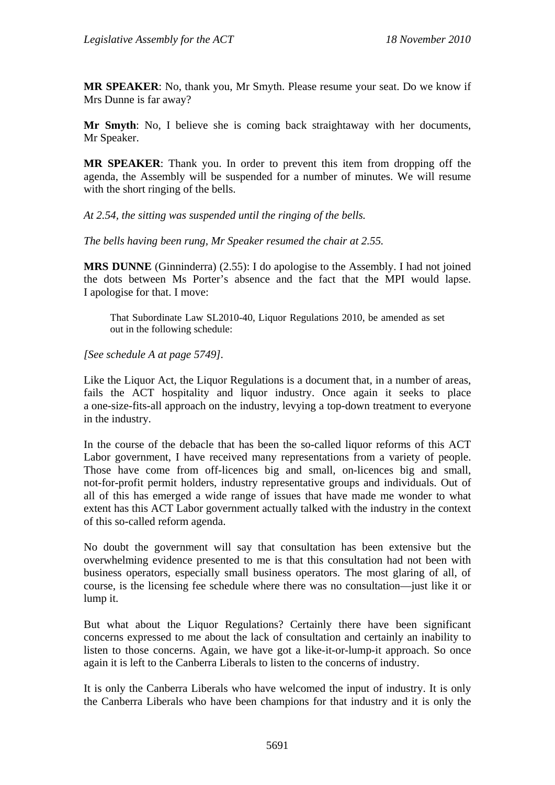**MR SPEAKER**: No, thank you, Mr Smyth. Please resume your seat. Do we know if Mrs Dunne is far away?

**Mr Smyth**: No, I believe she is coming back straightaway with her documents, Mr Speaker.

**MR SPEAKER**: Thank you. In order to prevent this item from dropping off the agenda, the Assembly will be suspended for a number of minutes. We will resume with the short ringing of the bells.

*At 2.54, the sitting was suspended until the ringing of the bells.* 

*The bells having been rung, Mr Speaker resumed the chair at 2.55.* 

**MRS DUNNE** (Ginninderra) (2.55): I do apologise to the Assembly. I had not joined the dots between Ms Porter's absence and the fact that the MPI would lapse. I apologise for that. I move:

That Subordinate Law SL2010-40, Liquor Regulations 2010, be amended as set out in the following schedule:

*[See schedule A at page 5749].* 

Like the Liquor Act, the Liquor Regulations is a document that, in a number of areas, fails the ACT hospitality and liquor industry. Once again it seeks to place a one-size-fits-all approach on the industry, levying a top-down treatment to everyone in the industry.

In the course of the debacle that has been the so-called liquor reforms of this ACT Labor government, I have received many representations from a variety of people. Those have come from off-licences big and small, on-licences big and small, not-for-profit permit holders, industry representative groups and individuals. Out of all of this has emerged a wide range of issues that have made me wonder to what extent has this ACT Labor government actually talked with the industry in the context of this so-called reform agenda.

No doubt the government will say that consultation has been extensive but the overwhelming evidence presented to me is that this consultation had not been with business operators, especially small business operators. The most glaring of all, of course, is the licensing fee schedule where there was no consultation—just like it or lump it.

But what about the Liquor Regulations? Certainly there have been significant concerns expressed to me about the lack of consultation and certainly an inability to listen to those concerns. Again, we have got a like-it-or-lump-it approach. So once again it is left to the Canberra Liberals to listen to the concerns of industry.

It is only the Canberra Liberals who have welcomed the input of industry. It is only the Canberra Liberals who have been champions for that industry and it is only the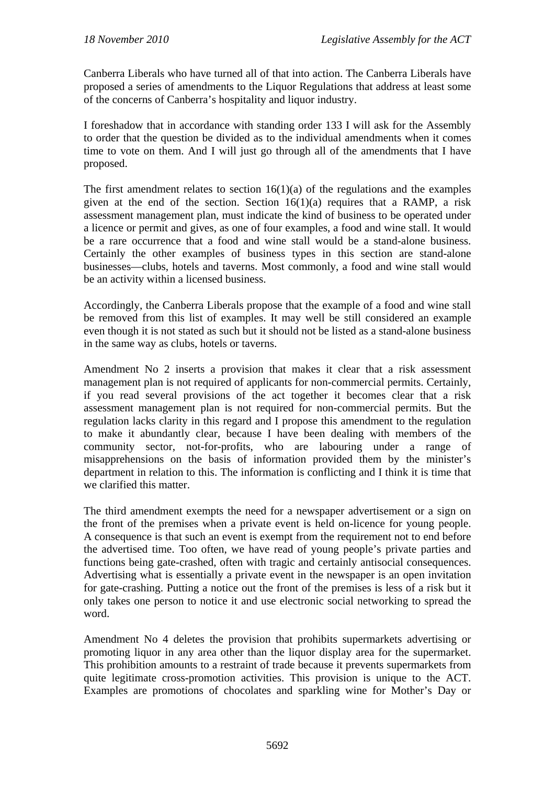Canberra Liberals who have turned all of that into action. The Canberra Liberals have proposed a series of amendments to the Liquor Regulations that address at least some of the concerns of Canberra's hospitality and liquor industry.

I foreshadow that in accordance with standing order 133 I will ask for the Assembly to order that the question be divided as to the individual amendments when it comes time to vote on them. And I will just go through all of the amendments that I have proposed.

The first amendment relates to section  $16(1)(a)$  of the regulations and the examples given at the end of the section. Section  $16(1)(a)$  requires that a RAMP, a risk assessment management plan, must indicate the kind of business to be operated under a licence or permit and gives, as one of four examples, a food and wine stall. It would be a rare occurrence that a food and wine stall would be a stand-alone business. Certainly the other examples of business types in this section are stand-alone businesses—clubs, hotels and taverns. Most commonly, a food and wine stall would be an activity within a licensed business.

Accordingly, the Canberra Liberals propose that the example of a food and wine stall be removed from this list of examples. It may well be still considered an example even though it is not stated as such but it should not be listed as a stand-alone business in the same way as clubs, hotels or taverns.

Amendment No 2 inserts a provision that makes it clear that a risk assessment management plan is not required of applicants for non-commercial permits. Certainly, if you read several provisions of the act together it becomes clear that a risk assessment management plan is not required for non-commercial permits. But the regulation lacks clarity in this regard and I propose this amendment to the regulation to make it abundantly clear, because I have been dealing with members of the community sector, not-for-profits, who are labouring under a range of misapprehensions on the basis of information provided them by the minister's department in relation to this. The information is conflicting and I think it is time that we clarified this matter.

The third amendment exempts the need for a newspaper advertisement or a sign on the front of the premises when a private event is held on-licence for young people. A consequence is that such an event is exempt from the requirement not to end before the advertised time. Too often, we have read of young people's private parties and functions being gate-crashed, often with tragic and certainly antisocial consequences. Advertising what is essentially a private event in the newspaper is an open invitation for gate-crashing. Putting a notice out the front of the premises is less of a risk but it only takes one person to notice it and use electronic social networking to spread the word.

Amendment No 4 deletes the provision that prohibits supermarkets advertising or promoting liquor in any area other than the liquor display area for the supermarket. This prohibition amounts to a restraint of trade because it prevents supermarkets from quite legitimate cross-promotion activities. This provision is unique to the ACT. Examples are promotions of chocolates and sparkling wine for Mother's Day or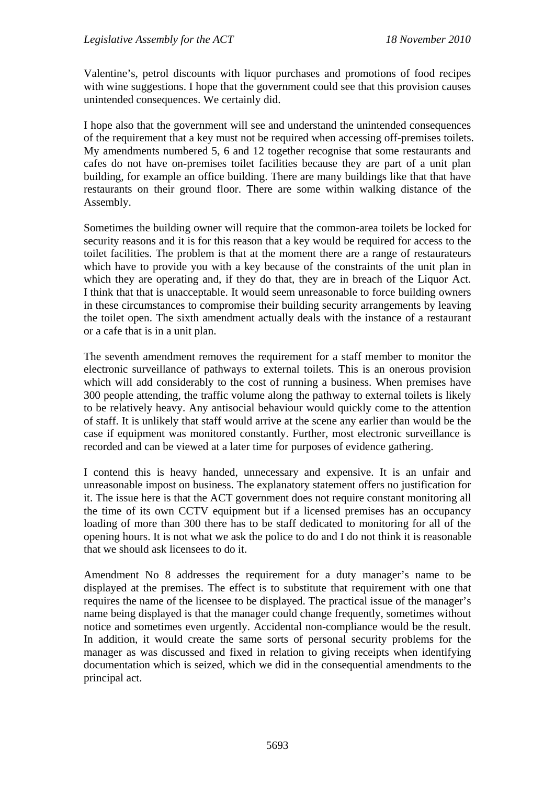Valentine's, petrol discounts with liquor purchases and promotions of food recipes with wine suggestions. I hope that the government could see that this provision causes unintended consequences. We certainly did.

I hope also that the government will see and understand the unintended consequences of the requirement that a key must not be required when accessing off-premises toilets. My amendments numbered 5, 6 and 12 together recognise that some restaurants and cafes do not have on-premises toilet facilities because they are part of a unit plan building, for example an office building. There are many buildings like that that have restaurants on their ground floor. There are some within walking distance of the Assembly.

Sometimes the building owner will require that the common-area toilets be locked for security reasons and it is for this reason that a key would be required for access to the toilet facilities. The problem is that at the moment there are a range of restaurateurs which have to provide you with a key because of the constraints of the unit plan in which they are operating and, if they do that, they are in breach of the Liquor Act. I think that that is unacceptable. It would seem unreasonable to force building owners in these circumstances to compromise their building security arrangements by leaving the toilet open. The sixth amendment actually deals with the instance of a restaurant or a cafe that is in a unit plan.

The seventh amendment removes the requirement for a staff member to monitor the electronic surveillance of pathways to external toilets. This is an onerous provision which will add considerably to the cost of running a business. When premises have 300 people attending, the traffic volume along the pathway to external toilets is likely to be relatively heavy. Any antisocial behaviour would quickly come to the attention of staff. It is unlikely that staff would arrive at the scene any earlier than would be the case if equipment was monitored constantly. Further, most electronic surveillance is recorded and can be viewed at a later time for purposes of evidence gathering.

I contend this is heavy handed, unnecessary and expensive. It is an unfair and unreasonable impost on business. The explanatory statement offers no justification for it. The issue here is that the ACT government does not require constant monitoring all the time of its own CCTV equipment but if a licensed premises has an occupancy loading of more than 300 there has to be staff dedicated to monitoring for all of the opening hours. It is not what we ask the police to do and I do not think it is reasonable that we should ask licensees to do it.

Amendment No 8 addresses the requirement for a duty manager's name to be displayed at the premises. The effect is to substitute that requirement with one that requires the name of the licensee to be displayed. The practical issue of the manager's name being displayed is that the manager could change frequently, sometimes without notice and sometimes even urgently. Accidental non-compliance would be the result. In addition, it would create the same sorts of personal security problems for the manager as was discussed and fixed in relation to giving receipts when identifying documentation which is seized, which we did in the consequential amendments to the principal act.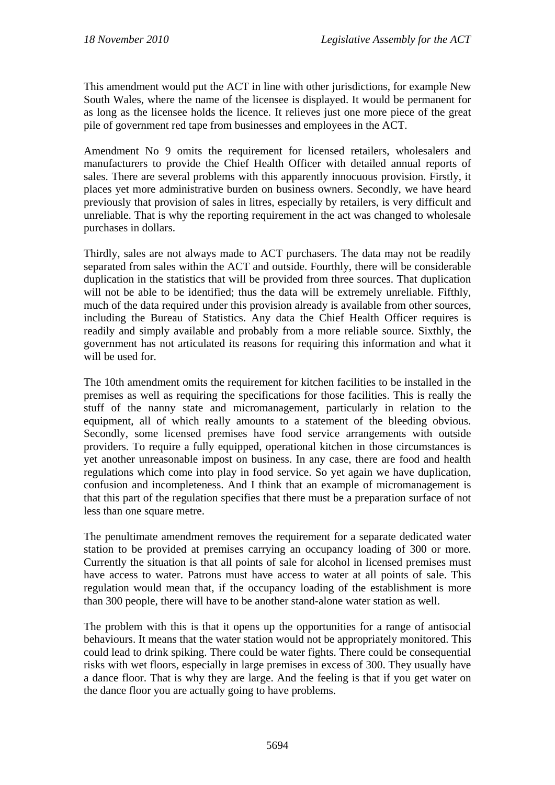This amendment would put the ACT in line with other jurisdictions, for example New South Wales, where the name of the licensee is displayed. It would be permanent for as long as the licensee holds the licence. It relieves just one more piece of the great pile of government red tape from businesses and employees in the ACT.

Amendment No 9 omits the requirement for licensed retailers, wholesalers and manufacturers to provide the Chief Health Officer with detailed annual reports of sales. There are several problems with this apparently innocuous provision. Firstly, it places yet more administrative burden on business owners. Secondly, we have heard previously that provision of sales in litres, especially by retailers, is very difficult and unreliable. That is why the reporting requirement in the act was changed to wholesale purchases in dollars.

Thirdly, sales are not always made to ACT purchasers. The data may not be readily separated from sales within the ACT and outside. Fourthly, there will be considerable duplication in the statistics that will be provided from three sources. That duplication will not be able to be identified; thus the data will be extremely unreliable. Fifthly, much of the data required under this provision already is available from other sources, including the Bureau of Statistics. Any data the Chief Health Officer requires is readily and simply available and probably from a more reliable source. Sixthly, the government has not articulated its reasons for requiring this information and what it will be used for.

The 10th amendment omits the requirement for kitchen facilities to be installed in the premises as well as requiring the specifications for those facilities. This is really the stuff of the nanny state and micromanagement, particularly in relation to the equipment, all of which really amounts to a statement of the bleeding obvious. Secondly, some licensed premises have food service arrangements with outside providers. To require a fully equipped, operational kitchen in those circumstances is yet another unreasonable impost on business. In any case, there are food and health regulations which come into play in food service. So yet again we have duplication, confusion and incompleteness. And I think that an example of micromanagement is that this part of the regulation specifies that there must be a preparation surface of not less than one square metre.

The penultimate amendment removes the requirement for a separate dedicated water station to be provided at premises carrying an occupancy loading of 300 or more. Currently the situation is that all points of sale for alcohol in licensed premises must have access to water. Patrons must have access to water at all points of sale. This regulation would mean that, if the occupancy loading of the establishment is more than 300 people, there will have to be another stand-alone water station as well.

The problem with this is that it opens up the opportunities for a range of antisocial behaviours. It means that the water station would not be appropriately monitored. This could lead to drink spiking. There could be water fights. There could be consequential risks with wet floors, especially in large premises in excess of 300. They usually have a dance floor. That is why they are large. And the feeling is that if you get water on the dance floor you are actually going to have problems.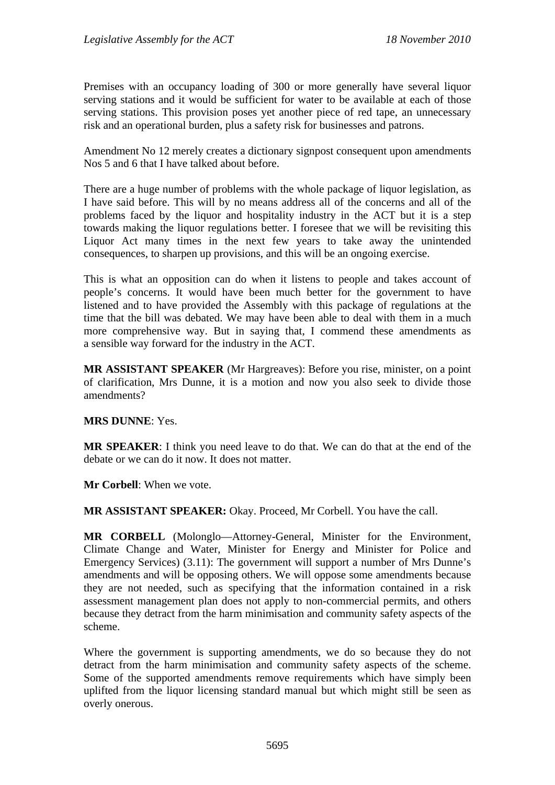Premises with an occupancy loading of 300 or more generally have several liquor serving stations and it would be sufficient for water to be available at each of those serving stations. This provision poses yet another piece of red tape, an unnecessary risk and an operational burden, plus a safety risk for businesses and patrons.

Amendment No 12 merely creates a dictionary signpost consequent upon amendments Nos 5 and 6 that I have talked about before.

There are a huge number of problems with the whole package of liquor legislation, as I have said before. This will by no means address all of the concerns and all of the problems faced by the liquor and hospitality industry in the ACT but it is a step towards making the liquor regulations better. I foresee that we will be revisiting this Liquor Act many times in the next few years to take away the unintended consequences, to sharpen up provisions, and this will be an ongoing exercise.

This is what an opposition can do when it listens to people and takes account of people's concerns. It would have been much better for the government to have listened and to have provided the Assembly with this package of regulations at the time that the bill was debated. We may have been able to deal with them in a much more comprehensive way. But in saying that, I commend these amendments as a sensible way forward for the industry in the ACT.

**MR ASSISTANT SPEAKER** (Mr Hargreaves): Before you rise, minister, on a point of clarification, Mrs Dunne, it is a motion and now you also seek to divide those amendments?

### **MRS DUNNE**: Yes.

**MR SPEAKER**: I think you need leave to do that. We can do that at the end of the debate or we can do it now. It does not matter.

**Mr Corbell**: When we vote.

**MR ASSISTANT SPEAKER:** Okay. Proceed, Mr Corbell. You have the call.

**MR CORBELL** (Molonglo—Attorney-General, Minister for the Environment, Climate Change and Water, Minister for Energy and Minister for Police and Emergency Services) (3.11): The government will support a number of Mrs Dunne's amendments and will be opposing others. We will oppose some amendments because they are not needed, such as specifying that the information contained in a risk assessment management plan does not apply to non-commercial permits, and others because they detract from the harm minimisation and community safety aspects of the scheme.

Where the government is supporting amendments, we do so because they do not detract from the harm minimisation and community safety aspects of the scheme. Some of the supported amendments remove requirements which have simply been uplifted from the liquor licensing standard manual but which might still be seen as overly onerous.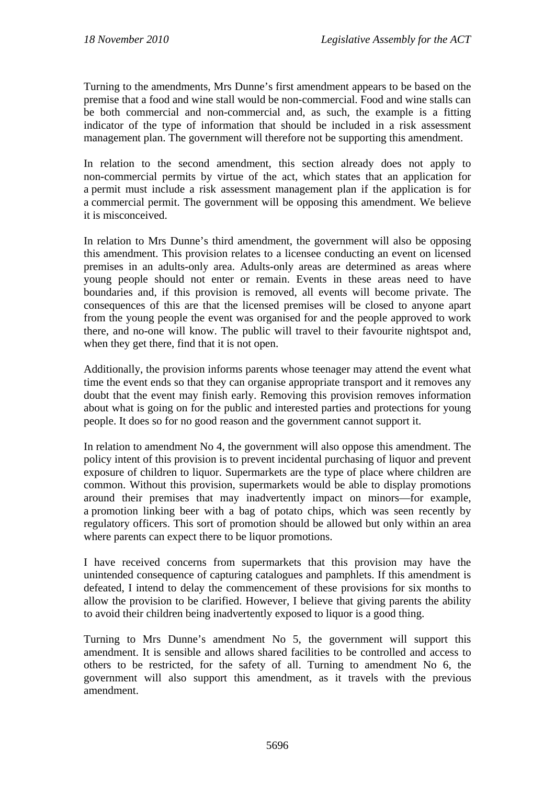Turning to the amendments, Mrs Dunne's first amendment appears to be based on the premise that a food and wine stall would be non-commercial. Food and wine stalls can be both commercial and non-commercial and, as such, the example is a fitting indicator of the type of information that should be included in a risk assessment management plan. The government will therefore not be supporting this amendment.

In relation to the second amendment, this section already does not apply to non-commercial permits by virtue of the act, which states that an application for a permit must include a risk assessment management plan if the application is for a commercial permit. The government will be opposing this amendment. We believe it is misconceived.

In relation to Mrs Dunne's third amendment, the government will also be opposing this amendment. This provision relates to a licensee conducting an event on licensed premises in an adults-only area. Adults-only areas are determined as areas where young people should not enter or remain. Events in these areas need to have boundaries and, if this provision is removed, all events will become private. The consequences of this are that the licensed premises will be closed to anyone apart from the young people the event was organised for and the people approved to work there, and no-one will know. The public will travel to their favourite nightspot and, when they get there, find that it is not open.

Additionally, the provision informs parents whose teenager may attend the event what time the event ends so that they can organise appropriate transport and it removes any doubt that the event may finish early. Removing this provision removes information about what is going on for the public and interested parties and protections for young people. It does so for no good reason and the government cannot support it.

In relation to amendment No 4, the government will also oppose this amendment. The policy intent of this provision is to prevent incidental purchasing of liquor and prevent exposure of children to liquor. Supermarkets are the type of place where children are common. Without this provision, supermarkets would be able to display promotions around their premises that may inadvertently impact on minors—for example, a promotion linking beer with a bag of potato chips, which was seen recently by regulatory officers. This sort of promotion should be allowed but only within an area where parents can expect there to be liquor promotions.

I have received concerns from supermarkets that this provision may have the unintended consequence of capturing catalogues and pamphlets. If this amendment is defeated, I intend to delay the commencement of these provisions for six months to allow the provision to be clarified. However, I believe that giving parents the ability to avoid their children being inadvertently exposed to liquor is a good thing.

Turning to Mrs Dunne's amendment No 5, the government will support this amendment. It is sensible and allows shared facilities to be controlled and access to others to be restricted, for the safety of all. Turning to amendment No 6, the government will also support this amendment, as it travels with the previous amendment.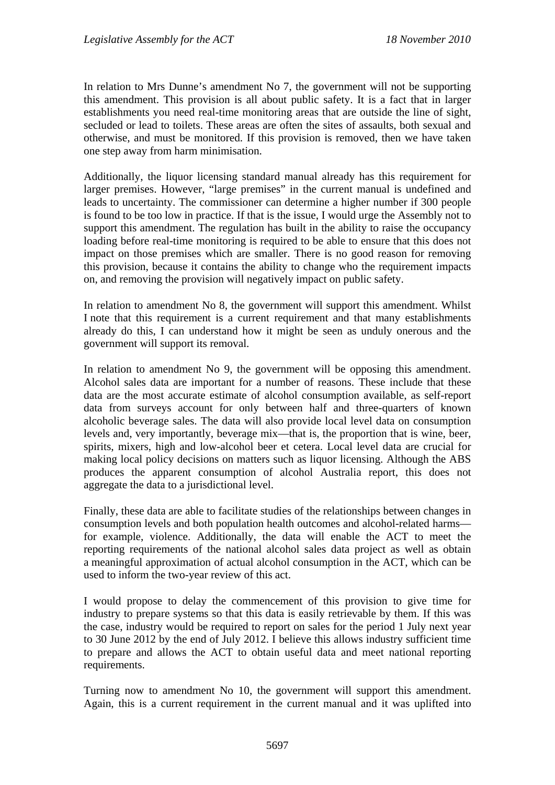In relation to Mrs Dunne's amendment No 7, the government will not be supporting this amendment. This provision is all about public safety. It is a fact that in larger establishments you need real-time monitoring areas that are outside the line of sight, secluded or lead to toilets. These areas are often the sites of assaults, both sexual and otherwise, and must be monitored. If this provision is removed, then we have taken one step away from harm minimisation.

Additionally, the liquor licensing standard manual already has this requirement for larger premises. However, "large premises" in the current manual is undefined and leads to uncertainty. The commissioner can determine a higher number if 300 people is found to be too low in practice. If that is the issue, I would urge the Assembly not to support this amendment. The regulation has built in the ability to raise the occupancy loading before real-time monitoring is required to be able to ensure that this does not impact on those premises which are smaller. There is no good reason for removing this provision, because it contains the ability to change who the requirement impacts on, and removing the provision will negatively impact on public safety.

In relation to amendment No 8, the government will support this amendment. Whilst I note that this requirement is a current requirement and that many establishments already do this, I can understand how it might be seen as unduly onerous and the government will support its removal.

In relation to amendment No 9, the government will be opposing this amendment. Alcohol sales data are important for a number of reasons. These include that these data are the most accurate estimate of alcohol consumption available, as self-report data from surveys account for only between half and three-quarters of known alcoholic beverage sales. The data will also provide local level data on consumption levels and, very importantly, beverage mix—that is, the proportion that is wine, beer, spirits, mixers, high and low-alcohol beer et cetera. Local level data are crucial for making local policy decisions on matters such as liquor licensing. Although the ABS produces the apparent consumption of alcohol Australia report, this does not aggregate the data to a jurisdictional level.

Finally, these data are able to facilitate studies of the relationships between changes in consumption levels and both population health outcomes and alcohol-related harms for example, violence. Additionally, the data will enable the ACT to meet the reporting requirements of the national alcohol sales data project as well as obtain a meaningful approximation of actual alcohol consumption in the ACT, which can be used to inform the two-year review of this act.

I would propose to delay the commencement of this provision to give time for industry to prepare systems so that this data is easily retrievable by them. If this was the case, industry would be required to report on sales for the period 1 July next year to 30 June 2012 by the end of July 2012. I believe this allows industry sufficient time to prepare and allows the ACT to obtain useful data and meet national reporting requirements.

Turning now to amendment No 10, the government will support this amendment. Again, this is a current requirement in the current manual and it was uplifted into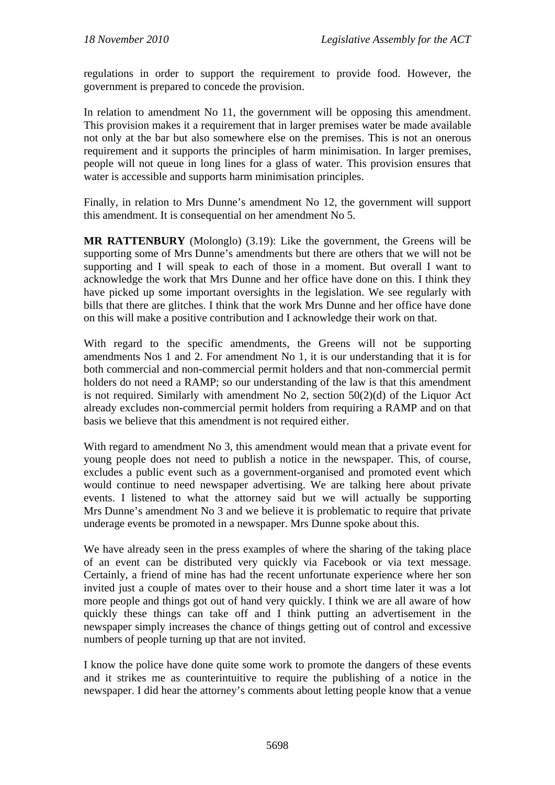regulations in order to support the requirement to provide food. However, the government is prepared to concede the provision.

In relation to amendment No 11, the government will be opposing this amendment. This provision makes it a requirement that in larger premises water be made available not only at the bar but also somewhere else on the premises. This is not an onerous requirement and it supports the principles of harm minimisation. In larger premises, people will not queue in long lines for a glass of water. This provision ensures that water is accessible and supports harm minimisation principles.

Finally, in relation to Mrs Dunne's amendment No 12, the government will support this amendment. It is consequential on her amendment No 5.

**MR RATTENBURY** (Molonglo) (3.19): Like the government, the Greens will be supporting some of Mrs Dunne's amendments but there are others that we will not be supporting and I will speak to each of those in a moment. But overall I want to acknowledge the work that Mrs Dunne and her office have done on this. I think they have picked up some important oversights in the legislation. We see regularly with bills that there are glitches. I think that the work Mrs Dunne and her office have done on this will make a positive contribution and I acknowledge their work on that.

With regard to the specific amendments, the Greens will not be supporting amendments Nos 1 and 2. For amendment No 1, it is our understanding that it is for both commercial and non-commercial permit holders and that non-commercial permit holders do not need a RAMP; so our understanding of the law is that this amendment is not required. Similarly with amendment No 2, section  $50(2)(d)$  of the Liquor Act already excludes non-commercial permit holders from requiring a RAMP and on that basis we believe that this amendment is not required either.

With regard to amendment No 3, this amendment would mean that a private event for young people does not need to publish a notice in the newspaper. This, of course, excludes a public event such as a government-organised and promoted event which would continue to need newspaper advertising. We are talking here about private events. I listened to what the attorney said but we will actually be supporting Mrs Dunne's amendment No 3 and we believe it is problematic to require that private underage events be promoted in a newspaper. Mrs Dunne spoke about this.

We have already seen in the press examples of where the sharing of the taking place of an event can be distributed very quickly via Facebook or via text message. Certainly, a friend of mine has had the recent unfortunate experience where her son invited just a couple of mates over to their house and a short time later it was a lot more people and things got out of hand very quickly. I think we are all aware of how quickly these things can take off and I think putting an advertisement in the newspaper simply increases the chance of things getting out of control and excessive numbers of people turning up that are not invited.

I know the police have done quite some work to promote the dangers of these events and it strikes me as counterintuitive to require the publishing of a notice in the newspaper. I did hear the attorney's comments about letting people know that a venue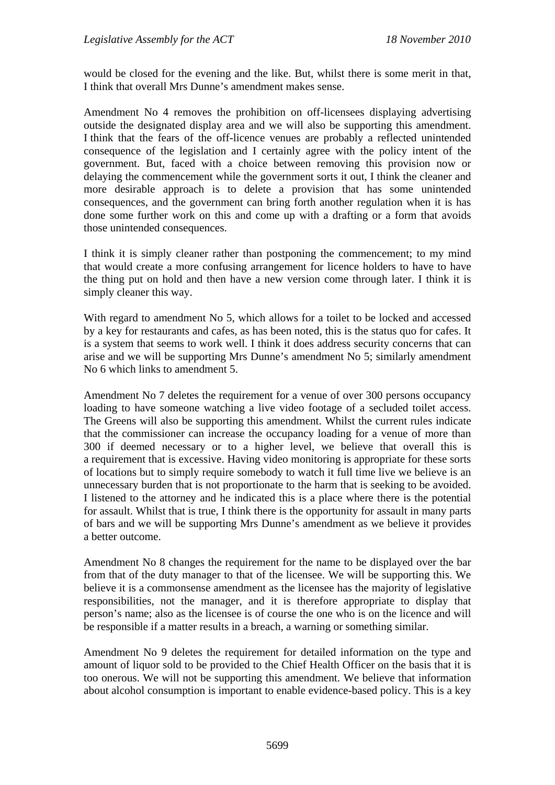would be closed for the evening and the like. But, whilst there is some merit in that, I think that overall Mrs Dunne's amendment makes sense.

Amendment No 4 removes the prohibition on off-licensees displaying advertising outside the designated display area and we will also be supporting this amendment. I think that the fears of the off-licence venues are probably a reflected unintended consequence of the legislation and I certainly agree with the policy intent of the government. But, faced with a choice between removing this provision now or delaying the commencement while the government sorts it out, I think the cleaner and more desirable approach is to delete a provision that has some unintended consequences, and the government can bring forth another regulation when it is has done some further work on this and come up with a drafting or a form that avoids those unintended consequences.

I think it is simply cleaner rather than postponing the commencement; to my mind that would create a more confusing arrangement for licence holders to have to have the thing put on hold and then have a new version come through later. I think it is simply cleaner this way.

With regard to amendment No 5, which allows for a toilet to be locked and accessed by a key for restaurants and cafes, as has been noted, this is the status quo for cafes. It is a system that seems to work well. I think it does address security concerns that can arise and we will be supporting Mrs Dunne's amendment No 5; similarly amendment No 6 which links to amendment 5.

Amendment No 7 deletes the requirement for a venue of over 300 persons occupancy loading to have someone watching a live video footage of a secluded toilet access. The Greens will also be supporting this amendment. Whilst the current rules indicate that the commissioner can increase the occupancy loading for a venue of more than 300 if deemed necessary or to a higher level, we believe that overall this is a requirement that is excessive. Having video monitoring is appropriate for these sorts of locations but to simply require somebody to watch it full time live we believe is an unnecessary burden that is not proportionate to the harm that is seeking to be avoided. I listened to the attorney and he indicated this is a place where there is the potential for assault. Whilst that is true, I think there is the opportunity for assault in many parts of bars and we will be supporting Mrs Dunne's amendment as we believe it provides a better outcome.

Amendment No 8 changes the requirement for the name to be displayed over the bar from that of the duty manager to that of the licensee. We will be supporting this. We believe it is a commonsense amendment as the licensee has the majority of legislative responsibilities, not the manager, and it is therefore appropriate to display that person's name; also as the licensee is of course the one who is on the licence and will be responsible if a matter results in a breach, a warning or something similar.

Amendment No 9 deletes the requirement for detailed information on the type and amount of liquor sold to be provided to the Chief Health Officer on the basis that it is too onerous. We will not be supporting this amendment. We believe that information about alcohol consumption is important to enable evidence-based policy. This is a key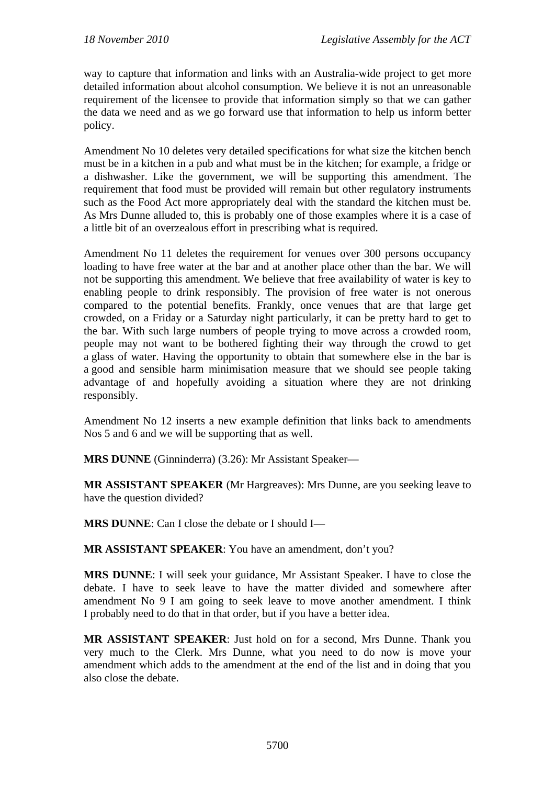way to capture that information and links with an Australia-wide project to get more detailed information about alcohol consumption. We believe it is not an unreasonable requirement of the licensee to provide that information simply so that we can gather the data we need and as we go forward use that information to help us inform better policy.

Amendment No 10 deletes very detailed specifications for what size the kitchen bench must be in a kitchen in a pub and what must be in the kitchen; for example, a fridge or a dishwasher. Like the government, we will be supporting this amendment. The requirement that food must be provided will remain but other regulatory instruments such as the Food Act more appropriately deal with the standard the kitchen must be. As Mrs Dunne alluded to, this is probably one of those examples where it is a case of a little bit of an overzealous effort in prescribing what is required.

Amendment No 11 deletes the requirement for venues over 300 persons occupancy loading to have free water at the bar and at another place other than the bar. We will not be supporting this amendment. We believe that free availability of water is key to enabling people to drink responsibly. The provision of free water is not onerous compared to the potential benefits. Frankly, once venues that are that large get crowded, on a Friday or a Saturday night particularly, it can be pretty hard to get to the bar. With such large numbers of people trying to move across a crowded room, people may not want to be bothered fighting their way through the crowd to get a glass of water. Having the opportunity to obtain that somewhere else in the bar is a good and sensible harm minimisation measure that we should see people taking advantage of and hopefully avoiding a situation where they are not drinking responsibly.

Amendment No 12 inserts a new example definition that links back to amendments Nos 5 and 6 and we will be supporting that as well.

**MRS DUNNE** (Ginninderra) (3.26): Mr Assistant Speaker—

**MR ASSISTANT SPEAKER** (Mr Hargreaves): Mrs Dunne, are you seeking leave to have the question divided?

**MRS DUNNE**: Can I close the debate or I should I—

**MR ASSISTANT SPEAKER**: You have an amendment, don't you?

**MRS DUNNE**: I will seek your guidance, Mr Assistant Speaker. I have to close the debate. I have to seek leave to have the matter divided and somewhere after amendment No 9 I am going to seek leave to move another amendment. I think I probably need to do that in that order, but if you have a better idea.

**MR ASSISTANT SPEAKER**: Just hold on for a second, Mrs Dunne. Thank you very much to the Clerk. Mrs Dunne, what you need to do now is move your amendment which adds to the amendment at the end of the list and in doing that you also close the debate.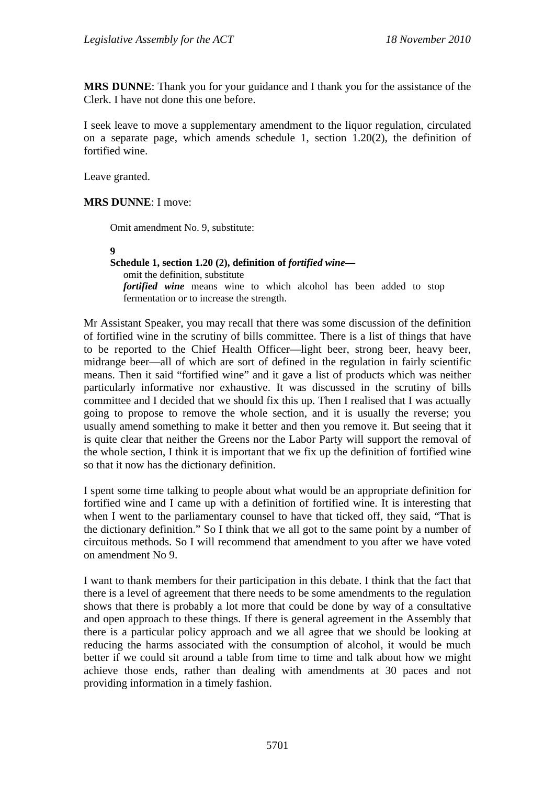**MRS DUNNE**: Thank you for your guidance and I thank you for the assistance of the Clerk. I have not done this one before.

I seek leave to move a supplementary amendment to the liquor regulation, circulated on a separate page, which amends schedule 1, section 1.20(2), the definition of fortified wine.

Leave granted.

#### **MRS DUNNE**: I move:

Omit amendment No. 9, substitute:

**9**  Schedule 1, section 1.20 (2), definition of *fortified wine* omit the definition, substitute *fortified wine* means wine to which alcohol has been added to stop fermentation or to increase the strength.

Mr Assistant Speaker, you may recall that there was some discussion of the definition of fortified wine in the scrutiny of bills committee. There is a list of things that have to be reported to the Chief Health Officer—light beer, strong beer, heavy beer, midrange beer—all of which are sort of defined in the regulation in fairly scientific means. Then it said "fortified wine" and it gave a list of products which was neither particularly informative nor exhaustive. It was discussed in the scrutiny of bills committee and I decided that we should fix this up. Then I realised that I was actually going to propose to remove the whole section, and it is usually the reverse; you usually amend something to make it better and then you remove it. But seeing that it is quite clear that neither the Greens nor the Labor Party will support the removal of the whole section, I think it is important that we fix up the definition of fortified wine so that it now has the dictionary definition.

I spent some time talking to people about what would be an appropriate definition for fortified wine and I came up with a definition of fortified wine. It is interesting that when I went to the parliamentary counsel to have that ticked off, they said, "That is the dictionary definition." So I think that we all got to the same point by a number of circuitous methods. So I will recommend that amendment to you after we have voted on amendment No 9.

I want to thank members for their participation in this debate. I think that the fact that there is a level of agreement that there needs to be some amendments to the regulation shows that there is probably a lot more that could be done by way of a consultative and open approach to these things. If there is general agreement in the Assembly that there is a particular policy approach and we all agree that we should be looking at reducing the harms associated with the consumption of alcohol, it would be much better if we could sit around a table from time to time and talk about how we might achieve those ends, rather than dealing with amendments at 30 paces and not providing information in a timely fashion.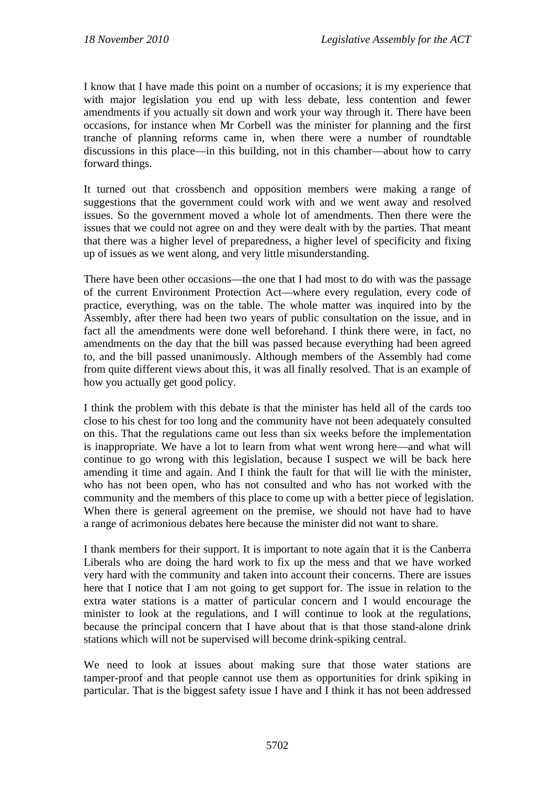I know that I have made this point on a number of occasions; it is my experience that with major legislation you end up with less debate, less contention and fewer amendments if you actually sit down and work your way through it. There have been occasions, for instance when Mr Corbell was the minister for planning and the first tranche of planning reforms came in, when there were a number of roundtable discussions in this place—in this building, not in this chamber—about how to carry forward things.

It turned out that crossbench and opposition members were making a range of suggestions that the government could work with and we went away and resolved issues. So the government moved a whole lot of amendments. Then there were the issues that we could not agree on and they were dealt with by the parties. That meant that there was a higher level of preparedness, a higher level of specificity and fixing up of issues as we went along, and very little misunderstanding.

There have been other occasions—the one that I had most to do with was the passage of the current Environment Protection Act—where every regulation, every code of practice, everything, was on the table. The whole matter was inquired into by the Assembly, after there had been two years of public consultation on the issue, and in fact all the amendments were done well beforehand. I think there were, in fact, no amendments on the day that the bill was passed because everything had been agreed to, and the bill passed unanimously. Although members of the Assembly had come from quite different views about this, it was all finally resolved. That is an example of how you actually get good policy.

I think the problem with this debate is that the minister has held all of the cards too close to his chest for too long and the community have not been adequately consulted on this. That the regulations came out less than six weeks before the implementation is inappropriate. We have a lot to learn from what went wrong here—and what will continue to go wrong with this legislation, because I suspect we will be back here amending it time and again. And I think the fault for that will lie with the minister, who has not been open, who has not consulted and who has not worked with the community and the members of this place to come up with a better piece of legislation. When there is general agreement on the premise, we should not have had to have a range of acrimonious debates here because the minister did not want to share.

I thank members for their support. It is important to note again that it is the Canberra Liberals who are doing the hard work to fix up the mess and that we have worked very hard with the community and taken into account their concerns. There are issues here that I notice that I am not going to get support for. The issue in relation to the extra water stations is a matter of particular concern and I would encourage the minister to look at the regulations, and I will continue to look at the regulations, because the principal concern that I have about that is that those stand-alone drink stations which will not be supervised will become drink-spiking central.

We need to look at issues about making sure that those water stations are tamper-proof and that people cannot use them as opportunities for drink spiking in particular. That is the biggest safety issue I have and I think it has not been addressed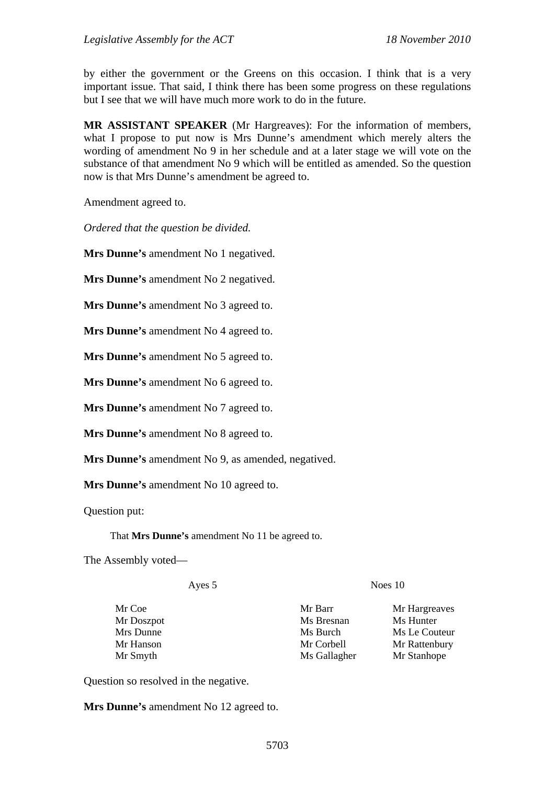by either the government or the Greens on this occasion. I think that is a very important issue. That said, I think there has been some progress on these regulations but I see that we will have much more work to do in the future.

**MR ASSISTANT SPEAKER** (Mr Hargreaves): For the information of members, what I propose to put now is Mrs Dunne's amendment which merely alters the wording of amendment No 9 in her schedule and at a later stage we will vote on the substance of that amendment No 9 which will be entitled as amended. So the question now is that Mrs Dunne's amendment be agreed to.

Amendment agreed to.

*Ordered that the question be divided.* 

**Mrs Dunne's** amendment No 1 negatived.

**Mrs Dunne's** amendment No 2 negatived.

**Mrs Dunne's** amendment No 3 agreed to.

**Mrs Dunne's** amendment No 4 agreed to.

**Mrs Dunne's** amendment No 5 agreed to.

**Mrs Dunne's** amendment No 6 agreed to.

**Mrs Dunne's** amendment No 7 agreed to.

**Mrs Dunne's** amendment No 8 agreed to.

**Mrs Dunne's** amendment No 9, as amended, negatived.

**Mrs Dunne's** amendment No 10 agreed to.

Question put:

That **Mrs Dunne's** amendment No 11 be agreed to.

The Assembly voted—

Ayes 5 Noes 10

Mr Doszpot Ms Bresnan Ms Hunter

Mr Coe **Mr Barr** Mr Hargreaves Mrs Dunne Ms Burch Ms Burch Ms Le Couteur Mr Hanson Mr Corbell Mr Rattenbury Mr Smyth Ms Gallagher Mr Stanhope

Question so resolved in the negative.

**Mrs Dunne's** amendment No 12 agreed to.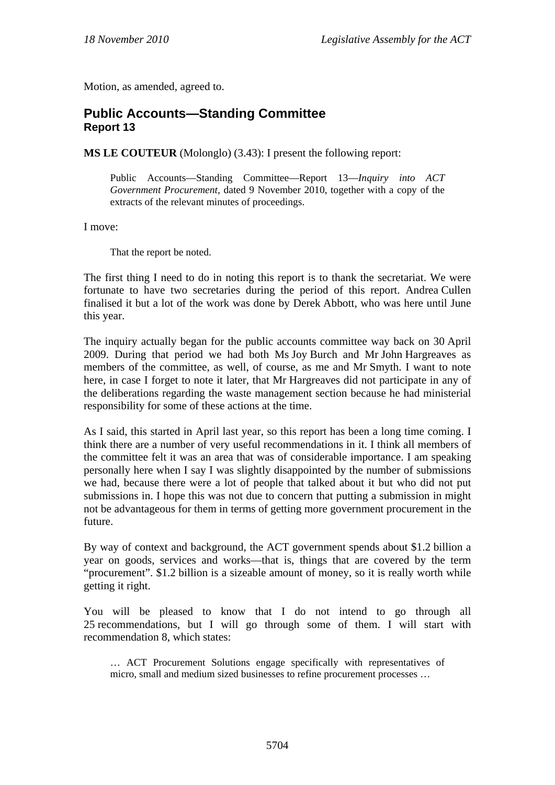Motion, as amended, agreed to.

### **Public Accounts—Standing Committee Report 13**

**MS LE COUTEUR** (Molonglo) (3.43): I present the following report:

Public Accounts—Standing Committee—Report 13—*Inquiry into ACT Government Procurement,* dated 9 November 2010, together with a copy of the extracts of the relevant minutes of proceedings.

I move:

That the report be noted.

The first thing I need to do in noting this report is to thank the secretariat. We were fortunate to have two secretaries during the period of this report. Andrea Cullen finalised it but a lot of the work was done by Derek Abbott, who was here until June this year.

The inquiry actually began for the public accounts committee way back on 30 April 2009. During that period we had both Ms Joy Burch and Mr John Hargreaves as members of the committee, as well, of course, as me and Mr Smyth. I want to note here, in case I forget to note it later, that Mr Hargreaves did not participate in any of the deliberations regarding the waste management section because he had ministerial responsibility for some of these actions at the time.

As I said, this started in April last year, so this report has been a long time coming. I think there are a number of very useful recommendations in it. I think all members of the committee felt it was an area that was of considerable importance. I am speaking personally here when I say I was slightly disappointed by the number of submissions we had, because there were a lot of people that talked about it but who did not put submissions in. I hope this was not due to concern that putting a submission in might not be advantageous for them in terms of getting more government procurement in the future.

By way of context and background, the ACT government spends about \$1.2 billion a year on goods, services and works—that is, things that are covered by the term "procurement". \$1.2 billion is a sizeable amount of money, so it is really worth while getting it right.

You will be pleased to know that I do not intend to go through all 25 recommendations, but I will go through some of them. I will start with recommendation 8, which states:

… ACT Procurement Solutions engage specifically with representatives of micro, small and medium sized businesses to refine procurement processes …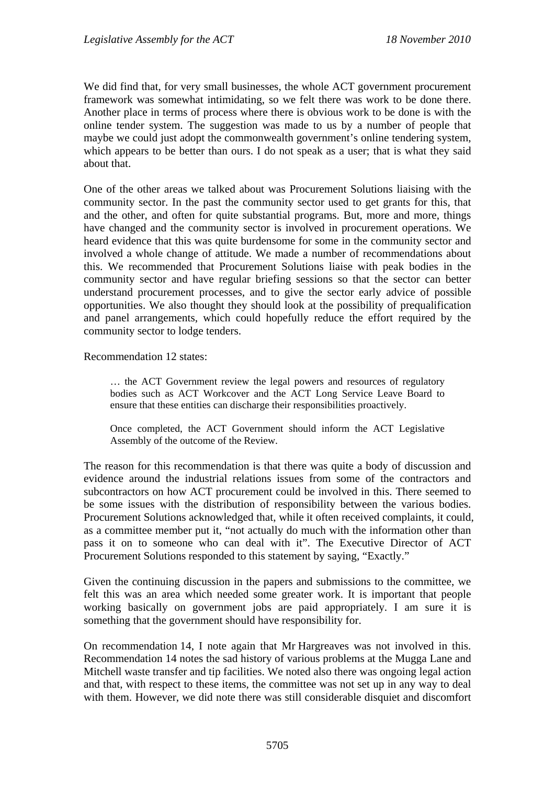We did find that, for very small businesses, the whole ACT government procurement framework was somewhat intimidating, so we felt there was work to be done there. Another place in terms of process where there is obvious work to be done is with the online tender system. The suggestion was made to us by a number of people that maybe we could just adopt the commonwealth government's online tendering system, which appears to be better than ours. I do not speak as a user; that is what they said about that.

One of the other areas we talked about was Procurement Solutions liaising with the community sector. In the past the community sector used to get grants for this, that and the other, and often for quite substantial programs. But, more and more, things have changed and the community sector is involved in procurement operations. We heard evidence that this was quite burdensome for some in the community sector and involved a whole change of attitude. We made a number of recommendations about this. We recommended that Procurement Solutions liaise with peak bodies in the community sector and have regular briefing sessions so that the sector can better understand procurement processes, and to give the sector early advice of possible opportunities. We also thought they should look at the possibility of prequalification and panel arrangements, which could hopefully reduce the effort required by the community sector to lodge tenders.

Recommendation 12 states:

… the ACT Government review the legal powers and resources of regulatory bodies such as ACT Workcover and the ACT Long Service Leave Board to ensure that these entities can discharge their responsibilities proactively.

Once completed, the ACT Government should inform the ACT Legislative Assembly of the outcome of the Review.

The reason for this recommendation is that there was quite a body of discussion and evidence around the industrial relations issues from some of the contractors and subcontractors on how ACT procurement could be involved in this. There seemed to be some issues with the distribution of responsibility between the various bodies. Procurement Solutions acknowledged that, while it often received complaints, it could, as a committee member put it, "not actually do much with the information other than pass it on to someone who can deal with it". The Executive Director of ACT Procurement Solutions responded to this statement by saying, "Exactly."

Given the continuing discussion in the papers and submissions to the committee, we felt this was an area which needed some greater work. It is important that people working basically on government jobs are paid appropriately. I am sure it is something that the government should have responsibility for.

On recommendation 14, I note again that Mr Hargreaves was not involved in this. Recommendation 14 notes the sad history of various problems at the Mugga Lane and Mitchell waste transfer and tip facilities. We noted also there was ongoing legal action and that, with respect to these items, the committee was not set up in any way to deal with them. However, we did note there was still considerable disquiet and discomfort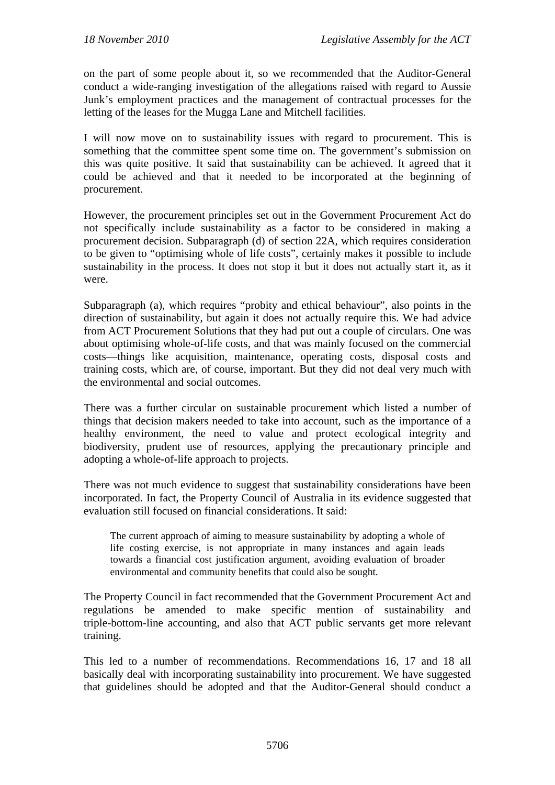on the part of some people about it, so we recommended that the Auditor-General conduct a wide-ranging investigation of the allegations raised with regard to Aussie Junk's employment practices and the management of contractual processes for the letting of the leases for the Mugga Lane and Mitchell facilities.

I will now move on to sustainability issues with regard to procurement. This is something that the committee spent some time on. The government's submission on this was quite positive. It said that sustainability can be achieved. It agreed that it could be achieved and that it needed to be incorporated at the beginning of procurement.

However, the procurement principles set out in the Government Procurement Act do not specifically include sustainability as a factor to be considered in making a procurement decision. Subparagraph (d) of section 22A, which requires consideration to be given to "optimising whole of life costs", certainly makes it possible to include sustainability in the process. It does not stop it but it does not actually start it, as it were.

Subparagraph (a), which requires "probity and ethical behaviour", also points in the direction of sustainability, but again it does not actually require this. We had advice from ACT Procurement Solutions that they had put out a couple of circulars. One was about optimising whole-of-life costs, and that was mainly focused on the commercial costs—things like acquisition, maintenance, operating costs, disposal costs and training costs, which are, of course, important. But they did not deal very much with the environmental and social outcomes.

There was a further circular on sustainable procurement which listed a number of things that decision makers needed to take into account, such as the importance of a healthy environment, the need to value and protect ecological integrity and biodiversity, prudent use of resources, applying the precautionary principle and adopting a whole-of-life approach to projects.

There was not much evidence to suggest that sustainability considerations have been incorporated. In fact, the Property Council of Australia in its evidence suggested that evaluation still focused on financial considerations. It said:

The current approach of aiming to measure sustainability by adopting a whole of life costing exercise, is not appropriate in many instances and again leads towards a financial cost justification argument, avoiding evaluation of broader environmental and community benefits that could also be sought.

The Property Council in fact recommended that the Government Procurement Act and regulations be amended to make specific mention of sustainability and triple-bottom-line accounting, and also that ACT public servants get more relevant training.

This led to a number of recommendations. Recommendations 16, 17 and 18 all basically deal with incorporating sustainability into procurement. We have suggested that guidelines should be adopted and that the Auditor-General should conduct a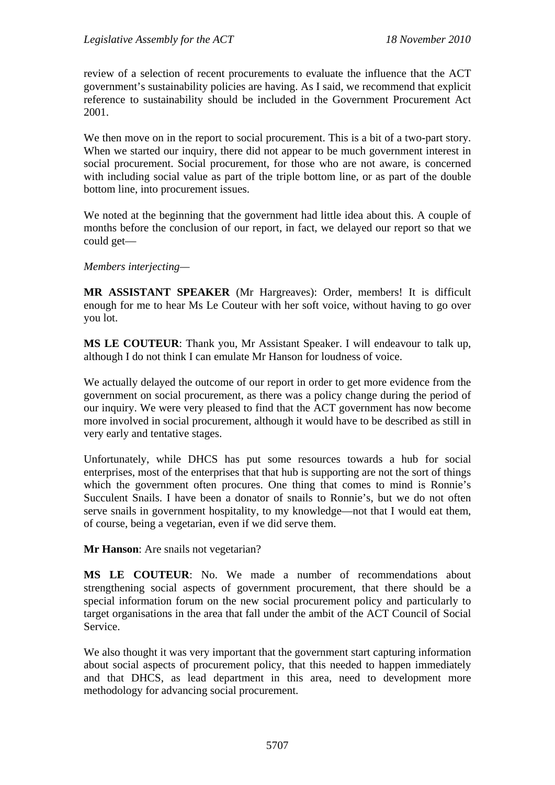review of a selection of recent procurements to evaluate the influence that the ACT government's sustainability policies are having. As I said, we recommend that explicit reference to sustainability should be included in the Government Procurement Act 2001.

We then move on in the report to social procurement. This is a bit of a two-part story. When we started our inquiry, there did not appear to be much government interest in social procurement. Social procurement, for those who are not aware, is concerned with including social value as part of the triple bottom line, or as part of the double bottom line, into procurement issues.

We noted at the beginning that the government had little idea about this. A couple of months before the conclusion of our report, in fact, we delayed our report so that we could get—

#### *Members interjecting—*

**MR ASSISTANT SPEAKER** (Mr Hargreaves): Order, members! It is difficult enough for me to hear Ms Le Couteur with her soft voice, without having to go over you lot.

**MS LE COUTEUR**: Thank you, Mr Assistant Speaker. I will endeavour to talk up, although I do not think I can emulate Mr Hanson for loudness of voice.

We actually delayed the outcome of our report in order to get more evidence from the government on social procurement, as there was a policy change during the period of our inquiry. We were very pleased to find that the ACT government has now become more involved in social procurement, although it would have to be described as still in very early and tentative stages.

Unfortunately, while DHCS has put some resources towards a hub for social enterprises, most of the enterprises that that hub is supporting are not the sort of things which the government often procures. One thing that comes to mind is Ronnie's Succulent Snails. I have been a donator of snails to Ronnie's, but we do not often serve snails in government hospitality, to my knowledge—not that I would eat them, of course, being a vegetarian, even if we did serve them.

**Mr Hanson**: Are snails not vegetarian?

**MS LE COUTEUR**: No. We made a number of recommendations about strengthening social aspects of government procurement, that there should be a special information forum on the new social procurement policy and particularly to target organisations in the area that fall under the ambit of the ACT Council of Social Service.

We also thought it was very important that the government start capturing information about social aspects of procurement policy, that this needed to happen immediately and that DHCS, as lead department in this area, need to development more methodology for advancing social procurement.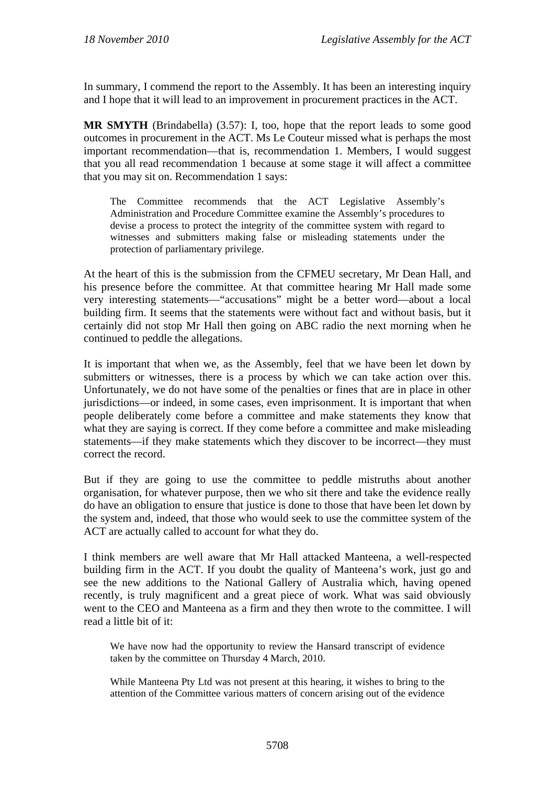In summary, I commend the report to the Assembly. It has been an interesting inquiry and I hope that it will lead to an improvement in procurement practices in the ACT.

**MR SMYTH** (Brindabella) (3.57): I, too, hope that the report leads to some good outcomes in procurement in the ACT. Ms Le Couteur missed what is perhaps the most important recommendation—that is, recommendation 1. Members, I would suggest that you all read recommendation 1 because at some stage it will affect a committee that you may sit on. Recommendation 1 says:

The Committee recommends that the ACT Legislative Assembly's Administration and Procedure Committee examine the Assembly's procedures to devise a process to protect the integrity of the committee system with regard to witnesses and submitters making false or misleading statements under the protection of parliamentary privilege.

At the heart of this is the submission from the CFMEU secretary, Mr Dean Hall, and his presence before the committee. At that committee hearing Mr Hall made some very interesting statements—"accusations" might be a better word—about a local building firm. It seems that the statements were without fact and without basis, but it certainly did not stop Mr Hall then going on ABC radio the next morning when he continued to peddle the allegations.

It is important that when we, as the Assembly, feel that we have been let down by submitters or witnesses, there is a process by which we can take action over this. Unfortunately, we do not have some of the penalties or fines that are in place in other jurisdictions—or indeed, in some cases, even imprisonment. It is important that when people deliberately come before a committee and make statements they know that what they are saying is correct. If they come before a committee and make misleading statements—if they make statements which they discover to be incorrect—they must correct the record.

But if they are going to use the committee to peddle mistruths about another organisation, for whatever purpose, then we who sit there and take the evidence really do have an obligation to ensure that justice is done to those that have been let down by the system and, indeed, that those who would seek to use the committee system of the ACT are actually called to account for what they do.

I think members are well aware that Mr Hall attacked Manteena, a well-respected building firm in the ACT. If you doubt the quality of Manteena's work, just go and see the new additions to the National Gallery of Australia which, having opened recently, is truly magnificent and a great piece of work. What was said obviously went to the CEO and Manteena as a firm and they then wrote to the committee. I will read a little bit of it:

We have now had the opportunity to review the Hansard transcript of evidence taken by the committee on Thursday 4 March, 2010.

While Manteena Pty Ltd was not present at this hearing, it wishes to bring to the attention of the Committee various matters of concern arising out of the evidence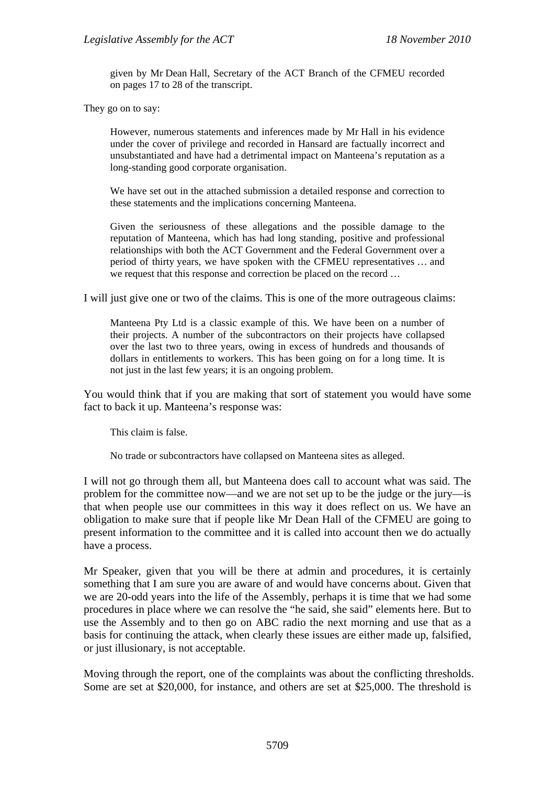given by Mr Dean Hall, Secretary of the ACT Branch of the CFMEU recorded on pages 17 to 28 of the transcript.

They go on to say:

However, numerous statements and inferences made by Mr Hall in his evidence under the cover of privilege and recorded in Hansard are factually incorrect and unsubstantiated and have had a detrimental impact on Manteena's reputation as a long-standing good corporate organisation.

We have set out in the attached submission a detailed response and correction to these statements and the implications concerning Manteena.

Given the seriousness of these allegations and the possible damage to the reputation of Manteena, which has had long standing, positive and professional relationships with both the ACT Government and the Federal Government over a period of thirty years, we have spoken with the CFMEU representatives … and we request that this response and correction be placed on the record …

I will just give one or two of the claims. This is one of the more outrageous claims:

Manteena Pty Ltd is a classic example of this. We have been on a number of their projects. A number of the subcontractors on their projects have collapsed over the last two to three years, owing in excess of hundreds and thousands of dollars in entitlements to workers. This has been going on for a long time. It is not just in the last few years; it is an ongoing problem.

You would think that if you are making that sort of statement you would have some fact to back it up. Manteena's response was:

This claim is false.

No trade or subcontractors have collapsed on Manteena sites as alleged.

I will not go through them all, but Manteena does call to account what was said. The problem for the committee now—and we are not set up to be the judge or the jury—is that when people use our committees in this way it does reflect on us. We have an obligation to make sure that if people like Mr Dean Hall of the CFMEU are going to present information to the committee and it is called into account then we do actually have a process.

Mr Speaker, given that you will be there at admin and procedures, it is certainly something that I am sure you are aware of and would have concerns about. Given that we are 20-odd years into the life of the Assembly, perhaps it is time that we had some procedures in place where we can resolve the "he said, she said" elements here. But to use the Assembly and to then go on ABC radio the next morning and use that as a basis for continuing the attack, when clearly these issues are either made up, falsified, or just illusionary, is not acceptable.

Moving through the report, one of the complaints was about the conflicting thresholds. Some are set at \$20,000, for instance, and others are set at \$25,000. The threshold is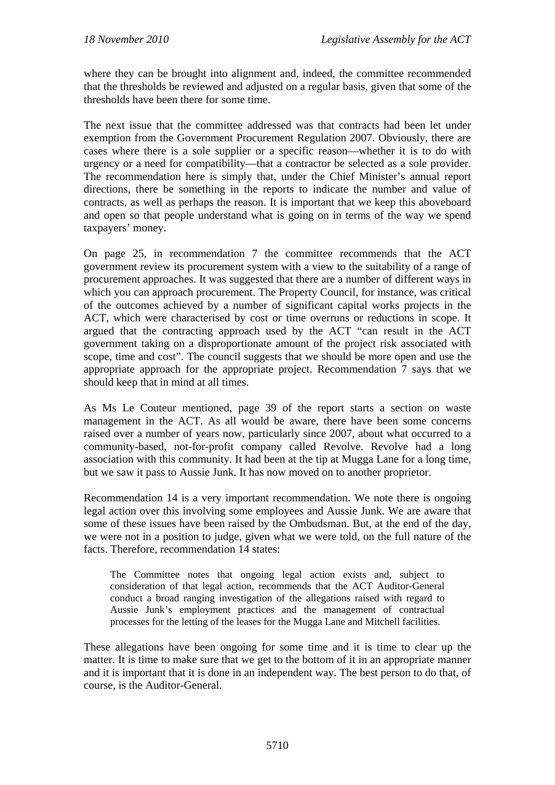where they can be brought into alignment and, indeed, the committee recommended that the thresholds be reviewed and adjusted on a regular basis, given that some of the thresholds have been there for some time.

The next issue that the committee addressed was that contracts had been let under exemption from the Government Procurement Regulation 2007. Obviously, there are cases where there is a sole supplier or a specific reason—whether it is to do with urgency or a need for compatibility—that a contractor be selected as a sole provider. The recommendation here is simply that, under the Chief Minister's annual report directions, there be something in the reports to indicate the number and value of contracts, as well as perhaps the reason. It is important that we keep this aboveboard and open so that people understand what is going on in terms of the way we spend taxpayers' money.

On page 25, in recommendation 7 the committee recommends that the ACT government review its procurement system with a view to the suitability of a range of procurement approaches. It was suggested that there are a number of different ways in which you can approach procurement. The Property Council, for instance, was critical of the outcomes achieved by a number of significant capital works projects in the ACT, which were characterised by cost or time overruns or reductions in scope. It argued that the contracting approach used by the ACT "can result in the ACT government taking on a disproportionate amount of the project risk associated with scope, time and cost". The council suggests that we should be more open and use the appropriate approach for the appropriate project. Recommendation 7 says that we should keep that in mind at all times.

As Ms Le Couteur mentioned, page 39 of the report starts a section on waste management in the ACT. As all would be aware, there have been some concerns raised over a number of years now, particularly since 2007, about what occurred to a community-based, not-for-profit company called Revolve. Revolve had a long association with this community. It had been at the tip at Mugga Lane for a long time, but we saw it pass to Aussie Junk. It has now moved on to another proprietor.

Recommendation 14 is a very important recommendation. We note there is ongoing legal action over this involving some employees and Aussie Junk. We are aware that some of these issues have been raised by the Ombudsman. But, at the end of the day, we were not in a position to judge, given what we were told, on the full nature of the facts. Therefore, recommendation 14 states:

The Committee notes that ongoing legal action exists and, subject to consideration of that legal action, recommends that the ACT Auditor-General conduct a broad ranging investigation of the allegations raised with regard to Aussie Junk's employment practices and the management of contractual processes for the letting of the leases for the Mugga Lane and Mitchell facilities.

These allegations have been ongoing for some time and it is time to clear up the matter. It is time to make sure that we get to the bottom of it in an appropriate manner and it is important that it is done in an independent way. The best person to do that, of course, is the Auditor-General.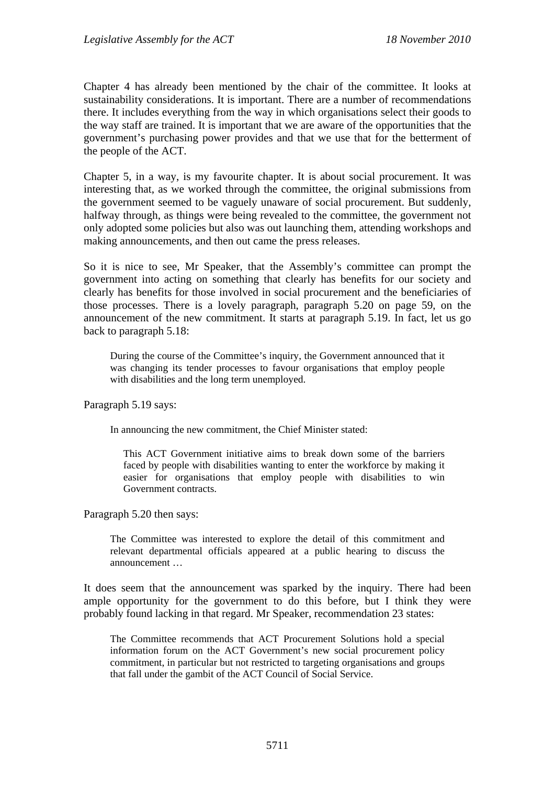Chapter 4 has already been mentioned by the chair of the committee. It looks at sustainability considerations. It is important. There are a number of recommendations there. It includes everything from the way in which organisations select their goods to the way staff are trained. It is important that we are aware of the opportunities that the government's purchasing power provides and that we use that for the betterment of the people of the ACT.

Chapter 5, in a way, is my favourite chapter. It is about social procurement. It was interesting that, as we worked through the committee, the original submissions from the government seemed to be vaguely unaware of social procurement. But suddenly, halfway through, as things were being revealed to the committee, the government not only adopted some policies but also was out launching them, attending workshops and making announcements, and then out came the press releases.

So it is nice to see, Mr Speaker, that the Assembly's committee can prompt the government into acting on something that clearly has benefits for our society and clearly has benefits for those involved in social procurement and the beneficiaries of those processes. There is a lovely paragraph, paragraph 5.20 on page 59, on the announcement of the new commitment. It starts at paragraph 5.19. In fact, let us go back to paragraph 5.18:

During the course of the Committee's inquiry, the Government announced that it was changing its tender processes to favour organisations that employ people with disabilities and the long term unemployed.

Paragraph 5.19 says:

In announcing the new commitment, the Chief Minister stated:

This ACT Government initiative aims to break down some of the barriers faced by people with disabilities wanting to enter the workforce by making it easier for organisations that employ people with disabilities to win Government contracts.

Paragraph 5.20 then says:

The Committee was interested to explore the detail of this commitment and relevant departmental officials appeared at a public hearing to discuss the announcement …

It does seem that the announcement was sparked by the inquiry. There had been ample opportunity for the government to do this before, but I think they were probably found lacking in that regard. Mr Speaker, recommendation 23 states:

The Committee recommends that ACT Procurement Solutions hold a special information forum on the ACT Government's new social procurement policy commitment, in particular but not restricted to targeting organisations and groups that fall under the gambit of the ACT Council of Social Service.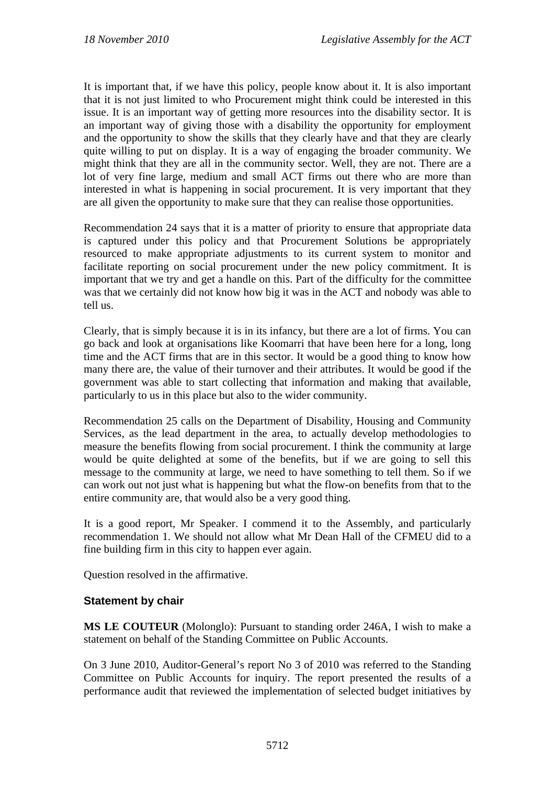It is important that, if we have this policy, people know about it. It is also important that it is not just limited to who Procurement might think could be interested in this issue. It is an important way of getting more resources into the disability sector. It is an important way of giving those with a disability the opportunity for employment and the opportunity to show the skills that they clearly have and that they are clearly quite willing to put on display. It is a way of engaging the broader community. We might think that they are all in the community sector. Well, they are not. There are a lot of very fine large, medium and small ACT firms out there who are more than interested in what is happening in social procurement. It is very important that they are all given the opportunity to make sure that they can realise those opportunities.

Recommendation 24 says that it is a matter of priority to ensure that appropriate data is captured under this policy and that Procurement Solutions be appropriately resourced to make appropriate adjustments to its current system to monitor and facilitate reporting on social procurement under the new policy commitment. It is important that we try and get a handle on this. Part of the difficulty for the committee was that we certainly did not know how big it was in the ACT and nobody was able to tell us.

Clearly, that is simply because it is in its infancy, but there are a lot of firms. You can go back and look at organisations like Koomarri that have been here for a long, long time and the ACT firms that are in this sector. It would be a good thing to know how many there are, the value of their turnover and their attributes. It would be good if the government was able to start collecting that information and making that available, particularly to us in this place but also to the wider community.

Recommendation 25 calls on the Department of Disability, Housing and Community Services, as the lead department in the area, to actually develop methodologies to measure the benefits flowing from social procurement. I think the community at large would be quite delighted at some of the benefits, but if we are going to sell this message to the community at large, we need to have something to tell them. So if we can work out not just what is happening but what the flow-on benefits from that to the entire community are, that would also be a very good thing.

It is a good report, Mr Speaker. I commend it to the Assembly, and particularly recommendation 1. We should not allow what Mr Dean Hall of the CFMEU did to a fine building firm in this city to happen ever again.

Question resolved in the affirmative.

#### **Statement by chair**

**MS LE COUTEUR** (Molonglo): Pursuant to standing order 246A, I wish to make a statement on behalf of the Standing Committee on Public Accounts.

On 3 June 2010, Auditor-General's report No 3 of 2010 was referred to the Standing Committee on Public Accounts for inquiry. The report presented the results of a performance audit that reviewed the implementation of selected budget initiatives by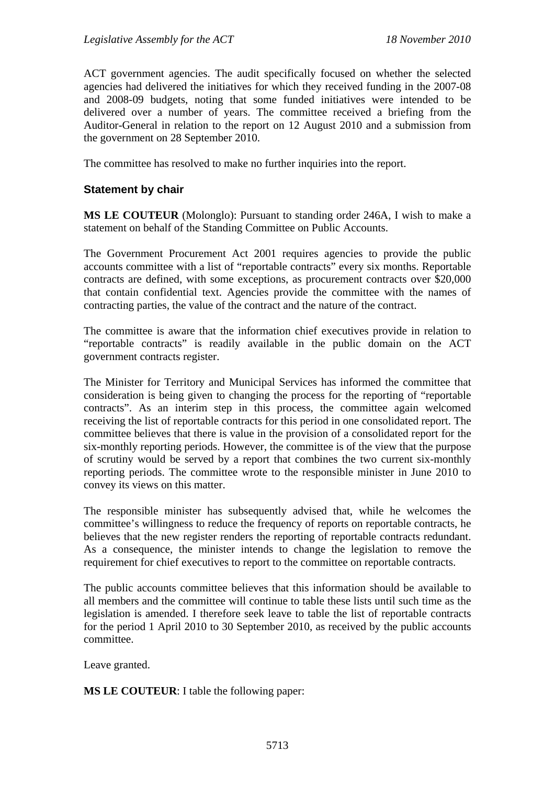ACT government agencies. The audit specifically focused on whether the selected agencies had delivered the initiatives for which they received funding in the 2007-08 and 2008-09 budgets, noting that some funded initiatives were intended to be delivered over a number of years. The committee received a briefing from the Auditor-General in relation to the report on 12 August 2010 and a submission from the government on 28 September 2010.

The committee has resolved to make no further inquiries into the report.

#### **Statement by chair**

**MS LE COUTEUR** (Molonglo): Pursuant to standing order 246A, I wish to make a statement on behalf of the Standing Committee on Public Accounts.

The Government Procurement Act 2001 requires agencies to provide the public accounts committee with a list of "reportable contracts" every six months. Reportable contracts are defined, with some exceptions, as procurement contracts over \$20,000 that contain confidential text. Agencies provide the committee with the names of contracting parties, the value of the contract and the nature of the contract.

The committee is aware that the information chief executives provide in relation to "reportable contracts" is readily available in the public domain on the ACT government contracts register.

The Minister for Territory and Municipal Services has informed the committee that consideration is being given to changing the process for the reporting of "reportable contracts". As an interim step in this process, the committee again welcomed receiving the list of reportable contracts for this period in one consolidated report. The committee believes that there is value in the provision of a consolidated report for the six-monthly reporting periods. However, the committee is of the view that the purpose of scrutiny would be served by a report that combines the two current six-monthly reporting periods. The committee wrote to the responsible minister in June 2010 to convey its views on this matter.

The responsible minister has subsequently advised that, while he welcomes the committee's willingness to reduce the frequency of reports on reportable contracts, he believes that the new register renders the reporting of reportable contracts redundant. As a consequence, the minister intends to change the legislation to remove the requirement for chief executives to report to the committee on reportable contracts.

The public accounts committee believes that this information should be available to all members and the committee will continue to table these lists until such time as the legislation is amended. I therefore seek leave to table the list of reportable contracts for the period 1 April 2010 to 30 September 2010, as received by the public accounts committee.

Leave granted.

**MS LE COUTEUR**: I table the following paper: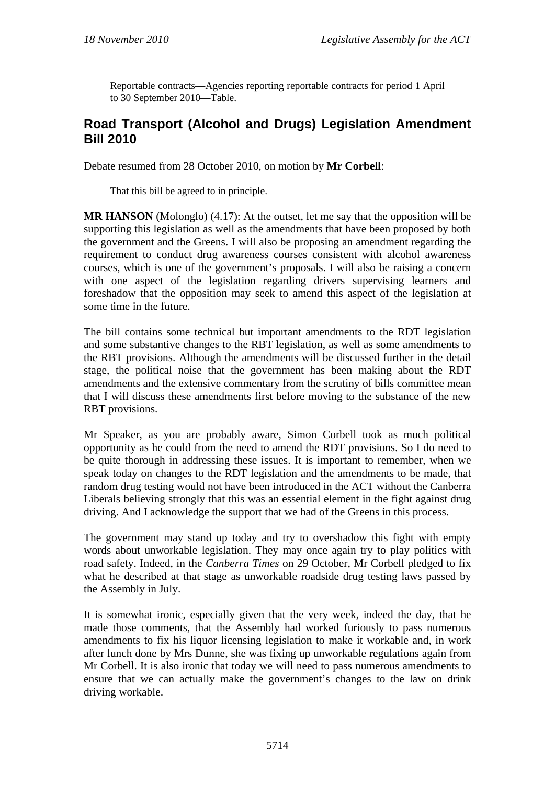Reportable contracts—Agencies reporting reportable contracts for period 1 April to 30 September 2010—Table.

## **Road Transport (Alcohol and Drugs) Legislation Amendment Bill 2010**

Debate resumed from 28 October 2010, on motion by **Mr Corbell**:

That this bill be agreed to in principle.

**MR HANSON** (Molonglo) (4.17): At the outset, let me say that the opposition will be supporting this legislation as well as the amendments that have been proposed by both the government and the Greens. I will also be proposing an amendment regarding the requirement to conduct drug awareness courses consistent with alcohol awareness courses, which is one of the government's proposals. I will also be raising a concern with one aspect of the legislation regarding drivers supervising learners and foreshadow that the opposition may seek to amend this aspect of the legislation at some time in the future.

The bill contains some technical but important amendments to the RDT legislation and some substantive changes to the RBT legislation, as well as some amendments to the RBT provisions. Although the amendments will be discussed further in the detail stage, the political noise that the government has been making about the RDT amendments and the extensive commentary from the scrutiny of bills committee mean that I will discuss these amendments first before moving to the substance of the new RBT provisions.

Mr Speaker, as you are probably aware, Simon Corbell took as much political opportunity as he could from the need to amend the RDT provisions. So I do need to be quite thorough in addressing these issues. It is important to remember, when we speak today on changes to the RDT legislation and the amendments to be made, that random drug testing would not have been introduced in the ACT without the Canberra Liberals believing strongly that this was an essential element in the fight against drug driving. And I acknowledge the support that we had of the Greens in this process.

The government may stand up today and try to overshadow this fight with empty words about unworkable legislation. They may once again try to play politics with road safety. Indeed, in the *Canberra Times* on 29 October, Mr Corbell pledged to fix what he described at that stage as unworkable roadside drug testing laws passed by the Assembly in July.

It is somewhat ironic, especially given that the very week, indeed the day, that he made those comments, that the Assembly had worked furiously to pass numerous amendments to fix his liquor licensing legislation to make it workable and, in work after lunch done by Mrs Dunne, she was fixing up unworkable regulations again from Mr Corbell. It is also ironic that today we will need to pass numerous amendments to ensure that we can actually make the government's changes to the law on drink driving workable.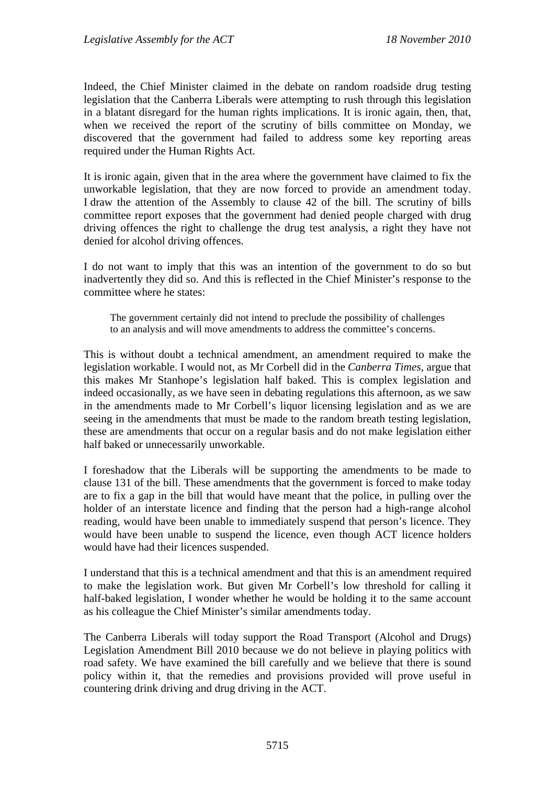Indeed, the Chief Minister claimed in the debate on random roadside drug testing legislation that the Canberra Liberals were attempting to rush through this legislation in a blatant disregard for the human rights implications. It is ironic again, then, that, when we received the report of the scrutiny of bills committee on Monday, we discovered that the government had failed to address some key reporting areas required under the Human Rights Act.

It is ironic again, given that in the area where the government have claimed to fix the unworkable legislation, that they are now forced to provide an amendment today. I draw the attention of the Assembly to clause 42 of the bill. The scrutiny of bills committee report exposes that the government had denied people charged with drug driving offences the right to challenge the drug test analysis, a right they have not denied for alcohol driving offences.

I do not want to imply that this was an intention of the government to do so but inadvertently they did so. And this is reflected in the Chief Minister's response to the committee where he states:

The government certainly did not intend to preclude the possibility of challenges to an analysis and will move amendments to address the committee's concerns.

This is without doubt a technical amendment, an amendment required to make the legislation workable. I would not, as Mr Corbell did in the *Canberra Times*, argue that this makes Mr Stanhope's legislation half baked. This is complex legislation and indeed occasionally, as we have seen in debating regulations this afternoon, as we saw in the amendments made to Mr Corbell's liquor licensing legislation and as we are seeing in the amendments that must be made to the random breath testing legislation, these are amendments that occur on a regular basis and do not make legislation either half baked or unnecessarily unworkable.

I foreshadow that the Liberals will be supporting the amendments to be made to clause 131 of the bill. These amendments that the government is forced to make today are to fix a gap in the bill that would have meant that the police, in pulling over the holder of an interstate licence and finding that the person had a high-range alcohol reading, would have been unable to immediately suspend that person's licence. They would have been unable to suspend the licence, even though ACT licence holders would have had their licences suspended.

I understand that this is a technical amendment and that this is an amendment required to make the legislation work. But given Mr Corbell's low threshold for calling it half-baked legislation, I wonder whether he would be holding it to the same account as his colleague the Chief Minister's similar amendments today.

The Canberra Liberals will today support the Road Transport (Alcohol and Drugs) Legislation Amendment Bill 2010 because we do not believe in playing politics with road safety. We have examined the bill carefully and we believe that there is sound policy within it, that the remedies and provisions provided will prove useful in countering drink driving and drug driving in the ACT.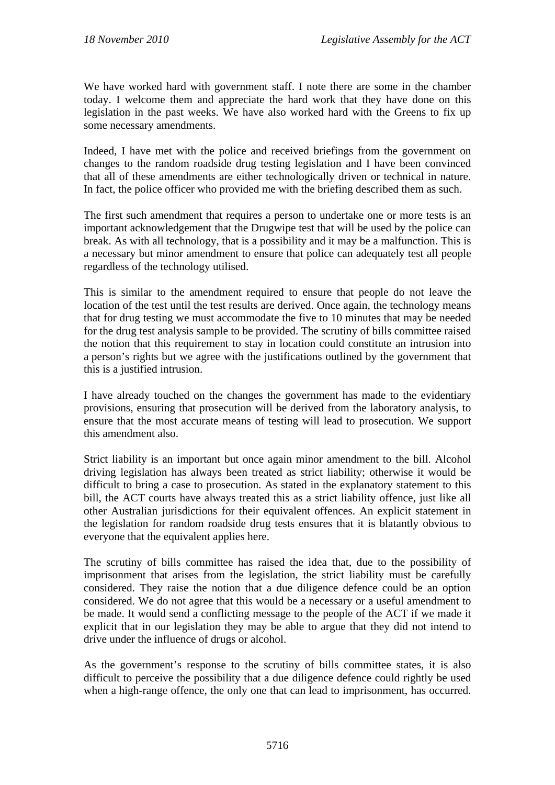We have worked hard with government staff. I note there are some in the chamber today. I welcome them and appreciate the hard work that they have done on this legislation in the past weeks. We have also worked hard with the Greens to fix up some necessary amendments.

Indeed, I have met with the police and received briefings from the government on changes to the random roadside drug testing legislation and I have been convinced that all of these amendments are either technologically driven or technical in nature. In fact, the police officer who provided me with the briefing described them as such.

The first such amendment that requires a person to undertake one or more tests is an important acknowledgement that the Drugwipe test that will be used by the police can break. As with all technology, that is a possibility and it may be a malfunction. This is a necessary but minor amendment to ensure that police can adequately test all people regardless of the technology utilised.

This is similar to the amendment required to ensure that people do not leave the location of the test until the test results are derived. Once again, the technology means that for drug testing we must accommodate the five to 10 minutes that may be needed for the drug test analysis sample to be provided. The scrutiny of bills committee raised the notion that this requirement to stay in location could constitute an intrusion into a person's rights but we agree with the justifications outlined by the government that this is a justified intrusion.

I have already touched on the changes the government has made to the evidentiary provisions, ensuring that prosecution will be derived from the laboratory analysis, to ensure that the most accurate means of testing will lead to prosecution. We support this amendment also.

Strict liability is an important but once again minor amendment to the bill. Alcohol driving legislation has always been treated as strict liability; otherwise it would be difficult to bring a case to prosecution. As stated in the explanatory statement to this bill, the ACT courts have always treated this as a strict liability offence, just like all other Australian jurisdictions for their equivalent offences. An explicit statement in the legislation for random roadside drug tests ensures that it is blatantly obvious to everyone that the equivalent applies here.

The scrutiny of bills committee has raised the idea that, due to the possibility of imprisonment that arises from the legislation, the strict liability must be carefully considered. They raise the notion that a due diligence defence could be an option considered. We do not agree that this would be a necessary or a useful amendment to be made. It would send a conflicting message to the people of the ACT if we made it explicit that in our legislation they may be able to argue that they did not intend to drive under the influence of drugs or alcohol.

As the government's response to the scrutiny of bills committee states, it is also difficult to perceive the possibility that a due diligence defence could rightly be used when a high-range offence, the only one that can lead to imprisonment, has occurred.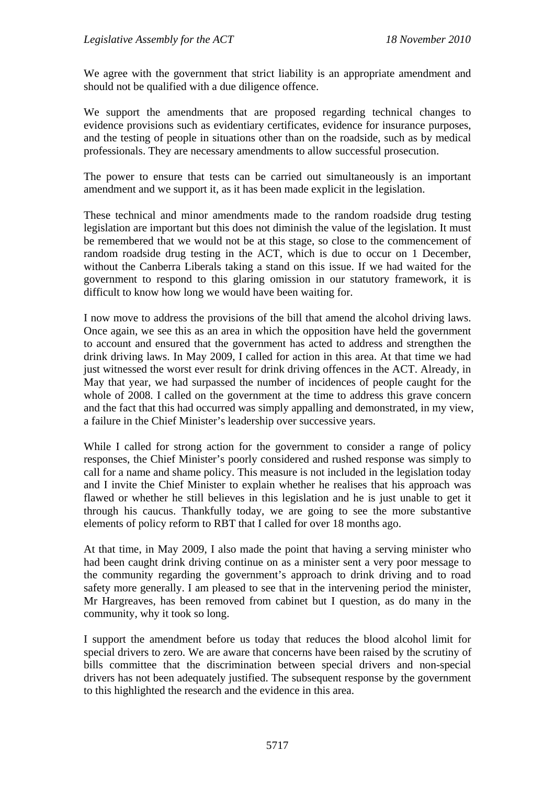We agree with the government that strict liability is an appropriate amendment and should not be qualified with a due diligence offence.

We support the amendments that are proposed regarding technical changes to evidence provisions such as evidentiary certificates, evidence for insurance purposes, and the testing of people in situations other than on the roadside, such as by medical professionals. They are necessary amendments to allow successful prosecution.

The power to ensure that tests can be carried out simultaneously is an important amendment and we support it, as it has been made explicit in the legislation.

These technical and minor amendments made to the random roadside drug testing legislation are important but this does not diminish the value of the legislation. It must be remembered that we would not be at this stage, so close to the commencement of random roadside drug testing in the ACT, which is due to occur on 1 December, without the Canberra Liberals taking a stand on this issue. If we had waited for the government to respond to this glaring omission in our statutory framework, it is difficult to know how long we would have been waiting for.

I now move to address the provisions of the bill that amend the alcohol driving laws. Once again, we see this as an area in which the opposition have held the government to account and ensured that the government has acted to address and strengthen the drink driving laws. In May 2009, I called for action in this area. At that time we had just witnessed the worst ever result for drink driving offences in the ACT. Already, in May that year, we had surpassed the number of incidences of people caught for the whole of 2008. I called on the government at the time to address this grave concern and the fact that this had occurred was simply appalling and demonstrated, in my view, a failure in the Chief Minister's leadership over successive years.

While I called for strong action for the government to consider a range of policy responses, the Chief Minister's poorly considered and rushed response was simply to call for a name and shame policy. This measure is not included in the legislation today and I invite the Chief Minister to explain whether he realises that his approach was flawed or whether he still believes in this legislation and he is just unable to get it through his caucus. Thankfully today, we are going to see the more substantive elements of policy reform to RBT that I called for over 18 months ago.

At that time, in May 2009, I also made the point that having a serving minister who had been caught drink driving continue on as a minister sent a very poor message to the community regarding the government's approach to drink driving and to road safety more generally. I am pleased to see that in the intervening period the minister, Mr Hargreaves, has been removed from cabinet but I question, as do many in the community, why it took so long.

I support the amendment before us today that reduces the blood alcohol limit for special drivers to zero. We are aware that concerns have been raised by the scrutiny of bills committee that the discrimination between special drivers and non-special drivers has not been adequately justified. The subsequent response by the government to this highlighted the research and the evidence in this area.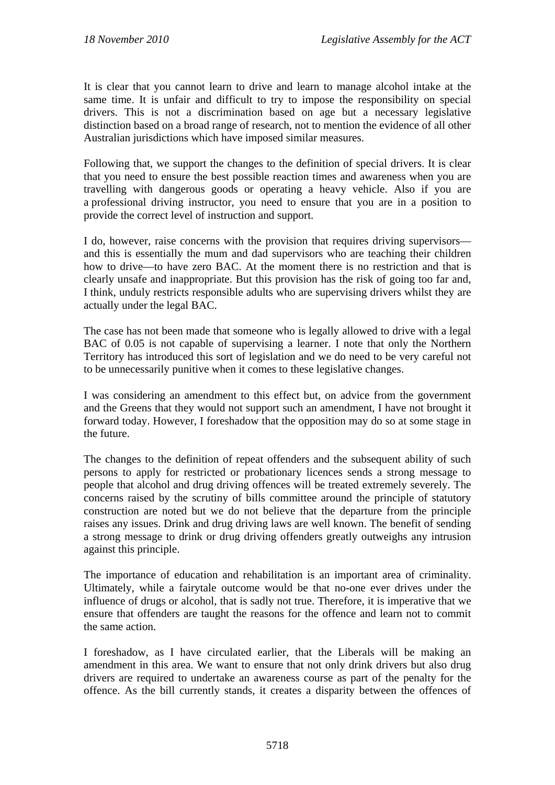It is clear that you cannot learn to drive and learn to manage alcohol intake at the same time. It is unfair and difficult to try to impose the responsibility on special drivers. This is not a discrimination based on age but a necessary legislative distinction based on a broad range of research, not to mention the evidence of all other Australian jurisdictions which have imposed similar measures.

Following that, we support the changes to the definition of special drivers. It is clear that you need to ensure the best possible reaction times and awareness when you are travelling with dangerous goods or operating a heavy vehicle. Also if you are a professional driving instructor, you need to ensure that you are in a position to provide the correct level of instruction and support.

I do, however, raise concerns with the provision that requires driving supervisors and this is essentially the mum and dad supervisors who are teaching their children how to drive—to have zero BAC. At the moment there is no restriction and that is clearly unsafe and inappropriate. But this provision has the risk of going too far and, I think, unduly restricts responsible adults who are supervising drivers whilst they are actually under the legal BAC.

The case has not been made that someone who is legally allowed to drive with a legal BAC of 0.05 is not capable of supervising a learner. I note that only the Northern Territory has introduced this sort of legislation and we do need to be very careful not to be unnecessarily punitive when it comes to these legislative changes.

I was considering an amendment to this effect but, on advice from the government and the Greens that they would not support such an amendment, I have not brought it forward today. However, I foreshadow that the opposition may do so at some stage in the future.

The changes to the definition of repeat offenders and the subsequent ability of such persons to apply for restricted or probationary licences sends a strong message to people that alcohol and drug driving offences will be treated extremely severely. The concerns raised by the scrutiny of bills committee around the principle of statutory construction are noted but we do not believe that the departure from the principle raises any issues. Drink and drug driving laws are well known. The benefit of sending a strong message to drink or drug driving offenders greatly outweighs any intrusion against this principle.

The importance of education and rehabilitation is an important area of criminality. Ultimately, while a fairytale outcome would be that no-one ever drives under the influence of drugs or alcohol, that is sadly not true. Therefore, it is imperative that we ensure that offenders are taught the reasons for the offence and learn not to commit the same action.

I foreshadow, as I have circulated earlier, that the Liberals will be making an amendment in this area. We want to ensure that not only drink drivers but also drug drivers are required to undertake an awareness course as part of the penalty for the offence. As the bill currently stands, it creates a disparity between the offences of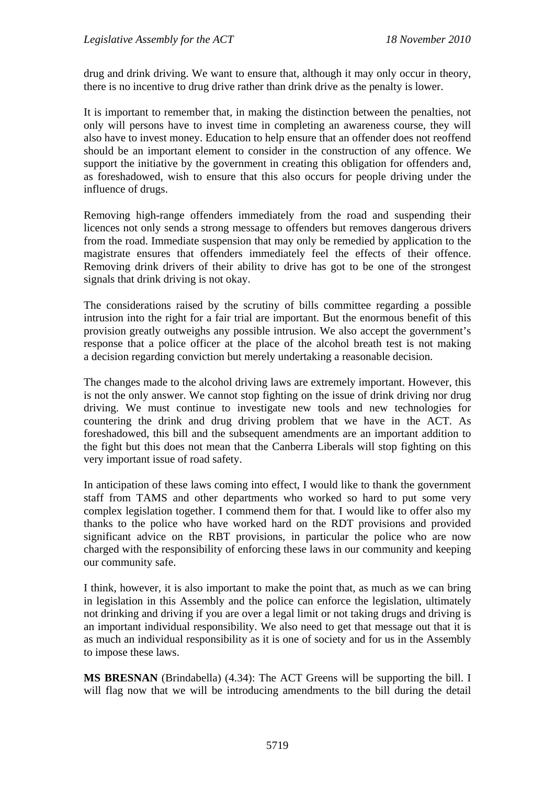drug and drink driving. We want to ensure that, although it may only occur in theory, there is no incentive to drug drive rather than drink drive as the penalty is lower.

It is important to remember that, in making the distinction between the penalties, not only will persons have to invest time in completing an awareness course, they will also have to invest money. Education to help ensure that an offender does not reoffend should be an important element to consider in the construction of any offence. We support the initiative by the government in creating this obligation for offenders and, as foreshadowed, wish to ensure that this also occurs for people driving under the influence of drugs.

Removing high-range offenders immediately from the road and suspending their licences not only sends a strong message to offenders but removes dangerous drivers from the road. Immediate suspension that may only be remedied by application to the magistrate ensures that offenders immediately feel the effects of their offence. Removing drink drivers of their ability to drive has got to be one of the strongest signals that drink driving is not okay.

The considerations raised by the scrutiny of bills committee regarding a possible intrusion into the right for a fair trial are important. But the enormous benefit of this provision greatly outweighs any possible intrusion. We also accept the government's response that a police officer at the place of the alcohol breath test is not making a decision regarding conviction but merely undertaking a reasonable decision.

The changes made to the alcohol driving laws are extremely important. However, this is not the only answer. We cannot stop fighting on the issue of drink driving nor drug driving. We must continue to investigate new tools and new technologies for countering the drink and drug driving problem that we have in the ACT. As foreshadowed, this bill and the subsequent amendments are an important addition to the fight but this does not mean that the Canberra Liberals will stop fighting on this very important issue of road safety.

In anticipation of these laws coming into effect, I would like to thank the government staff from TAMS and other departments who worked so hard to put some very complex legislation together. I commend them for that. I would like to offer also my thanks to the police who have worked hard on the RDT provisions and provided significant advice on the RBT provisions, in particular the police who are now charged with the responsibility of enforcing these laws in our community and keeping our community safe.

I think, however, it is also important to make the point that, as much as we can bring in legislation in this Assembly and the police can enforce the legislation, ultimately not drinking and driving if you are over a legal limit or not taking drugs and driving is an important individual responsibility. We also need to get that message out that it is as much an individual responsibility as it is one of society and for us in the Assembly to impose these laws.

**MS BRESNAN** (Brindabella) (4.34): The ACT Greens will be supporting the bill. I will flag now that we will be introducing amendments to the bill during the detail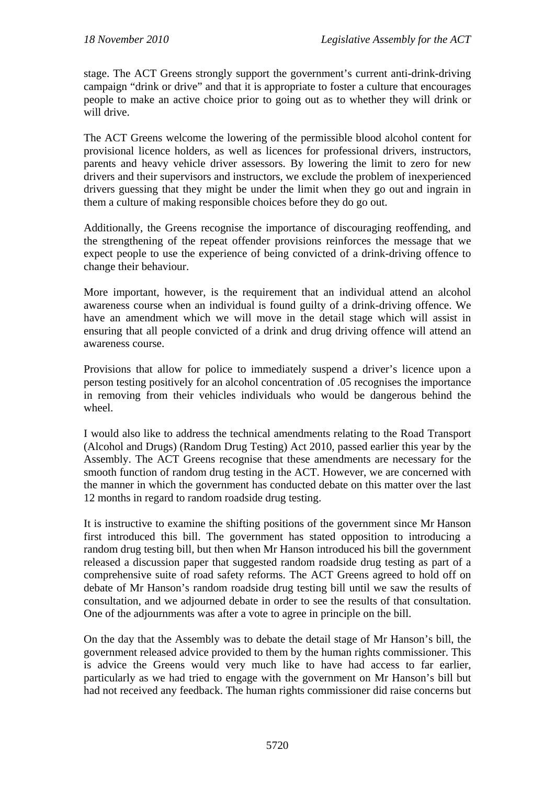stage. The ACT Greens strongly support the government's current anti-drink-driving campaign "drink or drive" and that it is appropriate to foster a culture that encourages people to make an active choice prior to going out as to whether they will drink or will drive.

The ACT Greens welcome the lowering of the permissible blood alcohol content for provisional licence holders, as well as licences for professional drivers, instructors, parents and heavy vehicle driver assessors. By lowering the limit to zero for new drivers and their supervisors and instructors, we exclude the problem of inexperienced drivers guessing that they might be under the limit when they go out and ingrain in them a culture of making responsible choices before they do go out.

Additionally, the Greens recognise the importance of discouraging reoffending, and the strengthening of the repeat offender provisions reinforces the message that we expect people to use the experience of being convicted of a drink-driving offence to change their behaviour.

More important, however, is the requirement that an individual attend an alcohol awareness course when an individual is found guilty of a drink-driving offence. We have an amendment which we will move in the detail stage which will assist in ensuring that all people convicted of a drink and drug driving offence will attend an awareness course.

Provisions that allow for police to immediately suspend a driver's licence upon a person testing positively for an alcohol concentration of .05 recognises the importance in removing from their vehicles individuals who would be dangerous behind the wheel.

I would also like to address the technical amendments relating to the Road Transport (Alcohol and Drugs) (Random Drug Testing) Act 2010, passed earlier this year by the Assembly. The ACT Greens recognise that these amendments are necessary for the smooth function of random drug testing in the ACT. However, we are concerned with the manner in which the government has conducted debate on this matter over the last 12 months in regard to random roadside drug testing.

It is instructive to examine the shifting positions of the government since Mr Hanson first introduced this bill. The government has stated opposition to introducing a random drug testing bill, but then when Mr Hanson introduced his bill the government released a discussion paper that suggested random roadside drug testing as part of a comprehensive suite of road safety reforms. The ACT Greens agreed to hold off on debate of Mr Hanson's random roadside drug testing bill until we saw the results of consultation, and we adjourned debate in order to see the results of that consultation. One of the adjournments was after a vote to agree in principle on the bill.

On the day that the Assembly was to debate the detail stage of Mr Hanson's bill, the government released advice provided to them by the human rights commissioner. This is advice the Greens would very much like to have had access to far earlier, particularly as we had tried to engage with the government on Mr Hanson's bill but had not received any feedback. The human rights commissioner did raise concerns but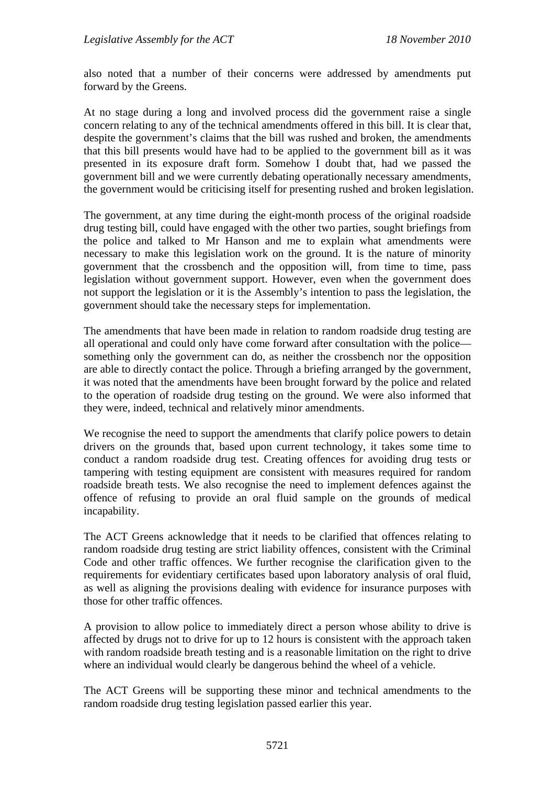also noted that a number of their concerns were addressed by amendments put forward by the Greens.

At no stage during a long and involved process did the government raise a single concern relating to any of the technical amendments offered in this bill. It is clear that, despite the government's claims that the bill was rushed and broken, the amendments that this bill presents would have had to be applied to the government bill as it was presented in its exposure draft form. Somehow I doubt that, had we passed the government bill and we were currently debating operationally necessary amendments, the government would be criticising itself for presenting rushed and broken legislation.

The government, at any time during the eight-month process of the original roadside drug testing bill, could have engaged with the other two parties, sought briefings from the police and talked to Mr Hanson and me to explain what amendments were necessary to make this legislation work on the ground. It is the nature of minority government that the crossbench and the opposition will, from time to time, pass legislation without government support. However, even when the government does not support the legislation or it is the Assembly's intention to pass the legislation, the government should take the necessary steps for implementation.

The amendments that have been made in relation to random roadside drug testing are all operational and could only have come forward after consultation with the police something only the government can do, as neither the crossbench nor the opposition are able to directly contact the police. Through a briefing arranged by the government, it was noted that the amendments have been brought forward by the police and related to the operation of roadside drug testing on the ground. We were also informed that they were, indeed, technical and relatively minor amendments.

We recognise the need to support the amendments that clarify police powers to detain drivers on the grounds that, based upon current technology, it takes some time to conduct a random roadside drug test. Creating offences for avoiding drug tests or tampering with testing equipment are consistent with measures required for random roadside breath tests. We also recognise the need to implement defences against the offence of refusing to provide an oral fluid sample on the grounds of medical incapability.

The ACT Greens acknowledge that it needs to be clarified that offences relating to random roadside drug testing are strict liability offences, consistent with the Criminal Code and other traffic offences. We further recognise the clarification given to the requirements for evidentiary certificates based upon laboratory analysis of oral fluid, as well as aligning the provisions dealing with evidence for insurance purposes with those for other traffic offences.

A provision to allow police to immediately direct a person whose ability to drive is affected by drugs not to drive for up to 12 hours is consistent with the approach taken with random roadside breath testing and is a reasonable limitation on the right to drive where an individual would clearly be dangerous behind the wheel of a vehicle.

The ACT Greens will be supporting these minor and technical amendments to the random roadside drug testing legislation passed earlier this year.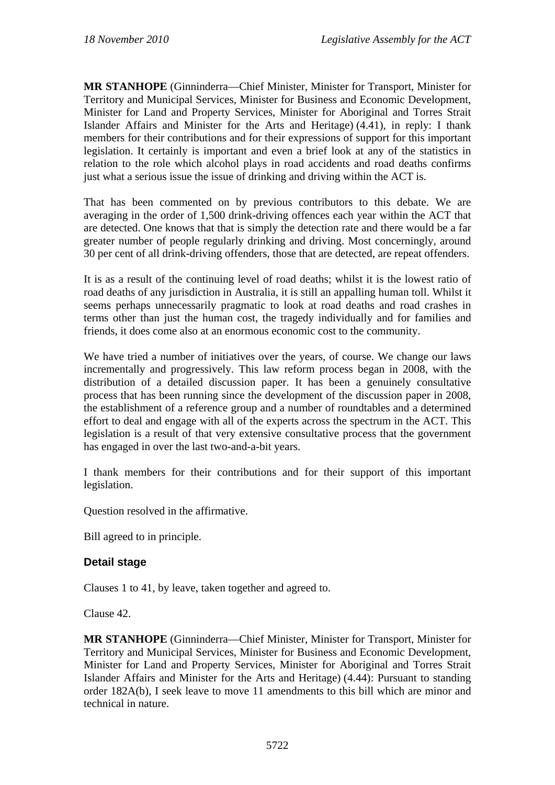**MR STANHOPE** (Ginninderra—Chief Minister, Minister for Transport, Minister for Territory and Municipal Services, Minister for Business and Economic Development, Minister for Land and Property Services, Minister for Aboriginal and Torres Strait Islander Affairs and Minister for the Arts and Heritage) (4.41), in reply: I thank members for their contributions and for their expressions of support for this important legislation. It certainly is important and even a brief look at any of the statistics in relation to the role which alcohol plays in road accidents and road deaths confirms just what a serious issue the issue of drinking and driving within the ACT is.

That has been commented on by previous contributors to this debate. We are averaging in the order of 1,500 drink-driving offences each year within the ACT that are detected. One knows that that is simply the detection rate and there would be a far greater number of people regularly drinking and driving. Most concerningly, around 30 per cent of all drink-driving offenders, those that are detected, are repeat offenders.

It is as a result of the continuing level of road deaths; whilst it is the lowest ratio of road deaths of any jurisdiction in Australia, it is still an appalling human toll. Whilst it seems perhaps unnecessarily pragmatic to look at road deaths and road crashes in terms other than just the human cost, the tragedy individually and for families and friends, it does come also at an enormous economic cost to the community.

We have tried a number of initiatives over the years, of course. We change our laws incrementally and progressively. This law reform process began in 2008, with the distribution of a detailed discussion paper. It has been a genuinely consultative process that has been running since the development of the discussion paper in 2008, the establishment of a reference group and a number of roundtables and a determined effort to deal and engage with all of the experts across the spectrum in the ACT. This legislation is a result of that very extensive consultative process that the government has engaged in over the last two-and-a-bit years.

I thank members for their contributions and for their support of this important legislation.

Question resolved in the affirmative.

Bill agreed to in principle.

#### **Detail stage**

Clauses 1 to 41, by leave, taken together and agreed to.

Clause 42.

**MR STANHOPE** (Ginninderra—Chief Minister, Minister for Transport, Minister for Territory and Municipal Services, Minister for Business and Economic Development, Minister for Land and Property Services, Minister for Aboriginal and Torres Strait Islander Affairs and Minister for the Arts and Heritage) (4.44): Pursuant to standing order 182A(b), I seek leave to move 11 amendments to this bill which are minor and technical in nature.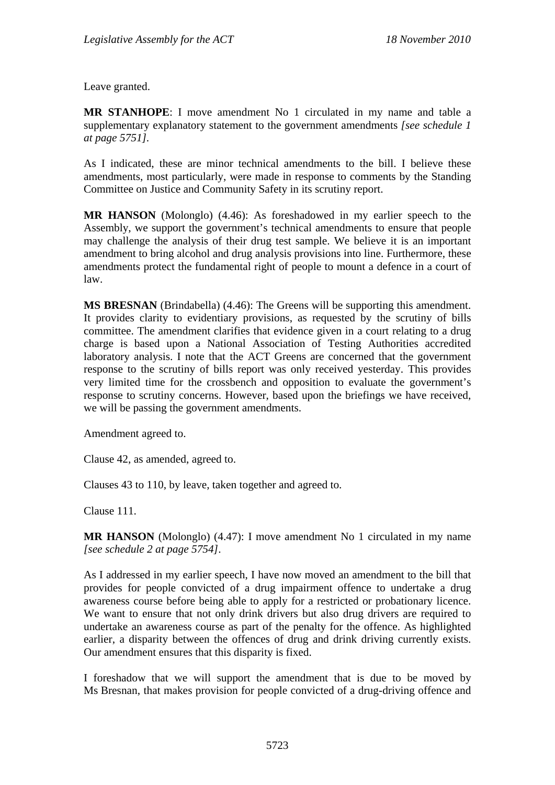Leave granted.

**MR STANHOPE**: I move amendment No 1 circulated in my name and table a supplementary explanatory statement to the government amendments *[see schedule 1 at page 5751].*

As I indicated, these are minor technical amendments to the bill. I believe these amendments, most particularly, were made in response to comments by the Standing Committee on Justice and Community Safety in its scrutiny report.

**MR HANSON** (Molonglo) (4.46): As foreshadowed in my earlier speech to the Assembly, we support the government's technical amendments to ensure that people may challenge the analysis of their drug test sample. We believe it is an important amendment to bring alcohol and drug analysis provisions into line. Furthermore, these amendments protect the fundamental right of people to mount a defence in a court of law.

**MS BRESNAN** (Brindabella) (4.46): The Greens will be supporting this amendment. It provides clarity to evidentiary provisions, as requested by the scrutiny of bills committee. The amendment clarifies that evidence given in a court relating to a drug charge is based upon a National Association of Testing Authorities accredited laboratory analysis. I note that the ACT Greens are concerned that the government response to the scrutiny of bills report was only received yesterday. This provides very limited time for the crossbench and opposition to evaluate the government's response to scrutiny concerns. However, based upon the briefings we have received, we will be passing the government amendments.

Amendment agreed to.

Clause 42, as amended, agreed to.

Clauses 43 to 110, by leave, taken together and agreed to.

Clause 111.

**MR HANSON** (Molonglo) (4.47): I move amendment No 1 circulated in my name *[see schedule 2 at page 5754]*.

As I addressed in my earlier speech, I have now moved an amendment to the bill that provides for people convicted of a drug impairment offence to undertake a drug awareness course before being able to apply for a restricted or probationary licence. We want to ensure that not only drink drivers but also drug drivers are required to undertake an awareness course as part of the penalty for the offence. As highlighted earlier, a disparity between the offences of drug and drink driving currently exists. Our amendment ensures that this disparity is fixed.

I foreshadow that we will support the amendment that is due to be moved by Ms Bresnan, that makes provision for people convicted of a drug-driving offence and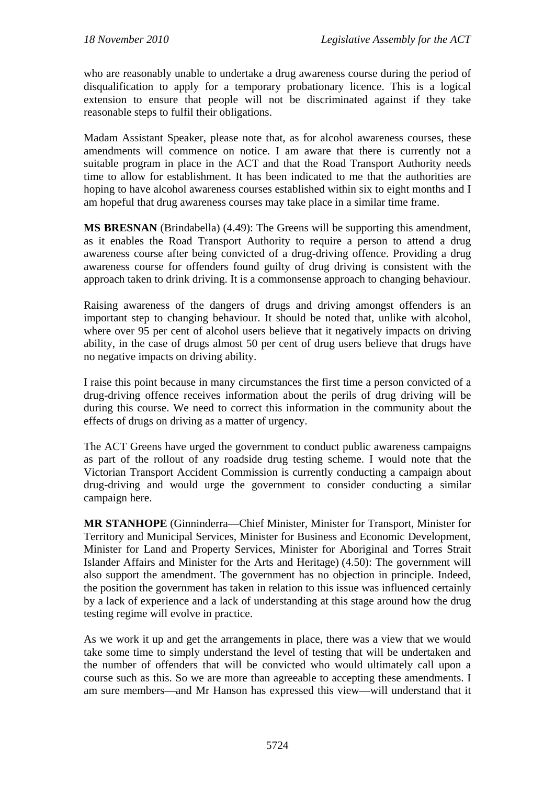who are reasonably unable to undertake a drug awareness course during the period of disqualification to apply for a temporary probationary licence. This is a logical extension to ensure that people will not be discriminated against if they take reasonable steps to fulfil their obligations.

Madam Assistant Speaker, please note that, as for alcohol awareness courses, these amendments will commence on notice. I am aware that there is currently not a suitable program in place in the ACT and that the Road Transport Authority needs time to allow for establishment. It has been indicated to me that the authorities are hoping to have alcohol awareness courses established within six to eight months and I am hopeful that drug awareness courses may take place in a similar time frame.

**MS BRESNAN** (Brindabella) (4.49): The Greens will be supporting this amendment, as it enables the Road Transport Authority to require a person to attend a drug awareness course after being convicted of a drug-driving offence. Providing a drug awareness course for offenders found guilty of drug driving is consistent with the approach taken to drink driving. It is a commonsense approach to changing behaviour.

Raising awareness of the dangers of drugs and driving amongst offenders is an important step to changing behaviour. It should be noted that, unlike with alcohol, where over 95 per cent of alcohol users believe that it negatively impacts on driving ability, in the case of drugs almost 50 per cent of drug users believe that drugs have no negative impacts on driving ability.

I raise this point because in many circumstances the first time a person convicted of a drug-driving offence receives information about the perils of drug driving will be during this course. We need to correct this information in the community about the effects of drugs on driving as a matter of urgency.

The ACT Greens have urged the government to conduct public awareness campaigns as part of the rollout of any roadside drug testing scheme. I would note that the Victorian Transport Accident Commission is currently conducting a campaign about drug-driving and would urge the government to consider conducting a similar campaign here.

**MR STANHOPE** (Ginninderra—Chief Minister, Minister for Transport, Minister for Territory and Municipal Services, Minister for Business and Economic Development, Minister for Land and Property Services, Minister for Aboriginal and Torres Strait Islander Affairs and Minister for the Arts and Heritage) (4.50): The government will also support the amendment. The government has no objection in principle. Indeed, the position the government has taken in relation to this issue was influenced certainly by a lack of experience and a lack of understanding at this stage around how the drug testing regime will evolve in practice.

As we work it up and get the arrangements in place, there was a view that we would take some time to simply understand the level of testing that will be undertaken and the number of offenders that will be convicted who would ultimately call upon a course such as this. So we are more than agreeable to accepting these amendments. I am sure members—and Mr Hanson has expressed this view—will understand that it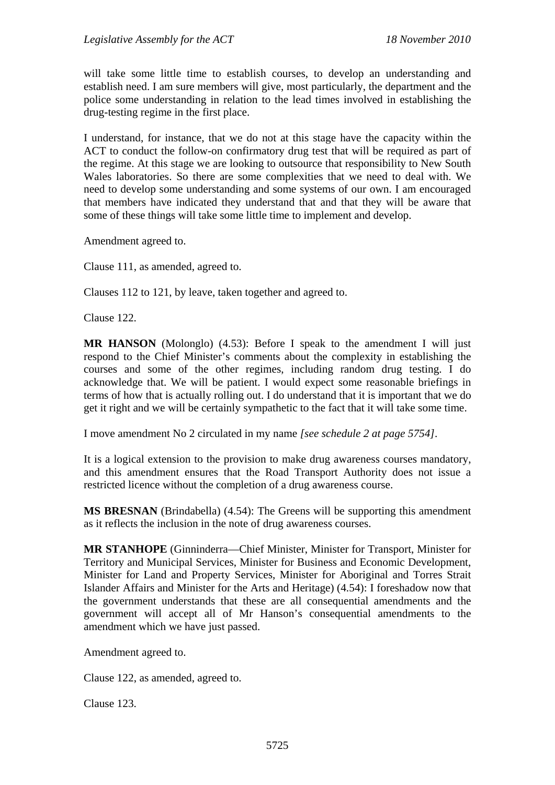will take some little time to establish courses, to develop an understanding and establish need. I am sure members will give, most particularly, the department and the police some understanding in relation to the lead times involved in establishing the drug-testing regime in the first place.

I understand, for instance, that we do not at this stage have the capacity within the ACT to conduct the follow-on confirmatory drug test that will be required as part of the regime. At this stage we are looking to outsource that responsibility to New South Wales laboratories. So there are some complexities that we need to deal with. We need to develop some understanding and some systems of our own. I am encouraged that members have indicated they understand that and that they will be aware that some of these things will take some little time to implement and develop.

Amendment agreed to.

Clause 111, as amended, agreed to.

Clauses 112 to 121, by leave, taken together and agreed to.

Clause 122.

**MR HANSON** (Molonglo) (4.53): Before I speak to the amendment I will just respond to the Chief Minister's comments about the complexity in establishing the courses and some of the other regimes, including random drug testing. I do acknowledge that. We will be patient. I would expect some reasonable briefings in terms of how that is actually rolling out. I do understand that it is important that we do get it right and we will be certainly sympathetic to the fact that it will take some time.

I move amendment No 2 circulated in my name *[see schedule 2 at page 5754]*.

It is a logical extension to the provision to make drug awareness courses mandatory, and this amendment ensures that the Road Transport Authority does not issue a restricted licence without the completion of a drug awareness course.

**MS BRESNAN** (Brindabella) (4.54): The Greens will be supporting this amendment as it reflects the inclusion in the note of drug awareness courses.

**MR STANHOPE** (Ginninderra—Chief Minister, Minister for Transport, Minister for Territory and Municipal Services, Minister for Business and Economic Development, Minister for Land and Property Services, Minister for Aboriginal and Torres Strait Islander Affairs and Minister for the Arts and Heritage) (4.54): I foreshadow now that the government understands that these are all consequential amendments and the government will accept all of Mr Hanson's consequential amendments to the amendment which we have just passed.

Amendment agreed to.

Clause 122, as amended, agreed to.

Clause 123.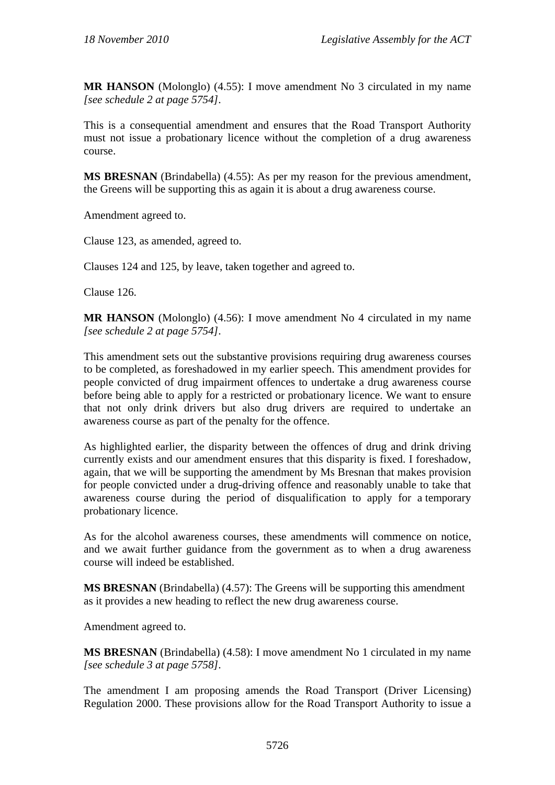**MR HANSON** (Molonglo) (4.55): I move amendment No 3 circulated in my name *[see schedule 2 at page 5754]*.

This is a consequential amendment and ensures that the Road Transport Authority must not issue a probationary licence without the completion of a drug awareness course.

**MS BRESNAN** (Brindabella) (4.55): As per my reason for the previous amendment, the Greens will be supporting this as again it is about a drug awareness course.

Amendment agreed to.

Clause 123, as amended, agreed to.

Clauses 124 and 125, by leave, taken together and agreed to.

Clause 126.

**MR HANSON** (Molonglo) (4.56): I move amendment No 4 circulated in my name *[see schedule 2 at page 5754]*.

This amendment sets out the substantive provisions requiring drug awareness courses to be completed, as foreshadowed in my earlier speech. This amendment provides for people convicted of drug impairment offences to undertake a drug awareness course before being able to apply for a restricted or probationary licence. We want to ensure that not only drink drivers but also drug drivers are required to undertake an awareness course as part of the penalty for the offence.

As highlighted earlier, the disparity between the offences of drug and drink driving currently exists and our amendment ensures that this disparity is fixed. I foreshadow, again, that we will be supporting the amendment by Ms Bresnan that makes provision for people convicted under a drug-driving offence and reasonably unable to take that awareness course during the period of disqualification to apply for a temporary probationary licence.

As for the alcohol awareness courses, these amendments will commence on notice, and we await further guidance from the government as to when a drug awareness course will indeed be established.

**MS BRESNAN** (Brindabella) (4.57): The Greens will be supporting this amendment as it provides a new heading to reflect the new drug awareness course.

Amendment agreed to.

**MS BRESNAN** (Brindabella) (4.58): I move amendment No 1 circulated in my name *[see schedule 3 at page 5758]*.

The amendment I am proposing amends the Road Transport (Driver Licensing) Regulation 2000. These provisions allow for the Road Transport Authority to issue a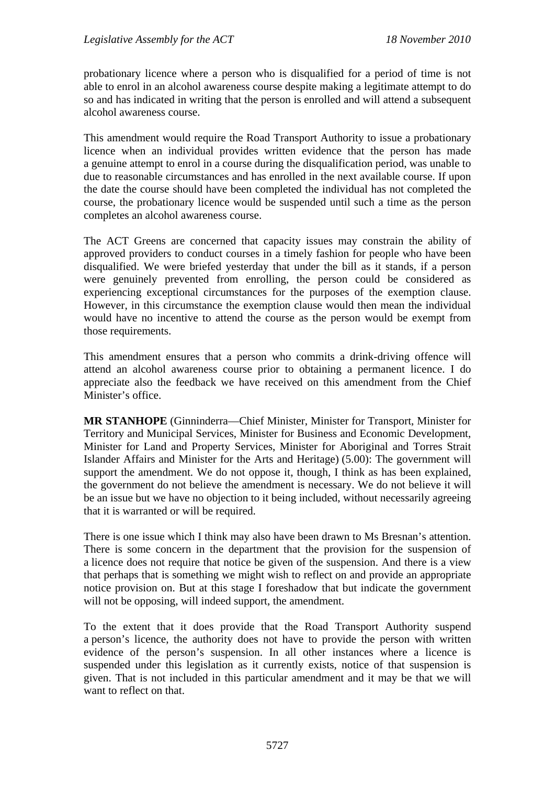probationary licence where a person who is disqualified for a period of time is not able to enrol in an alcohol awareness course despite making a legitimate attempt to do so and has indicated in writing that the person is enrolled and will attend a subsequent alcohol awareness course.

This amendment would require the Road Transport Authority to issue a probationary licence when an individual provides written evidence that the person has made a genuine attempt to enrol in a course during the disqualification period, was unable to due to reasonable circumstances and has enrolled in the next available course. If upon the date the course should have been completed the individual has not completed the course, the probationary licence would be suspended until such a time as the person completes an alcohol awareness course.

The ACT Greens are concerned that capacity issues may constrain the ability of approved providers to conduct courses in a timely fashion for people who have been disqualified. We were briefed yesterday that under the bill as it stands, if a person were genuinely prevented from enrolling, the person could be considered as experiencing exceptional circumstances for the purposes of the exemption clause. However, in this circumstance the exemption clause would then mean the individual would have no incentive to attend the course as the person would be exempt from those requirements.

This amendment ensures that a person who commits a drink-driving offence will attend an alcohol awareness course prior to obtaining a permanent licence. I do appreciate also the feedback we have received on this amendment from the Chief Minister's office.

**MR STANHOPE** (Ginninderra—Chief Minister, Minister for Transport, Minister for Territory and Municipal Services, Minister for Business and Economic Development, Minister for Land and Property Services, Minister for Aboriginal and Torres Strait Islander Affairs and Minister for the Arts and Heritage) (5.00): The government will support the amendment. We do not oppose it, though, I think as has been explained, the government do not believe the amendment is necessary. We do not believe it will be an issue but we have no objection to it being included, without necessarily agreeing that it is warranted or will be required.

There is one issue which I think may also have been drawn to Ms Bresnan's attention. There is some concern in the department that the provision for the suspension of a licence does not require that notice be given of the suspension. And there is a view that perhaps that is something we might wish to reflect on and provide an appropriate notice provision on. But at this stage I foreshadow that but indicate the government will not be opposing, will indeed support, the amendment.

To the extent that it does provide that the Road Transport Authority suspend a person's licence, the authority does not have to provide the person with written evidence of the person's suspension. In all other instances where a licence is suspended under this legislation as it currently exists, notice of that suspension is given. That is not included in this particular amendment and it may be that we will want to reflect on that.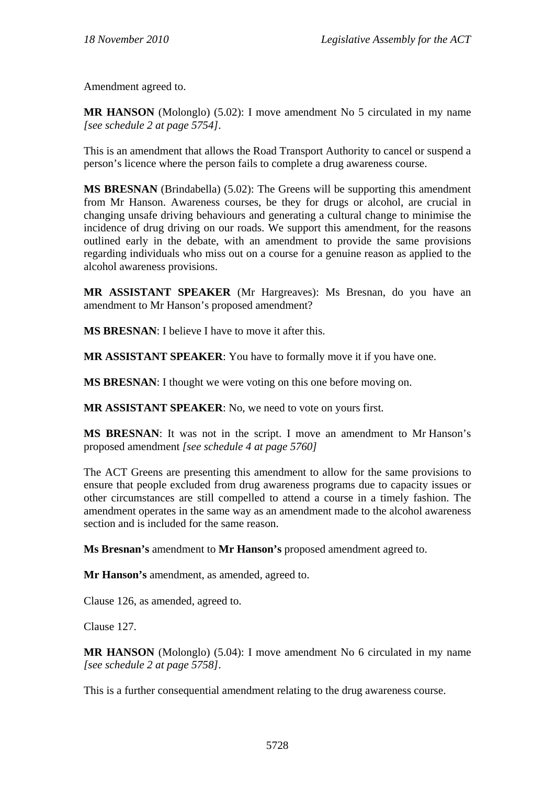Amendment agreed to.

**MR HANSON** (Molonglo) (5.02): I move amendment No 5 circulated in my name *[see schedule 2 at page 5754]*.

This is an amendment that allows the Road Transport Authority to cancel or suspend a person's licence where the person fails to complete a drug awareness course.

**MS BRESNAN** (Brindabella) (5.02): The Greens will be supporting this amendment from Mr Hanson. Awareness courses, be they for drugs or alcohol, are crucial in changing unsafe driving behaviours and generating a cultural change to minimise the incidence of drug driving on our roads. We support this amendment, for the reasons outlined early in the debate, with an amendment to provide the same provisions regarding individuals who miss out on a course for a genuine reason as applied to the alcohol awareness provisions.

**MR ASSISTANT SPEAKER** (Mr Hargreaves): Ms Bresnan, do you have an amendment to Mr Hanson's proposed amendment?

**MS BRESNAN**: I believe I have to move it after this.

**MR ASSISTANT SPEAKER**: You have to formally move it if you have one.

**MS BRESNAN**: I thought we were voting on this one before moving on.

**MR ASSISTANT SPEAKER**: No, we need to vote on yours first.

**MS BRESNAN**: It was not in the script. I move an amendment to Mr Hanson's proposed amendment *[see schedule 4 at page 5760]* 

The ACT Greens are presenting this amendment to allow for the same provisions to ensure that people excluded from drug awareness programs due to capacity issues or other circumstances are still compelled to attend a course in a timely fashion. The amendment operates in the same way as an amendment made to the alcohol awareness section and is included for the same reason.

**Ms Bresnan's** amendment to **Mr Hanson's** proposed amendment agreed to.

**Mr Hanson's** amendment, as amended, agreed to.

Clause 126, as amended, agreed to.

Clause 127.

**MR HANSON** (Molonglo) (5.04): I move amendment No 6 circulated in my name *[see schedule 2 at page 5758]*.

This is a further consequential amendment relating to the drug awareness course.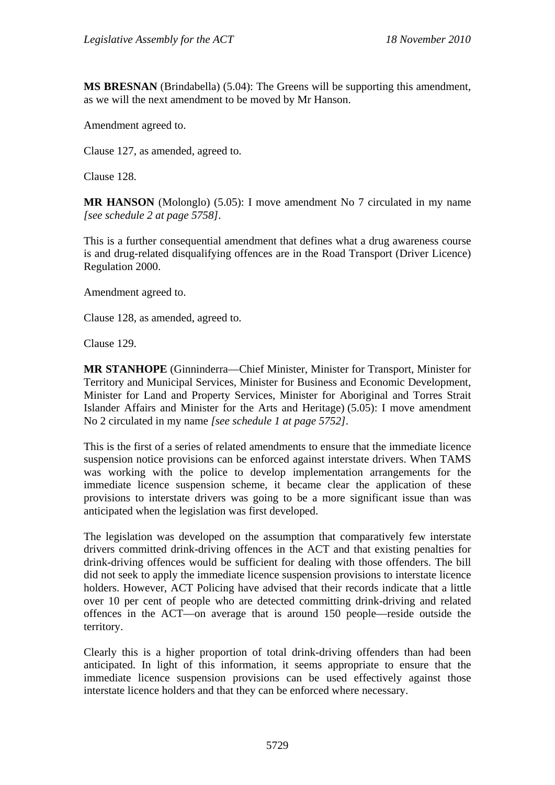**MS BRESNAN** (Brindabella) (5.04): The Greens will be supporting this amendment, as we will the next amendment to be moved by Mr Hanson.

Amendment agreed to.

Clause 127, as amended, agreed to.

Clause 128.

**MR HANSON** (Molonglo) (5.05): I move amendment No 7 circulated in my name *[see schedule 2 at page 5758]*.

This is a further consequential amendment that defines what a drug awareness course is and drug-related disqualifying offences are in the Road Transport (Driver Licence) Regulation 2000.

Amendment agreed to.

Clause 128, as amended, agreed to.

Clause 129.

**MR STANHOPE** (Ginninderra—Chief Minister, Minister for Transport, Minister for Territory and Municipal Services, Minister for Business and Economic Development, Minister for Land and Property Services, Minister for Aboriginal and Torres Strait Islander Affairs and Minister for the Arts and Heritage) (5.05): I move amendment No 2 circulated in my name *[see schedule 1 at page 5752]*.

This is the first of a series of related amendments to ensure that the immediate licence suspension notice provisions can be enforced against interstate drivers. When TAMS was working with the police to develop implementation arrangements for the immediate licence suspension scheme, it became clear the application of these provisions to interstate drivers was going to be a more significant issue than was anticipated when the legislation was first developed.

The legislation was developed on the assumption that comparatively few interstate drivers committed drink-driving offences in the ACT and that existing penalties for drink-driving offences would be sufficient for dealing with those offenders. The bill did not seek to apply the immediate licence suspension provisions to interstate licence holders. However, ACT Policing have advised that their records indicate that a little over 10 per cent of people who are detected committing drink-driving and related offences in the ACT—on average that is around 150 people—reside outside the territory.

Clearly this is a higher proportion of total drink-driving offenders than had been anticipated. In light of this information, it seems appropriate to ensure that the immediate licence suspension provisions can be used effectively against those interstate licence holders and that they can be enforced where necessary.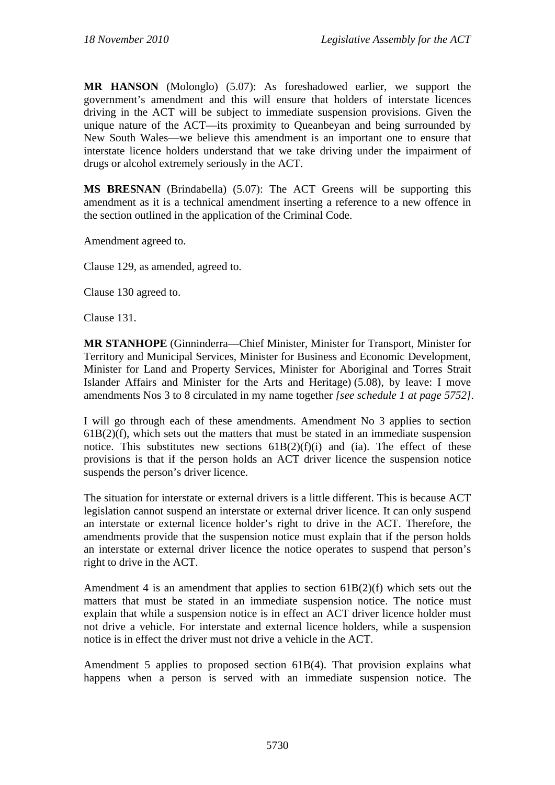**MR HANSON** (Molonglo) (5.07): As foreshadowed earlier, we support the government's amendment and this will ensure that holders of interstate licences driving in the ACT will be subject to immediate suspension provisions. Given the unique nature of the ACT—its proximity to Queanbeyan and being surrounded by New South Wales—we believe this amendment is an important one to ensure that interstate licence holders understand that we take driving under the impairment of drugs or alcohol extremely seriously in the ACT.

**MS BRESNAN** (Brindabella) (5.07): The ACT Greens will be supporting this amendment as it is a technical amendment inserting a reference to a new offence in the section outlined in the application of the Criminal Code.

Amendment agreed to.

Clause 129, as amended, agreed to.

Clause 130 agreed to.

Clause 131.

**MR STANHOPE** (Ginninderra—Chief Minister, Minister for Transport, Minister for Territory and Municipal Services, Minister for Business and Economic Development, Minister for Land and Property Services, Minister for Aboriginal and Torres Strait Islander Affairs and Minister for the Arts and Heritage) (5.08), by leave: I move amendments Nos 3 to 8 circulated in my name together *[see schedule 1 at page 5752]*.

I will go through each of these amendments. Amendment No 3 applies to section  $61B(2)(f)$ , which sets out the matters that must be stated in an immediate suspension notice. This substitutes new sections  $61B(2)(f)(i)$  and (ia). The effect of these provisions is that if the person holds an ACT driver licence the suspension notice suspends the person's driver licence.

The situation for interstate or external drivers is a little different. This is because ACT legislation cannot suspend an interstate or external driver licence. It can only suspend an interstate or external licence holder's right to drive in the ACT. Therefore, the amendments provide that the suspension notice must explain that if the person holds an interstate or external driver licence the notice operates to suspend that person's right to drive in the ACT.

Amendment 4 is an amendment that applies to section 61B(2)(f) which sets out the matters that must be stated in an immediate suspension notice. The notice must explain that while a suspension notice is in effect an ACT driver licence holder must not drive a vehicle. For interstate and external licence holders, while a suspension notice is in effect the driver must not drive a vehicle in the ACT.

Amendment 5 applies to proposed section 61B(4). That provision explains what happens when a person is served with an immediate suspension notice. The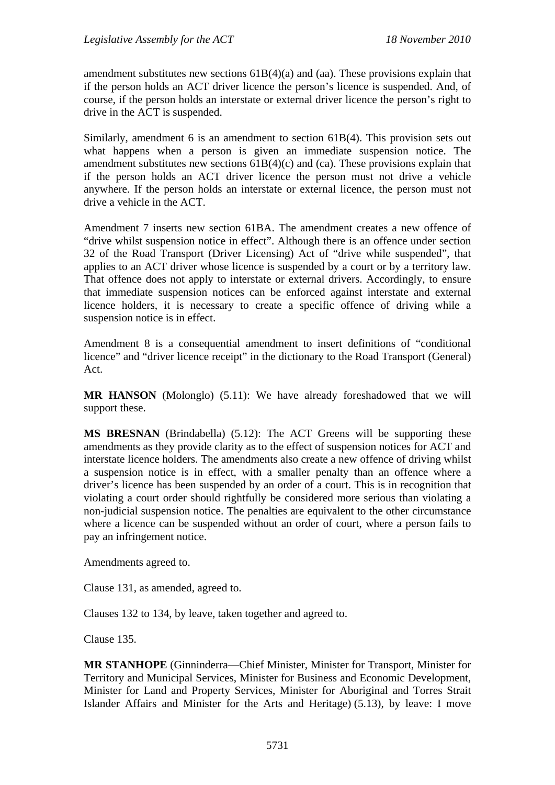amendment substitutes new sections 61B(4)(a) and (aa). These provisions explain that if the person holds an ACT driver licence the person's licence is suspended. And, of course, if the person holds an interstate or external driver licence the person's right to drive in the ACT is suspended.

Similarly, amendment 6 is an amendment to section 61B(4). This provision sets out what happens when a person is given an immediate suspension notice. The amendment substitutes new sections  $61B(4)(c)$  and  $(ca)$ . These provisions explain that if the person holds an ACT driver licence the person must not drive a vehicle anywhere. If the person holds an interstate or external licence, the person must not drive a vehicle in the ACT.

Amendment 7 inserts new section 61BA. The amendment creates a new offence of "drive whilst suspension notice in effect". Although there is an offence under section 32 of the Road Transport (Driver Licensing) Act of "drive while suspended", that applies to an ACT driver whose licence is suspended by a court or by a territory law. That offence does not apply to interstate or external drivers. Accordingly, to ensure that immediate suspension notices can be enforced against interstate and external licence holders, it is necessary to create a specific offence of driving while a suspension notice is in effect.

Amendment 8 is a consequential amendment to insert definitions of "conditional licence" and "driver licence receipt" in the dictionary to the Road Transport (General) Act.

**MR HANSON** (Molonglo) (5.11): We have already foreshadowed that we will support these.

**MS BRESNAN** (Brindabella) (5.12): The ACT Greens will be supporting these amendments as they provide clarity as to the effect of suspension notices for ACT and interstate licence holders. The amendments also create a new offence of driving whilst a suspension notice is in effect, with a smaller penalty than an offence where a driver's licence has been suspended by an order of a court. This is in recognition that violating a court order should rightfully be considered more serious than violating a non-judicial suspension notice. The penalties are equivalent to the other circumstance where a licence can be suspended without an order of court, where a person fails to pay an infringement notice.

Amendments agreed to.

Clause 131, as amended, agreed to.

Clauses 132 to 134, by leave, taken together and agreed to.

Clause 135.

**MR STANHOPE** (Ginninderra—Chief Minister, Minister for Transport, Minister for Territory and Municipal Services, Minister for Business and Economic Development, Minister for Land and Property Services, Minister for Aboriginal and Torres Strait Islander Affairs and Minister for the Arts and Heritage) (5.13), by leave: I move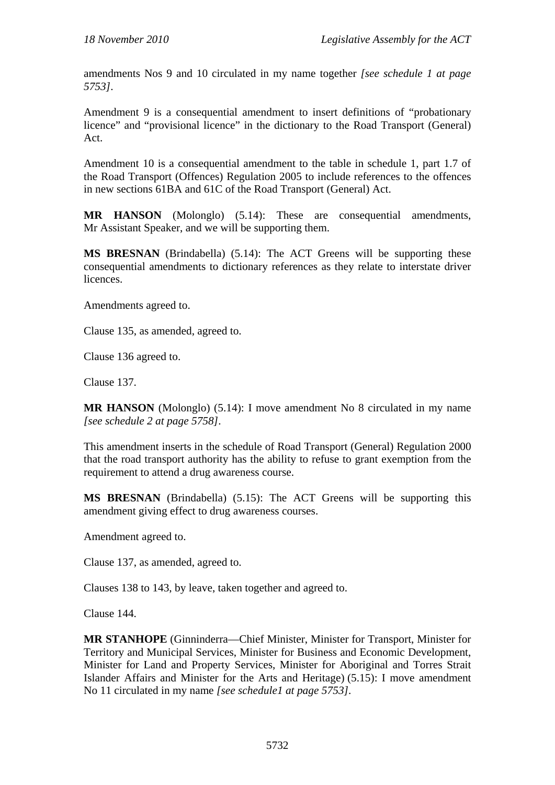amendments Nos 9 and 10 circulated in my name together *[see schedule 1 at page 5753]*.

Amendment 9 is a consequential amendment to insert definitions of "probationary licence" and "provisional licence" in the dictionary to the Road Transport (General) Act.

Amendment 10 is a consequential amendment to the table in schedule 1, part 1.7 of the Road Transport (Offences) Regulation 2005 to include references to the offences in new sections 61BA and 61C of the Road Transport (General) Act.

**MR HANSON** (Molonglo) (5.14): These are consequential amendments, Mr Assistant Speaker, and we will be supporting them.

**MS BRESNAN** (Brindabella) (5.14): The ACT Greens will be supporting these consequential amendments to dictionary references as they relate to interstate driver licences.

Amendments agreed to.

Clause 135, as amended, agreed to.

Clause 136 agreed to.

Clause 137.

**MR HANSON** (Molonglo) (5.14): I move amendment No 8 circulated in my name *[see schedule 2 at page 5758]*.

This amendment inserts in the schedule of Road Transport (General) Regulation 2000 that the road transport authority has the ability to refuse to grant exemption from the requirement to attend a drug awareness course.

**MS BRESNAN** (Brindabella) (5.15): The ACT Greens will be supporting this amendment giving effect to drug awareness courses.

Amendment agreed to.

Clause 137, as amended, agreed to.

Clauses 138 to 143, by leave, taken together and agreed to.

Clause 144.

**MR STANHOPE** (Ginninderra—Chief Minister, Minister for Transport, Minister for Territory and Municipal Services, Minister for Business and Economic Development, Minister for Land and Property Services, Minister for Aboriginal and Torres Strait Islander Affairs and Minister for the Arts and Heritage) (5.15): I move amendment No 11 circulated in my name *[see schedule1 at page 5753]*.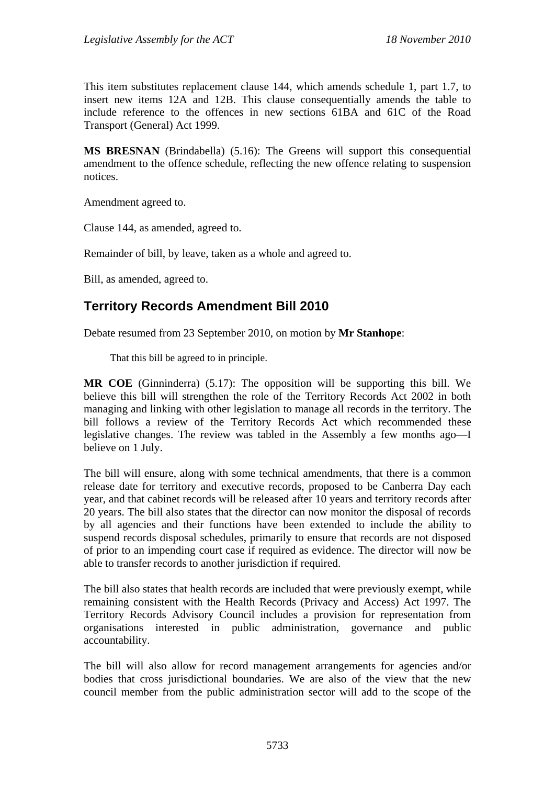This item substitutes replacement clause 144, which amends schedule 1, part 1.7, to insert new items 12A and 12B. This clause consequentially amends the table to include reference to the offences in new sections 61BA and 61C of the Road Transport (General) Act 1999.

**MS BRESNAN** (Brindabella) (5.16): The Greens will support this consequential amendment to the offence schedule, reflecting the new offence relating to suspension notices.

Amendment agreed to.

Clause 144, as amended, agreed to.

Remainder of bill, by leave, taken as a whole and agreed to.

Bill, as amended, agreed to.

# **Territory Records Amendment Bill 2010**

Debate resumed from 23 September 2010, on motion by **Mr Stanhope**:

That this bill be agreed to in principle.

**MR COE** (Ginninderra) (5.17): The opposition will be supporting this bill. We believe this bill will strengthen the role of the Territory Records Act 2002 in both managing and linking with other legislation to manage all records in the territory. The bill follows a review of the Territory Records Act which recommended these legislative changes. The review was tabled in the Assembly a few months ago—I believe on 1 July.

The bill will ensure, along with some technical amendments, that there is a common release date for territory and executive records, proposed to be Canberra Day each year, and that cabinet records will be released after 10 years and territory records after 20 years. The bill also states that the director can now monitor the disposal of records by all agencies and their functions have been extended to include the ability to suspend records disposal schedules, primarily to ensure that records are not disposed of prior to an impending court case if required as evidence. The director will now be able to transfer records to another jurisdiction if required.

The bill also states that health records are included that were previously exempt, while remaining consistent with the Health Records (Privacy and Access) Act 1997. The Territory Records Advisory Council includes a provision for representation from organisations interested in public administration, governance and public accountability.

The bill will also allow for record management arrangements for agencies and/or bodies that cross jurisdictional boundaries. We are also of the view that the new council member from the public administration sector will add to the scope of the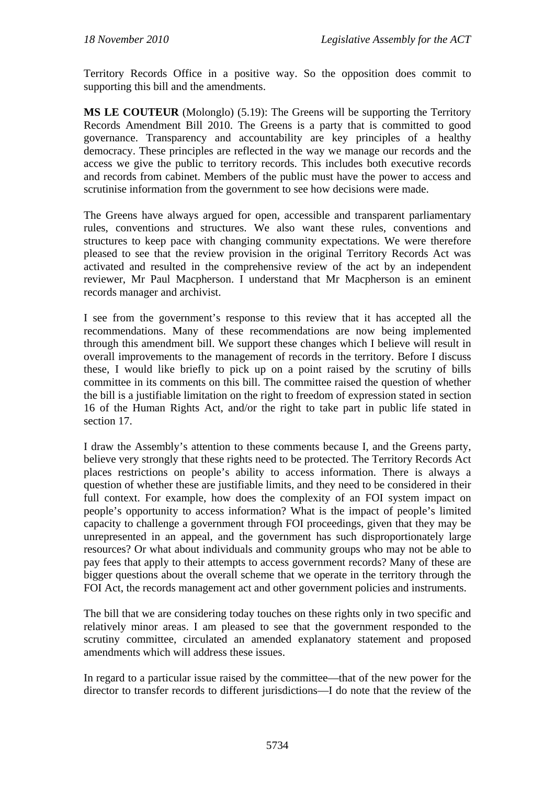Territory Records Office in a positive way. So the opposition does commit to supporting this bill and the amendments.

**MS LE COUTEUR** (Molonglo) (5.19): The Greens will be supporting the Territory Records Amendment Bill 2010. The Greens is a party that is committed to good governance. Transparency and accountability are key principles of a healthy democracy. These principles are reflected in the way we manage our records and the access we give the public to territory records. This includes both executive records and records from cabinet. Members of the public must have the power to access and scrutinise information from the government to see how decisions were made.

The Greens have always argued for open, accessible and transparent parliamentary rules, conventions and structures. We also want these rules, conventions and structures to keep pace with changing community expectations. We were therefore pleased to see that the review provision in the original Territory Records Act was activated and resulted in the comprehensive review of the act by an independent reviewer, Mr Paul Macpherson. I understand that Mr Macpherson is an eminent records manager and archivist.

I see from the government's response to this review that it has accepted all the recommendations. Many of these recommendations are now being implemented through this amendment bill. We support these changes which I believe will result in overall improvements to the management of records in the territory. Before I discuss these, I would like briefly to pick up on a point raised by the scrutiny of bills committee in its comments on this bill. The committee raised the question of whether the bill is a justifiable limitation on the right to freedom of expression stated in section 16 of the Human Rights Act, and/or the right to take part in public life stated in section 17.

I draw the Assembly's attention to these comments because I, and the Greens party, believe very strongly that these rights need to be protected. The Territory Records Act places restrictions on people's ability to access information. There is always a question of whether these are justifiable limits, and they need to be considered in their full context. For example, how does the complexity of an FOI system impact on people's opportunity to access information? What is the impact of people's limited capacity to challenge a government through FOI proceedings, given that they may be unrepresented in an appeal, and the government has such disproportionately large resources? Or what about individuals and community groups who may not be able to pay fees that apply to their attempts to access government records? Many of these are bigger questions about the overall scheme that we operate in the territory through the FOI Act, the records management act and other government policies and instruments.

The bill that we are considering today touches on these rights only in two specific and relatively minor areas. I am pleased to see that the government responded to the scrutiny committee, circulated an amended explanatory statement and proposed amendments which will address these issues.

In regard to a particular issue raised by the committee—that of the new power for the director to transfer records to different jurisdictions—I do note that the review of the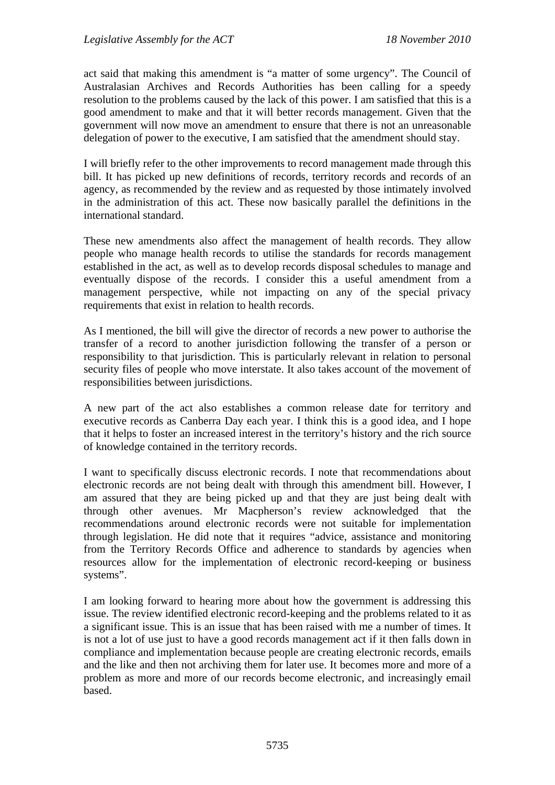act said that making this amendment is "a matter of some urgency". The Council of Australasian Archives and Records Authorities has been calling for a speedy resolution to the problems caused by the lack of this power. I am satisfied that this is a good amendment to make and that it will better records management. Given that the government will now move an amendment to ensure that there is not an unreasonable delegation of power to the executive, I am satisfied that the amendment should stay.

I will briefly refer to the other improvements to record management made through this bill. It has picked up new definitions of records, territory records and records of an agency, as recommended by the review and as requested by those intimately involved in the administration of this act. These now basically parallel the definitions in the international standard.

These new amendments also affect the management of health records. They allow people who manage health records to utilise the standards for records management established in the act, as well as to develop records disposal schedules to manage and eventually dispose of the records. I consider this a useful amendment from a management perspective, while not impacting on any of the special privacy requirements that exist in relation to health records.

As I mentioned, the bill will give the director of records a new power to authorise the transfer of a record to another jurisdiction following the transfer of a person or responsibility to that jurisdiction. This is particularly relevant in relation to personal security files of people who move interstate. It also takes account of the movement of responsibilities between jurisdictions.

A new part of the act also establishes a common release date for territory and executive records as Canberra Day each year. I think this is a good idea, and I hope that it helps to foster an increased interest in the territory's history and the rich source of knowledge contained in the territory records.

I want to specifically discuss electronic records. I note that recommendations about electronic records are not being dealt with through this amendment bill. However, I am assured that they are being picked up and that they are just being dealt with through other avenues. Mr Macpherson's review acknowledged that the recommendations around electronic records were not suitable for implementation through legislation. He did note that it requires "advice, assistance and monitoring from the Territory Records Office and adherence to standards by agencies when resources allow for the implementation of electronic record-keeping or business systems".

I am looking forward to hearing more about how the government is addressing this issue. The review identified electronic record-keeping and the problems related to it as a significant issue. This is an issue that has been raised with me a number of times. It is not a lot of use just to have a good records management act if it then falls down in compliance and implementation because people are creating electronic records, emails and the like and then not archiving them for later use. It becomes more and more of a problem as more and more of our records become electronic, and increasingly email based.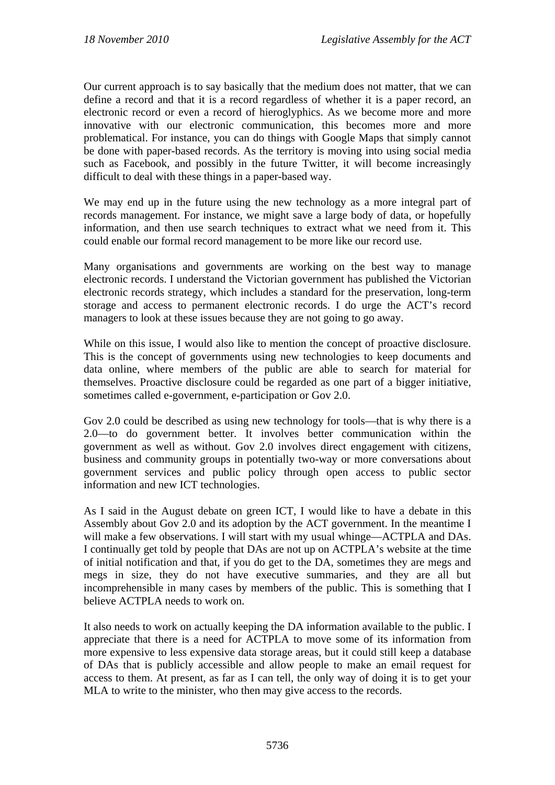Our current approach is to say basically that the medium does not matter, that we can define a record and that it is a record regardless of whether it is a paper record, an electronic record or even a record of hieroglyphics. As we become more and more innovative with our electronic communication, this becomes more and more problematical. For instance, you can do things with Google Maps that simply cannot be done with paper-based records. As the territory is moving into using social media such as Facebook, and possibly in the future Twitter, it will become increasingly difficult to deal with these things in a paper-based way.

We may end up in the future using the new technology as a more integral part of records management. For instance, we might save a large body of data, or hopefully information, and then use search techniques to extract what we need from it. This could enable our formal record management to be more like our record use.

Many organisations and governments are working on the best way to manage electronic records. I understand the Victorian government has published the Victorian electronic records strategy, which includes a standard for the preservation, long-term storage and access to permanent electronic records. I do urge the ACT's record managers to look at these issues because they are not going to go away.

While on this issue, I would also like to mention the concept of proactive disclosure. This is the concept of governments using new technologies to keep documents and data online, where members of the public are able to search for material for themselves. Proactive disclosure could be regarded as one part of a bigger initiative, sometimes called e-government, e-participation or Gov 2.0.

Gov 2.0 could be described as using new technology for tools—that is why there is a 2.0—to do government better. It involves better communication within the government as well as without. Gov 2.0 involves direct engagement with citizens, business and community groups in potentially two-way or more conversations about government services and public policy through open access to public sector information and new ICT technologies.

As I said in the August debate on green ICT, I would like to have a debate in this Assembly about Gov 2.0 and its adoption by the ACT government. In the meantime I will make a few observations. I will start with my usual whinge—ACTPLA and DAs. I continually get told by people that DAs are not up on ACTPLA's website at the time of initial notification and that, if you do get to the DA, sometimes they are megs and megs in size, they do not have executive summaries, and they are all but incomprehensible in many cases by members of the public. This is something that I believe ACTPLA needs to work on.

It also needs to work on actually keeping the DA information available to the public. I appreciate that there is a need for ACTPLA to move some of its information from more expensive to less expensive data storage areas, but it could still keep a database of DAs that is publicly accessible and allow people to make an email request for access to them. At present, as far as I can tell, the only way of doing it is to get your MLA to write to the minister, who then may give access to the records.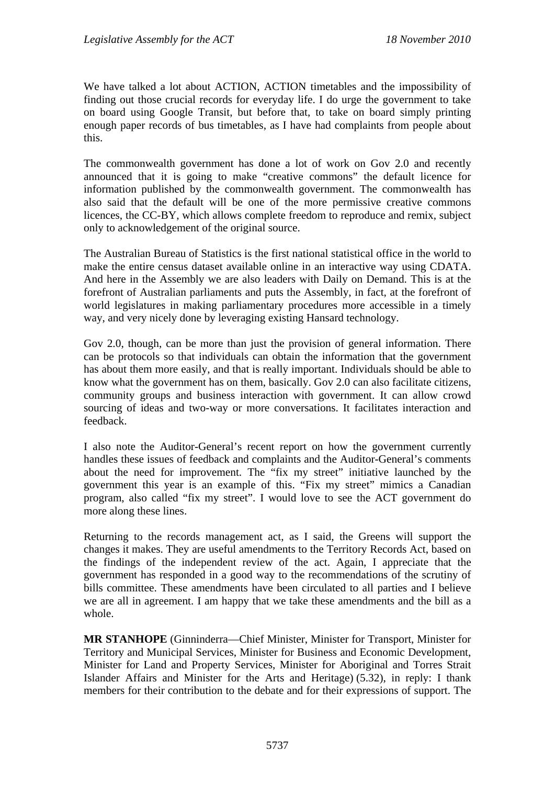We have talked a lot about ACTION, ACTION timetables and the impossibility of finding out those crucial records for everyday life. I do urge the government to take on board using Google Transit, but before that, to take on board simply printing enough paper records of bus timetables, as I have had complaints from people about this.

The commonwealth government has done a lot of work on Gov 2.0 and recently announced that it is going to make "creative commons" the default licence for information published by the commonwealth government. The commonwealth has also said that the default will be one of the more permissive creative commons licences, the CC-BY, which allows complete freedom to reproduce and remix, subject only to acknowledgement of the original source.

The Australian Bureau of Statistics is the first national statistical office in the world to make the entire census dataset available online in an interactive way using CDATA. And here in the Assembly we are also leaders with Daily on Demand. This is at the forefront of Australian parliaments and puts the Assembly, in fact, at the forefront of world legislatures in making parliamentary procedures more accessible in a timely way, and very nicely done by leveraging existing Hansard technology.

Gov 2.0, though, can be more than just the provision of general information. There can be protocols so that individuals can obtain the information that the government has about them more easily, and that is really important. Individuals should be able to know what the government has on them, basically. Gov 2.0 can also facilitate citizens, community groups and business interaction with government. It can allow crowd sourcing of ideas and two-way or more conversations. It facilitates interaction and feedback.

I also note the Auditor-General's recent report on how the government currently handles these issues of feedback and complaints and the Auditor-General's comments about the need for improvement. The "fix my street" initiative launched by the government this year is an example of this. "Fix my street" mimics a Canadian program, also called "fix my street". I would love to see the ACT government do more along these lines.

Returning to the records management act, as I said, the Greens will support the changes it makes. They are useful amendments to the Territory Records Act, based on the findings of the independent review of the act. Again, I appreciate that the government has responded in a good way to the recommendations of the scrutiny of bills committee. These amendments have been circulated to all parties and I believe we are all in agreement. I am happy that we take these amendments and the bill as a whole.

**MR STANHOPE** (Ginninderra—Chief Minister, Minister for Transport, Minister for Territory and Municipal Services, Minister for Business and Economic Development, Minister for Land and Property Services, Minister for Aboriginal and Torres Strait Islander Affairs and Minister for the Arts and Heritage) (5.32), in reply: I thank members for their contribution to the debate and for their expressions of support. The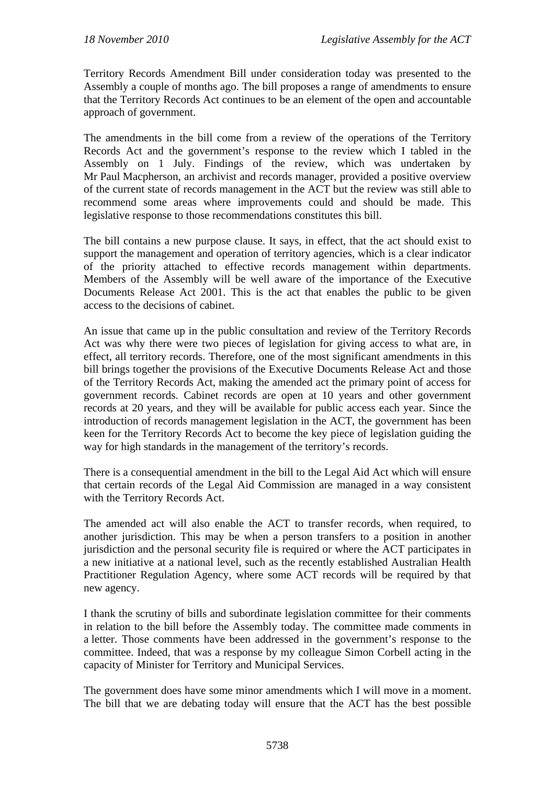Territory Records Amendment Bill under consideration today was presented to the Assembly a couple of months ago. The bill proposes a range of amendments to ensure that the Territory Records Act continues to be an element of the open and accountable approach of government.

The amendments in the bill come from a review of the operations of the Territory Records Act and the government's response to the review which I tabled in the Assembly on 1 July. Findings of the review, which was undertaken by Mr Paul Macpherson, an archivist and records manager, provided a positive overview of the current state of records management in the ACT but the review was still able to recommend some areas where improvements could and should be made. This legislative response to those recommendations constitutes this bill.

The bill contains a new purpose clause. It says, in effect, that the act should exist to support the management and operation of territory agencies, which is a clear indicator of the priority attached to effective records management within departments. Members of the Assembly will be well aware of the importance of the Executive Documents Release Act 2001. This is the act that enables the public to be given access to the decisions of cabinet.

An issue that came up in the public consultation and review of the Territory Records Act was why there were two pieces of legislation for giving access to what are, in effect, all territory records. Therefore, one of the most significant amendments in this bill brings together the provisions of the Executive Documents Release Act and those of the Territory Records Act, making the amended act the primary point of access for government records. Cabinet records are open at 10 years and other government records at 20 years, and they will be available for public access each year. Since the introduction of records management legislation in the ACT, the government has been keen for the Territory Records Act to become the key piece of legislation guiding the way for high standards in the management of the territory's records.

There is a consequential amendment in the bill to the Legal Aid Act which will ensure that certain records of the Legal Aid Commission are managed in a way consistent with the Territory Records Act.

The amended act will also enable the ACT to transfer records, when required, to another jurisdiction. This may be when a person transfers to a position in another jurisdiction and the personal security file is required or where the ACT participates in a new initiative at a national level, such as the recently established Australian Health Practitioner Regulation Agency, where some ACT records will be required by that new agency.

I thank the scrutiny of bills and subordinate legislation committee for their comments in relation to the bill before the Assembly today. The committee made comments in a letter. Those comments have been addressed in the government's response to the committee. Indeed, that was a response by my colleague Simon Corbell acting in the capacity of Minister for Territory and Municipal Services.

The government does have some minor amendments which I will move in a moment. The bill that we are debating today will ensure that the ACT has the best possible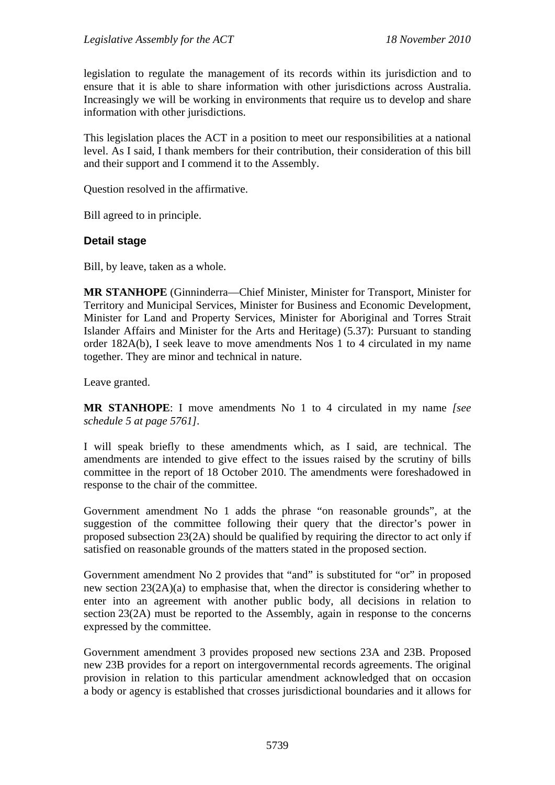legislation to regulate the management of its records within its jurisdiction and to ensure that it is able to share information with other jurisdictions across Australia. Increasingly we will be working in environments that require us to develop and share information with other jurisdictions.

This legislation places the ACT in a position to meet our responsibilities at a national level. As I said, I thank members for their contribution, their consideration of this bill and their support and I commend it to the Assembly.

Question resolved in the affirmative.

Bill agreed to in principle.

# **Detail stage**

Bill, by leave, taken as a whole.

**MR STANHOPE** (Ginninderra—Chief Minister, Minister for Transport, Minister for Territory and Municipal Services, Minister for Business and Economic Development, Minister for Land and Property Services, Minister for Aboriginal and Torres Strait Islander Affairs and Minister for the Arts and Heritage) (5.37): Pursuant to standing order 182A(b), I seek leave to move amendments Nos 1 to 4 circulated in my name together. They are minor and technical in nature.

Leave granted.

**MR STANHOPE**: I move amendments No 1 to 4 circulated in my name *[see schedule 5 at page 5761]*.

I will speak briefly to these amendments which, as I said, are technical. The amendments are intended to give effect to the issues raised by the scrutiny of bills committee in the report of 18 October 2010. The amendments were foreshadowed in response to the chair of the committee.

Government amendment No 1 adds the phrase "on reasonable grounds", at the suggestion of the committee following their query that the director's power in proposed subsection 23(2A) should be qualified by requiring the director to act only if satisfied on reasonable grounds of the matters stated in the proposed section.

Government amendment No 2 provides that "and" is substituted for "or" in proposed new section 23(2A)(a) to emphasise that, when the director is considering whether to enter into an agreement with another public body, all decisions in relation to section 23(2A) must be reported to the Assembly, again in response to the concerns expressed by the committee.

Government amendment 3 provides proposed new sections 23A and 23B. Proposed new 23B provides for a report on intergovernmental records agreements. The original provision in relation to this particular amendment acknowledged that on occasion a body or agency is established that crosses jurisdictional boundaries and it allows for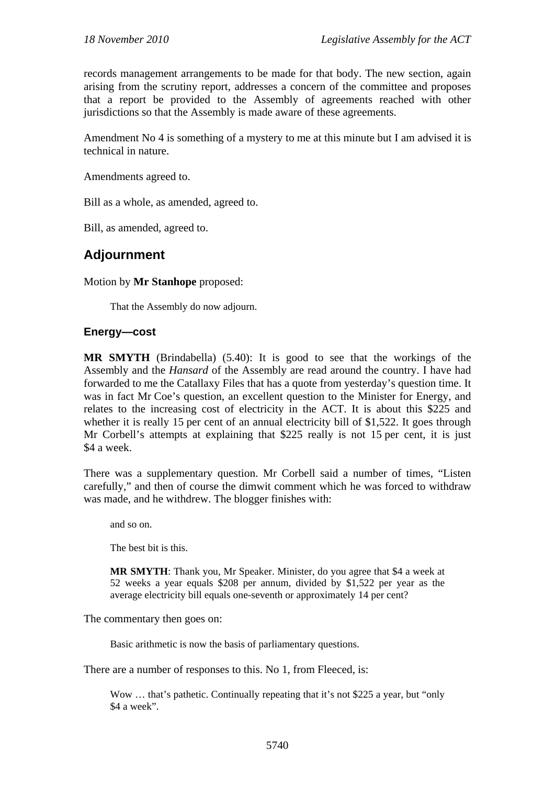records management arrangements to be made for that body. The new section, again arising from the scrutiny report, addresses a concern of the committee and proposes that a report be provided to the Assembly of agreements reached with other jurisdictions so that the Assembly is made aware of these agreements.

Amendment No 4 is something of a mystery to me at this minute but I am advised it is technical in nature.

Amendments agreed to.

Bill as a whole, as amended, agreed to.

Bill, as amended, agreed to.

# **Adjournment**

Motion by **Mr Stanhope** proposed:

That the Assembly do now adjourn.

### **Energy—cost**

**MR SMYTH** (Brindabella) (5.40): It is good to see that the workings of the Assembly and the *Hansard* of the Assembly are read around the country. I have had forwarded to me the Catallaxy Files that has a quote from yesterday's question time. It was in fact Mr Coe's question, an excellent question to the Minister for Energy, and relates to the increasing cost of electricity in the ACT. It is about this \$225 and whether it is really 15 per cent of an annual electricity bill of \$1,522. It goes through Mr Corbell's attempts at explaining that \$225 really is not 15 per cent, it is just \$4 a week.

There was a supplementary question. Mr Corbell said a number of times, "Listen carefully," and then of course the dimwit comment which he was forced to withdraw was made, and he withdrew. The blogger finishes with:

and so on.

The best bit is this.

**MR SMYTH**: Thank you, Mr Speaker. Minister, do you agree that \$4 a week at 52 weeks a year equals \$208 per annum, divided by \$1,522 per year as the average electricity bill equals one-seventh or approximately 14 per cent?

The commentary then goes on:

Basic arithmetic is now the basis of parliamentary questions.

There are a number of responses to this. No 1, from Fleeced, is:

Wow ... that's pathetic. Continually repeating that it's not \$225 a year, but "only \$4 a week".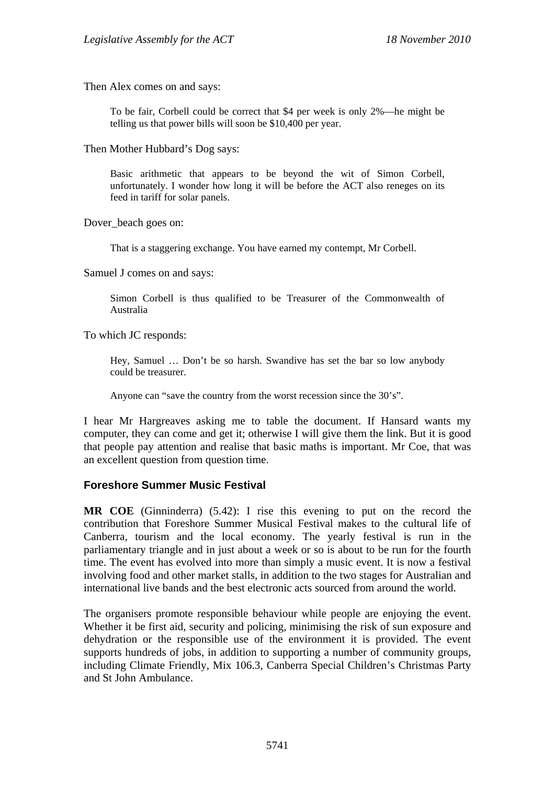Then Alex comes on and says:

To be fair, Corbell could be correct that \$4 per week is only 2%—he might be telling us that power bills will soon be \$10,400 per year.

Then Mother Hubbard's Dog says:

Basic arithmetic that appears to be beyond the wit of Simon Corbell, unfortunately. I wonder how long it will be before the ACT also reneges on its feed in tariff for solar panels.

Dover beach goes on:

That is a staggering exchange. You have earned my contempt, Mr Corbell.

Samuel J comes on and says:

Simon Corbell is thus qualified to be Treasurer of the Commonwealth of Australia

To which JC responds:

Hey, Samuel … Don't be so harsh. Swandive has set the bar so low anybody could be treasurer.

Anyone can "save the country from the worst recession since the 30's".

I hear Mr Hargreaves asking me to table the document. If Hansard wants my computer, they can come and get it; otherwise I will give them the link. But it is good that people pay attention and realise that basic maths is important. Mr Coe, that was an excellent question from question time.

# **Foreshore Summer Music Festival**

**MR COE** (Ginninderra) (5.42): I rise this evening to put on the record the contribution that Foreshore Summer Musical Festival makes to the cultural life of Canberra, tourism and the local economy. The yearly festival is run in the parliamentary triangle and in just about a week or so is about to be run for the fourth time. The event has evolved into more than simply a music event. It is now a festival involving food and other market stalls, in addition to the two stages for Australian and international live bands and the best electronic acts sourced from around the world.

The organisers promote responsible behaviour while people are enjoying the event. Whether it be first aid, security and policing, minimising the risk of sun exposure and dehydration or the responsible use of the environment it is provided. The event supports hundreds of jobs, in addition to supporting a number of community groups, including Climate Friendly, Mix 106.3, Canberra Special Children's Christmas Party and St John Ambulance.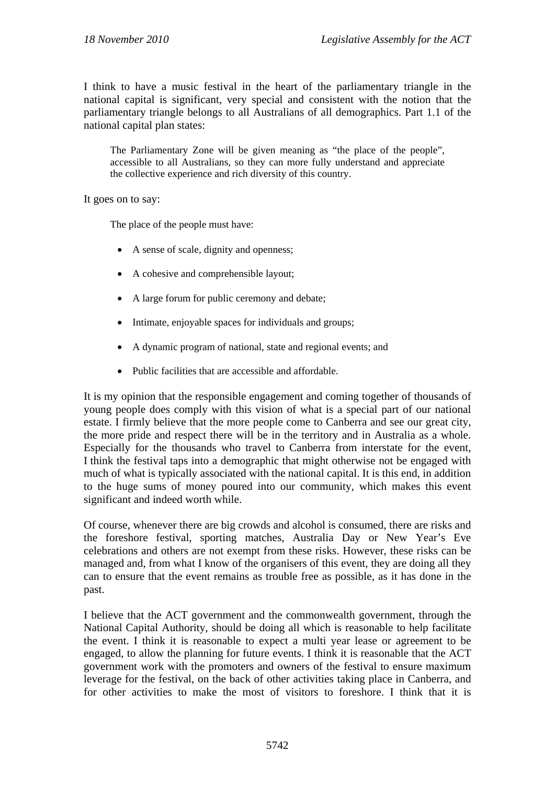I think to have a music festival in the heart of the parliamentary triangle in the national capital is significant, very special and consistent with the notion that the parliamentary triangle belongs to all Australians of all demographics. Part 1.1 of the national capital plan states:

The Parliamentary Zone will be given meaning as "the place of the people", accessible to all Australians, so they can more fully understand and appreciate the collective experience and rich diversity of this country.

It goes on to say:

The place of the people must have:

- A sense of scale, dignity and openness;
- A cohesive and comprehensible layout;
- A large forum for public ceremony and debate;
- Intimate, enjoyable spaces for individuals and groups;
- A dynamic program of national, state and regional events; and
- Public facilities that are accessible and affordable.

It is my opinion that the responsible engagement and coming together of thousands of young people does comply with this vision of what is a special part of our national estate. I firmly believe that the more people come to Canberra and see our great city, the more pride and respect there will be in the territory and in Australia as a whole. Especially for the thousands who travel to Canberra from interstate for the event, I think the festival taps into a demographic that might otherwise not be engaged with much of what is typically associated with the national capital. It is this end, in addition to the huge sums of money poured into our community, which makes this event significant and indeed worth while.

Of course, whenever there are big crowds and alcohol is consumed, there are risks and the foreshore festival, sporting matches, Australia Day or New Year's Eve celebrations and others are not exempt from these risks. However, these risks can be managed and, from what I know of the organisers of this event, they are doing all they can to ensure that the event remains as trouble free as possible, as it has done in the past.

I believe that the ACT government and the commonwealth government, through the National Capital Authority, should be doing all which is reasonable to help facilitate the event. I think it is reasonable to expect a multi year lease or agreement to be engaged, to allow the planning for future events. I think it is reasonable that the ACT government work with the promoters and owners of the festival to ensure maximum leverage for the festival, on the back of other activities taking place in Canberra, and for other activities to make the most of visitors to foreshore. I think that it is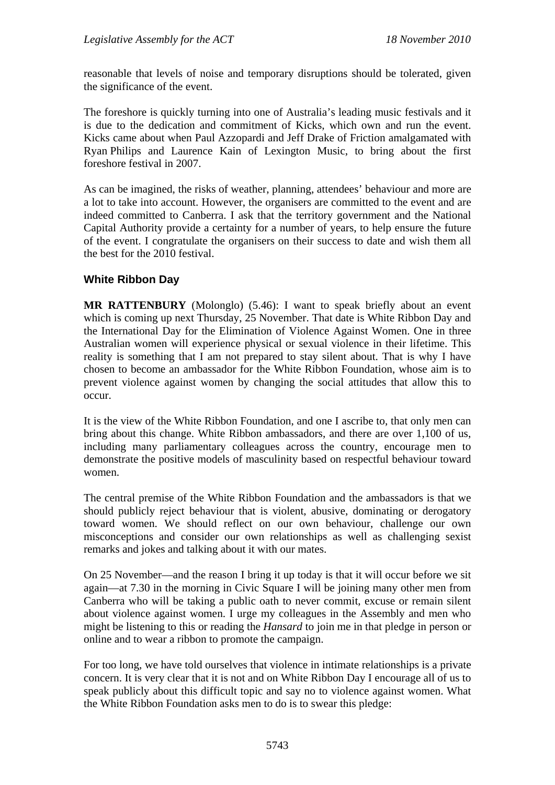reasonable that levels of noise and temporary disruptions should be tolerated, given the significance of the event.

The foreshore is quickly turning into one of Australia's leading music festivals and it is due to the dedication and commitment of Kicks, which own and run the event. Kicks came about when Paul Azzopardi and Jeff Drake of Friction amalgamated with Ryan Philips and Laurence Kain of Lexington Music, to bring about the first foreshore festival in 2007.

As can be imagined, the risks of weather, planning, attendees' behaviour and more are a lot to take into account. However, the organisers are committed to the event and are indeed committed to Canberra. I ask that the territory government and the National Capital Authority provide a certainty for a number of years, to help ensure the future of the event. I congratulate the organisers on their success to date and wish them all the best for the 2010 festival.

# **White Ribbon Day**

**MR RATTENBURY** (Molonglo) (5.46): I want to speak briefly about an event which is coming up next Thursday, 25 November. That date is White Ribbon Day and the International Day for the Elimination of Violence Against Women. One in three Australian women will experience physical or sexual violence in their lifetime. This reality is something that I am not prepared to stay silent about. That is why I have chosen to become an ambassador for the White Ribbon Foundation, whose aim is to prevent violence against women by changing the social attitudes that allow this to occur.

It is the view of the White Ribbon Foundation, and one I ascribe to, that only men can bring about this change. White Ribbon ambassadors, and there are over 1,100 of us, including many parliamentary colleagues across the country, encourage men to demonstrate the positive models of masculinity based on respectful behaviour toward women.

The central premise of the White Ribbon Foundation and the ambassadors is that we should publicly reject behaviour that is violent, abusive, dominating or derogatory toward women. We should reflect on our own behaviour, challenge our own misconceptions and consider our own relationships as well as challenging sexist remarks and jokes and talking about it with our mates.

On 25 November—and the reason I bring it up today is that it will occur before we sit again—at 7.30 in the morning in Civic Square I will be joining many other men from Canberra who will be taking a public oath to never commit, excuse or remain silent about violence against women. I urge my colleagues in the Assembly and men who might be listening to this or reading the *Hansard* to join me in that pledge in person or online and to wear a ribbon to promote the campaign.

For too long, we have told ourselves that violence in intimate relationships is a private concern. It is very clear that it is not and on White Ribbon Day I encourage all of us to speak publicly about this difficult topic and say no to violence against women. What the White Ribbon Foundation asks men to do is to swear this pledge: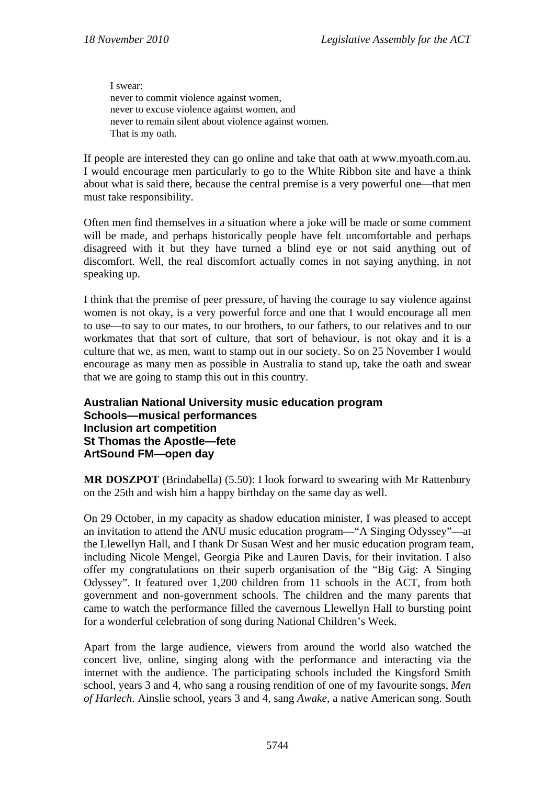I swear: never to commit violence against women, never to excuse violence against women, and never to remain silent about violence against women. That is my oath.

If people are interested they can go online and take that oath at www.myoath.com.au. I would encourage men particularly to go to the White Ribbon site and have a think about what is said there, because the central premise is a very powerful one—that men must take responsibility.

Often men find themselves in a situation where a joke will be made or some comment will be made, and perhaps historically people have felt uncomfortable and perhaps disagreed with it but they have turned a blind eye or not said anything out of discomfort. Well, the real discomfort actually comes in not saying anything, in not speaking up.

I think that the premise of peer pressure, of having the courage to say violence against women is not okay, is a very powerful force and one that I would encourage all men to use—to say to our mates, to our brothers, to our fathers, to our relatives and to our workmates that that sort of culture, that sort of behaviour, is not okay and it is a culture that we, as men, want to stamp out in our society. So on 25 November I would encourage as many men as possible in Australia to stand up, take the oath and swear that we are going to stamp this out in this country.

# **Australian National University music education program Schools—musical performances Inclusion art competition St Thomas the Apostle—fete ArtSound FM—open day**

**MR DOSZPOT** (Brindabella) (5.50): I look forward to swearing with Mr Rattenbury on the 25th and wish him a happy birthday on the same day as well.

On 29 October, in my capacity as shadow education minister, I was pleased to accept an invitation to attend the ANU music education program—"A Singing Odyssey"—at the Llewellyn Hall, and I thank Dr Susan West and her music education program team, including Nicole Mengel, Georgia Pike and Lauren Davis, for their invitation. I also offer my congratulations on their superb organisation of the "Big Gig: A Singing Odyssey". It featured over 1,200 children from 11 schools in the ACT, from both government and non-government schools. The children and the many parents that came to watch the performance filled the cavernous Llewellyn Hall to bursting point for a wonderful celebration of song during National Children's Week.

Apart from the large audience, viewers from around the world also watched the concert live, online, singing along with the performance and interacting via the internet with the audience. The participating schools included the Kingsford Smith school, years 3 and 4, who sang a rousing rendition of one of my favourite songs, *Men of Harlech*. Ainslie school, years 3 and 4, sang *Awake*, a native American song. South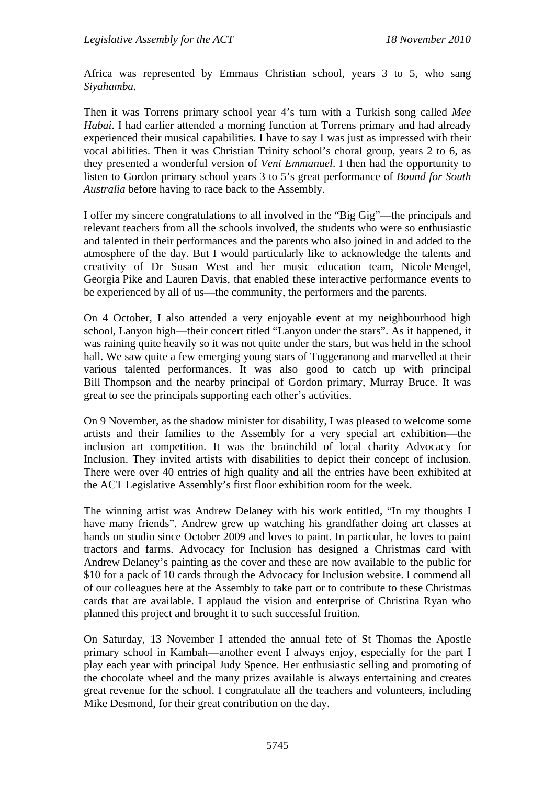Africa was represented by Emmaus Christian school, years 3 to 5, who sang *Siyahamba*.

Then it was Torrens primary school year 4's turn with a Turkish song called *Mee Habai*. I had earlier attended a morning function at Torrens primary and had already experienced their musical capabilities. I have to say I was just as impressed with their vocal abilities. Then it was Christian Trinity school's choral group, years 2 to 6, as they presented a wonderful version of *Veni Emmanuel*. I then had the opportunity to listen to Gordon primary school years 3 to 5's great performance of *Bound for South Australia* before having to race back to the Assembly.

I offer my sincere congratulations to all involved in the "Big Gig"—the principals and relevant teachers from all the schools involved, the students who were so enthusiastic and talented in their performances and the parents who also joined in and added to the atmosphere of the day. But I would particularly like to acknowledge the talents and creativity of Dr Susan West and her music education team, Nicole Mengel, Georgia Pike and Lauren Davis, that enabled these interactive performance events to be experienced by all of us—the community, the performers and the parents.

On 4 October, I also attended a very enjoyable event at my neighbourhood high school, Lanyon high—their concert titled "Lanyon under the stars". As it happened, it was raining quite heavily so it was not quite under the stars, but was held in the school hall. We saw quite a few emerging young stars of Tuggeranong and marvelled at their various talented performances. It was also good to catch up with principal Bill Thompson and the nearby principal of Gordon primary, Murray Bruce. It was great to see the principals supporting each other's activities.

On 9 November, as the shadow minister for disability, I was pleased to welcome some artists and their families to the Assembly for a very special art exhibition—the inclusion art competition. It was the brainchild of local charity Advocacy for Inclusion. They invited artists with disabilities to depict their concept of inclusion. There were over 40 entries of high quality and all the entries have been exhibited at the ACT Legislative Assembly's first floor exhibition room for the week.

The winning artist was Andrew Delaney with his work entitled, "In my thoughts I have many friends". Andrew grew up watching his grandfather doing art classes at hands on studio since October 2009 and loves to paint. In particular, he loves to paint tractors and farms. Advocacy for Inclusion has designed a Christmas card with Andrew Delaney's painting as the cover and these are now available to the public for \$10 for a pack of 10 cards through the Advocacy for Inclusion website. I commend all of our colleagues here at the Assembly to take part or to contribute to these Christmas cards that are available. I applaud the vision and enterprise of Christina Ryan who planned this project and brought it to such successful fruition.

On Saturday, 13 November I attended the annual fete of St Thomas the Apostle primary school in Kambah—another event I always enjoy, especially for the part I play each year with principal Judy Spence. Her enthusiastic selling and promoting of the chocolate wheel and the many prizes available is always entertaining and creates great revenue for the school. I congratulate all the teachers and volunteers, including Mike Desmond, for their great contribution on the day.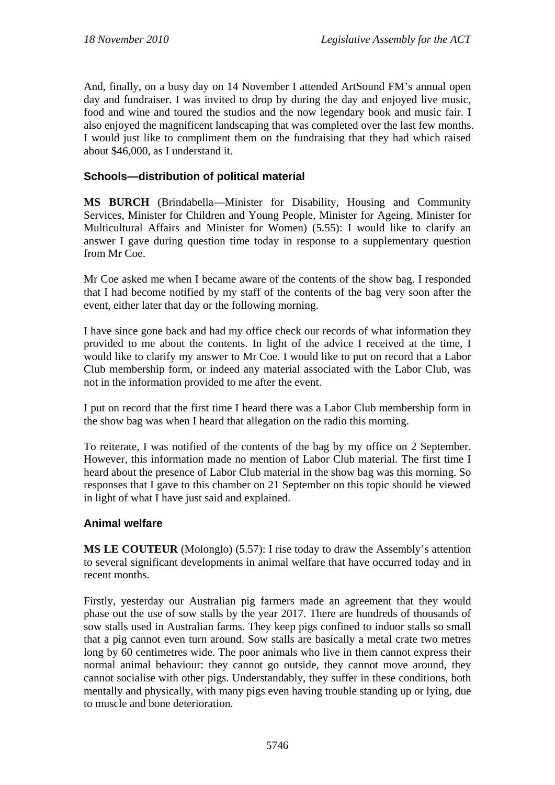And, finally, on a busy day on 14 November I attended ArtSound FM's annual open day and fundraiser. I was invited to drop by during the day and enjoyed live music, food and wine and toured the studios and the now legendary book and music fair. I also enjoyed the magnificent landscaping that was completed over the last few months. I would just like to compliment them on the fundraising that they had which raised about \$46,000, as I understand it.

# **Schools—distribution of political material**

**MS BURCH** (Brindabella—Minister for Disability, Housing and Community Services, Minister for Children and Young People, Minister for Ageing, Minister for Multicultural Affairs and Minister for Women) (5.55): I would like to clarify an answer I gave during question time today in response to a supplementary question from Mr Coe.

Mr Coe asked me when I became aware of the contents of the show bag. I responded that I had become notified by my staff of the contents of the bag very soon after the event, either later that day or the following morning.

I have since gone back and had my office check our records of what information they provided to me about the contents. In light of the advice I received at the time, I would like to clarify my answer to Mr Coe. I would like to put on record that a Labor Club membership form, or indeed any material associated with the Labor Club, was not in the information provided to me after the event.

I put on record that the first time I heard there was a Labor Club membership form in the show bag was when I heard that allegation on the radio this morning.

To reiterate, I was notified of the contents of the bag by my office on 2 September. However, this information made no mention of Labor Club material. The first time I heard about the presence of Labor Club material in the show bag was this morning. So responses that I gave to this chamber on 21 September on this topic should be viewed in light of what I have just said and explained.

# **Animal welfare**

**MS LE COUTEUR** (Molonglo) (5.57): I rise today to draw the Assembly's attention to several significant developments in animal welfare that have occurred today and in recent months.

Firstly, yesterday our Australian pig farmers made an agreement that they would phase out the use of sow stalls by the year 2017. There are hundreds of thousands of sow stalls used in Australian farms. They keep pigs confined to indoor stalls so small that a pig cannot even turn around. Sow stalls are basically a metal crate two metres long by 60 centimetres wide. The poor animals who live in them cannot express their normal animal behaviour: they cannot go outside, they cannot move around, they cannot socialise with other pigs. Understandably, they suffer in these conditions, both mentally and physically, with many pigs even having trouble standing up or lying, due to muscle and bone deterioration.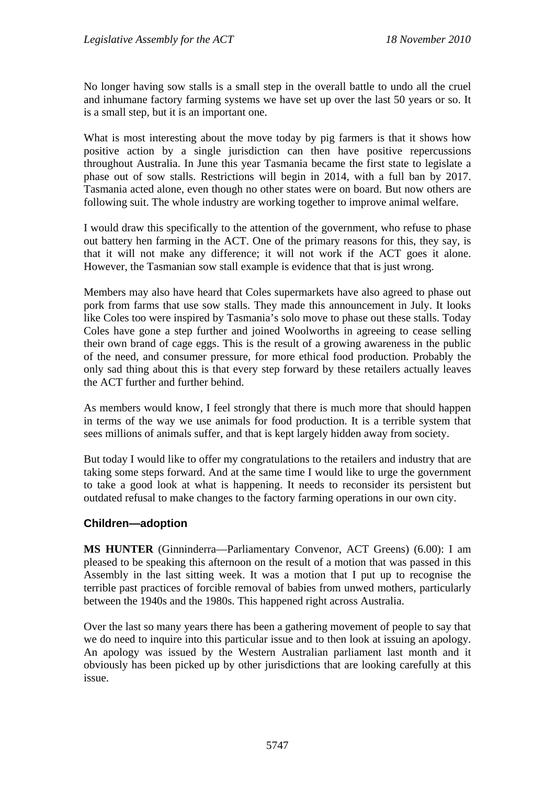No longer having sow stalls is a small step in the overall battle to undo all the cruel and inhumane factory farming systems we have set up over the last 50 years or so. It is a small step, but it is an important one.

What is most interesting about the move today by pig farmers is that it shows how positive action by a single jurisdiction can then have positive repercussions throughout Australia. In June this year Tasmania became the first state to legislate a phase out of sow stalls. Restrictions will begin in 2014, with a full ban by 2017. Tasmania acted alone, even though no other states were on board. But now others are following suit. The whole industry are working together to improve animal welfare.

I would draw this specifically to the attention of the government, who refuse to phase out battery hen farming in the ACT. One of the primary reasons for this, they say, is that it will not make any difference; it will not work if the ACT goes it alone. However, the Tasmanian sow stall example is evidence that that is just wrong.

Members may also have heard that Coles supermarkets have also agreed to phase out pork from farms that use sow stalls. They made this announcement in July. It looks like Coles too were inspired by Tasmania's solo move to phase out these stalls. Today Coles have gone a step further and joined Woolworths in agreeing to cease selling their own brand of cage eggs. This is the result of a growing awareness in the public of the need, and consumer pressure, for more ethical food production. Probably the only sad thing about this is that every step forward by these retailers actually leaves the ACT further and further behind.

As members would know, I feel strongly that there is much more that should happen in terms of the way we use animals for food production. It is a terrible system that sees millions of animals suffer, and that is kept largely hidden away from society.

But today I would like to offer my congratulations to the retailers and industry that are taking some steps forward. And at the same time I would like to urge the government to take a good look at what is happening. It needs to reconsider its persistent but outdated refusal to make changes to the factory farming operations in our own city.

# **Children—adoption**

**MS HUNTER** (Ginninderra—Parliamentary Convenor, ACT Greens) (6.00): I am pleased to be speaking this afternoon on the result of a motion that was passed in this Assembly in the last sitting week. It was a motion that I put up to recognise the terrible past practices of forcible removal of babies from unwed mothers, particularly between the 1940s and the 1980s. This happened right across Australia.

Over the last so many years there has been a gathering movement of people to say that we do need to inquire into this particular issue and to then look at issuing an apology. An apology was issued by the Western Australian parliament last month and it obviously has been picked up by other jurisdictions that are looking carefully at this issue.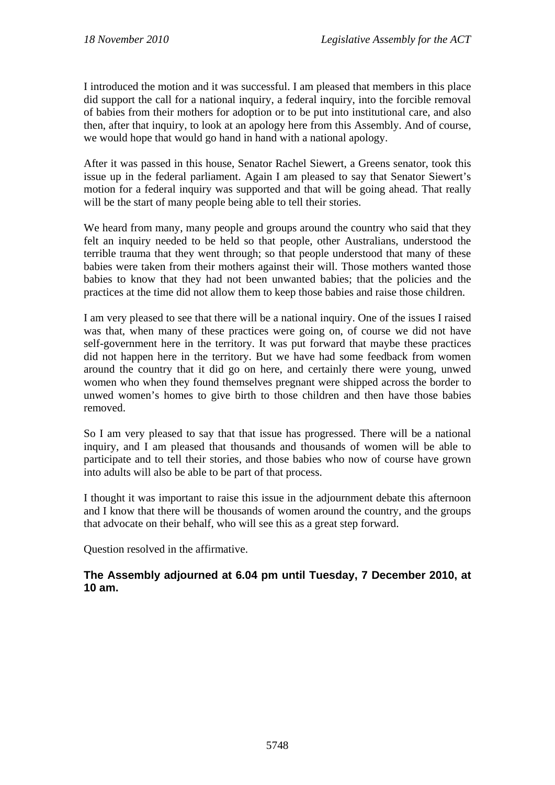I introduced the motion and it was successful. I am pleased that members in this place did support the call for a national inquiry, a federal inquiry, into the forcible removal of babies from their mothers for adoption or to be put into institutional care, and also then, after that inquiry, to look at an apology here from this Assembly. And of course, we would hope that would go hand in hand with a national apology.

After it was passed in this house, Senator Rachel Siewert, a Greens senator, took this issue up in the federal parliament. Again I am pleased to say that Senator Siewert's motion for a federal inquiry was supported and that will be going ahead. That really will be the start of many people being able to tell their stories.

We heard from many, many people and groups around the country who said that they felt an inquiry needed to be held so that people, other Australians, understood the terrible trauma that they went through; so that people understood that many of these babies were taken from their mothers against their will. Those mothers wanted those babies to know that they had not been unwanted babies; that the policies and the practices at the time did not allow them to keep those babies and raise those children.

I am very pleased to see that there will be a national inquiry. One of the issues I raised was that, when many of these practices were going on, of course we did not have self-government here in the territory. It was put forward that maybe these practices did not happen here in the territory. But we have had some feedback from women around the country that it did go on here, and certainly there were young, unwed women who when they found themselves pregnant were shipped across the border to unwed women's homes to give birth to those children and then have those babies removed.

So I am very pleased to say that that issue has progressed. There will be a national inquiry, and I am pleased that thousands and thousands of women will be able to participate and to tell their stories, and those babies who now of course have grown into adults will also be able to be part of that process.

I thought it was important to raise this issue in the adjournment debate this afternoon and I know that there will be thousands of women around the country, and the groups that advocate on their behalf, who will see this as a great step forward.

Question resolved in the affirmative.

# **The Assembly adjourned at 6.04 pm until Tuesday, 7 December 2010, at 10 am.**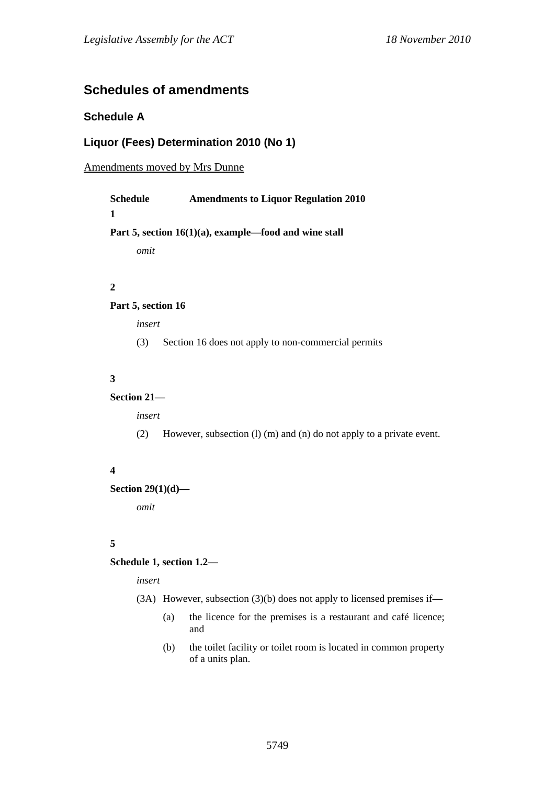# **Schedules of amendments**

# **Schedule A**

# **Liquor (Fees) Determination 2010 (No 1)**

### Amendments moved by Mrs Dunne

| Schedule | <b>Amendments to Liquor Regulation 2010</b>              |
|----------|----------------------------------------------------------|
| 1        |                                                          |
|          | Part 5, section $16(1)(a)$ , example—food and wine stall |
| omit     |                                                          |
|          |                                                          |

### **2**

### **Part 5, section 16**

*insert* 

(3) Section 16 does not apply to non-commercial permits

### **3**

### **Section 21—**

*insert* 

(2) However, subsection (l) (m) and (n) do not apply to a private event.

### **4**

### **Section 29(1)(d)—**

*omit* 

### **5**

### **Schedule 1, section 1.2—**

*insert* 

- (3A) However, subsection (3)(b) does not apply to licensed premises if—
	- (a) the licence for the premises is a restaurant and café licence; and
	- (b) the toilet facility or toilet room is located in common property of a units plan.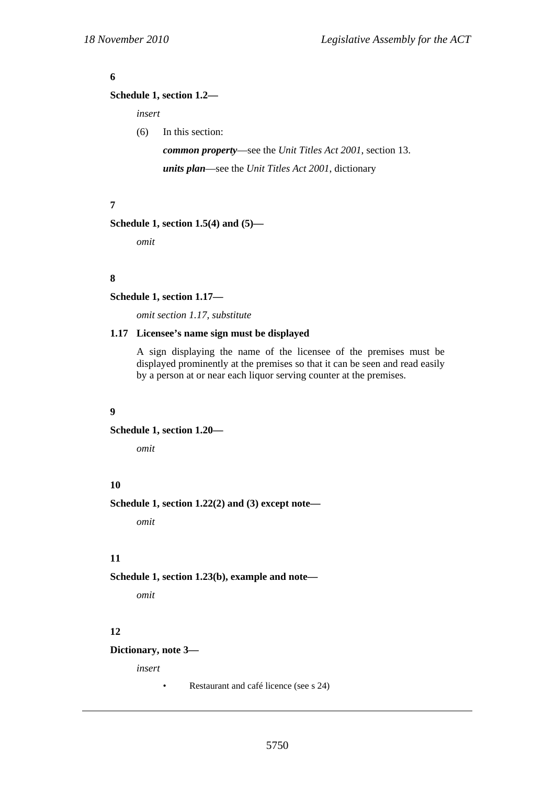### **6**

### **Schedule 1, section 1.2—**

*insert* 

(6) In this section:

*common property*—see the *Unit Titles Act 2001*, section 13. *units plan*—see the *Unit Titles Act 2001*, dictionary

### **7**

```
Schedule 1, section 1.5(4) and (5)—
```
*omit* 

#### **8**

**Schedule 1, section 1.17—** 

*omit section 1.17, substitute* 

### **1.17 Licensee's name sign must be displayed**

A sign displaying the name of the licensee of the premises must be displayed prominently at the premises so that it can be seen and read easily by a person at or near each liquor serving counter at the premises.

#### **9**

**Schedule 1, section 1.20—** 

*omit* 

# **10**

**Schedule 1, section 1.22(2) and (3) except note—** 

*omit* 

### **11**

**Schedule 1, section 1.23(b), example and note—** 

*omit* 

### **12**

**Dictionary, note 3—** 

*insert* 

• Restaurant and café licence (see s 24)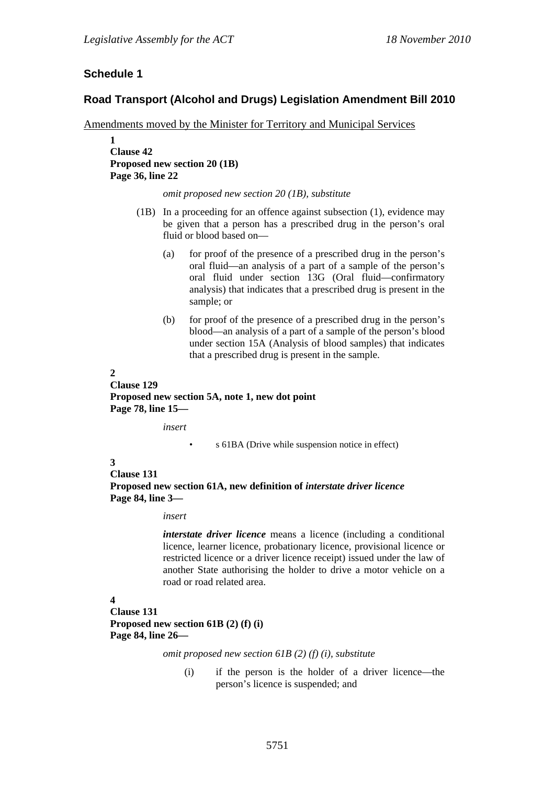# **Schedule 1**

### **Road Transport (Alcohol and Drugs) Legislation Amendment Bill 2010**

Amendments moved by the Minister for Territory and Municipal Services

**1 Clause 42 Proposed new section 20 (1B) Page 36, line 22** 

*omit proposed new section 20 (1B), substitute* 

- (1B) In a proceeding for an offence against subsection (1), evidence may be given that a person has a prescribed drug in the person's oral fluid or blood based on—
	- (a) for proof of the presence of a prescribed drug in the person's oral fluid—an analysis of a part of a sample of the person's oral fluid under section 13G (Oral fluid—confirmatory analysis) that indicates that a prescribed drug is present in the sample; or
	- (b) for proof of the presence of a prescribed drug in the person's blood—an analysis of a part of a sample of the person's blood under section 15A (Analysis of blood samples) that indicates that a prescribed drug is present in the sample.

#### **2**

**Clause 129 Proposed new section 5A, note 1, new dot point Page 78, line 15—** 

*insert* 

• s 61BA (Drive while suspension notice in effect)

#### **3**

**Clause 131** 

**Proposed new section 61A, new definition of** *interstate driver licence* **Page 84, line 3—** 

#### *insert*

*interstate driver licence* means a licence (including a conditional licence, learner licence, probationary licence, provisional licence or restricted licence or a driver licence receipt) issued under the law of another State authorising the holder to drive a motor vehicle on a road or road related area.

### **4**

**Clause 131 Proposed new section 61B (2) (f) (i) Page 84, line 26—** 

*omit proposed new section 61B (2) (f) (i), substitute* 

(i) if the person is the holder of a driver licence—the person's licence is suspended; and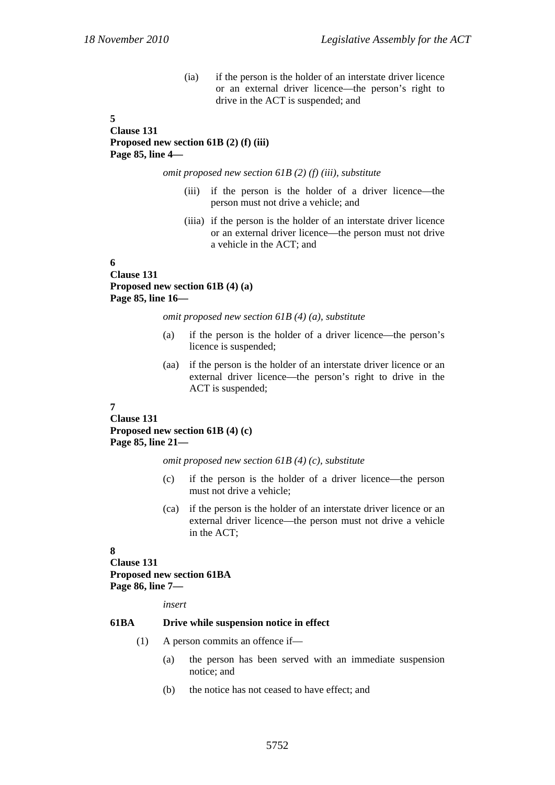(ia) if the person is the holder of an interstate driver licence or an external driver licence—the person's right to drive in the ACT is suspended; and

### **5 Clause 131 Proposed new section 61B (2) (f) (iii) Page 85, line 4—**

*omit proposed new section 61B (2) (f) (iii), substitute* 

- (iii) if the person is the holder of a driver licence—the person must not drive a vehicle; and
- (iiia) if the person is the holder of an interstate driver licence or an external driver licence—the person must not drive a vehicle in the ACT; and

#### **6 Clause 131 Proposed new section 61B (4) (a) Page 85, line 16—**

*omit proposed new section 61B (4) (a), substitute* 

- (a) if the person is the holder of a driver licence—the person's licence is suspended;
- (aa) if the person is the holder of an interstate driver licence or an external driver licence—the person's right to drive in the ACT is suspended;

#### **7**

**Clause 131 Proposed new section 61B (4) (c) Page 85, line 21—** 

*omit proposed new section 61B (4) (c), substitute* 

- (c) if the person is the holder of a driver licence—the person must not drive a vehicle;
- (ca) if the person is the holder of an interstate driver licence or an external driver licence—the person must not drive a vehicle in the ACT;

#### **8**

### **Clause 131 Proposed new section 61BA Page 86, line 7—**

*insert* 

#### **61BA Drive while suspension notice in effect**

- (1) A person commits an offence if—
	- (a) the person has been served with an immediate suspension notice; and
	- (b) the notice has not ceased to have effect; and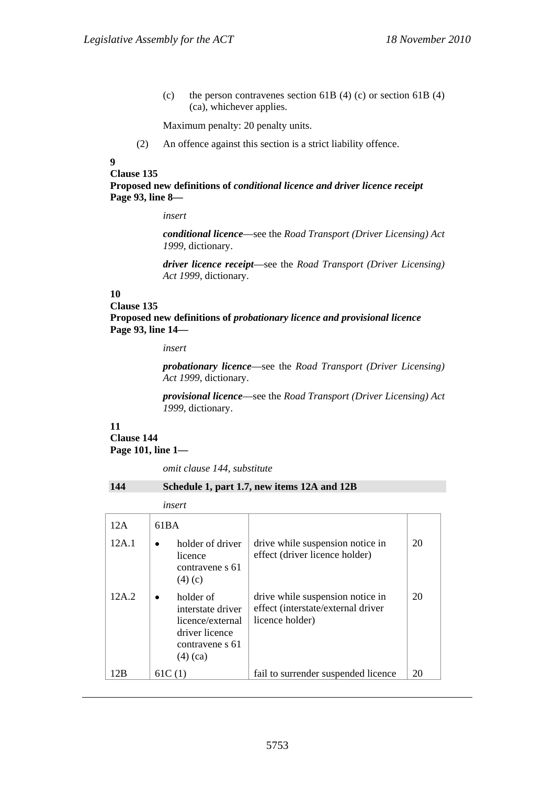(c) the person contravenes section 61B (4) (c) or section 61B (4) (ca), whichever applies.

Maximum penalty: 20 penalty units.

(2) An offence against this section is a strict liability offence.

#### **9**

#### **Clause 135 Proposed new definitions of** *conditional licence and driver licence receipt* **Page 93, line 8—**

#### *insert*

*conditional licence*—see the *Road Transport (Driver Licensing) Act 1999*, dictionary.

*driver licence receipt*—see the *Road Transport (Driver Licensing) Act 1999*, dictionary.

# **10**

**Clause 135 Proposed new definitions of** *probationary licence and provisional licence* **Page 93, line 14—** 

*insert* 

*probationary licence*—see the *Road Transport (Driver Licensing) Act 1999*, dictionary.

*provisional licence*—see the *Road Transport (Driver Licensing) Act 1999*, dictionary.

#### **11 Clause 144 Page 101, line 1—**

*omit clause 144, substitute* 

#### **144 Schedule 1, part 1.7, new items 12A and 12B**

| insert |
|--------|
|--------|

|              | ,,,,,,,                                                                                                            |                                                                                           |    |
|--------------|--------------------------------------------------------------------------------------------------------------------|-------------------------------------------------------------------------------------------|----|
| 12A<br>12A.1 | 61BA<br>holder of driver<br>$\bullet$<br>licence<br>contravene s 61<br>$(4)$ (c)                                   | drive while suspension notice in<br>effect (driver licence holder)                        | 20 |
| 12A.2        | holder of<br>$\bullet$<br>interstate driver<br>licence/external<br>driver licence<br>contravene s 61<br>$(4)$ (ca) | drive while suspension notice in<br>effect (interstate/external driver<br>licence holder) | 20 |
| 12B          | 61C $(1)$                                                                                                          | fail to surrender suspended licence                                                       | 20 |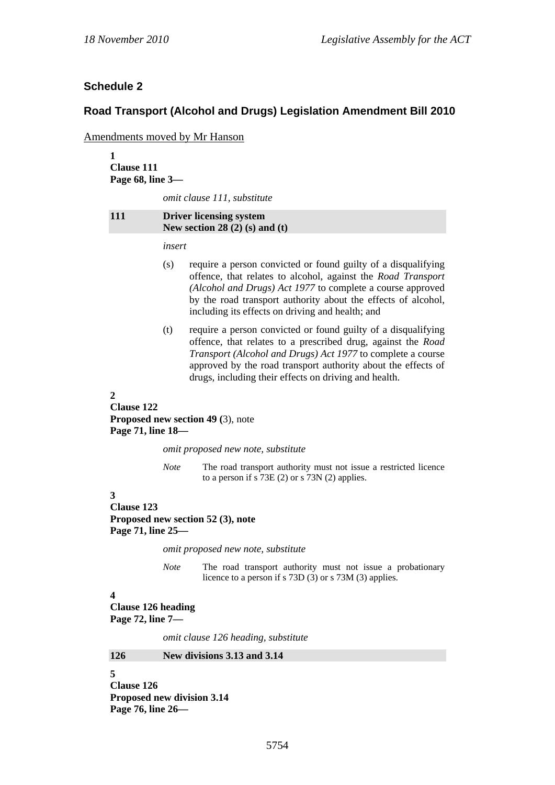# **Schedule 2**

### **Road Transport (Alcohol and Drugs) Legislation Amendment Bill 2010**

Amendments moved by Mr Hanson

**1 Clause 111 Page 68, line 3—** 

*omit clause 111, substitute* 

**111 Driver licensing system New section 28 (2) (s) and (t)** 

*insert* 

- (s) require a person convicted or found guilty of a disqualifying offence, that relates to alcohol, against the *Road Transport (Alcohol and Drugs) Act 1977* to complete a course approved by the road transport authority about the effects of alcohol, including its effects on driving and health; and
- (t) require a person convicted or found guilty of a disqualifying offence, that relates to a prescribed drug, against the *Road Transport (Alcohol and Drugs) Act 1977* to complete a course approved by the road transport authority about the effects of drugs, including their effects on driving and health.

#### **2**

**Clause 122 Proposed new section 49 (**3), note **Page 71, line 18—** 

*omit proposed new note, substitute* 

*Note* The road transport authority must not issue a restricted licence to a person if s 73E (2) or s 73N (2) applies.

#### **3**

**Clause 123 Proposed new section 52 (3), note Page 71, line 25—** 

*omit proposed new note, substitute* 

*Note* The road transport authority must not issue a probationary licence to a person if s 73D (3) or s 73M (3) applies.

# **4**

**Clause 126 heading** 

**Page 72, line 7—** 

*omit clause 126 heading, substitute* 

#### **126 New divisions 3.13 and 3.14**

**5 Clause 126 Proposed new division 3.14 Page 76, line 26—**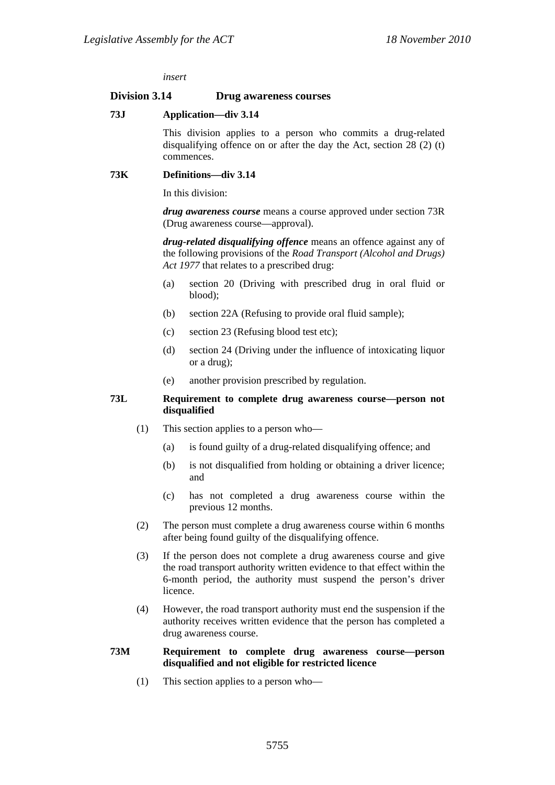*insert* 

#### **Division 3.14 Drug awareness courses**

#### **73J Application—div 3.14**

This division applies to a person who commits a drug-related disqualifying offence on or after the day the Act, section 28 (2) (t) commences.

#### **73K Definitions—div 3.14**

In this division:

*drug awareness course* means a course approved under section 73R (Drug awareness course—approval).

*drug-related disqualifying offence* means an offence against any of the following provisions of the *Road Transport (Alcohol and Drugs) Act 1977* that relates to a prescribed drug:

- (a) section 20 (Driving with prescribed drug in oral fluid or blood);
- (b) section 22A (Refusing to provide oral fluid sample);
- (c) section 23 (Refusing blood test etc);
- (d) section 24 (Driving under the influence of intoxicating liquor or a drug);
- (e) another provision prescribed by regulation.

#### **73L Requirement to complete drug awareness course—person not disqualified**

- (1) This section applies to a person who—
	- (a) is found guilty of a drug-related disqualifying offence; and
	- (b) is not disqualified from holding or obtaining a driver licence; and
	- (c) has not completed a drug awareness course within the previous 12 months.
- (2) The person must complete a drug awareness course within 6 months after being found guilty of the disqualifying offence.
- (3) If the person does not complete a drug awareness course and give the road transport authority written evidence to that effect within the 6-month period, the authority must suspend the person's driver licence.
- (4) However, the road transport authority must end the suspension if the authority receives written evidence that the person has completed a drug awareness course.

#### **73M Requirement to complete drug awareness course—person disqualified and not eligible for restricted licence**

(1) This section applies to a person who—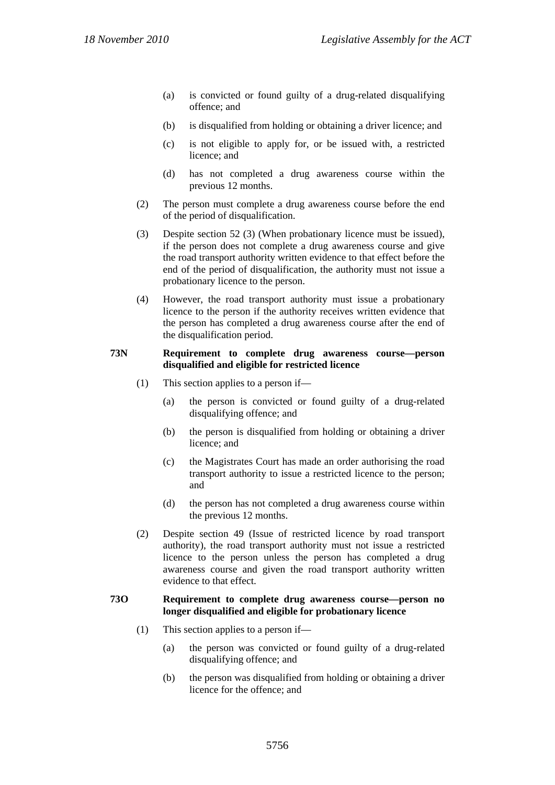- (a) is convicted or found guilty of a drug-related disqualifying offence; and
- (b) is disqualified from holding or obtaining a driver licence; and
- (c) is not eligible to apply for, or be issued with, a restricted licence; and
- (d) has not completed a drug awareness course within the previous 12 months.
- (2) The person must complete a drug awareness course before the end of the period of disqualification.
- (3) Despite section 52 (3) (When probationary licence must be issued), if the person does not complete a drug awareness course and give the road transport authority written evidence to that effect before the end of the period of disqualification, the authority must not issue a probationary licence to the person.
- (4) However, the road transport authority must issue a probationary licence to the person if the authority receives written evidence that the person has completed a drug awareness course after the end of the disqualification period.

#### **73N Requirement to complete drug awareness course—person disqualified and eligible for restricted licence**

- (1) This section applies to a person if—
	- (a) the person is convicted or found guilty of a drug-related disqualifying offence; and
	- (b) the person is disqualified from holding or obtaining a driver licence; and
	- (c) the Magistrates Court has made an order authorising the road transport authority to issue a restricted licence to the person; and
	- (d) the person has not completed a drug awareness course within the previous 12 months.
- (2) Despite section 49 (Issue of restricted licence by road transport authority), the road transport authority must not issue a restricted licence to the person unless the person has completed a drug awareness course and given the road transport authority written evidence to that effect.

#### **73O Requirement to complete drug awareness course—person no longer disqualified and eligible for probationary licence**

- (1) This section applies to a person if—
	- (a) the person was convicted or found guilty of a drug-related disqualifying offence; and
	- (b) the person was disqualified from holding or obtaining a driver licence for the offence; and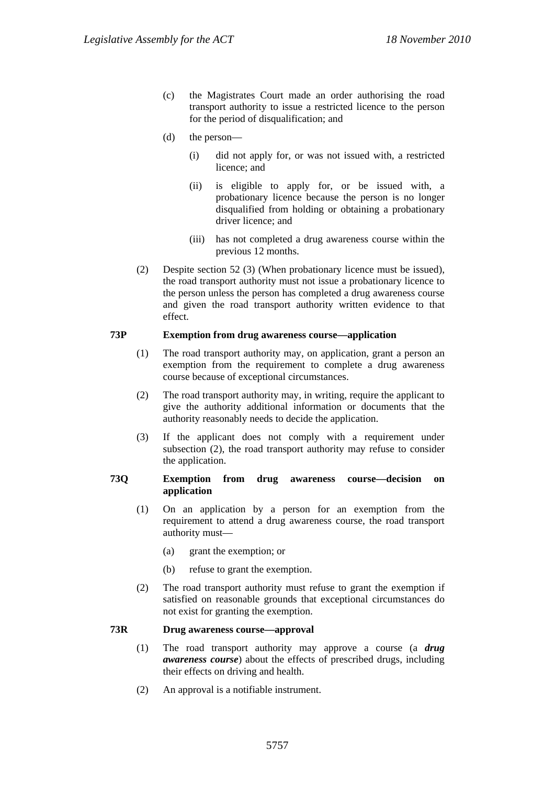- (c) the Magistrates Court made an order authorising the road transport authority to issue a restricted licence to the person for the period of disqualification; and
- (d) the person—
	- (i) did not apply for, or was not issued with, a restricted licence; and
	- (ii) is eligible to apply for, or be issued with, a probationary licence because the person is no longer disqualified from holding or obtaining a probationary driver licence; and
	- (iii) has not completed a drug awareness course within the previous 12 months.
- (2) Despite section 52 (3) (When probationary licence must be issued), the road transport authority must not issue a probationary licence to the person unless the person has completed a drug awareness course and given the road transport authority written evidence to that effect.

#### **73P Exemption from drug awareness course—application**

- (1) The road transport authority may, on application, grant a person an exemption from the requirement to complete a drug awareness course because of exceptional circumstances.
- (2) The road transport authority may, in writing, require the applicant to give the authority additional information or documents that the authority reasonably needs to decide the application.
- (3) If the applicant does not comply with a requirement under subsection (2), the road transport authority may refuse to consider the application.

#### **73Q Exemption from drug awareness course—decision on application**

- (1) On an application by a person for an exemption from the requirement to attend a drug awareness course, the road transport authority must—
	- (a) grant the exemption; or
	- (b) refuse to grant the exemption.
- (2) The road transport authority must refuse to grant the exemption if satisfied on reasonable grounds that exceptional circumstances do not exist for granting the exemption.

#### **73R Drug awareness course—approval**

- (1) The road transport authority may approve a course (a *drug awareness course*) about the effects of prescribed drugs, including their effects on driving and health.
- (2) An approval is a notifiable instrument.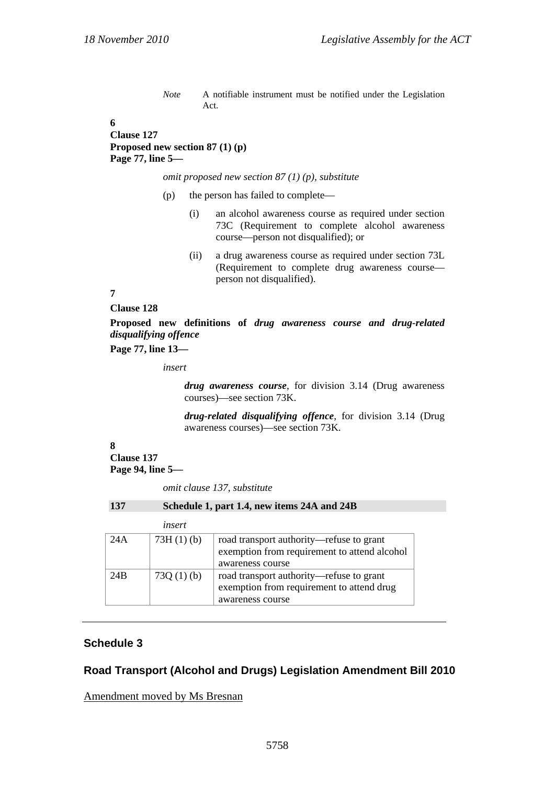*Note* A notifiable instrument must be notified under the Legislation Act.

**6 Clause 127 Proposed new section 87 (1) (p) Page 77, line 5—** 

*omit proposed new section 87 (1) (p), substitute* 

- (p) the person has failed to complete—
	- (i) an alcohol awareness course as required under section 73C (Requirement to complete alcohol awareness course—person not disqualified); or
	- (ii) a drug awareness course as required under section 73L (Requirement to complete drug awareness course person not disqualified).

**7** 

#### **Clause 128**

**Proposed new definitions of** *drug awareness course and drug-related disqualifying offence*

**Page 77, line 13—** 

*insert* 

*drug awareness course*, for division 3.14 (Drug awareness courses)—see section 73K.

*drug-related disqualifying offence*, for division 3.14 (Drug awareness courses)—see section 73K.

#### **8 Clause 137 Page 94, line 5—**

*omit clause 137, substitute* 

| 137 | Schedule 1, part 1.4, new items 24A and 24B |
|-----|---------------------------------------------|
|-----|---------------------------------------------|

|                 | insert       |                                                                                                              |
|-----------------|--------------|--------------------------------------------------------------------------------------------------------------|
| 24A             | $73H(1)$ (b) | road transport authority—refuse to grant<br>exemption from requirement to attend alcohol<br>awareness course |
| 24 <sub>B</sub> | 73Q $(1)(b)$ | road transport authority—refuse to grant<br>exemption from requirement to attend drug<br>awareness course    |

### **Schedule 3**

### **Road Transport (Alcohol and Drugs) Legislation Amendment Bill 2010**

Amendment moved by Ms Bresnan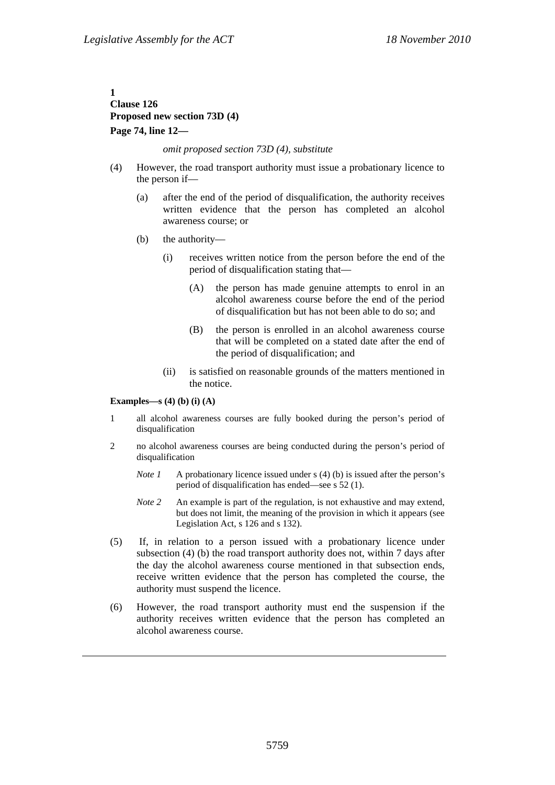### **1 Clause 126 Proposed new section 73D (4) Page 74, line 12—**

#### *omit proposed section 73D (4), substitute*

- (4) However, the road transport authority must issue a probationary licence to the person if—
	- (a) after the end of the period of disqualification, the authority receives written evidence that the person has completed an alcohol awareness course; or
	- (b) the authority—
		- (i) receives written notice from the person before the end of the period of disqualification stating that—
			- (A) the person has made genuine attempts to enrol in an alcohol awareness course before the end of the period of disqualification but has not been able to do so; and
			- (B) the person is enrolled in an alcohol awareness course that will be completed on a stated date after the end of the period of disqualification; and
		- (ii) is satisfied on reasonable grounds of the matters mentioned in the notice.

#### **Examples—s (4) (b) (i) (A)**

- 1 all alcohol awareness courses are fully booked during the person's period of disqualification
- 2 no alcohol awareness courses are being conducted during the person's period of disqualification
	- *Note 1* A probationary licence issued under s (4) (b) is issued after the person's period of disqualification has ended—see s 52 (1).
	- *Note 2* An example is part of the regulation, is not exhaustive and may extend, but does not limit, the meaning of the provision in which it appears (see Legislation Act, s 126 and s 132).
- (5) If, in relation to a person issued with a probationary licence under subsection (4) (b) the road transport authority does not, within 7 days after the day the alcohol awareness course mentioned in that subsection ends, receive written evidence that the person has completed the course, the authority must suspend the licence.
- (6) However, the road transport authority must end the suspension if the authority receives written evidence that the person has completed an alcohol awareness course.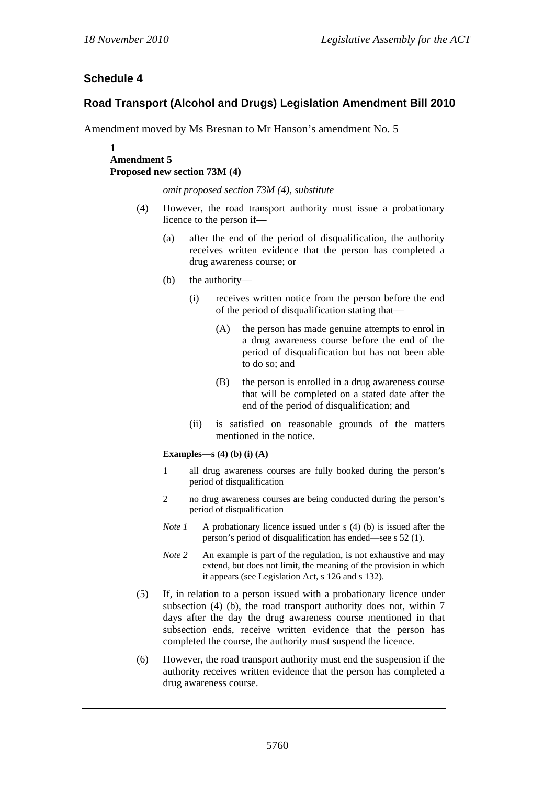# **Schedule 4**

# **Road Transport (Alcohol and Drugs) Legislation Amendment Bill 2010**

Amendment moved by Ms Bresnan to Mr Hanson's amendment No. 5

#### **1 Amendment 5 Proposed new section 73M (4)**

*omit proposed section 73M (4), substitute* 

- (4) However, the road transport authority must issue a probationary licence to the person if—
	- (a) after the end of the period of disqualification, the authority receives written evidence that the person has completed a drug awareness course; or
	- (b) the authority—
		- (i) receives written notice from the person before the end of the period of disqualification stating that—
			- (A) the person has made genuine attempts to enrol in a drug awareness course before the end of the period of disqualification but has not been able to do so; and
			- (B) the person is enrolled in a drug awareness course that will be completed on a stated date after the end of the period of disqualification; and
		- (ii) is satisfied on reasonable grounds of the matters mentioned in the notice.

#### **Examples—s (4) (b) (i) (A)**

- 1 all drug awareness courses are fully booked during the person's period of disqualification
- 2 no drug awareness courses are being conducted during the person's period of disqualification
- *Note 1* A probationary licence issued under s (4) (b) is issued after the person's period of disqualification has ended—see s 52 (1).
- *Note 2* An example is part of the regulation, is not exhaustive and may extend, but does not limit, the meaning of the provision in which it appears (see Legislation Act, s 126 and s 132).
- (5) If, in relation to a person issued with a probationary licence under subsection (4) (b), the road transport authority does not, within 7 days after the day the drug awareness course mentioned in that subsection ends, receive written evidence that the person has completed the course, the authority must suspend the licence.
- (6) However, the road transport authority must end the suspension if the authority receives written evidence that the person has completed a drug awareness course.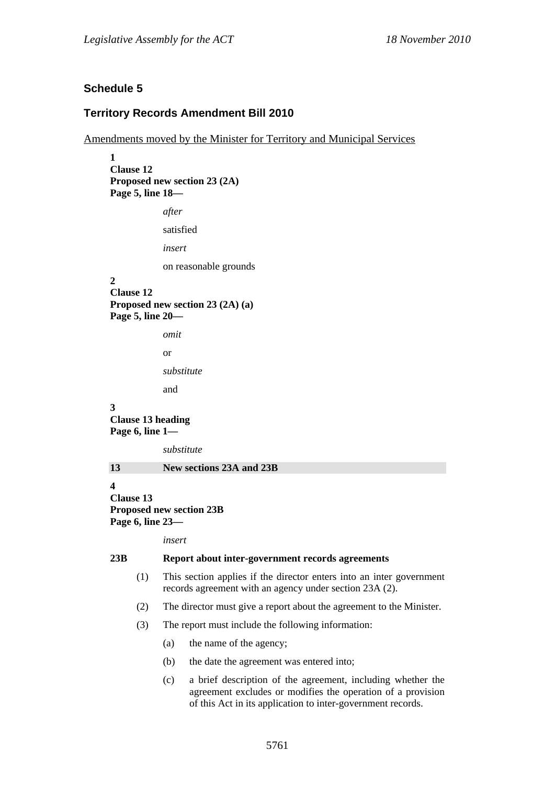# **Schedule 5**

### **Territory Records Amendment Bill 2010**

Amendments moved by the Minister for Territory and Municipal Services

**1 Clause 12 Proposed new section 23 (2A) Page 5, line 18**  *after*  satisfied *insert*  on reasonable grounds **2 Clause 12 Proposed new section 23 (2A) (a) Page 5, line 20**  *omit*  or *substitute*  and **3 Clause 13 heading Page 6, line 1**  *substitute*  **13 New sections 23A and 23B 4 Clause 13 Proposed new section 23B Page 6, line 23**  *insert*  **23B Report about inter-government records agreements**  (1) This section applies if the director enters into an inter government records agreement with an agency under section 23A (2). (2) The director must give a report about the agreement to the Minister.

- (3) The report must include the following information:
	- (a) the name of the agency;
	- (b) the date the agreement was entered into;
	- (c) a brief description of the agreement, including whether the agreement excludes or modifies the operation of a provision of this Act in its application to inter-government records.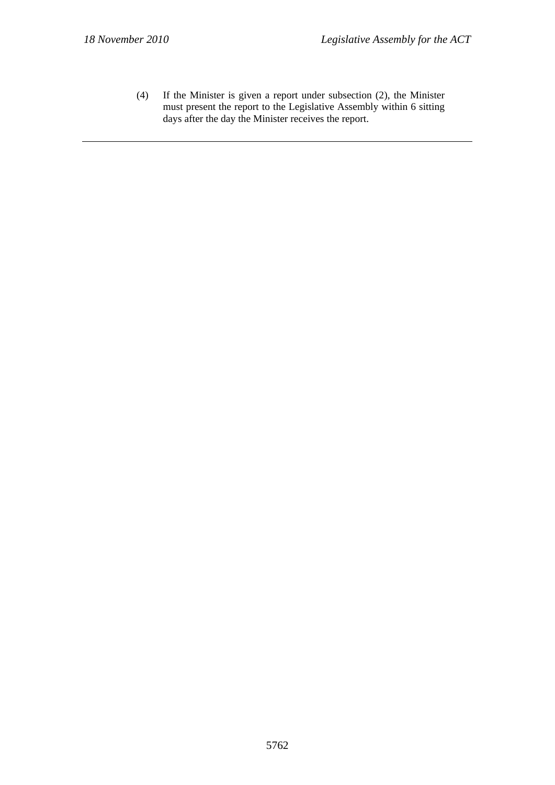(4) If the Minister is given a report under subsection (2), the Minister must present the report to the Legislative Assembly within 6 sitting days after the day the Minister receives the report.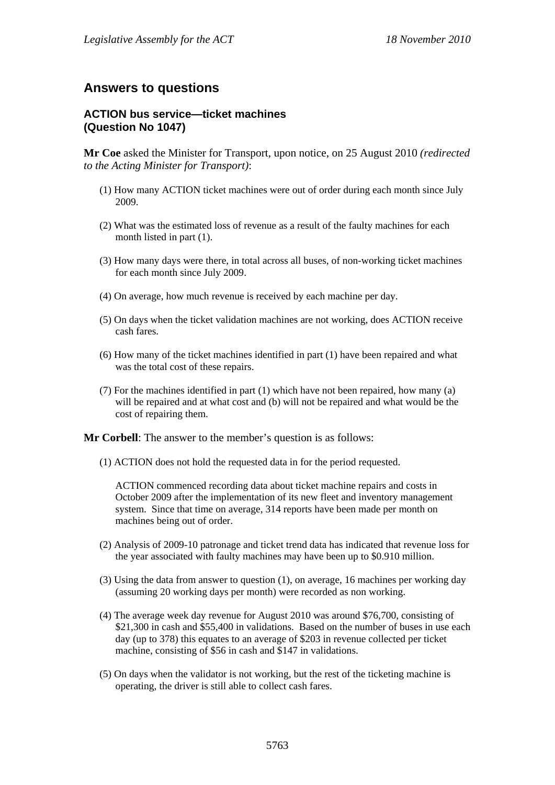# **Answers to questions**

## **ACTION bus service—ticket machines (Question No 1047)**

**Mr Coe** asked the Minister for Transport, upon notice, on 25 August 2010 *(redirected to the Acting Minister for Transport)*:

- (1) How many ACTION ticket machines were out of order during each month since July 2009.
- (2) What was the estimated loss of revenue as a result of the faulty machines for each month listed in part (1).
- (3) How many days were there, in total across all buses, of non-working ticket machines for each month since July 2009.
- (4) On average, how much revenue is received by each machine per day.
- (5) On days when the ticket validation machines are not working, does ACTION receive cash fares.
- (6) How many of the ticket machines identified in part (1) have been repaired and what was the total cost of these repairs.
- (7) For the machines identified in part (1) which have not been repaired, how many (a) will be repaired and at what cost and (b) will not be repaired and what would be the cost of repairing them.

**Mr Corbell**: The answer to the member's question is as follows:

(1) ACTION does not hold the requested data in for the period requested.

ACTION commenced recording data about ticket machine repairs and costs in October 2009 after the implementation of its new fleet and inventory management system. Since that time on average, 314 reports have been made per month on machines being out of order.

- (2) Analysis of 2009-10 patronage and ticket trend data has indicated that revenue loss for the year associated with faulty machines may have been up to \$0.910 million.
- (3) Using the data from answer to question (1), on average, 16 machines per working day (assuming 20 working days per month) were recorded as non working.
- (4) The average week day revenue for August 2010 was around \$76,700, consisting of \$21,300 in cash and \$55,400 in validations. Based on the number of buses in use each day (up to 378) this equates to an average of \$203 in revenue collected per ticket machine, consisting of \$56 in cash and \$147 in validations.
- (5) On days when the validator is not working, but the rest of the ticketing machine is operating, the driver is still able to collect cash fares.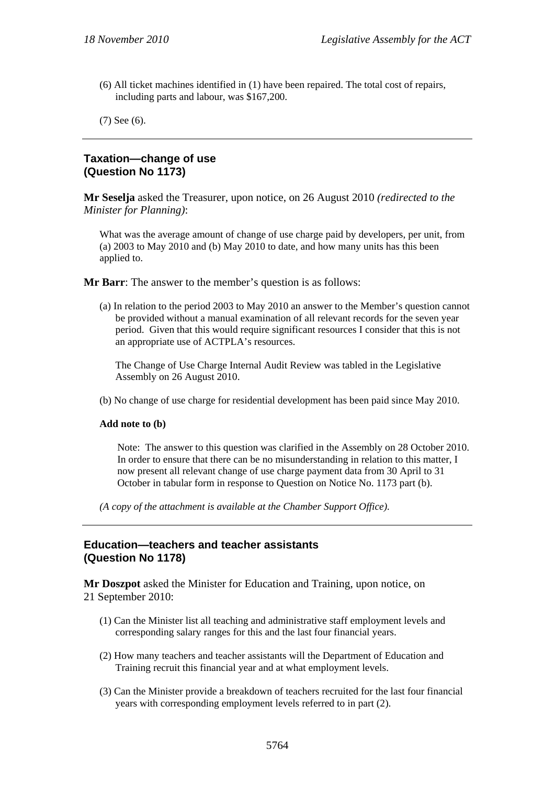(6) All ticket machines identified in (1) have been repaired. The total cost of repairs, including parts and labour, was \$167,200.

(7) See (6).

### **Taxation—change of use (Question No 1173)**

**Mr Seselja** asked the Treasurer, upon notice, on 26 August 2010 *(redirected to the Minister for Planning)*:

What was the average amount of change of use charge paid by developers, per unit, from (a) 2003 to May 2010 and (b) May 2010 to date, and how many units has this been applied to.

**Mr Barr**: The answer to the member's question is as follows:

(a) In relation to the period 2003 to May 2010 an answer to the Member's question cannot be provided without a manual examination of all relevant records for the seven year period. Given that this would require significant resources I consider that this is not an appropriate use of ACTPLA's resources.

The Change of Use Charge Internal Audit Review was tabled in the Legislative Assembly on 26 August 2010.

(b) No change of use charge for residential development has been paid since May 2010.

#### **Add note to (b)**

Note: The answer to this question was clarified in the Assembly on 28 October 2010. In order to ensure that there can be no misunderstanding in relation to this matter, I now present all relevant change of use charge payment data from 30 April to 31 October in tabular form in response to Question on Notice No. 1173 part (b).

*(A copy of the attachment is available at the Chamber Support Office).* 

### **Education—teachers and teacher assistants (Question No 1178)**

**Mr Doszpot** asked the Minister for Education and Training, upon notice, on 21 September 2010:

- (1) Can the Minister list all teaching and administrative staff employment levels and corresponding salary ranges for this and the last four financial years.
- (2) How many teachers and teacher assistants will the Department of Education and Training recruit this financial year and at what employment levels.
- (3) Can the Minister provide a breakdown of teachers recruited for the last four financial years with corresponding employment levels referred to in part (2).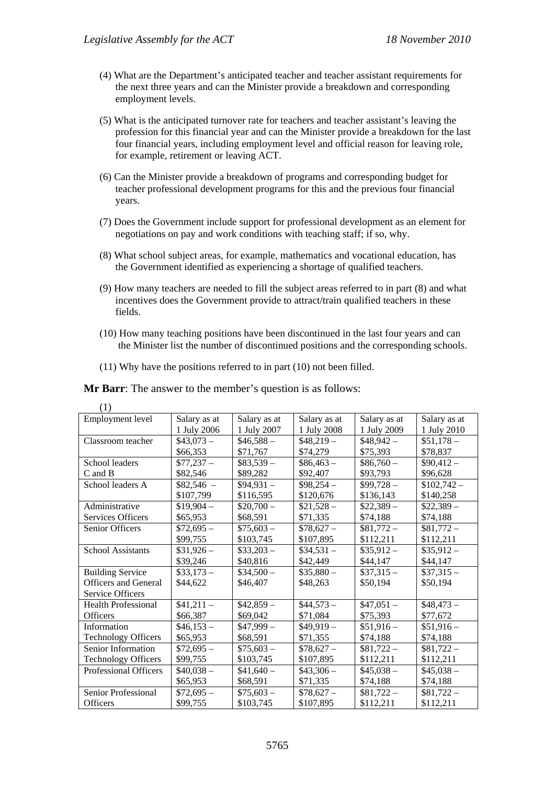- (4) What are the Department's anticipated teacher and teacher assistant requirements for the next three years and can the Minister provide a breakdown and corresponding employment levels.
- (5) What is the anticipated turnover rate for teachers and teacher assistant's leaving the profession for this financial year and can the Minister provide a breakdown for the last four financial years, including employment level and official reason for leaving role, for example, retirement or leaving ACT.
- (6) Can the Minister provide a breakdown of programs and corresponding budget for teacher professional development programs for this and the previous four financial years.
- (7) Does the Government include support for professional development as an element for negotiations on pay and work conditions with teaching staff; if so, why.
- (8) What school subject areas, for example, mathematics and vocational education, has the Government identified as experiencing a shortage of qualified teachers.
- (9) How many teachers are needed to fill the subject areas referred to in part (8) and what incentives does the Government provide to attract/train qualified teachers in these fields.
- (10) How many teaching positions have been discontinued in the last four years and can the Minister list the number of discontinued positions and the corresponding schools.
- (11) Why have the positions referred to in part (10) not been filled.

**Mr Barr**: The answer to the member's question is as follows:

| ( L J                        |              |              |              |              |              |
|------------------------------|--------------|--------------|--------------|--------------|--------------|
| Employment level             | Salary as at | Salary as at | Salary as at | Salary as at | Salary as at |
|                              | 1 July 2006  | 1 July 2007  | 1 July 2008  | 1 July 2009  | 1 July 2010  |
| Classroom teacher            | $$43.073-$   | $$46,588-$   | $$48,219-$   | $$48,942-$   | $$51,178-$   |
|                              | \$66,353     | \$71,767     | \$74,279     | \$75,393     | \$78,837     |
| School leaders               | $$77,237-$   | $$83,539-$   | $$86,463-$   | $$86,760-$   | $$90,412-$   |
| C and B                      | \$82,546     | \$89,282     | \$92,407     | \$93,793     | \$96,628     |
| School leaders A             | $$82,546 -$  | $$94.931-$   | $$98,254-$   | $$99,728-$   | $$102,742-$  |
|                              | \$107,799    | \$116,595    | \$120,676    | \$136,143    | \$140,258    |
| Administrative               | $$19.904-$   | $$20,700-$   | $$21,528-$   | $$22.389-$   | $$22,389-$   |
| Services Officers            | \$65,953     | \$68,591     | \$71,335     | \$74,188     | \$74,188     |
| Senior Officers              | $$72,695-$   | $$75,603-$   | $$78,627-$   | $$81,772-$   | $$81,772-$   |
|                              | \$99,755     | \$103,745    | \$107,895    | \$112,211    | \$112,211    |
| <b>School Assistants</b>     | $$31,926-$   | $$33,203-$   | $$34,531-$   | $$35,912-$   | $$35,912-$   |
|                              | \$39,246     | \$40,816     | \$42,449     | \$44,147     | \$44,147     |
| <b>Building Service</b>      | $$33,173-$   | $$34,500-$   | $$35,880-$   | $$37,315-$   | $$37,315-$   |
| <b>Officers and General</b>  | \$44,622     | \$46,407     | \$48,263     | \$50,194     | \$50,194     |
| Service Officers             |              |              |              |              |              |
| <b>Health Professional</b>   | $$41,211-$   | $$42,859-$   | $$44,573-$   | $$47,051-$   | $$48,473-$   |
| Officers                     | \$66,387     | \$69,042     | \$71,084     | \$75,393     | \$77,672     |
| Information                  | $$46,153-$   | $$47.999-$   | $$49,919-$   | $$51,916-$   | $$51,916-$   |
| <b>Technology Officers</b>   | \$65,953     | \$68,591     | \$71,355     | \$74,188     | \$74,188     |
| Senior Information           | $$72,695-$   | $$75,603-$   | $$78,627-$   | $$81,722-$   | $$81,722-$   |
| <b>Technology Officers</b>   | \$99,755     | \$103,745    | \$107,895    | \$112,211    | \$112,211    |
| <b>Professional Officers</b> | $$40,038-$   | $$41,640-$   | $$43,306-$   | $$45,038-$   | $$45,038-$   |
|                              | \$65,953     | \$68,591     | \$71,335     | \$74,188     | \$74,188     |
| Senior Professional          | $$72,695-$   | $$75,603-$   | $$78,627-$   | $$81,722-$   | $$81,722-$   |
| <b>Officers</b>              | \$99,755     | \$103,745    | \$107,895    | \$112,211    | \$112,211    |

 $(1)$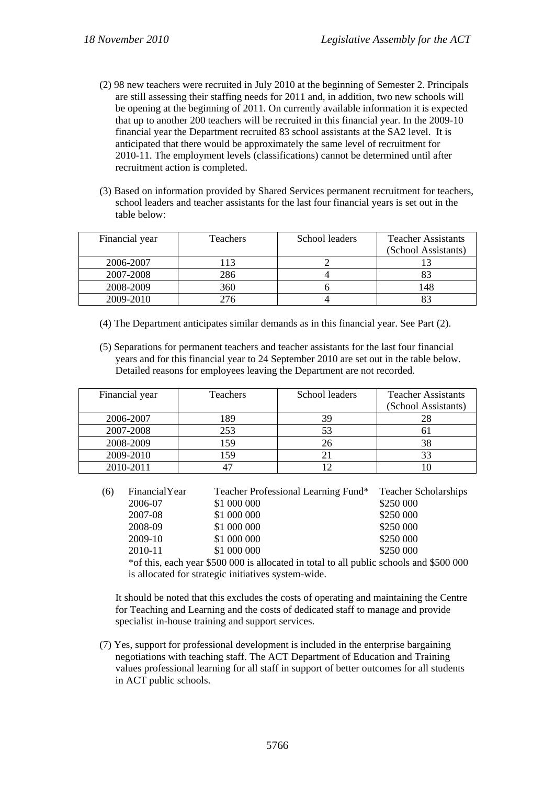- (2) 98 new teachers were recruited in July 2010 at the beginning of Semester 2. Principals are still assessing their staffing needs for 2011 and, in addition, two new schools will be opening at the beginning of 2011. On currently available information it is expected that up to another 200 teachers will be recruited in this financial year. In the 2009-10 financial year the Department recruited 83 school assistants at the SA2 level. It is anticipated that there would be approximately the same level of recruitment for 2010-11. The employment levels (classifications) cannot be determined until after recruitment action is completed.
- (3) Based on information provided by Shared Services permanent recruitment for teachers, school leaders and teacher assistants for the last four financial years is set out in the table below:

| Financial year | Teachers | School leaders | <b>Teacher Assistants</b> |
|----------------|----------|----------------|---------------------------|
|                |          |                | (School Assistants)       |
| 2006-2007      | 113      |                |                           |
| 2007-2008      | 286      |                |                           |
| 2008-2009      | 360      |                | 48                        |
| 2009-2010      | 276      |                |                           |

- (4) The Department anticipates similar demands as in this financial year. See Part (2).
- (5) Separations for permanent teachers and teacher assistants for the last four financial years and for this financial year to 24 September 2010 are set out in the table below. Detailed reasons for employees leaving the Department are not recorded.

| Financial year | <b>Teachers</b> | School leaders | <b>Teacher Assistants</b> |
|----------------|-----------------|----------------|---------------------------|
|                |                 |                | (School Assistants)       |
| 2006-2007      | 189             | 39             |                           |
| 2007-2008      | 253             | 53             |                           |
| 2008-2009      | 159             | 26             | 38                        |
| 2009-2010      | 159             | 21             |                           |
| 2010-2011      |                 |                |                           |

| (6) | FinancialYear | Teacher Professional Learning Fund*                                                     | <b>Teacher Scholarships</b> |
|-----|---------------|-----------------------------------------------------------------------------------------|-----------------------------|
|     | 2006-07       | \$1 000 000                                                                             | \$250 000                   |
|     | 2007-08       | \$1 000 000                                                                             | \$250 000                   |
|     | 2008-09       | \$1 000 000                                                                             | \$250 000                   |
|     | 2009-10       | \$1 000 000                                                                             | \$250 000                   |
|     | 2010-11       | \$1 000 000                                                                             | \$250 000                   |
|     |               | *of this, each year \$500 000 is allocated in total to all public schools and \$500 000 |                             |

is allocated for strategic initiatives system-wide.

It should be noted that this excludes the costs of operating and maintaining the Centre for Teaching and Learning and the costs of dedicated staff to manage and provide specialist in-house training and support services.

(7) Yes, support for professional development is included in the enterprise bargaining negotiations with teaching staff. The ACT Department of Education and Training values professional learning for all staff in support of better outcomes for all students in ACT public schools.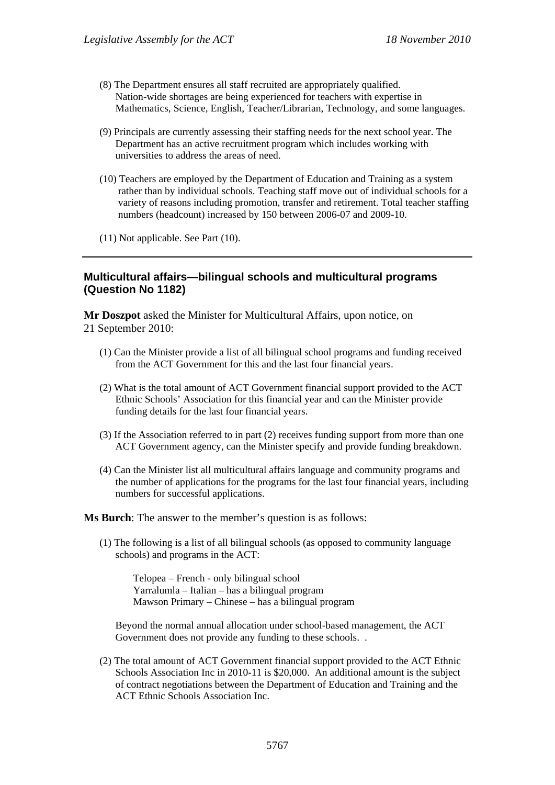- (8) The Department ensures all staff recruited are appropriately qualified. Nation-wide shortages are being experienced for teachers with expertise in Mathematics, Science, English, Teacher/Librarian, Technology, and some languages.
- (9) Principals are currently assessing their staffing needs for the next school year. The Department has an active recruitment program which includes working with universities to address the areas of need.
- (10) Teachers are employed by the Department of Education and Training as a system rather than by individual schools. Teaching staff move out of individual schools for a variety of reasons including promotion, transfer and retirement. Total teacher staffing numbers (headcount) increased by 150 between 2006-07 and 2009-10.
- (11) Not applicable. See Part (10).

# **Multicultural affairs—bilingual schools and multicultural programs (Question No 1182)**

**Mr Doszpot** asked the Minister for Multicultural Affairs, upon notice, on 21 September 2010:

- (1) Can the Minister provide a list of all bilingual school programs and funding received from the ACT Government for this and the last four financial years.
- (2) What is the total amount of ACT Government financial support provided to the ACT Ethnic Schools' Association for this financial year and can the Minister provide funding details for the last four financial years.
- (3) If the Association referred to in part (2) receives funding support from more than one ACT Government agency, can the Minister specify and provide funding breakdown.
- (4) Can the Minister list all multicultural affairs language and community programs and the number of applications for the programs for the last four financial years, including numbers for successful applications.

**Ms Burch**: The answer to the member's question is as follows:

(1) The following is a list of all bilingual schools (as opposed to community language schools) and programs in the ACT:

Telopea – French - only bilingual school Yarralumla – Italian – has a bilingual program Mawson Primary – Chinese – has a bilingual program

Beyond the normal annual allocation under school-based management, the ACT Government does not provide any funding to these schools. .

(2) The total amount of ACT Government financial support provided to the ACT Ethnic Schools Association Inc in 2010-11 is \$20,000. An additional amount is the subject of contract negotiations between the Department of Education and Training and the ACT Ethnic Schools Association Inc.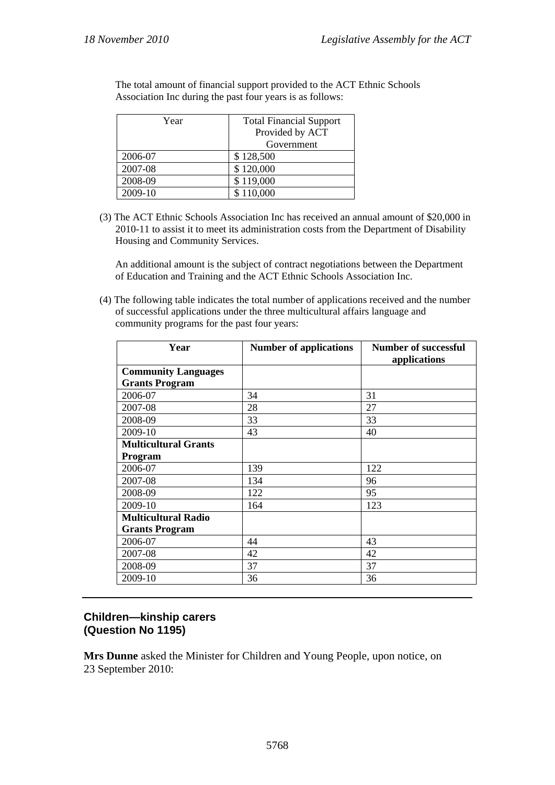| Year    | <b>Total Financial Support</b> |  |
|---------|--------------------------------|--|
|         | Provided by ACT                |  |
|         | Government                     |  |
| 2006-07 | \$128,500                      |  |
| 2007-08 | \$120,000                      |  |
| 2008-09 | \$119,000                      |  |
| 2009-10 | \$110,000                      |  |

The total amount of financial support provided to the ACT Ethnic Schools Association Inc during the past four years is as follows:

(3) The ACT Ethnic Schools Association Inc has received an annual amount of \$20,000 in 2010-11 to assist it to meet its administration costs from the Department of Disability Housing and Community Services.

An additional amount is the subject of contract negotiations between the Department of Education and Training and the ACT Ethnic Schools Association Inc.

(4) The following table indicates the total number of applications received and the number of successful applications under the three multicultural affairs language and community programs for the past four years:

| Year                        | <b>Number of applications</b> | <b>Number of successful</b><br>applications |
|-----------------------------|-------------------------------|---------------------------------------------|
| <b>Community Languages</b>  |                               |                                             |
| <b>Grants Program</b>       |                               |                                             |
| 2006-07                     | 34                            | 31                                          |
| 2007-08                     | 28                            | 27                                          |
| 2008-09                     | 33                            | 33                                          |
| 2009-10                     | 43                            | 40                                          |
| <b>Multicultural Grants</b> |                               |                                             |
| Program                     |                               |                                             |
| 2006-07                     | 139                           | 122                                         |
| 2007-08                     | 134                           | 96                                          |
| 2008-09                     | 122                           | 95                                          |
| 2009-10                     | 164                           | 123                                         |
| <b>Multicultural Radio</b>  |                               |                                             |
| <b>Grants Program</b>       |                               |                                             |
| 2006-07                     | 44                            | 43                                          |
| 2007-08                     | 42                            | 42                                          |
| 2008-09                     | 37                            | 37                                          |
| 2009-10                     | 36                            | 36                                          |

# **Children—kinship carers (Question No 1195)**

**Mrs Dunne** asked the Minister for Children and Young People, upon notice, on 23 September 2010: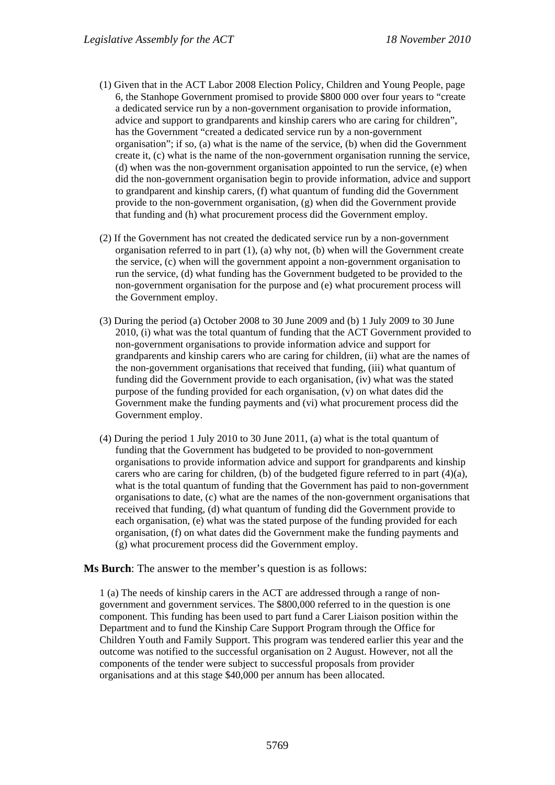- (1) Given that in the ACT Labor 2008 Election Policy, Children and Young People, page 6, the Stanhope Government promised to provide \$800 000 over four years to "create a dedicated service run by a non-government organisation to provide information, advice and support to grandparents and kinship carers who are caring for children", has the Government "created a dedicated service run by a non-government organisation"; if so, (a) what is the name of the service, (b) when did the Government create it, (c) what is the name of the non-government organisation running the service, (d) when was the non-government organisation appointed to run the service, (e) when did the non-government organisation begin to provide information, advice and support to grandparent and kinship carers, (f) what quantum of funding did the Government provide to the non-government organisation, (g) when did the Government provide that funding and (h) what procurement process did the Government employ.
- (2) If the Government has not created the dedicated service run by a non-government organisation referred to in part (1), (a) why not, (b) when will the Government create the service, (c) when will the government appoint a non-government organisation to run the service, (d) what funding has the Government budgeted to be provided to the non-government organisation for the purpose and (e) what procurement process will the Government employ.
- (3) During the period (a) October 2008 to 30 June 2009 and (b) 1 July 2009 to 30 June 2010, (i) what was the total quantum of funding that the ACT Government provided to non-government organisations to provide information advice and support for grandparents and kinship carers who are caring for children, (ii) what are the names of the non-government organisations that received that funding, (iii) what quantum of funding did the Government provide to each organisation, (iv) what was the stated purpose of the funding provided for each organisation, (v) on what dates did the Government make the funding payments and (vi) what procurement process did the Government employ.
- (4) During the period 1 July 2010 to 30 June 2011, (a) what is the total quantum of funding that the Government has budgeted to be provided to non-government organisations to provide information advice and support for grandparents and kinship carers who are caring for children, (b) of the budgeted figure referred to in part  $(4)(a)$ , what is the total quantum of funding that the Government has paid to non-government organisations to date, (c) what are the names of the non-government organisations that received that funding, (d) what quantum of funding did the Government provide to each organisation, (e) what was the stated purpose of the funding provided for each organisation, (f) on what dates did the Government make the funding payments and (g) what procurement process did the Government employ.

### **Ms Burch**: The answer to the member's question is as follows:

1 (a) The needs of kinship carers in the ACT are addressed through a range of nongovernment and government services. The \$800,000 referred to in the question is one component. This funding has been used to part fund a Carer Liaison position within the Department and to fund the Kinship Care Support Program through the Office for Children Youth and Family Support. This program was tendered earlier this year and the outcome was notified to the successful organisation on 2 August. However, not all the components of the tender were subject to successful proposals from provider organisations and at this stage \$40,000 per annum has been allocated.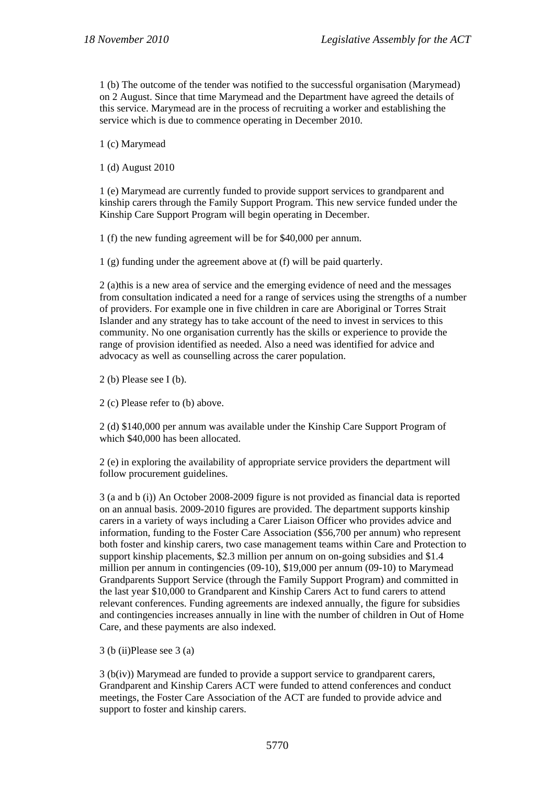1 (b) The outcome of the tender was notified to the successful organisation (Marymead) on 2 August. Since that time Marymead and the Department have agreed the details of this service. Marymead are in the process of recruiting a worker and establishing the service which is due to commence operating in December 2010.

1 (c) Marymead

1 (d) August 2010

1 (e) Marymead are currently funded to provide support services to grandparent and kinship carers through the Family Support Program. This new service funded under the Kinship Care Support Program will begin operating in December.

1 (f) the new funding agreement will be for \$40,000 per annum.

1 (g) funding under the agreement above at (f) will be paid quarterly.

2 (a)this is a new area of service and the emerging evidence of need and the messages from consultation indicated a need for a range of services using the strengths of a number of providers. For example one in five children in care are Aboriginal or Torres Strait Islander and any strategy has to take account of the need to invest in services to this community. No one organisation currently has the skills or experience to provide the range of provision identified as needed. Also a need was identified for advice and advocacy as well as counselling across the carer population.

2 (b) Please see I (b).

2 (c) Please refer to (b) above.

2 (d) \$140,000 per annum was available under the Kinship Care Support Program of which \$40,000 has been allocated.

2 (e) in exploring the availability of appropriate service providers the department will follow procurement guidelines.

3 (a and b (i)) An October 2008-2009 figure is not provided as financial data is reported on an annual basis. 2009-2010 figures are provided. The department supports kinship carers in a variety of ways including a Carer Liaison Officer who provides advice and information, funding to the Foster Care Association (\$56,700 per annum) who represent both foster and kinship carers, two case management teams within Care and Protection to support kinship placements, \$2.3 million per annum on on-going subsidies and \$1.4 million per annum in contingencies (09-10), \$19,000 per annum (09-10) to Marymead Grandparents Support Service (through the Family Support Program) and committed in the last year \$10,000 to Grandparent and Kinship Carers Act to fund carers to attend relevant conferences. Funding agreements are indexed annually, the figure for subsidies and contingencies increases annually in line with the number of children in Out of Home Care, and these payments are also indexed.

3 (b (ii)Please see 3 (a)

3 (b(iv)) Marymead are funded to provide a support service to grandparent carers, Grandparent and Kinship Carers ACT were funded to attend conferences and conduct meetings, the Foster Care Association of the ACT are funded to provide advice and support to foster and kinship carers.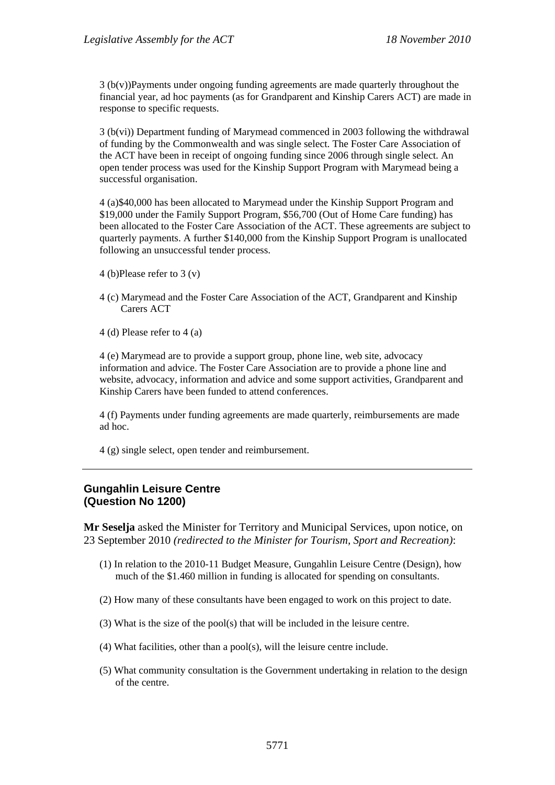3 (b(v))Payments under ongoing funding agreements are made quarterly throughout the financial year, ad hoc payments (as for Grandparent and Kinship Carers ACT) are made in response to specific requests.

3 (b(vi)) Department funding of Marymead commenced in 2003 following the withdrawal of funding by the Commonwealth and was single select. The Foster Care Association of the ACT have been in receipt of ongoing funding since 2006 through single select. An open tender process was used for the Kinship Support Program with Marymead being a successful organisation.

4 (a)\$40,000 has been allocated to Marymead under the Kinship Support Program and \$19,000 under the Family Support Program, \$56,700 (Out of Home Care funding) has been allocated to the Foster Care Association of the ACT. These agreements are subject to quarterly payments. A further \$140,000 from the Kinship Support Program is unallocated following an unsuccessful tender process.

- 4 (b)Please refer to 3 (v)
- 4 (c) Marymead and the Foster Care Association of the ACT, Grandparent and Kinship Carers ACT
- 4 (d) Please refer to 4 (a)

4 (e) Marymead are to provide a support group, phone line, web site, advocacy information and advice. The Foster Care Association are to provide a phone line and website, advocacy, information and advice and some support activities, Grandparent and Kinship Carers have been funded to attend conferences.

4 (f) Payments under funding agreements are made quarterly, reimbursements are made ad hoc.

4 (g) single select, open tender and reimbursement.

### **Gungahlin Leisure Centre (Question No 1200)**

**Mr Seselja** asked the Minister for Territory and Municipal Services, upon notice, on 23 September 2010 *(redirected to the Minister for Tourism, Sport and Recreation)*:

- (1) In relation to the 2010-11 Budget Measure, Gungahlin Leisure Centre (Design), how much of the \$1.460 million in funding is allocated for spending on consultants.
- (2) How many of these consultants have been engaged to work on this project to date.
- (3) What is the size of the pool(s) that will be included in the leisure centre.
- (4) What facilities, other than a pool(s), will the leisure centre include.
- (5) What community consultation is the Government undertaking in relation to the design of the centre.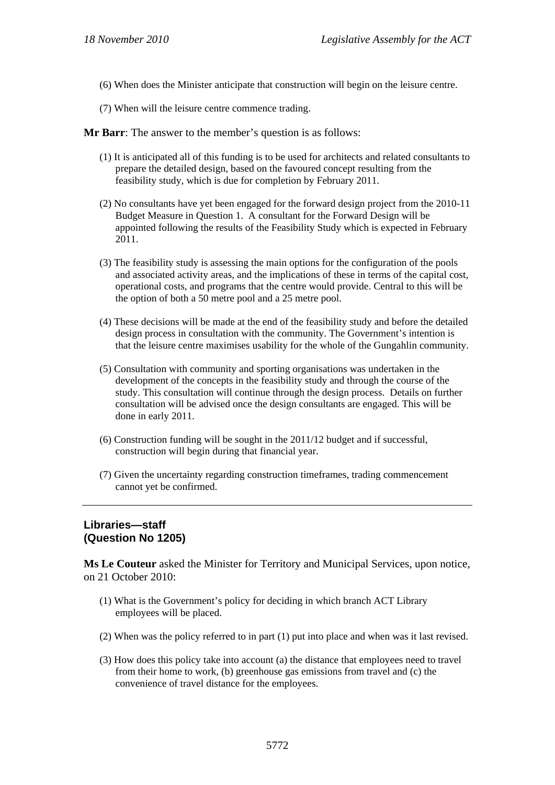- (6) When does the Minister anticipate that construction will begin on the leisure centre.
- (7) When will the leisure centre commence trading.

**Mr Barr**: The answer to the member's question is as follows:

- (1) It is anticipated all of this funding is to be used for architects and related consultants to prepare the detailed design, based on the favoured concept resulting from the feasibility study, which is due for completion by February 2011.
- (2) No consultants have yet been engaged for the forward design project from the 2010-11 Budget Measure in Question 1. A consultant for the Forward Design will be appointed following the results of the Feasibility Study which is expected in February 2011.
- (3) The feasibility study is assessing the main options for the configuration of the pools and associated activity areas, and the implications of these in terms of the capital cost, operational costs, and programs that the centre would provide. Central to this will be the option of both a 50 metre pool and a 25 metre pool.
- (4) These decisions will be made at the end of the feasibility study and before the detailed design process in consultation with the community. The Government's intention is that the leisure centre maximises usability for the whole of the Gungahlin community.
- (5) Consultation with community and sporting organisations was undertaken in the development of the concepts in the feasibility study and through the course of the study. This consultation will continue through the design process. Details on further consultation will be advised once the design consultants are engaged. This will be done in early 2011.
- (6) Construction funding will be sought in the 2011/12 budget and if successful, construction will begin during that financial year.
- (7) Given the uncertainty regarding construction timeframes, trading commencement cannot yet be confirmed.

### **Libraries—staff (Question No 1205)**

**Ms Le Couteur** asked the Minister for Territory and Municipal Services, upon notice, on 21 October 2010:

- (1) What is the Government's policy for deciding in which branch ACT Library employees will be placed.
- (2) When was the policy referred to in part (1) put into place and when was it last revised.
- (3) How does this policy take into account (a) the distance that employees need to travel from their home to work, (b) greenhouse gas emissions from travel and (c) the convenience of travel distance for the employees.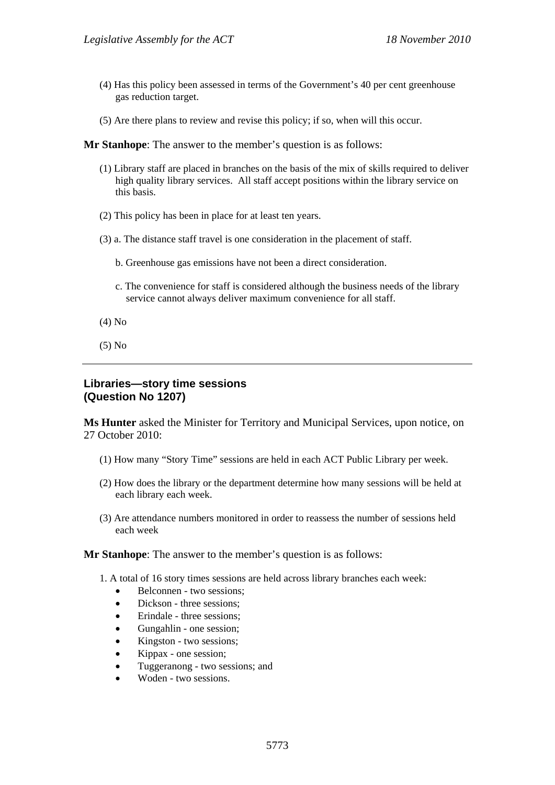- (4) Has this policy been assessed in terms of the Government's 40 per cent greenhouse gas reduction target.
- (5) Are there plans to review and revise this policy; if so, when will this occur.

**Mr Stanhope**: The answer to the member's question is as follows:

- (1) Library staff are placed in branches on the basis of the mix of skills required to deliver high quality library services. All staff accept positions within the library service on this basis.
- (2) This policy has been in place for at least ten years.
- (3) a. The distance staff travel is one consideration in the placement of staff.
	- b. Greenhouse gas emissions have not been a direct consideration.
	- c. The convenience for staff is considered although the business needs of the library service cannot always deliver maximum convenience for all staff.
- (4) No
- (5) No

#### **Libraries—story time sessions (Question No 1207)**

**Ms Hunter** asked the Minister for Territory and Municipal Services, upon notice, on 27 October 2010:

- (1) How many "Story Time" sessions are held in each ACT Public Library per week.
- (2) How does the library or the department determine how many sessions will be held at each library each week.
- (3) Are attendance numbers monitored in order to reassess the number of sessions held each week

#### **Mr Stanhope**: The answer to the member's question is as follows:

- 1. A total of 16 story times sessions are held across library branches each week:
	- Belconnen two sessions;
	- Dickson three sessions;
	- Erindale three sessions;
	- Gungahlin one session;
	- Kingston two sessions;
	- Kippax one session;
	- Tuggeranong two sessions; and
	- Woden two sessions.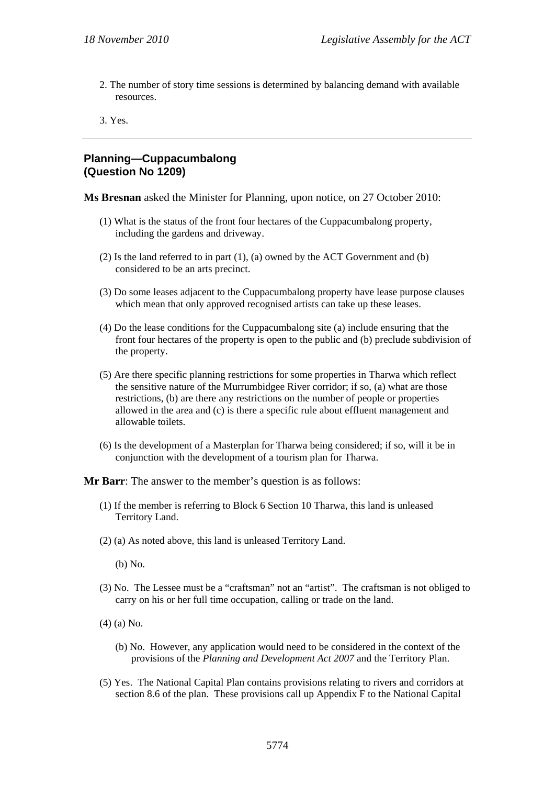2. The number of story time sessions is determined by balancing demand with available resources.

3. Yes.

#### **Planning—Cuppacumbalong (Question No 1209)**

**Ms Bresnan** asked the Minister for Planning, upon notice, on 27 October 2010:

- (1) What is the status of the front four hectares of the Cuppacumbalong property, including the gardens and driveway.
- (2) Is the land referred to in part (1), (a) owned by the ACT Government and (b) considered to be an arts precinct.
- (3) Do some leases adjacent to the Cuppacumbalong property have lease purpose clauses which mean that only approved recognised artists can take up these leases.
- (4) Do the lease conditions for the Cuppacumbalong site (a) include ensuring that the front four hectares of the property is open to the public and (b) preclude subdivision of the property.
- (5) Are there specific planning restrictions for some properties in Tharwa which reflect the sensitive nature of the Murrumbidgee River corridor; if so, (a) what are those restrictions, (b) are there any restrictions on the number of people or properties allowed in the area and (c) is there a specific rule about effluent management and allowable toilets.
- (6) Is the development of a Masterplan for Tharwa being considered; if so, will it be in conjunction with the development of a tourism plan for Tharwa.

**Mr Barr**: The answer to the member's question is as follows:

- (1) If the member is referring to Block 6 Section 10 Tharwa, this land is unleased Territory Land.
- (2) (a) As noted above, this land is unleased Territory Land.

(b) No.

- (3) No. The Lessee must be a "craftsman" not an "artist". The craftsman is not obliged to carry on his or her full time occupation, calling or trade on the land.
- (4) (a) No.
	- (b) No. However, any application would need to be considered in the context of the provisions of the *Planning and Development Act 2007* and the Territory Plan.
- (5) Yes. The National Capital Plan contains provisions relating to rivers and corridors at section 8.6 of the plan. These provisions call up Appendix F to the National Capital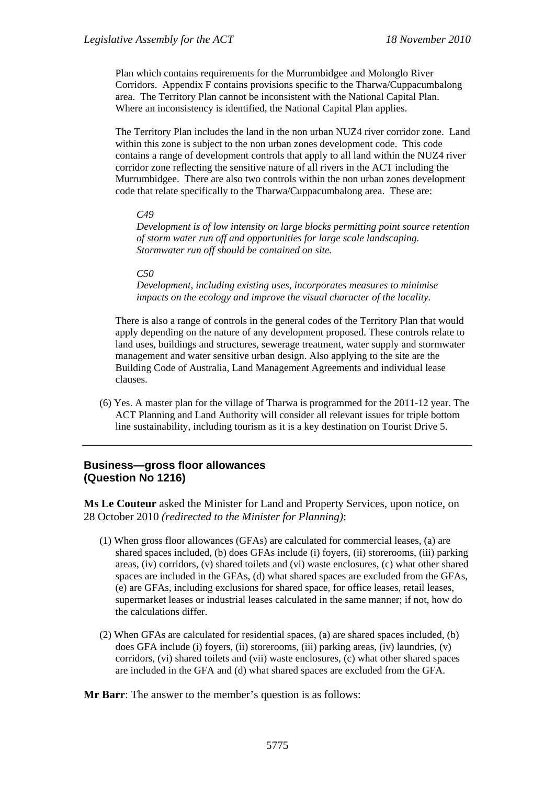Plan which contains requirements for the Murrumbidgee and Molonglo River Corridors. Appendix F contains provisions specific to the Tharwa/Cuppacumbalong area. The Territory Plan cannot be inconsistent with the National Capital Plan. Where an inconsistency is identified, the National Capital Plan applies.

The Territory Plan includes the land in the non urban NUZ4 river corridor zone. Land within this zone is subject to the non urban zones development code. This code contains a range of development controls that apply to all land within the NUZ4 river corridor zone reflecting the sensitive nature of all rivers in the ACT including the Murrumbidgee. There are also two controls within the non urban zones development code that relate specifically to the Tharwa/Cuppacumbalong area. These are:

#### *C49*

*Development is of low intensity on large blocks permitting point source retention of storm water run off and opportunities for large scale landscaping. Stormwater run off should be contained on site.* 

#### *C50*

*Development, including existing uses, incorporates measures to minimise impacts on the ecology and improve the visual character of the locality.* 

There is also a range of controls in the general codes of the Territory Plan that would apply depending on the nature of any development proposed. These controls relate to land uses, buildings and structures, sewerage treatment, water supply and stormwater management and water sensitive urban design. Also applying to the site are the Building Code of Australia, Land Management Agreements and individual lease clauses.

(6) Yes. A master plan for the village of Tharwa is programmed for the 2011-12 year. The ACT Planning and Land Authority will consider all relevant issues for triple bottom line sustainability, including tourism as it is a key destination on Tourist Drive 5.

#### **Business—gross floor allowances (Question No 1216)**

**Ms Le Couteur** asked the Minister for Land and Property Services, upon notice, on 28 October 2010 *(redirected to the Minister for Planning)*:

- (1) When gross floor allowances (GFAs) are calculated for commercial leases, (a) are shared spaces included, (b) does GFAs include (i) foyers, (ii) storerooms, (iii) parking areas, (iv) corridors, (v) shared toilets and (vi) waste enclosures, (c) what other shared spaces are included in the GFAs, (d) what shared spaces are excluded from the GFAs, (e) are GFAs, including exclusions for shared space, for office leases, retail leases, supermarket leases or industrial leases calculated in the same manner; if not, how do the calculations differ.
- (2) When GFAs are calculated for residential spaces, (a) are shared spaces included, (b) does GFA include (i) foyers, (ii) storerooms, (iii) parking areas, (iv) laundries, (v) corridors, (vi) shared toilets and (vii) waste enclosures, (c) what other shared spaces are included in the GFA and (d) what shared spaces are excluded from the GFA.

**Mr Barr**: The answer to the member's question is as follows: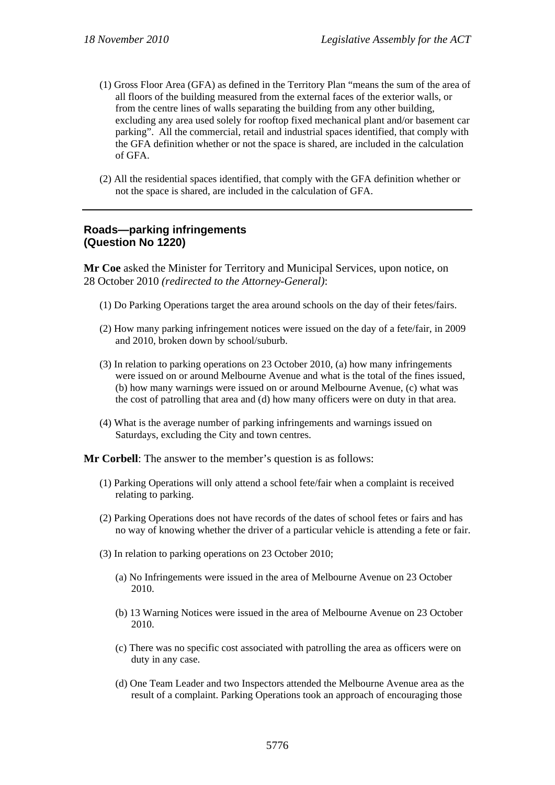- (1) Gross Floor Area (GFA) as defined in the Territory Plan "means the sum of the area of all floors of the building measured from the external faces of the exterior walls, or from the centre lines of walls separating the building from any other building, excluding any area used solely for rooftop fixed mechanical plant and/or basement car parking". All the commercial, retail and industrial spaces identified, that comply with the GFA definition whether or not the space is shared, are included in the calculation of GFA.
- (2) All the residential spaces identified, that comply with the GFA definition whether or not the space is shared, are included in the calculation of GFA.

#### **Roads—parking infringements (Question No 1220)**

**Mr Coe** asked the Minister for Territory and Municipal Services, upon notice, on 28 October 2010 *(redirected to the Attorney-General)*:

- (1) Do Parking Operations target the area around schools on the day of their fetes/fairs.
- (2) How many parking infringement notices were issued on the day of a fete/fair, in 2009 and 2010, broken down by school/suburb.
- (3) In relation to parking operations on 23 October 2010, (a) how many infringements were issued on or around Melbourne Avenue and what is the total of the fines issued, (b) how many warnings were issued on or around Melbourne Avenue, (c) what was the cost of patrolling that area and (d) how many officers were on duty in that area.
- (4) What is the average number of parking infringements and warnings issued on Saturdays, excluding the City and town centres.

**Mr Corbell**: The answer to the member's question is as follows:

- (1) Parking Operations will only attend a school fete/fair when a complaint is received relating to parking.
- (2) Parking Operations does not have records of the dates of school fetes or fairs and has no way of knowing whether the driver of a particular vehicle is attending a fete or fair.
- (3) In relation to parking operations on 23 October 2010;
	- (a) No Infringements were issued in the area of Melbourne Avenue on 23 October 2010.
	- (b) 13 Warning Notices were issued in the area of Melbourne Avenue on 23 October 2010.
	- (c) There was no specific cost associated with patrolling the area as officers were on duty in any case.
	- (d) One Team Leader and two Inspectors attended the Melbourne Avenue area as the result of a complaint. Parking Operations took an approach of encouraging those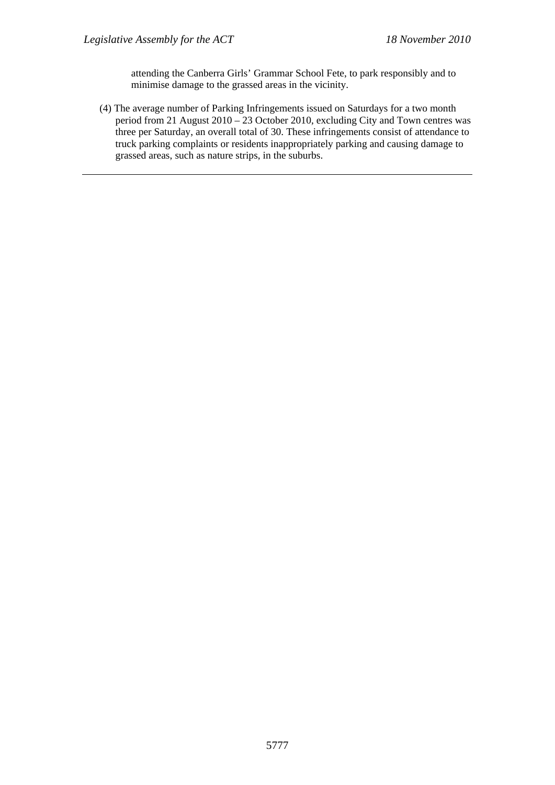attending the Canberra Girls' Grammar School Fete, to park responsibly and to minimise damage to the grassed areas in the vicinity.

(4) The average number of Parking Infringements issued on Saturdays for a two month period from 21 August  $2010 - 23$  October 2010, excluding City and Town centres was three per Saturday, an overall total of 30. These infringements consist of attendance to truck parking complaints or residents inappropriately parking and causing damage to grassed areas, such as nature strips, in the suburbs.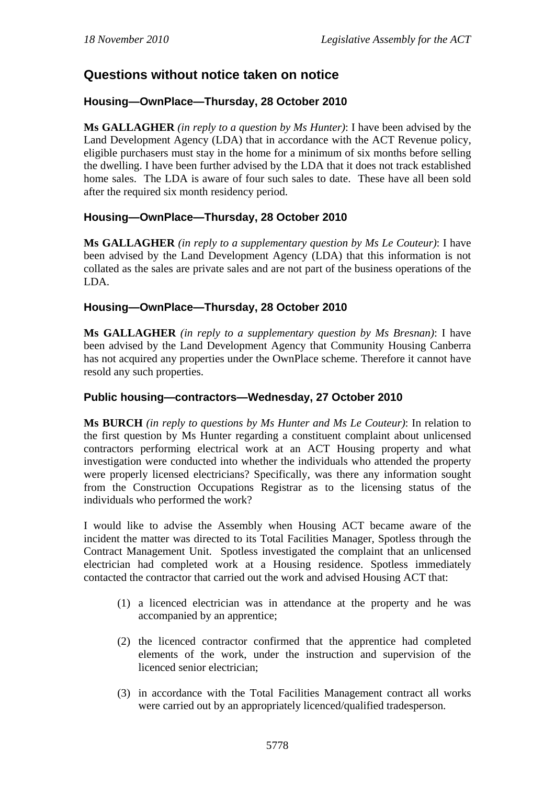# **Questions without notice taken on notice**

## **Housing—OwnPlace—Thursday, 28 October 2010**

**Ms GALLAGHER** *(in reply to a question by Ms Hunter)*: I have been advised by the Land Development Agency (LDA) that in accordance with the ACT Revenue policy, eligible purchasers must stay in the home for a minimum of six months before selling the dwelling. I have been further advised by the LDA that it does not track established home sales. The LDA is aware of four such sales to date. These have all been sold after the required six month residency period.

## **Housing—OwnPlace—Thursday, 28 October 2010**

**Ms GALLAGHER** *(in reply to a supplementary question by Ms Le Couteur)*: I have been advised by the Land Development Agency (LDA) that this information is not collated as the sales are private sales and are not part of the business operations of the LDA.

## **Housing—OwnPlace—Thursday, 28 October 2010**

**Ms GALLAGHER** *(in reply to a supplementary question by Ms Bresnan)*: I have been advised by the Land Development Agency that Community Housing Canberra has not acquired any properties under the OwnPlace scheme. Therefore it cannot have resold any such properties.

### **Public housing—contractors—Wednesday, 27 October 2010**

**Ms BURCH** *(in reply to questions by Ms Hunter and Ms Le Couteur)*: In relation to the first question by Ms Hunter regarding a constituent complaint about unlicensed contractors performing electrical work at an ACT Housing property and what investigation were conducted into whether the individuals who attended the property were properly licensed electricians? Specifically, was there any information sought from the Construction Occupations Registrar as to the licensing status of the individuals who performed the work?

I would like to advise the Assembly when Housing ACT became aware of the incident the matter was directed to its Total Facilities Manager, Spotless through the Contract Management Unit. Spotless investigated the complaint that an unlicensed electrician had completed work at a Housing residence. Spotless immediately contacted the contractor that carried out the work and advised Housing ACT that:

- (1) a licenced electrician was in attendance at the property and he was accompanied by an apprentice;
- (2) the licenced contractor confirmed that the apprentice had completed elements of the work, under the instruction and supervision of the licenced senior electrician;
- (3) in accordance with the Total Facilities Management contract all works were carried out by an appropriately licenced/qualified tradesperson.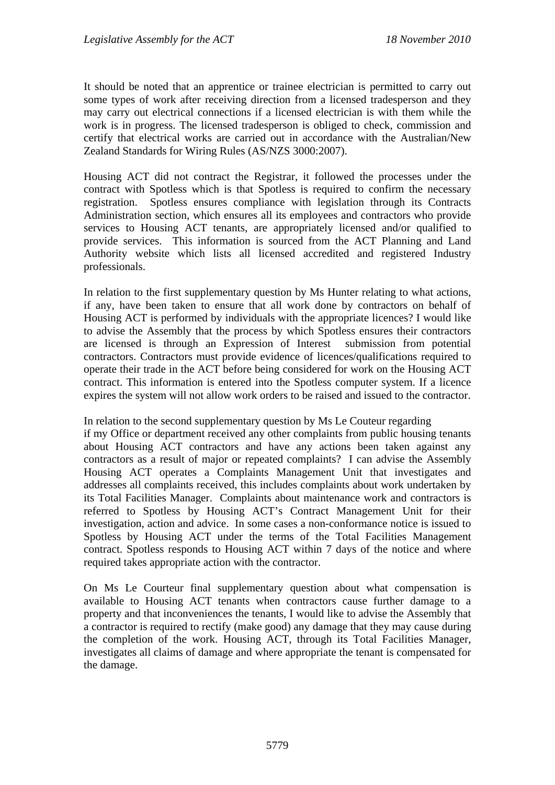It should be noted that an apprentice or trainee electrician is permitted to carry out some types of work after receiving direction from a licensed tradesperson and they may carry out electrical connections if a licensed electrician is with them while the work is in progress. The licensed tradesperson is obliged to check, commission and certify that electrical works are carried out in accordance with the Australian/New Zealand Standards for Wiring Rules (AS/NZS 3000:2007).

Housing ACT did not contract the Registrar, it followed the processes under the contract with Spotless which is that Spotless is required to confirm the necessary registration. Spotless ensures compliance with legislation through its Contracts Administration section, which ensures all its employees and contractors who provide services to Housing ACT tenants, are appropriately licensed and/or qualified to provide services. This information is sourced from the ACT Planning and Land Authority website which lists all licensed accredited and registered Industry professionals.

In relation to the first supplementary question by Ms Hunter relating to what actions, if any, have been taken to ensure that all work done by contractors on behalf of Housing ACT is performed by individuals with the appropriate licences? I would like to advise the Assembly that the process by which Spotless ensures their contractors are licensed is through an Expression of Interest submission from potential contractors. Contractors must provide evidence of licences/qualifications required to operate their trade in the ACT before being considered for work on the Housing ACT contract. This information is entered into the Spotless computer system. If a licence expires the system will not allow work orders to be raised and issued to the contractor.

In relation to the second supplementary question by Ms Le Couteur regarding

if my Office or department received any other complaints from public housing tenants about Housing ACT contractors and have any actions been taken against any contractors as a result of major or repeated complaints? I can advise the Assembly Housing ACT operates a Complaints Management Unit that investigates and addresses all complaints received, this includes complaints about work undertaken by its Total Facilities Manager. Complaints about maintenance work and contractors is referred to Spotless by Housing ACT's Contract Management Unit for their investigation, action and advice. In some cases a non-conformance notice is issued to Spotless by Housing ACT under the terms of the Total Facilities Management contract. Spotless responds to Housing ACT within 7 days of the notice and where required takes appropriate action with the contractor.

On Ms Le Courteur final supplementary question about what compensation is available to Housing ACT tenants when contractors cause further damage to a property and that inconveniences the tenants, I would like to advise the Assembly that a contractor is required to rectify (make good) any damage that they may cause during the completion of the work. Housing ACT, through its Total Facilities Manager, investigates all claims of damage and where appropriate the tenant is compensated for the damage.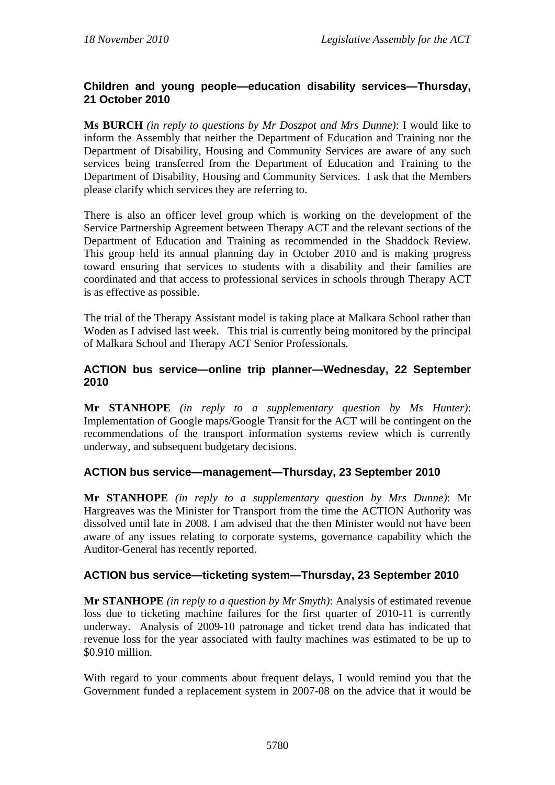## **Children and young people—education disability services—Thursday, 21 October 2010**

**Ms BURCH** *(in reply to questions by Mr Doszpot and Mrs Dunne)*: I would like to inform the Assembly that neither the Department of Education and Training nor the Department of Disability, Housing and Community Services are aware of any such services being transferred from the Department of Education and Training to the Department of Disability, Housing and Community Services. I ask that the Members please clarify which services they are referring to.

There is also an officer level group which is working on the development of the Service Partnership Agreement between Therapy ACT and the relevant sections of the Department of Education and Training as recommended in the Shaddock Review. This group held its annual planning day in October 2010 and is making progress toward ensuring that services to students with a disability and their families are coordinated and that access to professional services in schools through Therapy ACT is as effective as possible.

The trial of the Therapy Assistant model is taking place at Malkara School rather than Woden as I advised last week. This trial is currently being monitored by the principal of Malkara School and Therapy ACT Senior Professionals.

### **ACTION bus service—online trip planner—Wednesday, 22 September 2010**

**Mr STANHOPE** *(in reply to a supplementary question by Ms Hunter)*: Implementation of Google maps/Google Transit for the ACT will be contingent on the recommendations of the transport information systems review which is currently underway, and subsequent budgetary decisions.

## **ACTION bus service—management—Thursday, 23 September 2010**

**Mr STANHOPE** *(in reply to a supplementary question by Mrs Dunne)*: Mr Hargreaves was the Minister for Transport from the time the ACTION Authority was dissolved until late in 2008. I am advised that the then Minister would not have been aware of any issues relating to corporate systems, governance capability which the Auditor-General has recently reported.

### **ACTION bus service—ticketing system—Thursday, 23 September 2010**

**Mr STANHOPE** *(in reply to a question by Mr Smyth)*: Analysis of estimated revenue loss due to ticketing machine failures for the first quarter of 2010-11 is currently underway. Analysis of 2009-10 patronage and ticket trend data has indicated that revenue loss for the year associated with faulty machines was estimated to be up to \$0.910 million.

With regard to your comments about frequent delays, I would remind you that the Government funded a replacement system in 2007-08 on the advice that it would be